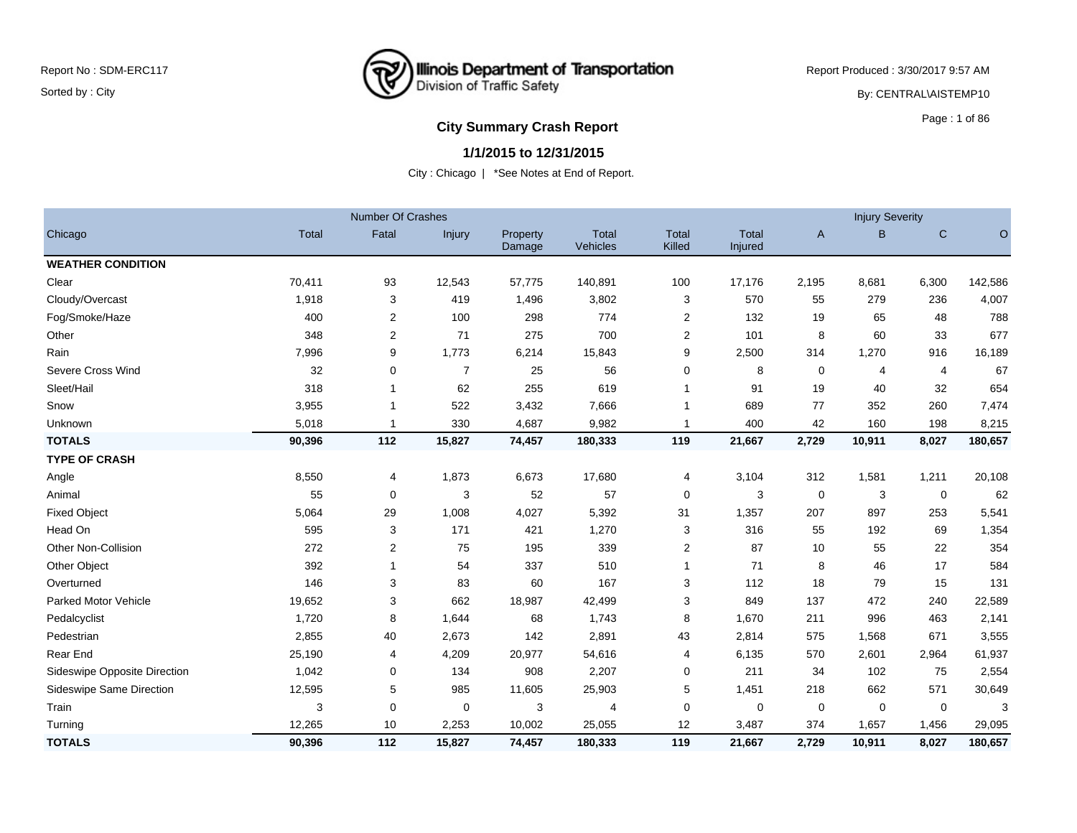

Report Produced : 3/30/2017 9:57 AM By: CENTRAL\AISTEMP10

## **City Summary Crash Report COVID-100 CITY Summary Crash Report**

### **1/1/2015 to 12/31/2015**

|                              |        | <b>Number Of Crashes</b> |             |                    |                   |                        |                         |              | <b>Injury Severity</b> |             |         |
|------------------------------|--------|--------------------------|-------------|--------------------|-------------------|------------------------|-------------------------|--------------|------------------------|-------------|---------|
| Chicago                      | Total  | Fatal                    | Injury      | Property<br>Damage | Total<br>Vehicles | <b>Total</b><br>Killed | <b>Total</b><br>Injured | $\mathsf{A}$ | B                      | $\mathbf C$ | $\circ$ |
| <b>WEATHER CONDITION</b>     |        |                          |             |                    |                   |                        |                         |              |                        |             |         |
| Clear                        | 70,411 | 93                       | 12,543      | 57,775             | 140,891           | 100                    | 17,176                  | 2,195        | 8,681                  | 6,300       | 142,586 |
| Cloudy/Overcast              | 1,918  | 3                        | 419         | 1,496              | 3,802             | 3                      | 570                     | 55           | 279                    | 236         | 4,007   |
| Fog/Smoke/Haze               | 400    | 2                        | 100         | 298                | 774               | 2                      | 132                     | 19           | 65                     | 48          | 788     |
| Other                        | 348    | 2                        | 71          | 275                | 700               | 2                      | 101                     | 8            | 60                     | 33          | 677     |
| Rain                         | 7,996  | 9                        | 1,773       | 6,214              | 15,843            | 9                      | 2,500                   | 314          | 1,270                  | 916         | 16,189  |
| Severe Cross Wind            | 32     | 0                        | 7           | 25                 | 56                | 0                      | 8                       | 0            | 4                      | 4           | 67      |
| Sleet/Hail                   | 318    |                          | 62          | 255                | 619               | 1                      | 91                      | 19           | 40                     | 32          | 654     |
| Snow                         | 3,955  |                          | 522         | 3,432              | 7,666             | -1                     | 689                     | 77           | 352                    | 260         | 7,474   |
| Unknown                      | 5,018  |                          | 330         | 4,687              | 9,982             | $\overline{1}$         | 400                     | 42           | 160                    | 198         | 8,215   |
| <b>TOTALS</b>                | 90,396 | 112                      | 15,827      | 74,457             | 180,333           | 119                    | 21,667                  | 2,729        | 10,911                 | 8,027       | 180,657 |
| <b>TYPE OF CRASH</b>         |        |                          |             |                    |                   |                        |                         |              |                        |             |         |
| Angle                        | 8,550  | 4                        | 1,873       | 6,673              | 17,680            | 4                      | 3,104                   | 312          | 1,581                  | 1,211       | 20,108  |
| Animal                       | 55     | $\mathbf 0$              | 3           | 52                 | 57                | 0                      | 3                       | 0            | 3                      | $\mathbf 0$ | 62      |
| <b>Fixed Object</b>          | 5,064  | 29                       | 1,008       | 4,027              | 5,392             | 31                     | 1,357                   | 207          | 897                    | 253         | 5,541   |
| Head On                      | 595    | 3                        | 171         | 421                | 1,270             | 3                      | 316                     | 55           | 192                    | 69          | 1,354   |
| Other Non-Collision          | 272    | 2                        | 75          | 195                | 339               | 2                      | 87                      | 10           | 55                     | 22          | 354     |
| Other Object                 | 392    | 1                        | 54          | 337                | 510               | $\mathbf{1}$           | 71                      | 8            | 46                     | 17          | 584     |
| Overturned                   | 146    | 3                        | 83          | 60                 | 167               | 3                      | 112                     | 18           | 79                     | 15          | 131     |
| <b>Parked Motor Vehicle</b>  | 19,652 | 3                        | 662         | 18,987             | 42,499            | 3                      | 849                     | 137          | 472                    | 240         | 22,589  |
| Pedalcyclist                 | 1,720  | 8                        | 1,644       | 68                 | 1,743             | 8                      | 1,670                   | 211          | 996                    | 463         | 2,141   |
| Pedestrian                   | 2,855  | 40                       | 2,673       | 142                | 2,891             | 43                     | 2,814                   | 575          | 1,568                  | 671         | 3,555   |
| Rear End                     | 25,190 | 4                        | 4,209       | 20,977             | 54,616            | $\overline{4}$         | 6,135                   | 570          | 2,601                  | 2,964       | 61,937  |
| Sideswipe Opposite Direction | 1,042  | 0                        | 134         | 908                | 2,207             | 0                      | 211                     | 34           | 102                    | 75          | 2,554   |
| Sideswipe Same Direction     | 12,595 | 5                        | 985         | 11,605             | 25,903            | 5                      | 1,451                   | 218          | 662                    | 571         | 30,649  |
| Train                        | 3      | 0                        | $\mathbf 0$ | 3                  | 4                 | 0                      | 0                       | 0            | 0                      | 0           | 3       |
| Turning                      | 12,265 | 10                       | 2,253       | 10,002             | 25,055            | 12                     | 3,487                   | 374          | 1,657                  | 1,456       | 29,095  |
| <b>TOTALS</b>                | 90,396 | 112                      | 15,827      | 74,457             | 180,333           | 119                    | 21,667                  | 2,729        | 10,911                 | 8,027       | 180,657 |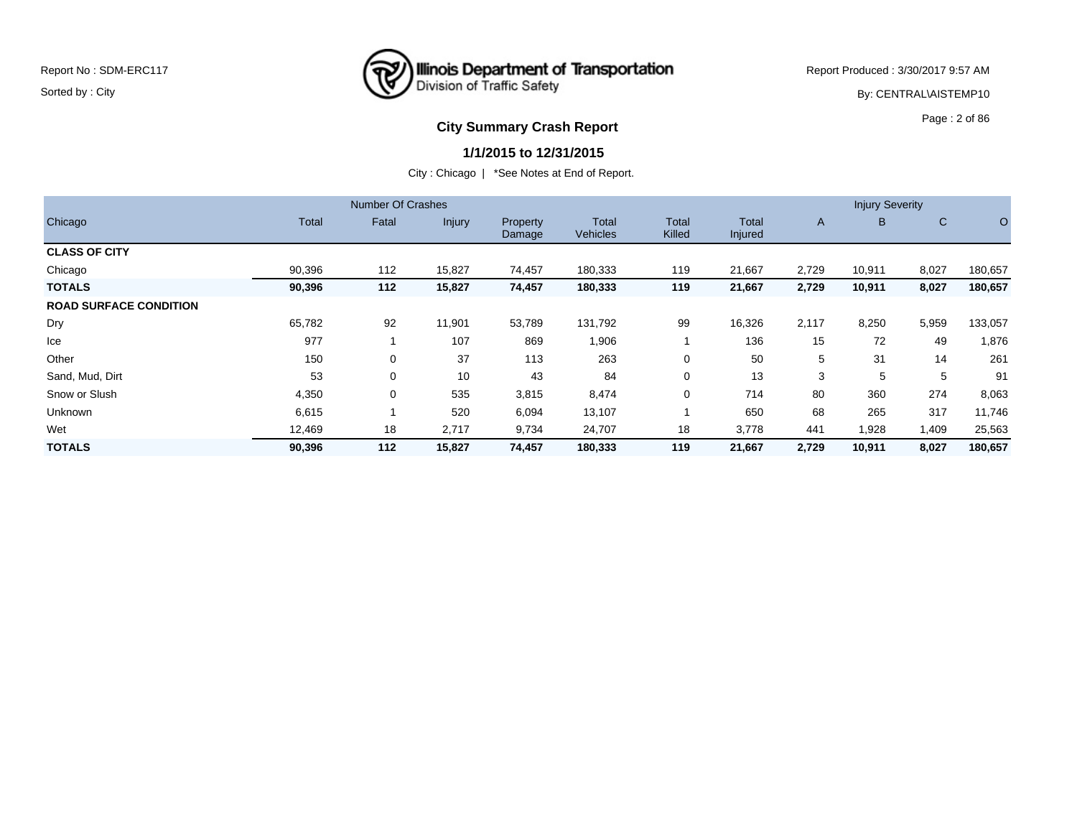

Report Produced : 3/30/2017 9:57 AM By: CENTRAL\AISTEMP10

# **City Summary Crash Report CLASH Report CLASH Report CLASH Report CLASH Report CLASH Report CLASH Report CLASH Report CLASH Report CLASH Report CLASH Report CLASH Report CLASH Report CLASH Report**

### **1/1/2015 to 12/31/2015**

|                               |        | <b>Number Of Crashes</b> |               |                           |                   |                        |                  |       | <b>Injury Severity</b> |              |         |
|-------------------------------|--------|--------------------------|---------------|---------------------------|-------------------|------------------------|------------------|-------|------------------------|--------------|---------|
| Chicago                       | Total  | Fatal                    | <b>Injury</b> | <b>Property</b><br>Damage | Total<br>Vehicles | <b>Total</b><br>Killed | Total<br>Injured | A     | B.                     | $\mathsf{C}$ | $\circ$ |
| <b>CLASS OF CITY</b>          |        |                          |               |                           |                   |                        |                  |       |                        |              |         |
| Chicago                       | 90,396 | 112                      | 15,827        | 74,457                    | 180,333           | 119                    | 21,667           | 2,729 | 10,911                 | 8,027        | 180,657 |
| <b>TOTALS</b>                 | 90,396 | 112                      | 15,827        | 74,457                    | 180,333           | 119                    | 21,667           | 2,729 | 10,911                 | 8,027        | 180,657 |
| <b>ROAD SURFACE CONDITION</b> |        |                          |               |                           |                   |                        |                  |       |                        |              |         |
| Dry                           | 65,782 | 92                       | 11,901        | 53,789                    | 131,792           | 99                     | 16,326           | 2,117 | 8,250                  | 5,959        | 133,057 |
| Ice                           | 977    |                          | 107           | 869                       | 1,906             |                        | 136              | 15    | 72                     | 49           | 1,876   |
| Other                         | 150    | 0                        | 37            | 113                       | 263               | $\Omega$               | 50               | 5     | 31                     | 14           | 261     |
| Sand, Mud, Dirt               | 53     | 0                        | 10            | 43                        | 84                | $\Omega$               | 13               | 3     | 5                      | 5            | 91      |
| Snow or Slush                 | 4,350  | 0                        | 535           | 3,815                     | 8,474             | $\Omega$               | 714              | 80    | 360                    | 274          | 8,063   |
| <b>Unknown</b>                | 6,615  |                          | 520           | 6,094                     | 13,107            |                        | 650              | 68    | 265                    | 317          | 11,746  |
| Wet                           | 12,469 | 18                       | 2,717         | 9,734                     | 24,707            | 18                     | 3,778            | 441   | 1,928                  | 1,409        | 25,563  |
| <b>TOTALS</b>                 | 90,396 | 112                      | 15,827        | 74,457                    | 180,333           | 119                    | 21,667           | 2,729 | 10,911                 | 8,027        | 180,657 |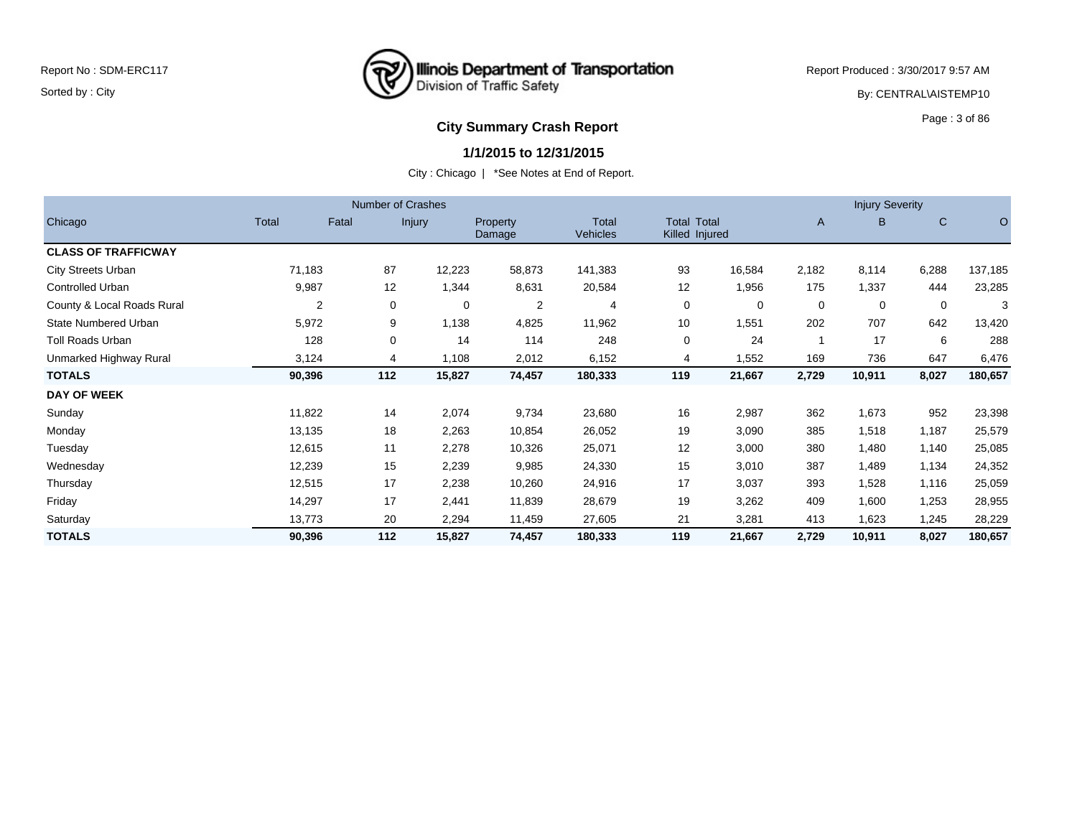## **Illinois Department of Transportation**<br>Division of Traffic Safety ष्ट्र

Report Produced : 3/30/2017 9:57 AM

By: CENTRAL\AISTEMP10

# **City Summary Crash Report CLASH Report CLASH Report CLASH Report CLASH Report CLASH Report CLASH Report CLASH Report CLASH Report CLASH Report CLASH Report CLASH Report CLASH Report CLASH Report**

#### **1/1/2015 to 12/31/2015**

|                             |        |                     | <b>Number of Crashes</b> |                     |                          |     |                                      |              | <b>Injury Severity</b> |       |         |
|-----------------------------|--------|---------------------|--------------------------|---------------------|--------------------------|-----|--------------------------------------|--------------|------------------------|-------|---------|
| Chicago                     | Total  | Fatal               | <b>Injury</b>            | Property<br>Damage  | Total<br><b>Vehicles</b> |     | <b>Total Total</b><br>Killed Injured | $\mathsf{A}$ | B                      | C     | O       |
| <b>CLASS OF TRAFFICWAY</b>  |        |                     |                          |                     |                          |     |                                      |              |                        |       |         |
| <b>City Streets Urban</b>   | 71,183 | 87                  | 12,223                   | 58,873              | 141,383                  | 93  | 16,584                               | 2,182        | 8,114                  | 6,288 | 137,185 |
| Controlled Urban            | 9,987  | 12                  | 1,344                    | 8,631               | 20,584                   | 12  | 1,956                                | 175          | 1,337                  | 444   | 23,285  |
| County & Local Roads Rural  |        | $\overline{2}$<br>0 |                          | $\overline{2}$<br>0 | 4                        | 0   | 0                                    | 0            | 0                      | 0     | 3       |
| <b>State Numbered Urban</b> | 5,972  | 9                   | 1,138                    | 4,825               | 11,962                   | 10  | 1,551                                | 202          | 707                    | 642   | 13,420  |
| <b>Toll Roads Urban</b>     | 128    | 0                   | 14                       | 114                 | 248                      | 0   | 24                                   |              | 17                     | 6     | 288     |
| Unmarked Highway Rural      | 3,124  | 4                   | 1,108                    | 2,012               | 6,152                    | 4   | 1,552                                | 169          | 736                    | 647   | 6,476   |
| <b>TOTALS</b>               | 90,396 | 112                 | 15,827                   | 74,457              | 180,333                  | 119 | 21,667                               | 2,729        | 10,911                 | 8,027 | 180,657 |
| <b>DAY OF WEEK</b>          |        |                     |                          |                     |                          |     |                                      |              |                        |       |         |
| Sunday                      | 11,822 | 14                  | 2,074                    | 9,734               | 23,680                   | 16  | 2,987                                | 362          | 1,673                  | 952   | 23,398  |
| Monday                      | 13,135 | 18                  | 2,263                    | 10,854              | 26,052                   | 19  | 3,090                                | 385          | 1,518                  | 1,187 | 25,579  |
| Tuesday                     | 12,615 | 11                  | 2,278                    | 10,326              | 25,071                   | 12  | 3,000                                | 380          | 1,480                  | 1,140 | 25,085  |
| Wednesday                   | 12,239 | 15                  | 2,239                    | 9,985               | 24,330                   | 15  | 3,010                                | 387          | 1,489                  | 1,134 | 24,352  |
| Thursday                    | 12,515 | 17                  | 2,238                    | 10,260              | 24,916                   | 17  | 3,037                                | 393          | 1,528                  | 1,116 | 25,059  |
| Friday                      | 14,297 | 17                  | 2,441                    | 11,839              | 28,679                   | 19  | 3,262                                | 409          | 1,600                  | 1,253 | 28,955  |
| Saturday                    | 13,773 | 20                  | 2,294                    | 11,459              | 27,605                   | 21  | 3,281                                | 413          | 1,623                  | 1,245 | 28,229  |
| <b>TOTALS</b>               | 90,396 | 112                 | 15,827                   | 74,457              | 180,333                  | 119 | 21,667                               | 2,729        | 10,911                 | 8,027 | 180,657 |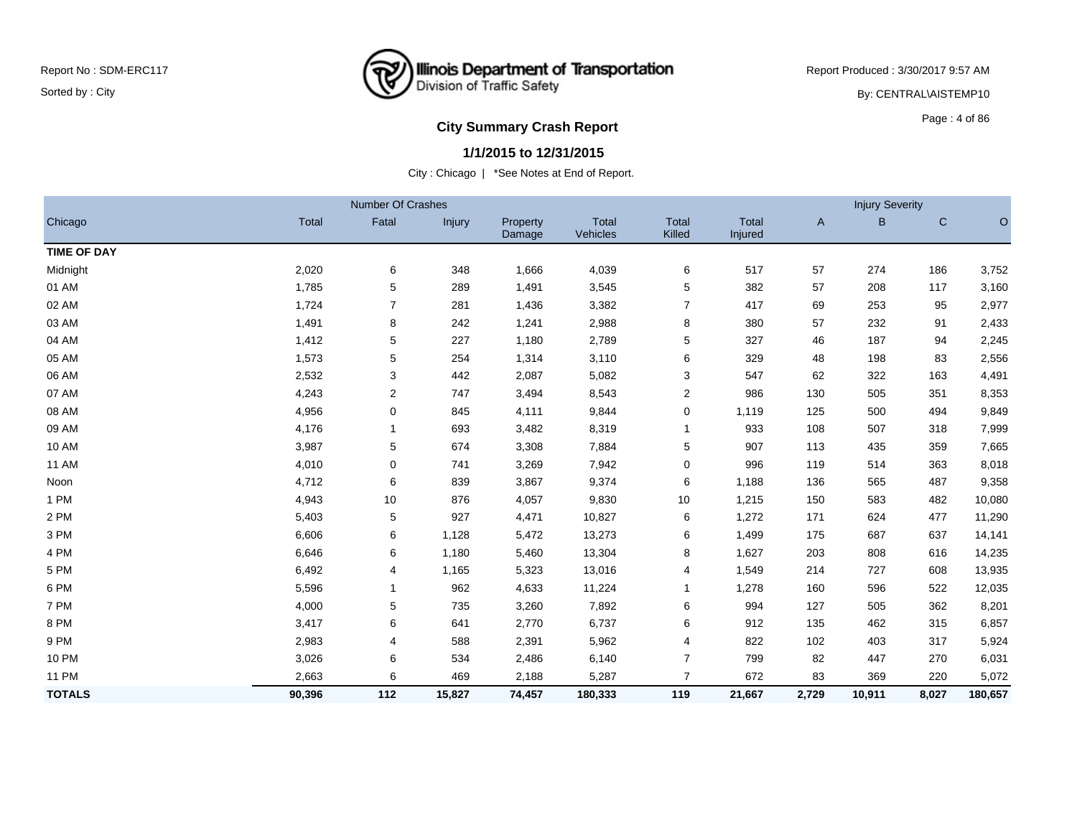## **Illinois Department of Transportation**<br>Division of Traffic Safety ष्ट्र

Report Produced : 3/30/2017 9:57 AM

By: CENTRAL\AISTEMP10

## **City Summary Crash Report CLASH Report CLASH Report CLASH Report CLASH Report CLASH Report CLASH Report CLASH Report CLASH Report CLASH Report CLASH Report CLASH Report CLASH Report CLASH Report**

#### **1/1/2015 to 12/31/2015**

|                    |              | Number Of Crashes |               |                    |                   |                 |                         |              | <b>Injury Severity</b> |              |         |
|--------------------|--------------|-------------------|---------------|--------------------|-------------------|-----------------|-------------------------|--------------|------------------------|--------------|---------|
| Chicago            | <b>Total</b> | Fatal             | <b>Injury</b> | Property<br>Damage | Total<br>Vehicles | Total<br>Killed | <b>Total</b><br>Injured | $\mathsf{A}$ | B                      | $\mathsf{C}$ | $\circ$ |
| <b>TIME OF DAY</b> |              |                   |               |                    |                   |                 |                         |              |                        |              |         |
| Midnight           | 2,020        | 6                 | 348           | 1,666              | 4,039             | 6               | 517                     | 57           | 274                    | 186          | 3,752   |
| 01 AM              | 1,785        | 5                 | 289           | 1,491              | 3,545             | 5               | 382                     | 57           | 208                    | 117          | 3,160   |
| 02 AM              | 1,724        | $\overline{7}$    | 281           | 1,436              | 3,382             | $\overline{7}$  | 417                     | 69           | 253                    | 95           | 2,977   |
| 03 AM              | 1,491        | 8                 | 242           | 1,241              | 2,988             | 8               | 380                     | 57           | 232                    | 91           | 2,433   |
| 04 AM              | 1,412        | 5                 | 227           | 1,180              | 2,789             | 5               | 327                     | 46           | 187                    | 94           | 2,245   |
| 05 AM              | 1,573        | 5                 | 254           | 1,314              | 3,110             | 6               | 329                     | 48           | 198                    | 83           | 2,556   |
| 06 AM              | 2,532        | 3                 | 442           | 2,087              | 5,082             | 3               | 547                     | 62           | 322                    | 163          | 4,491   |
| 07 AM              | 4,243        | $\overline{2}$    | 747           | 3,494              | 8,543             | 2               | 986                     | 130          | 505                    | 351          | 8,353   |
| 08 AM              | 4,956        | 0                 | 845           | 4,111              | 9,844             | 0               | 1,119                   | 125          | 500                    | 494          | 9,849   |
| 09 AM              | 4,176        | $\mathbf 1$       | 693           | 3,482              | 8,319             | $\mathbf{1}$    | 933                     | 108          | 507                    | 318          | 7,999   |
| 10 AM              | 3,987        | 5                 | 674           | 3,308              | 7,884             | 5               | 907                     | 113          | 435                    | 359          | 7,665   |
| <b>11 AM</b>       | 4,010        | $\mathbf 0$       | 741           | 3,269              | 7,942             | 0               | 996                     | 119          | 514                    | 363          | 8,018   |
| Noon               | 4,712        | 6                 | 839           | 3,867              | 9,374             | 6               | 1,188                   | 136          | 565                    | 487          | 9,358   |
| 1 PM               | 4,943        | 10                | 876           | 4,057              | 9,830             | 10              | 1,215                   | 150          | 583                    | 482          | 10,080  |
| 2 PM               | 5,403        | 5                 | 927           | 4,471              | 10,827            | 6               | 1,272                   | 171          | 624                    | 477          | 11,290  |
| 3 PM               | 6,606        | 6                 | 1,128         | 5,472              | 13,273            | 6               | 1,499                   | 175          | 687                    | 637          | 14,141  |
| 4 PM               | 6,646        | 6                 | 1,180         | 5,460              | 13,304            | 8               | 1,627                   | 203          | 808                    | 616          | 14,235  |
| 5 PM               | 6,492        | 4                 | 1,165         | 5,323              | 13,016            | 4               | 1,549                   | 214          | 727                    | 608          | 13,935  |
| 6 PM               | 5,596        | $\mathbf{1}$      | 962           | 4,633              | 11,224            | $\mathbf{1}$    | 1,278                   | 160          | 596                    | 522          | 12,035  |
| 7 PM               | 4,000        | 5                 | 735           | 3,260              | 7,892             | 6               | 994                     | 127          | 505                    | 362          | 8,201   |
| 8 PM               | 3,417        | 6                 | 641           | 2,770              | 6,737             | 6               | 912                     | 135          | 462                    | 315          | 6,857   |
| 9 PM               | 2,983        | 4                 | 588           | 2,391              | 5,962             | 4               | 822                     | 102          | 403                    | 317          | 5,924   |
| 10 PM              | 3,026        | 6                 | 534           | 2,486              | 6,140             | 7               | 799                     | 82           | 447                    | 270          | 6,031   |
| <b>11 PM</b>       | 2,663        | 6                 | 469           | 2,188              | 5,287             | $\overline{7}$  | 672                     | 83           | 369                    | 220          | 5,072   |
| <b>TOTALS</b>      | 90,396       | 112               | 15,827        | 74,457             | 180,333           | 119             | 21,667                  | 2,729        | 10,911                 | 8,027        | 180,657 |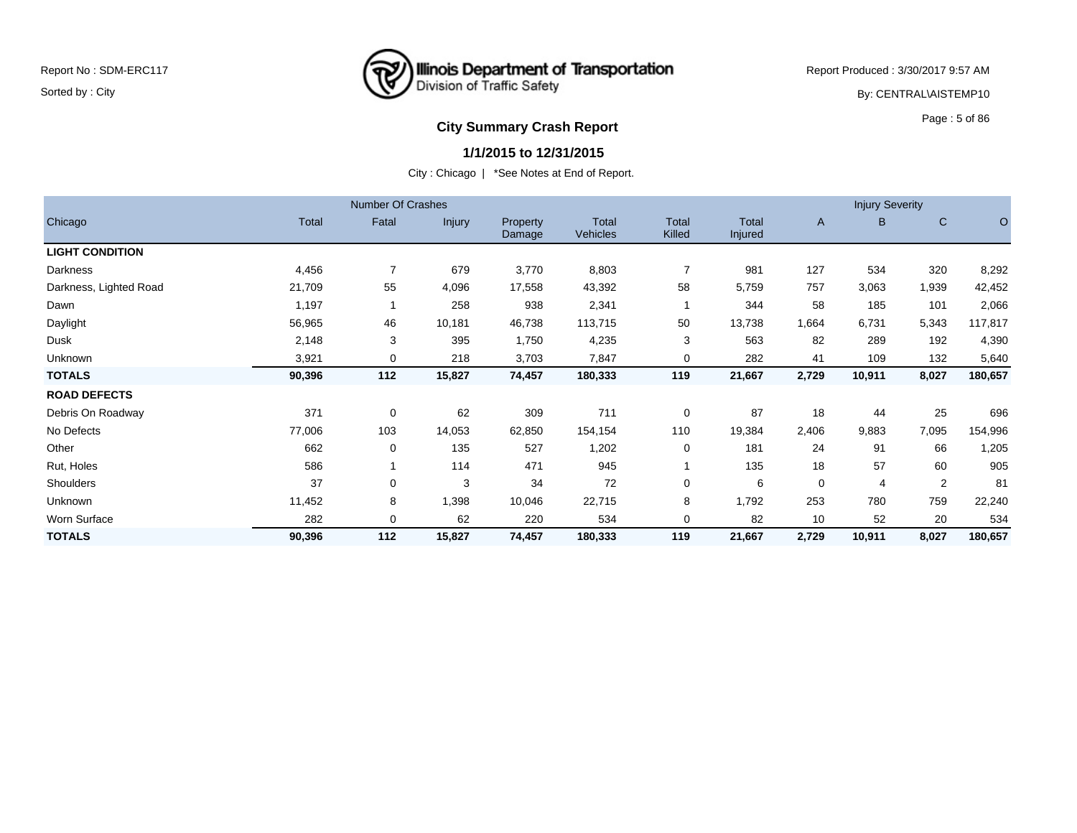

Report Produced : 3/30/2017 9:57 AM By: CENTRAL\AISTEMP10

## **City Summary Crash Report CLASH Report CLASH Report CLASH Report CLASH Report CLASH Report CLASH Report CLASH Report CLASH Report CLASH Report CLASH Report CLASH Report CLASH Report CLASH Report**

#### **1/1/2015 to 12/31/2015**

|                        |        | <b>Number Of Crashes</b> |               |                    |                          |                        |                         |       | <b>Injury Severity</b> |                |         |
|------------------------|--------|--------------------------|---------------|--------------------|--------------------------|------------------------|-------------------------|-------|------------------------|----------------|---------|
| Chicago                | Total  | Fatal                    | <b>Injury</b> | Property<br>Damage | Total<br><b>Vehicles</b> | <b>Total</b><br>Killed | <b>Total</b><br>Injured | A     | B.                     | $\mathbf C$    | O       |
| <b>LIGHT CONDITION</b> |        |                          |               |                    |                          |                        |                         |       |                        |                |         |
| <b>Darkness</b>        | 4,456  | $\overline{7}$           | 679           | 3,770              | 8,803                    |                        | 981                     | 127   | 534                    | 320            | 8,292   |
| Darkness, Lighted Road | 21,709 | 55                       | 4,096         | 17,558             | 43,392                   | 58                     | 5,759                   | 757   | 3,063                  | 1,939          | 42,452  |
| Dawn                   | 1,197  |                          | 258           | 938                | 2,341                    |                        | 344                     | 58    | 185                    | 101            | 2,066   |
| Daylight               | 56,965 | 46                       | 10,181        | 46,738             | 113,715                  | 50                     | 13,738                  | 1,664 | 6,731                  | 5,343          | 117,817 |
| Dusk                   | 2,148  | 3                        | 395           | 1,750              | 4,235                    | 3                      | 563                     | 82    | 289                    | 192            | 4,390   |
| Unknown                | 3,921  | 0                        | 218           | 3,703              | 7,847                    | 0                      | 282                     | 41    | 109                    | 132            | 5,640   |
| <b>TOTALS</b>          | 90,396 | 112                      | 15,827        | 74,457             | 180,333                  | 119                    | 21,667                  | 2,729 | 10,911                 | 8,027          | 180,657 |
| <b>ROAD DEFECTS</b>    |        |                          |               |                    |                          |                        |                         |       |                        |                |         |
| Debris On Roadway      | 371    | 0                        | 62            | 309                | 711                      | $\mathbf 0$            | 87                      | 18    | 44                     | 25             | 696     |
| No Defects             | 77,006 | 103                      | 14,053        | 62,850             | 154,154                  | 110                    | 19,384                  | 2,406 | 9,883                  | 7,095          | 154,996 |
| Other                  | 662    | 0                        | 135           | 527                | 1,202                    | 0                      | 181                     | 24    | 91                     | 66             | 1,205   |
| Rut, Holes             | 586    |                          | 114           | 471                | 945                      |                        | 135                     | 18    | 57                     | 60             | 905     |
| Shoulders              | 37     | 0                        | 3             | 34                 | 72                       | 0                      | 6                       | 0     | 4                      | $\overline{2}$ | 81      |
| Unknown                | 11,452 | 8                        | 1,398         | 10,046             | 22,715                   | 8                      | 1,792                   | 253   | 780                    | 759            | 22,240  |
| Worn Surface           | 282    | 0                        | 62            | 220                | 534                      | $\mathbf 0$            | 82                      | 10    | 52                     | 20             | 534     |
| <b>TOTALS</b>          | 90,396 | 112                      | 15,827        | 74,457             | 180,333                  | 119                    | 21,667                  | 2,729 | 10,911                 | 8,027          | 180,657 |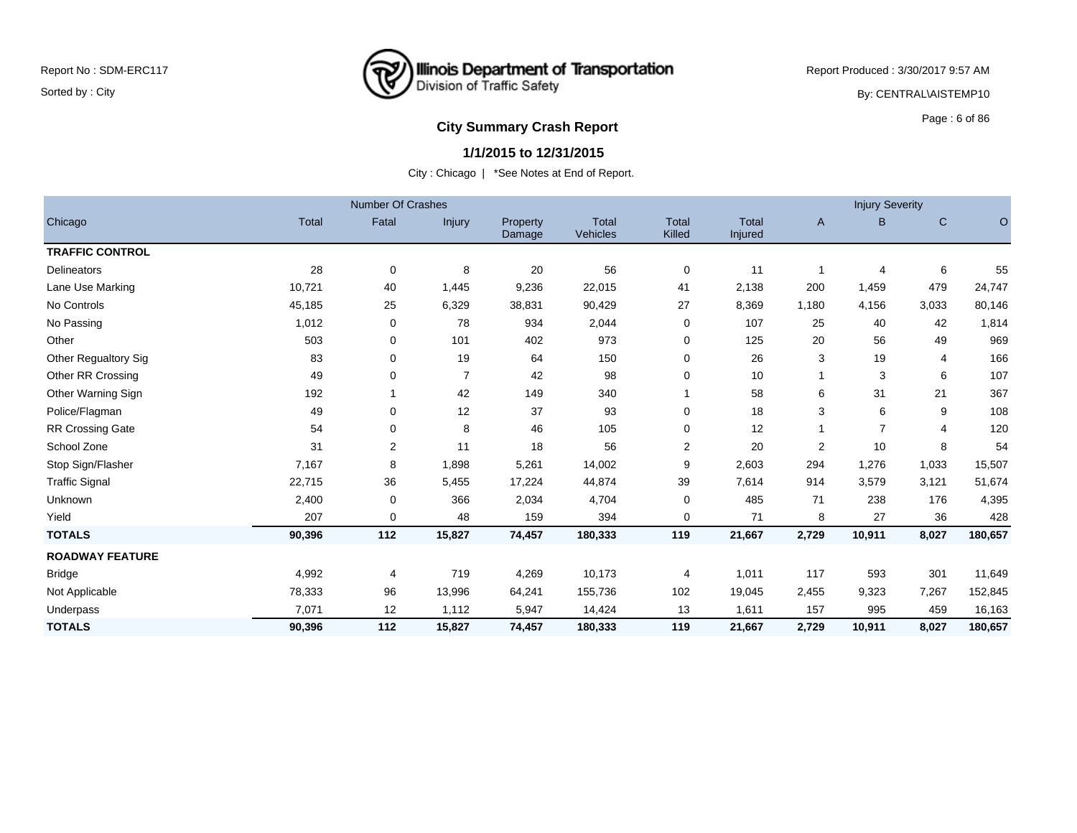

Report Produced : 3/30/2017 9:57 AM By: CENTRAL\AISTEMP10

# **City Summary Crash Report CLASH Report CLASH Report CLASH Report CLASH Report CLASH Report CLASH Report CLASH Report CLASH Report CLASH Report CLASH Report CLASH Report CLASH Report CLASH Report**

## **1/1/2015 to 12/31/2015**

|                          |              | <b>Number Of Crashes</b> |                |                    |                          |                        |                         |       | <b>Injury Severity</b> |       |         |
|--------------------------|--------------|--------------------------|----------------|--------------------|--------------------------|------------------------|-------------------------|-------|------------------------|-------|---------|
| Chicago                  | <b>Total</b> | Fatal                    | Injury         | Property<br>Damage | <b>Total</b><br>Vehicles | <b>Total</b><br>Killed | <b>Total</b><br>Injured | A     | B                      | C     | $\circ$ |
| <b>TRAFFIC CONTROL</b>   |              |                          |                |                    |                          |                        |                         |       |                        |       |         |
| <b>Delineators</b>       | 28           | 0                        | 8              | 20                 | 56                       | 0                      | 11                      | 1     | 4                      | 6     | 55      |
| Lane Use Marking         | 10,721       | 40                       | 1,445          | 9,236              | 22,015                   | 41                     | 2,138                   | 200   | 1,459                  | 479   | 24,747  |
| No Controls              | 45,185       | 25                       | 6,329          | 38,831             | 90,429                   | 27                     | 8,369                   | 1,180 | 4,156                  | 3,033 | 80,146  |
| No Passing               | 1,012        | 0                        | 78             | 934                | 2,044                    | 0                      | 107                     | 25    | 40                     | 42    | 1,814   |
| Other                    | 503          | 0                        | 101            | 402                | 973                      | 0                      | 125                     | 20    | 56                     | 49    | 969     |
| Other Regualtory Sig     | 83           | 0                        | 19             | 64                 | 150                      | 0                      | 26                      | 3     | 19                     | 4     | 166     |
| <b>Other RR Crossing</b> | 49           | 0                        | $\overline{7}$ | 42                 | 98                       | 0                      | 10                      | 1     | 3                      | 6     | 107     |
| Other Warning Sign       | 192          |                          | 42             | 149                | 340                      |                        | 58                      | 6     | 31                     | 21    | 367     |
| Police/Flagman           | 49           | 0                        | 12             | 37                 | 93                       | 0                      | 18                      | 3     | 6                      | 9     | 108     |
| RR Crossing Gate         | 54           | 0                        | 8              | 46                 | 105                      | 0                      | 12                      | 1     | $\overline{7}$         | 4     | 120     |
| School Zone              | 31           | 2                        | 11             | 18                 | 56                       | $\overline{c}$         | 20                      | 2     | 10                     | 8     | 54      |
| Stop Sign/Flasher        | 7,167        | 8                        | 1,898          | 5,261              | 14,002                   | 9                      | 2,603                   | 294   | 1,276                  | 1,033 | 15,507  |
| <b>Traffic Signal</b>    | 22,715       | 36                       | 5,455          | 17,224             | 44,874                   | 39                     | 7,614                   | 914   | 3,579                  | 3,121 | 51,674  |
| Unknown                  | 2,400        | 0                        | 366            | 2,034              | 4,704                    | 0                      | 485                     | 71    | 238                    | 176   | 4,395   |
| Yield                    | 207          | 0                        | 48             | 159                | 394                      | $\mathbf 0$            | 71                      | 8     | 27                     | 36    | 428     |
| <b>TOTALS</b>            | 90,396       | 112                      | 15,827         | 74,457             | 180,333                  | 119                    | 21,667                  | 2,729 | 10,911                 | 8,027 | 180,657 |
| <b>ROADWAY FEATURE</b>   |              |                          |                |                    |                          |                        |                         |       |                        |       |         |
| <b>Bridge</b>            | 4,992        | 4                        | 719            | 4,269              | 10,173                   | $\overline{4}$         | 1,011                   | 117   | 593                    | 301   | 11,649  |
| Not Applicable           | 78,333       | 96                       | 13,996         | 64,241             | 155,736                  | 102                    | 19,045                  | 2,455 | 9,323                  | 7,267 | 152,845 |
| Underpass                | 7,071        | 12                       | 1,112          | 5,947              | 14,424                   | 13                     | 1,611                   | 157   | 995                    | 459   | 16,163  |
| <b>TOTALS</b>            | 90,396       | 112                      | 15,827         | 74,457             | 180,333                  | 119                    | 21,667                  | 2,729 | 10,911                 | 8,027 | 180,657 |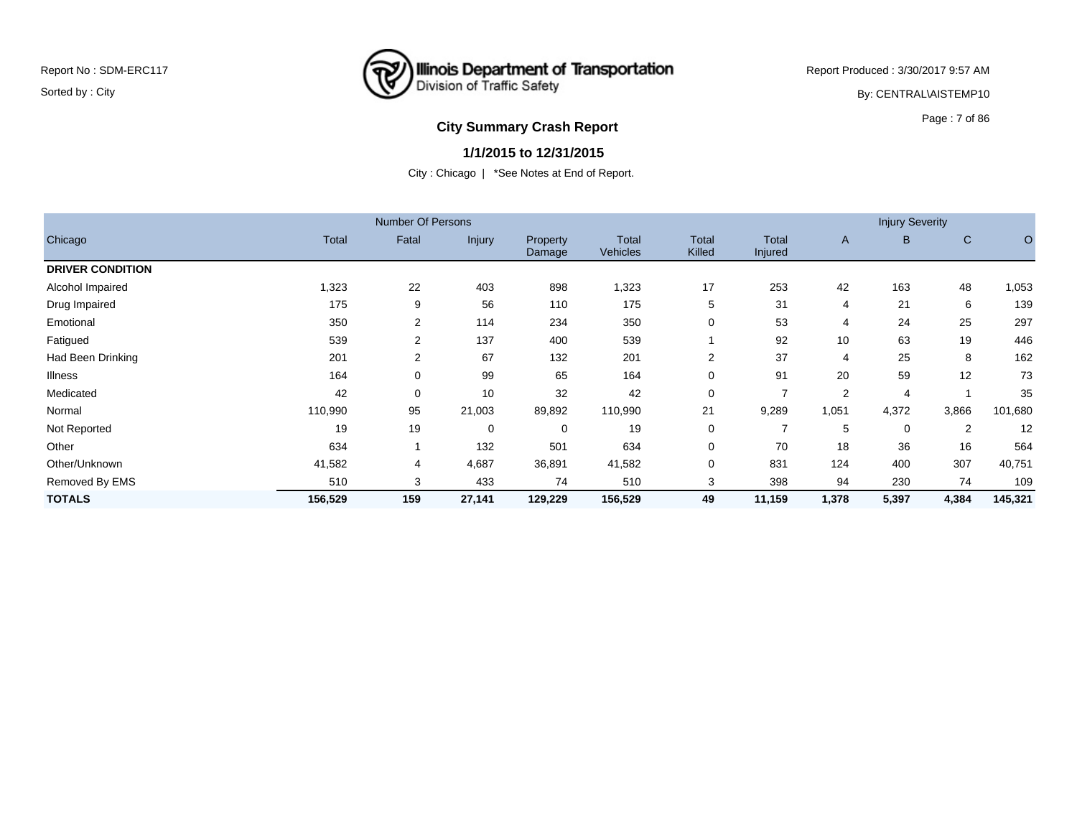## **Illinois Department of Transportation**<br>Division of Traffic Safety ष्ट्र

Report Produced : 3/30/2017 9:57 AM By: CENTRAL\AISTEMP10

## **City Summary Crash Report CLASH Report CLASH Report CLASH Report CLASH Report CLASH Report CLASH Report CLASH Report CLASH Report CLASH Report CLASH Report CLASH Report CLASH Report CLASH Report**

#### **1/1/2015 to 12/31/2015**

|                         |              | <b>Number Of Persons</b> |             |                    |                                 |                        |                  |                | <b>Injury Severity</b> |              |         |
|-------------------------|--------------|--------------------------|-------------|--------------------|---------------------------------|------------------------|------------------|----------------|------------------------|--------------|---------|
| Chicago                 | <b>Total</b> | Fatal                    | Injury      | Property<br>Damage | <b>Total</b><br><b>Vehicles</b> | <b>Total</b><br>Killed | Total<br>Injured | A              | B.                     | $\mathsf{C}$ | O       |
| <b>DRIVER CONDITION</b> |              |                          |             |                    |                                 |                        |                  |                |                        |              |         |
| Alcohol Impaired        | 1,323        | 22                       | 403         | 898                | 1,323                           | 17                     | 253              | 42             | 163                    | 48           | 1,053   |
| Drug Impaired           | 175          | 9                        | 56          | 110                | 175                             | 5                      | 31               | $\overline{4}$ | 21                     | 6            | 139     |
| Emotional               | 350          | $\overline{2}$           | 114         | 234                | 350                             | 0                      | 53               | 4              | 24                     | 25           | 297     |
| Fatigued                | 539          | $\overline{2}$           | 137         | 400                | 539                             |                        | 92               | 10             | 63                     | 19           | 446     |
| Had Been Drinking       | 201          | $\overline{2}$           | 67          | 132                | 201                             | 2                      | 37               | 4              | 25                     | 8            | 162     |
| <b>Illness</b>          | 164          | 0                        | 99          | 65                 | 164                             | 0                      | 91               | 20             | 59                     | 12           | 73      |
| Medicated               | 42           | 0                        | 10          | 32                 | 42                              | 0                      | $\overline{7}$   | $\overline{2}$ | 4                      |              | 35      |
| Normal                  | 110,990      | 95                       | 21,003      | 89,892             | 110,990                         | 21                     | 9,289            | 1,051          | 4,372                  | 3,866        | 101,680 |
| Not Reported            | 19           | 19                       | $\mathbf 0$ | 0                  | 19                              | 0                      | 7                | 5              | 0                      | 2            | 12      |
| Other                   | 634          |                          | 132         | 501                | 634                             | 0                      | 70               | 18             | 36                     | 16           | 564     |
| Other/Unknown           | 41,582       | 4                        | 4,687       | 36,891             | 41,582                          | 0                      | 831              | 124            | 400                    | 307          | 40,751  |
| Removed By EMS          | 510          | 3                        | 433         | 74                 | 510                             | 3                      | 398              | 94             | 230                    | 74           | 109     |
| <b>TOTALS</b>           | 156,529      | 159                      | 27,141      | 129,229            | 156,529                         | 49                     | 11,159           | 1,378          | 5,397                  | 4,384        | 145,321 |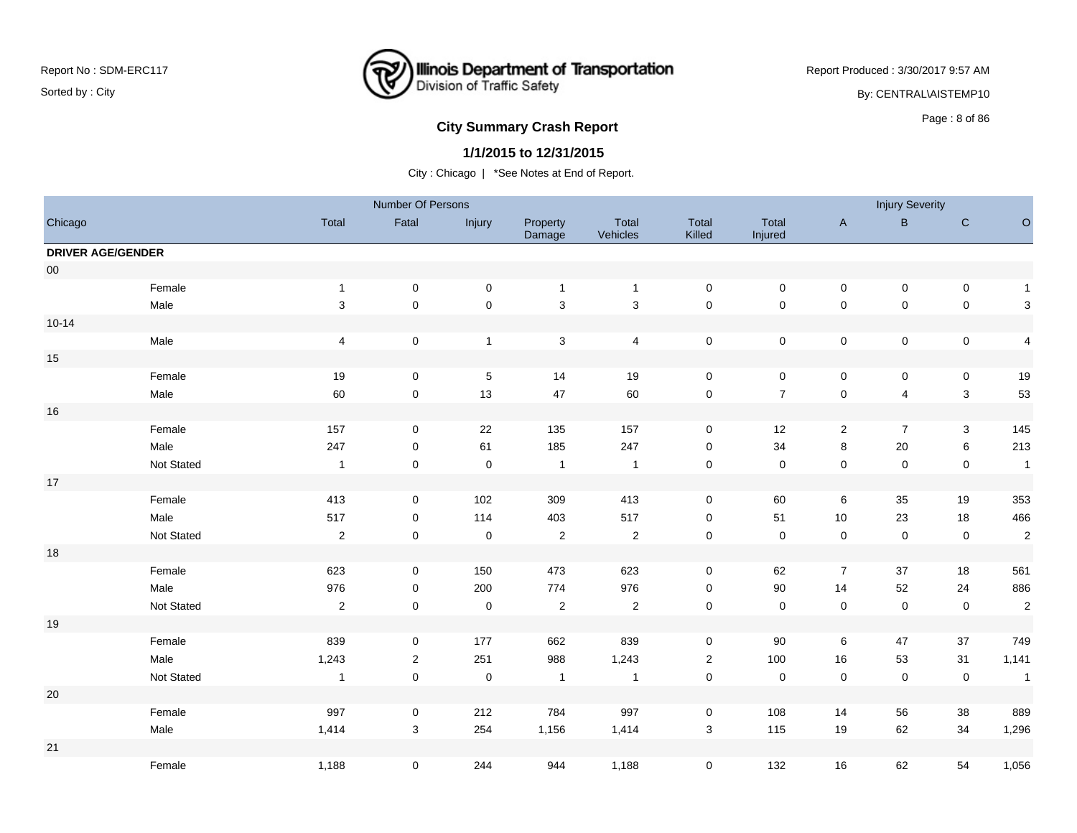## **Illinois Department of Transportation**<br>Division of Traffic Safety ष्ट्र

Report Produced : 3/30/2017 9:57 AM

By: CENTRAL\AISTEMP10

# **City Summary Crash Report CLASH Report CLASH Report CLASH Report CLASH Report CLASH Report CLASH Report CLASH Report CLASH Report CLASH Report CLASH Report CLASH Report CLASH Report CLASH Report**

## **1/1/2015 to 12/31/2015**

|                          |            |                         | Number Of Persons |              |                           |                   |                           |                  |                | <b>Injury Severity</b>  |                           |                         |
|--------------------------|------------|-------------------------|-------------------|--------------|---------------------------|-------------------|---------------------------|------------------|----------------|-------------------------|---------------------------|-------------------------|
| Chicago                  |            | Total                   | Fatal             | Injury       | Property<br>Damage        | Total<br>Vehicles | Total<br>Killed           | Total<br>Injured | $\mathsf A$    | B                       | ${\bf C}$                 | $\circ$                 |
| <b>DRIVER AGE/GENDER</b> |            |                         |                   |              |                           |                   |                           |                  |                |                         |                           |                         |
| ${\bf 00}$               |            |                         |                   |              |                           |                   |                           |                  |                |                         |                           |                         |
|                          | Female     | $\mathbf{1}$            | $\mathbf 0$       | $\pmb{0}$    | $\mathbf{1}$              | $\overline{1}$    | $\mathbf 0$               | $\pmb{0}$        | $\pmb{0}$      | $\pmb{0}$               | $\pmb{0}$                 | $\mathbf{1}$            |
|                          | Male       | $\mathbf{3}$            | $\pmb{0}$         | $\pmb{0}$    | $\ensuremath{\mathsf{3}}$ | $\sqrt{3}$        | $\pmb{0}$                 | $\mathsf 0$      | $\pmb{0}$      | $\mathbf 0$             | $\pmb{0}$                 | 3                       |
| $10 - 14$                |            |                         |                   |              |                           |                   |                           |                  |                |                         |                           |                         |
|                          | Male       | $\overline{\mathbf{4}}$ | $\pmb{0}$         | $\mathbf{1}$ | $\mathbf{3}$              | $\overline{4}$    | $\pmb{0}$                 | $\overline{0}$   | $\pmb{0}$      | $\mathsf{O}\xspace$     | $\pmb{0}$                 | $\overline{\mathbf{4}}$ |
| 15                       |            |                         |                   |              |                           |                   |                           |                  |                |                         |                           |                         |
|                          | Female     | 19                      | 0                 | $\,$ 5 $\,$  | 14                        | 19                | $\pmb{0}$                 | $\mathbf 0$      | $\pmb{0}$      | 0                       | $\pmb{0}$                 | 19                      |
|                          | Male       | 60                      | $\pmb{0}$         | 13           | 47                        | 60                | $\pmb{0}$                 | $\overline{7}$   | $\pmb{0}$      | $\overline{\mathbf{4}}$ | $\sqrt{3}$                | 53                      |
| 16                       |            |                         |                   |              |                           |                   |                           |                  |                |                         |                           |                         |
|                          | Female     | 157                     | $\mathbf 0$       | 22           | 135                       | 157               | $\mathbf 0$               | 12               | $\overline{a}$ | $\overline{7}$          | $\ensuremath{\mathsf{3}}$ | 145                     |
|                          | Male       | 247                     | 0                 | 61           | 185                       | 247               | $\mathbf 0$               | 34               | 8              | 20                      | $\,6\,$                   | 213                     |
|                          | Not Stated | $\mathbf{1}$            | $\mathbf 0$       | $\pmb{0}$    | $\mathbf{1}$              | $\overline{1}$    | $\mathsf 0$               | $\pmb{0}$        | $\pmb{0}$      | $\pmb{0}$               | $\pmb{0}$                 | $\mathbf{1}$            |
| 17                       |            |                         |                   |              |                           |                   |                           |                  |                |                         |                           |                         |
|                          | Female     | 413                     | 0                 | 102          | 309                       | 413               | $\mathbf 0$               | 60               | $\,6\,$        | 35                      | 19                        | 353                     |
|                          | Male       | 517                     | $\mathbf 0$       | 114          | 403                       | 517               | $\mathsf 0$               | 51               | 10             | 23                      | 18                        | 466                     |
|                          | Not Stated | $\mathbf{2}$            | $\mathbf 0$       | $\mathbf 0$  | $\sqrt{2}$                | $\overline{2}$    | $\mathsf 0$               | $\mathsf 0$      | $\pmb{0}$      | $\mathbf 0$             | $\pmb{0}$                 | $\overline{2}$          |
| $18$                     |            |                         |                   |              |                           |                   |                           |                  |                |                         |                           |                         |
|                          | Female     | 623                     | $\mathbf 0$       | 150          | 473                       | 623               | $\mathsf 0$               | 62               | $\overline{7}$ | 37                      | 18                        | 561                     |
|                          | Male       | 976                     | 0                 | 200          | 774                       | 976               | $\mathbf 0$               | $90\,$           | 14             | 52                      | 24                        | 886                     |
|                          | Not Stated | $\overline{2}$          | $\mathbf 0$       | $\mathbf 0$  | $\sqrt{2}$                | $\overline{2}$    | $\pmb{0}$                 | $\mathbf 0$      | $\pmb{0}$      | $\mathsf 0$             | $\pmb{0}$                 | $\sqrt{2}$              |
| 19                       |            |                         |                   |              |                           |                   |                           |                  |                |                         |                           |                         |
|                          | Female     | 839                     | 0                 | 177          | 662                       | 839               | $\pmb{0}$                 | 90               | $\,6\,$        | 47                      | 37                        | 749                     |
|                          | Male       | 1,243                   | $\overline{2}$    | 251          | 988                       | 1,243             | $\sqrt{2}$                | 100              | $16\,$         | 53                      | 31                        | 1,141                   |
|                          | Not Stated | $\mathbf{1}$            | $\mathbf 0$       | $\mathbf 0$  | $\mathbf{1}$              | $\overline{1}$    | $\pmb{0}$                 | $\boldsymbol{0}$ | $\pmb{0}$      | $\mathsf 0$             | $\pmb{0}$                 | $\mathbf{1}$            |
| 20                       |            |                         |                   |              |                           |                   |                           |                  |                |                         |                           |                         |
|                          | Female     | 997                     | $\mathbf 0$       | 212          | 784                       | 997               | $\mathbf 0$               | 108              | 14             | 56                      | 38                        | 889                     |
|                          | Male       | 1,414                   | 3                 | 254          | 1,156                     | 1,414             | $\ensuremath{\mathsf{3}}$ | 115              | 19             | 62                      | 34                        | 1,296                   |
| 21                       |            |                         |                   |              |                           |                   |                           |                  |                |                         |                           |                         |
|                          | Female     | 1,188                   | 0                 | 244          | 944                       | 1,188             | $\mathbf 0$               | 132              | 16             | 62                      | 54                        | 1,056                   |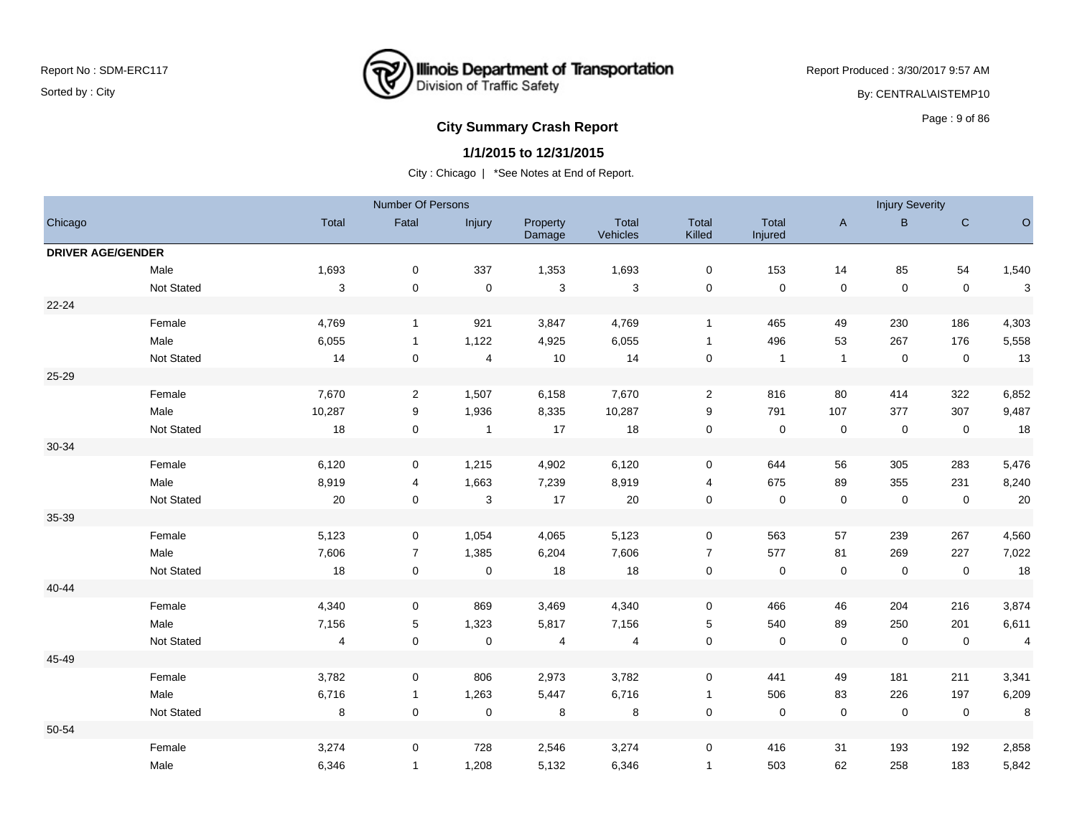

Report Produced : 3/30/2017 9:57 AM By: CENTRAL\AISTEMP10

# **City Summary Crash Report CLASH Report CLASH Report CLASH Report CLASH Report CLASH Report CLASH Report CLASH Report CLASH Report CLASH Report CLASH Report CLASH Report CLASH Report CLASH Report**

#### **1/1/2015 to 12/31/2015**

|                          |            |                           | Number Of Persons |                         |                    |                   |                         |                  |                | <b>Injury Severity</b> |             |                |
|--------------------------|------------|---------------------------|-------------------|-------------------------|--------------------|-------------------|-------------------------|------------------|----------------|------------------------|-------------|----------------|
| Chicago                  |            | Total                     | Fatal             | Injury                  | Property<br>Damage | Total<br>Vehicles | Total<br>Killed         | Total<br>Injured | $\overline{A}$ | B.                     | $\mathsf C$ | $\circ$        |
| <b>DRIVER AGE/GENDER</b> |            |                           |                   |                         |                    |                   |                         |                  |                |                        |             |                |
|                          | Male       | 1,693                     | $\pmb{0}$         | 337                     | 1,353              | 1,693             | $\pmb{0}$               | 153              | 14             | 85                     | 54          | 1,540          |
|                          | Not Stated | $\ensuremath{\mathsf{3}}$ | $\pmb{0}$         | $\pmb{0}$               | $\sqrt{3}$         | $\mathbf{3}$      | $\mathbf 0$             | $\pmb{0}$        | $\pmb{0}$      | $\mathbf 0$            | $\mathbf 0$ | $\mathbf{3}$   |
| $22 - 24$                |            |                           |                   |                         |                    |                   |                         |                  |                |                        |             |                |
|                          | Female     | 4,769                     | $\mathbf{1}$      | 921                     | 3,847              | 4,769             | $\mathbf{1}$            | 465              | 49             | 230                    | 186         | 4,303          |
|                          | Male       | 6,055                     | $\mathbf{1}$      | 1,122                   | 4,925              | 6,055             | $\mathbf{1}$            | 496              | 53             | 267                    | 176         | 5,558          |
|                          | Not Stated | 14                        | $\mathbf 0$       | $\overline{\mathbf{4}}$ | 10                 | 14                | $\mathbf 0$             | $\overline{1}$   | $\mathbf{1}$   | $\mathbf 0$            | $\mathbf 0$ | 13             |
| 25-29                    |            |                           |                   |                         |                    |                   |                         |                  |                |                        |             |                |
|                          | Female     | 7,670                     | $\overline{2}$    | 1,507                   | 6,158              | 7,670             | $\overline{2}$          | 816              | 80             | 414                    | 322         | 6,852          |
|                          | Male       | 10,287                    | 9                 | 1,936                   | 8,335              | 10,287            | $\boldsymbol{9}$        | 791              | 107            | 377                    | 307         | 9,487          |
|                          | Not Stated | 18                        | $\mathbf 0$       | $\mathbf{1}$            | 17                 | 18                | $\mathsf{O}\xspace$     | $\mathbf 0$      | $\pmb{0}$      | $\mathbf 0$            | $\mathbf 0$ | 18             |
| 30-34                    |            |                           |                   |                         |                    |                   |                         |                  |                |                        |             |                |
|                          | Female     | 6,120                     | 0                 | 1,215                   | 4,902              | 6,120             | 0                       | 644              | 56             | 305                    | 283         | 5,476          |
|                          | Male       | 8,919                     | 4                 | 1,663                   | 7,239              | 8,919             | $\overline{\mathbf{4}}$ | 675              | 89             | 355                    | 231         | 8,240          |
|                          | Not Stated | 20                        | $\mathbf 0$       | 3                       | 17                 | 20                | $\pmb{0}$               | $\mathbf 0$      | $\pmb{0}$      | $\mathbf 0$            | $\mathbf 0$ | 20             |
| 35-39                    |            |                           |                   |                         |                    |                   |                         |                  |                |                        |             |                |
|                          | Female     | 5,123                     | 0                 | 1,054                   | 4,065              | 5,123             | 0                       | 563              | 57             | 239                    | 267         | 4,560          |
|                          | Male       | 7,606                     | $\overline{7}$    | 1,385                   | 6,204              | 7,606             | $\overline{7}$          | 577              | 81             | 269                    | 227         | 7,022          |
|                          | Not Stated | 18                        | $\pmb{0}$         | $\pmb{0}$               | 18                 | 18                | $\pmb{0}$               | $\pmb{0}$        | $\pmb{0}$      | $\mathbf 0$            | $\mathbf 0$ | 18             |
| 40-44                    |            |                           |                   |                         |                    |                   |                         |                  |                |                        |             |                |
|                          | Female     | 4,340                     | 0                 | 869                     | 3,469              | 4,340             | 0                       | 466              | 46             | 204                    | 216         | 3,874          |
|                          | Male       | 7,156                     | 5                 | 1,323                   | 5,817              | 7,156             | $\,$ 5 $\,$             | 540              | 89             | 250                    | 201         | 6,611          |
|                          | Not Stated | $\overline{\mathbf{4}}$   | $\pmb{0}$         | $\pmb{0}$               | 4                  | $\overline{4}$    | $\pmb{0}$               | $\pmb{0}$        | $\pmb{0}$      | $\mathsf{O}\xspace$    | $\mathbf 0$ | $\overline{4}$ |
| 45-49                    |            |                           |                   |                         |                    |                   |                         |                  |                |                        |             |                |
|                          | Female     | 3,782                     | 0                 | 806                     | 2,973              | 3,782             | 0                       | 441              | 49             | 181                    | 211         | 3,341          |
|                          | Male       | 6,716                     | $\mathbf{1}$      | 1,263                   | 5,447              | 6,716             | $\mathbf{1}$            | 506              | 83             | 226                    | 197         | 6,209          |
|                          | Not Stated | $\bf 8$                   | $\mathbf 0$       | $\pmb{0}$               | 8                  | 8                 | $\pmb{0}$               | $\pmb{0}$        | $\pmb{0}$      | $\mathbf 0$            | $\mathbf 0$ | 8              |
| 50-54                    |            |                           |                   |                         |                    |                   |                         |                  |                |                        |             |                |
|                          | Female     | 3,274                     | 0                 | 728                     | 2,546              | 3,274             | 0                       | 416              | 31             | 193                    | 192         | 2,858          |
|                          | Male       | 6,346                     | $\mathbf{1}$      | 1,208                   | 5,132              | 6,346             | $\mathbf{1}$            | 503              | 62             | 258                    | 183         | 5,842          |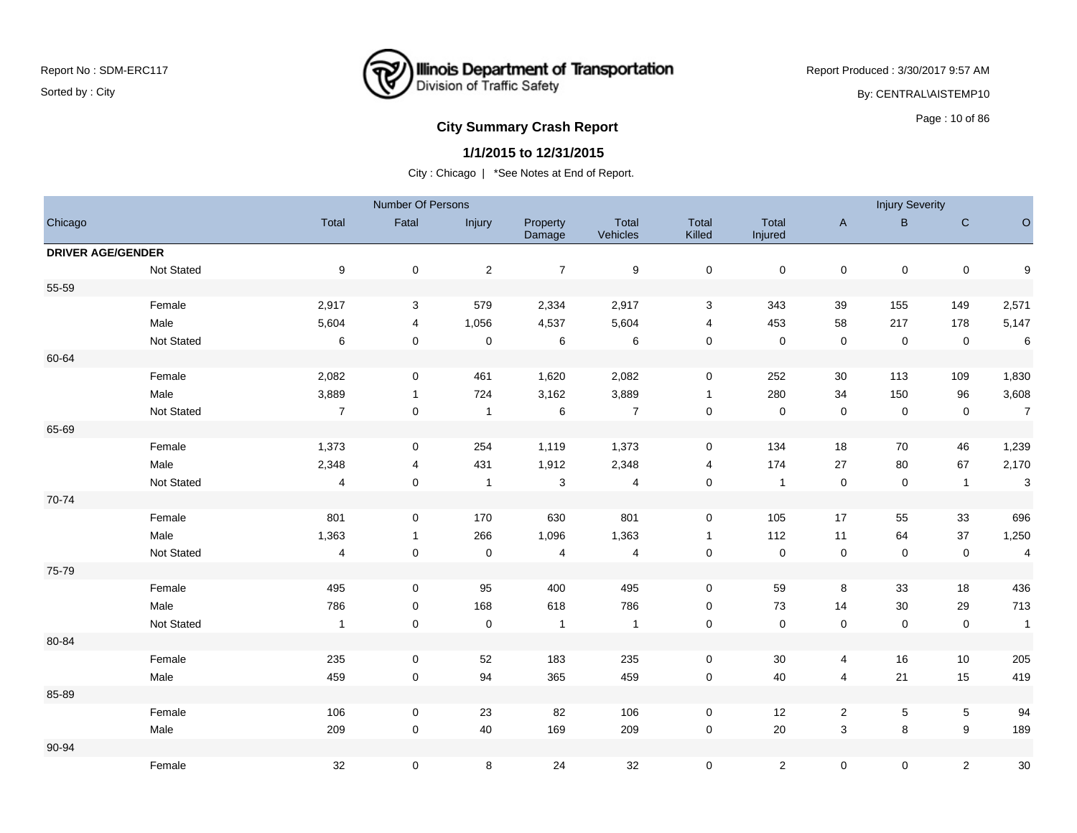

Report Produced : 3/30/2017 9:57 AM By: CENTRAL\AISTEMP10

# **City Summary Crash Report CLASH CRASH REPORT CONSUMING THE SET OF 86 AND REPORT CONSUMING THE SET OF 86**

#### **1/1/2015 to 12/31/2015**

|                          |            |                         | Number Of Persons |                |                    |                          |                  |                  |              | <b>Injury Severity</b> |                |                         |
|--------------------------|------------|-------------------------|-------------------|----------------|--------------------|--------------------------|------------------|------------------|--------------|------------------------|----------------|-------------------------|
| Chicago                  |            | Total                   | Fatal             | Injury         | Property<br>Damage | Total<br>Vehicles        | Total<br>Killed  | Total<br>Injured | $\mathsf{A}$ | B                      | ${\bf C}$      | $\mathsf O$             |
| <b>DRIVER AGE/GENDER</b> |            |                         |                   |                |                    |                          |                  |                  |              |                        |                |                         |
|                          | Not Stated | $\boldsymbol{9}$        | 0                 | $\sqrt{2}$     | $\overline{7}$     | $\boldsymbol{9}$         | $\pmb{0}$        | $\mathbf 0$      | $\pmb{0}$    | $\pmb{0}$              | $\pmb{0}$      | $\boldsymbol{9}$        |
| 55-59                    |            |                         |                   |                |                    |                          |                  |                  |              |                        |                |                         |
|                          | Female     | 2,917                   | 3                 | 579            | 2,334              | 2,917                    | $\mathbf 3$      | 343              | 39           | 155                    | 149            | 2,571                   |
|                          | Male       | 5,604                   | 4                 | 1,056          | 4,537              | 5,604                    | 4                | 453              | 58           | 217                    | 178            | 5,147                   |
|                          | Not Stated | 6                       | $\mathbf 0$       | $\mathbf 0$    | $\,6\,$            | 6                        | $\pmb{0}$        | $\mathbf 0$      | $\pmb{0}$    | $\mathbf 0$            | $\mathbf 0$    | $\,6\,$                 |
| 60-64                    |            |                         |                   |                |                    |                          |                  |                  |              |                        |                |                         |
|                          | Female     | 2,082                   | 0                 | 461            | 1,620              | 2,082                    | $\mathbf 0$      | 252              | 30           | 113                    | 109            | 1,830                   |
|                          | Male       | 3,889                   | $\mathbf{1}$      | 724            | 3,162              | 3,889                    | $\mathbf{1}$     | 280              | 34           | 150                    | 96             | 3,608                   |
|                          | Not Stated | $\overline{7}$          | $\mathbf 0$       | $\overline{1}$ | $\,6\,$            | $\overline{7}$           | $\pmb{0}$        | $\mathbf 0$      | $\pmb{0}$    | $\mathsf 0$            | $\mathbf 0$    | $\overline{7}$          |
| 65-69                    |            |                         |                   |                |                    |                          |                  |                  |              |                        |                |                         |
|                          | Female     | 1,373                   | 0                 | 254            | 1,119              | 1,373                    | $\mathbf 0$      | 134              | 18           | 70                     | 46             | 1,239                   |
|                          | Male       | 2,348                   | 4                 | 431            | 1,912              | 2,348                    | 4                | 174              | 27           | 80                     | 67             | 2,170                   |
|                          | Not Stated | 4                       | 0                 | $\overline{1}$ | $\sqrt{3}$         | $\overline{4}$           | $\pmb{0}$        | $\overline{1}$   | $\mathsf 0$  | $\mathbf 0$            | $\overline{1}$ | $\mathbf{3}$            |
| 70-74                    |            |                         |                   |                |                    |                          |                  |                  |              |                        |                |                         |
|                          | Female     | 801                     | 0                 | 170            | 630                | 801                      | $\mathbf 0$      | 105              | 17           | 55                     | 33             | 696                     |
|                          | Male       | 1,363                   | $\mathbf{1}$      | 266            | 1,096              | 1,363                    | $\mathbf{1}$     | 112              | 11           | 64                     | 37             | 1,250                   |
|                          | Not Stated | $\overline{\mathbf{4}}$ | $\pmb{0}$         | $\mathbf 0$    | $\overline{4}$     | $\overline{\mathcal{A}}$ | $\mathbf 0$      | $\mathsf 0$      | $\pmb{0}$    | $\mathsf 0$            | $\mathbf 0$    | $\overline{\mathbf{4}}$ |
| 75-79                    |            |                         |                   |                |                    |                          |                  |                  |              |                        |                |                         |
|                          | Female     | 495                     | 0                 | 95             | 400                | 495                      | $\mathbf 0$      | 59               | 8            | 33                     | 18             | 436                     |
|                          | Male       | 786                     | 0                 | 168            | 618                | 786                      | $\boldsymbol{0}$ | 73               | 14           | 30                     | 29             | 713                     |
|                          | Not Stated | $\mathbf{1}$            | 0                 | $\mathbf 0$    | $\mathbf{1}$       | $\overline{1}$           | $\mathbf 0$      | $\pmb{0}$        | $\pmb{0}$    | $\mathbf 0$            | $\mathbf 0$    | $\overline{1}$          |
| 80-84                    |            |                         |                   |                |                    |                          |                  |                  |              |                        |                |                         |
|                          | Female     | 235                     | 0                 | 52             | 183                | 235                      | 0                | $30\,$           | 4            | 16                     | 10             | 205                     |
|                          | Male       | 459                     | $\mathbf 0$       | 94             | 365                | 459                      | $\mathbf 0$      | 40               | 4            | 21                     | 15             | 419                     |
| 85-89                    |            |                         |                   |                |                    |                          |                  |                  |              |                        |                |                         |
|                          | Female     | 106                     | 0                 | 23             | 82                 | 106                      | $\mathbf 0$      | 12               | $\sqrt{2}$   | 5                      | $\,$ 5 $\,$    | 94                      |
|                          | Male       | 209                     | 0                 | 40             | 169                | 209                      | $\boldsymbol{0}$ | 20               | $\mathbf{3}$ | 8                      | 9              | 189                     |
| 90-94                    |            |                         |                   |                |                    |                          |                  |                  |              |                        |                |                         |
|                          | Female     | 32                      | 0                 | 8              | 24                 | 32                       | $\pmb{0}$        | $\overline{c}$   | $\mathbf 0$  | 0                      | $\mathbf{2}$   | $30\,$                  |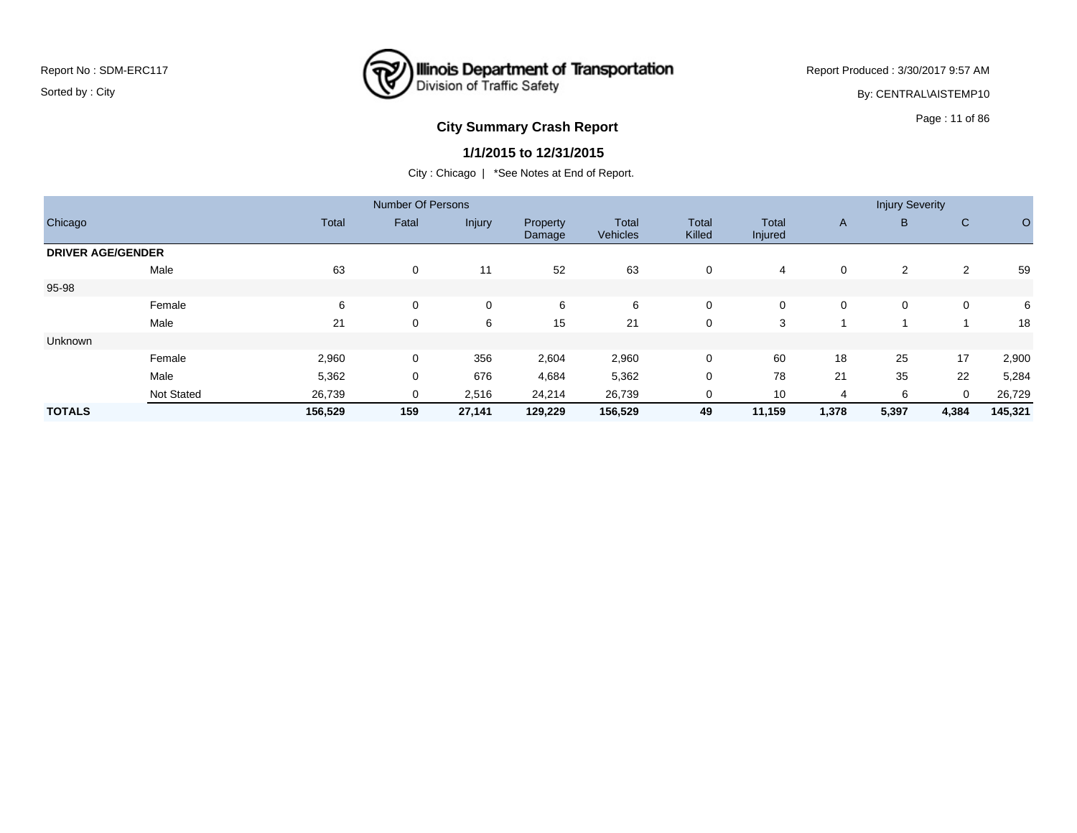## **Illinois Department of Transportation**<br>Division of Traffic Safety ष्ट्र

Report Produced : 3/30/2017 9:57 AM

By: CENTRAL\AISTEMP10

# Page : 11 of 86 **City Summary Crash Report**

## **1/1/2015 to 12/31/2015**

|                          |                   |         | <b>Number Of Persons</b> |             |                    |                          |                        |                         |              | <b>Injury Severity</b> |              |         |
|--------------------------|-------------------|---------|--------------------------|-------------|--------------------|--------------------------|------------------------|-------------------------|--------------|------------------------|--------------|---------|
| Chicago                  |                   | Total   | Fatal                    | Injury      | Property<br>Damage | <b>Total</b><br>Vehicles | <b>Total</b><br>Killed | <b>Total</b><br>Injured | $\mathsf{A}$ | B                      | $\mathsf{C}$ | O       |
| <b>DRIVER AGE/GENDER</b> |                   |         |                          |             |                    |                          |                        |                         |              |                        |              |         |
|                          | Male              | 63      | 0                        | 11          | 52                 | 63                       | $\mathbf 0$            | 4                       | 0            | $\overline{2}$         | 2            | 59      |
| 95-98                    |                   |         |                          |             |                    |                          |                        |                         |              |                        |              |         |
|                          | Female            | 6       | $\mathbf 0$              | $\mathbf 0$ | 6                  | 6                        | $\mathbf 0$            | 0                       | $\mathbf 0$  | $\mathbf 0$            | 0            | 6       |
|                          | Male              | 21      | 0                        | 6           | 15                 | 21                       | 0                      | 3                       |              |                        |              | 18      |
| Unknown                  |                   |         |                          |             |                    |                          |                        |                         |              |                        |              |         |
|                          | Female            | 2,960   | $\mathbf 0$              | 356         | 2,604              | 2,960                    | $\mathbf 0$            | 60                      | 18           | 25                     | 17           | 2,900   |
|                          | Male              | 5,362   | 0                        | 676         | 4,684              | 5,362                    | 0                      | 78                      | 21           | 35                     | 22           | 5,284   |
|                          | <b>Not Stated</b> | 26,739  | 0                        | 2,516       | 24,214             | 26,739                   | 0                      | 10                      | 4            | 6                      | 0            | 26,729  |
| <b>TOTALS</b>            |                   | 156,529 | 159                      | 27,141      | 129,229            | 156,529                  | 49                     | 11,159                  | 1,378        | 5,397                  | 4,384        | 145,321 |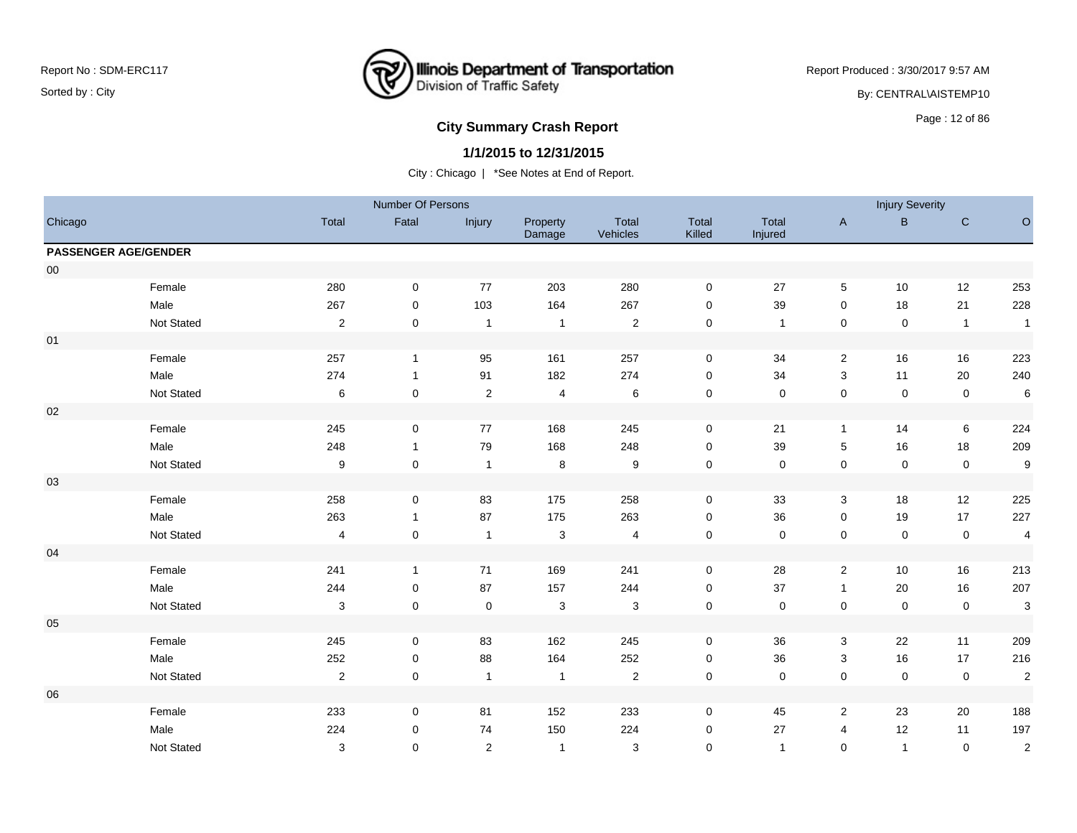

Report Produced : 3/30/2017 9:57 AM

By: CENTRAL\AISTEMP10

## **City Summary Crash Report CLASH CRASH REPORT CONSTRUSS AND REPORT CONSTRUSSION CONSTRUSS AND REPORT OF SCHOOL CONSTRUSS AND REPORT OF SCHOOL CONSTRUCTS**

### **1/1/2015 to 12/31/2015**

|            |                             |                         | Number Of Persons |                |                           |                   |                 |                  |                           | <b>Injury Severity</b> |                |                         |
|------------|-----------------------------|-------------------------|-------------------|----------------|---------------------------|-------------------|-----------------|------------------|---------------------------|------------------------|----------------|-------------------------|
| Chicago    |                             | Total                   | Fatal             | Injury         | Property<br>Damage        | Total<br>Vehicles | Total<br>Killed | Total<br>Injured | $\boldsymbol{\mathsf{A}}$ | B                      | ${\bf C}$      | $\circ$                 |
|            | <b>PASSENGER AGE/GENDER</b> |                         |                   |                |                           |                   |                 |                  |                           |                        |                |                         |
| ${\bf 00}$ |                             |                         |                   |                |                           |                   |                 |                  |                           |                        |                |                         |
|            | Female                      | 280                     | $\mathbf 0$       | 77             | 203                       | 280               | $\mathbf 0$     | 27               | 5                         | 10                     | 12             | 253                     |
|            | Male                        | 267                     | 0                 | 103            | 164                       | 267               | $\pmb{0}$       | 39               | 0                         | 18                     | 21             | 228                     |
|            | Not Stated                  | $\overline{2}$          | $\mathbf 0$       | $\overline{1}$ | $\mathbf{1}$              | $\overline{c}$    | $\mathsf 0$     | $\overline{1}$   | 0                         | $\mathbf 0$            | $\overline{1}$ | $\overline{1}$          |
| 01         |                             |                         |                   |                |                           |                   |                 |                  |                           |                        |                |                         |
|            | Female                      | 257                     | $\mathbf{1}$      | 95             | 161                       | 257               | $\mathbf 0$     | 34               | $\overline{2}$            | 16                     | 16             | 223                     |
|            | Male                        | 274                     | $\mathbf{1}$      | 91             | 182                       | 274               | $\mathbf 0$     | 34               | 3                         | 11                     | 20             | 240                     |
|            | Not Stated                  | $\,6\,$                 | $\mathbf 0$       | $\sqrt{2}$     | $\overline{\mathbf{4}}$   | $\,6$             | $\pmb{0}$       | $\mathsf 0$      | $\pmb{0}$                 | $\mathsf 0$            | $\pmb{0}$      | $\,6\,$                 |
| $02\,$     |                             |                         |                   |                |                           |                   |                 |                  |                           |                        |                |                         |
|            | Female                      | 245                     | $\mathbf 0$       | 77             | 168                       | 245               | $\mathbf 0$     | 21               | $\mathbf{1}$              | 14                     | 6              | 224                     |
|            | Male                        | 248                     | $\mathbf{1}$      | 79             | 168                       | 248               | $\pmb{0}$       | 39               | $\,$ 5 $\,$               | 16                     | 18             | 209                     |
|            | Not Stated                  | $\boldsymbol{9}$        | $\mathbf 0$       | $\overline{1}$ | $\,$ 8 $\,$               | $\boldsymbol{9}$  | $\pmb{0}$       | $\mathsf 0$      | $\pmb{0}$                 | $\mathsf 0$            | $\pmb{0}$      | $\boldsymbol{9}$        |
| $03\,$     |                             |                         |                   |                |                           |                   |                 |                  |                           |                        |                |                         |
|            | Female                      | 258                     | $\mathbf 0$       | 83             | 175                       | 258               | $\mathbf 0$     | 33               | $\mathbf{3}$              | 18                     | 12             | 225                     |
|            | Male                        | 263                     | $\mathbf{1}$      | 87             | 175                       | 263               | $\mathbf 0$     | 36               | 0                         | 19                     | 17             | 227                     |
|            | Not Stated                  | $\overline{\mathbf{4}}$ | $\mathbf 0$       | $\overline{1}$ | $\ensuremath{\mathsf{3}}$ | $\overline{4}$    | $\pmb{0}$       | $\mathsf 0$      | $\pmb{0}$                 | $\mathsf 0$            | $\pmb{0}$      | $\overline{\mathbf{4}}$ |
| 04         |                             |                         |                   |                |                           |                   |                 |                  |                           |                        |                |                         |
|            | Female                      | 241                     | $\mathbf{1}$      | 71             | 169                       | 241               | $\mathbf 0$     | 28               | $\overline{2}$            | 10                     | 16             | 213                     |
|            | Male                        | 244                     | $\mathbf 0$       | 87             | 157                       | 244               | $\mathsf 0$     | 37               | $\mathbf{1}$              | 20                     | 16             | 207                     |
|            | Not Stated                  | 3                       | $\mathbf 0$       | $\pmb{0}$      | $\ensuremath{\mathsf{3}}$ | $\sqrt{3}$        | $\pmb{0}$       | $\pmb{0}$        | $\pmb{0}$                 | $\mathsf 0$            | $\pmb{0}$      | $\mathbf{3}$            |
| 05         |                             |                         |                   |                |                           |                   |                 |                  |                           |                        |                |                         |
|            | Female                      | 245                     | $\mathbf 0$       | 83             | 162                       | 245               | $\pmb{0}$       | 36               | $\ensuremath{\mathsf{3}}$ | 22                     | 11             | 209                     |
|            | Male                        | 252                     | $\mathbf 0$       | 88             | 164                       | 252               | $\pmb{0}$       | 36               | $\ensuremath{\mathsf{3}}$ | 16                     | 17             | 216                     |
|            | Not Stated                  | $\overline{2}$          | $\mathbf 0$       | $\overline{1}$ | $\mathbf{1}$              | $\sqrt{2}$        | $\pmb{0}$       | $\mathsf 0$      | $\pmb{0}$                 | $\mathsf 0$            | $\pmb{0}$      | $\sqrt{2}$              |
| 06         |                             |                         |                   |                |                           |                   |                 |                  |                           |                        |                |                         |
|            | Female                      | 233                     | 0                 | 81             | 152                       | 233               | 0               | 45               | $\overline{2}$            | 23                     | 20             | 188                     |
|            | Male                        | 224                     | $\mathbf 0$       | 74             | 150                       | 224               | $\mathbf 0$     | 27               | 4                         | 12                     | 11             | 197                     |
|            | Not Stated                  | 3                       | $\mathbf 0$       | 2              | $\mathbf{1}$              | 3                 | $\pmb{0}$       | $\overline{1}$   | $\mathbf 0$               | $\overline{1}$         | $\mathbf 0$    | $\sqrt{2}$              |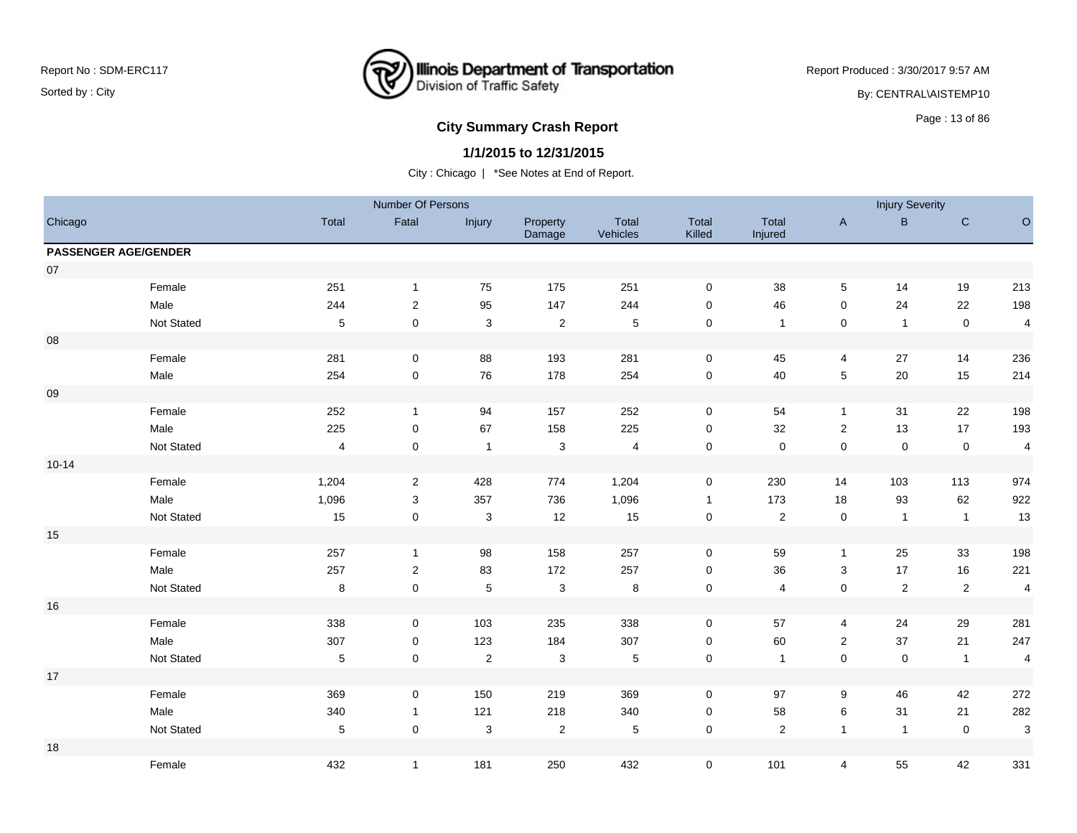

Report Produced : 3/30/2017 9:57 AM By: CENTRAL\AISTEMP10

# **City Summary Crash Report CLASH CRASH REPORT CONSTRUSS AND REPORT CONSTRUSS ASSESS**

## **1/1/2015 to 12/31/2015**

|                             |            |                | Number Of Persons   |                           |                           |                          |                     |                  |                  | <b>Injury Severity</b> |                |                          |
|-----------------------------|------------|----------------|---------------------|---------------------------|---------------------------|--------------------------|---------------------|------------------|------------------|------------------------|----------------|--------------------------|
| Chicago                     |            | Total          | Fatal               | Injury                    | Property<br>Damage        | Total<br>Vehicles        | Total<br>Killed     | Total<br>Injured | $\mathsf{A}$     | $\mathsf{B}$           | ${\bf C}$      | $\mathsf O$              |
| <b>PASSENGER AGE/GENDER</b> |            |                |                     |                           |                           |                          |                     |                  |                  |                        |                |                          |
| $07\,$                      |            |                |                     |                           |                           |                          |                     |                  |                  |                        |                |                          |
|                             | Female     | 251            | $\mathbf{1}$        | 75                        | 175                       | 251                      | $\mathbf 0$         | $38\,$           | $5\phantom{.0}$  | 14                     | 19             | 213                      |
|                             | Male       | 244            | $\overline{2}$      | 95                        | 147                       | 244                      | 0                   | 46               | $\mathbf 0$      | 24                     | 22             | 198                      |
|                             | Not Stated | $\overline{5}$ | $\mathsf{O}\xspace$ | $\ensuremath{\mathsf{3}}$ | $\boldsymbol{2}$          | $\sqrt{5}$               | $\pmb{0}$           | $\overline{1}$   | $\pmb{0}$        | $\mathbf{1}$           | $\pmb{0}$      | $\overline{\mathbf{4}}$  |
| ${\bf 08}$                  |            |                |                     |                           |                           |                          |                     |                  |                  |                        |                |                          |
|                             | Female     | 281            | $\mathbf 0$         | 88                        | 193                       | 281                      | $\mathsf 0$         | 45               | $\overline{4}$   | 27                     | 14             | 236                      |
|                             | Male       | 254            | 0                   | ${\bf 76}$                | 178                       | 254                      | $\mathbf 0$         | $40\,$           | $\,$ 5 $\,$      | $20\,$                 | 15             | 214                      |
| $09\,$                      |            |                |                     |                           |                           |                          |                     |                  |                  |                        |                |                          |
|                             | Female     | 252            | $\mathbf{1}$        | 94                        | 157                       | 252                      | $\mathbf 0$         | 54               | $\mathbf{1}$     | 31                     | 22             | 198                      |
|                             | Male       | 225            | $\mathbf 0$         | 67                        | 158                       | 225                      | $\mathbf 0$         | 32               | $\boldsymbol{2}$ | 13                     | 17             | 193                      |
|                             | Not Stated | $\overline{4}$ | $\mathbf 0$         | $\overline{1}$            | $\mathsf 3$               | $\overline{\mathcal{L}}$ | $\mathsf{O}\xspace$ | $\pmb{0}$        | $\mathbf 0$      | $\mathbf 0$            | $\pmb{0}$      | $\overline{\mathcal{L}}$ |
| $10 - 14$                   |            |                |                     |                           |                           |                          |                     |                  |                  |                        |                |                          |
|                             | Female     | 1,204          | $\overline{2}$      | 428                       | 774                       | 1,204                    | $\mathbf 0$         | 230              | 14               | 103                    | 113            | 974                      |
|                             | Male       | 1,096          | 3                   | 357                       | 736                       | 1,096                    | $\mathbf{1}$        | 173              | 18               | 93                     | 62             | 922                      |
|                             | Not Stated | 15             | $\mathbf 0$         | $\ensuremath{\mathsf{3}}$ | 12                        | 15                       | $\pmb{0}$           | $\sqrt{2}$       | $\pmb{0}$        | $\mathbf{1}$           | $\overline{1}$ | 13                       |
| $15\,$                      |            |                |                     |                           |                           |                          |                     |                  |                  |                        |                |                          |
|                             | Female     | 257            | $\mathbf{1}$        | 98                        | 158                       | 257                      | $\mathbf 0$         | 59               | $\mathbf{1}$     | 25                     | 33             | 198                      |
|                             | Male       | 257            | $\overline{2}$      | 83                        | 172                       | 257                      | $\mathbf 0$         | 36               | 3                | 17                     | 16             | 221                      |
|                             | Not Stated | 8              | $\mathbf 0$         | $\,$ 5 $\,$               | $\ensuremath{\mathsf{3}}$ | $\bf 8$                  | $\pmb{0}$           | $\overline{4}$   | $\pmb{0}$        | $\sqrt{2}$             | $\overline{c}$ | $\overline{\mathbf{4}}$  |
| 16                          |            |                |                     |                           |                           |                          |                     |                  |                  |                        |                |                          |
|                             | Female     | 338            | $\mathbf 0$         | 103                       | 235                       | 338                      | 0                   | 57               | 4                | 24                     | 29             | 281                      |
|                             | Male       | 307            | $\mathbf 0$         | 123                       | 184                       | 307                      | $\pmb{0}$           | 60               | $\overline{c}$   | 37                     | 21             | 247                      |
|                             | Not Stated | $\,$ 5 $\,$    | $\mathbf 0$         | $\sqrt{2}$                | 3                         | $\sqrt{5}$               | $\pmb{0}$           | $\overline{1}$   | $\pmb{0}$        | $\pmb{0}$              | $\mathbf{1}$   | $\overline{\mathbf{4}}$  |
| $17$                        |            |                |                     |                           |                           |                          |                     |                  |                  |                        |                |                          |
|                             | Female     | 369            | $\mathbf 0$         | 150                       | 219                       | 369                      | $\mathbf 0$         | 97               | 9                | 46                     | 42             | 272                      |
|                             | Male       | 340            | $\mathbf{1}$        | 121                       | 218                       | 340                      | 0                   | 58               | 6                | 31                     | 21             | 282                      |
|                             | Not Stated | $\sqrt{5}$     | $\mathbf 0$         | $\mathsf 3$               | $\boldsymbol{2}$          | $\,$ 5 $\,$              | $\pmb{0}$           | $\sqrt{2}$       | $\mathbf{1}$     | $\mathbf{1}$           | $\mathbf 0$    | $\mathbf{3}$             |
| 18                          |            |                |                     |                           |                           |                          |                     |                  |                  |                        |                |                          |
|                             | Female     | 432            | $\mathbf{1}$        | 181                       | 250                       | 432                      | $\mathbf 0$         | 101              | $\overline{4}$   | 55                     | 42             | 331                      |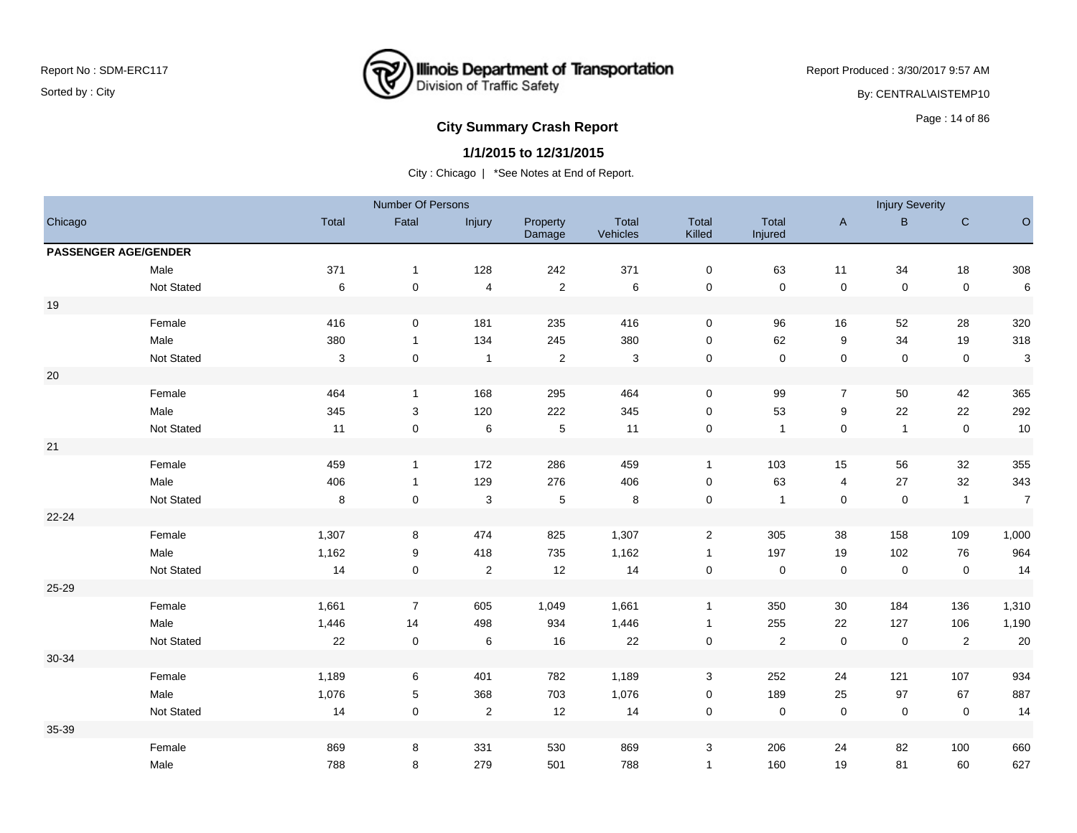

Report Produced : 3/30/2017 9:57 AM By: CENTRAL\AISTEMP10

# **City Summary Crash Report CLASH CRASH REPORT CONSTRUSS AND REPORT CONSTRUSS ASSESS**

### **1/1/2015 to 12/31/2015**

|                             |            |         | Number Of Persons   |                         |                    |                   |                     |                  |                | <b>Injury Severity</b> |                |                |
|-----------------------------|------------|---------|---------------------|-------------------------|--------------------|-------------------|---------------------|------------------|----------------|------------------------|----------------|----------------|
| Chicago                     |            | Total   | Fatal               | Injury                  | Property<br>Damage | Total<br>Vehicles | Total<br>Killed     | Total<br>Injured | $\mathsf{A}$   | B.                     | $\mathsf C$    | $\circ$        |
| <b>PASSENGER AGE/GENDER</b> |            |         |                     |                         |                    |                   |                     |                  |                |                        |                |                |
|                             | Male       | 371     | $\mathbf{1}$        | 128                     | 242                | 371               | $\mathbf 0$         | 63               | 11             | 34                     | 18             | 308            |
|                             | Not Stated | $\,6\,$ | $\pmb{0}$           | $\overline{\mathbf{4}}$ | $\sqrt{2}$         | 6                 | $\pmb{0}$           | $\pmb{0}$        | $\pmb{0}$      | $\mathbf 0$            | $\mathsf 0$    | $\,6$          |
| 19                          |            |         |                     |                         |                    |                   |                     |                  |                |                        |                |                |
|                             | Female     | 416     | $\mathbf 0$         | 181                     | 235                | 416               | $\pmb{0}$           | 96               | 16             | 52                     | 28             | 320            |
|                             | Male       | 380     | $\mathbf{1}$        | 134                     | 245                | 380               | $\pmb{0}$           | 62               | 9              | 34                     | 19             | 318            |
|                             | Not Stated | 3       | $\mathbf 0$         | $\mathbf{1}$            | $\overline{c}$     | 3                 | $\mathbf 0$         | $\mathsf 0$      | $\pmb{0}$      | $\mathbf 0$            | $\mathsf 0$    | $\sqrt{3}$     |
| $20\,$                      |            |         |                     |                         |                    |                   |                     |                  |                |                        |                |                |
|                             | Female     | 464     | $\mathbf{1}$        | 168                     | 295                | 464               | $\pmb{0}$           | 99               | $\overline{7}$ | 50                     | 42             | 365            |
|                             | Male       | 345     | $\sqrt{3}$          | 120                     | 222                | 345               | $\pmb{0}$           | 53               | 9              | 22                     | 22             | 292            |
|                             | Not Stated | 11      | $\mathsf{O}\xspace$ | $\,6\,$                 | $\sqrt{5}$         | 11                | $\mathsf{O}\xspace$ | $\mathbf{1}$     | $\mathsf 0$    | $\mathbf{1}$           | $\mathbf 0$    | 10             |
| 21                          |            |         |                     |                         |                    |                   |                     |                  |                |                        |                |                |
|                             | Female     | 459     | $\mathbf{1}$        | 172                     | 286                | 459               | $\mathbf{1}$        | 103              | 15             | 56                     | 32             | 355            |
|                             | Male       | 406     | $\mathbf{1}$        | 129                     | 276                | 406               | $\pmb{0}$           | 63               | 4              | 27                     | 32             | 343            |
|                             | Not Stated | $\,8\,$ | $\mathsf{O}\xspace$ | $\sqrt{3}$              | $\sqrt{5}$         | 8                 | $\pmb{0}$           | $\mathbf{1}$     | $\mathsf 0$    | $\mathbf 0$            | $\overline{1}$ | $\overline{7}$ |
| $22 - 24$                   |            |         |                     |                         |                    |                   |                     |                  |                |                        |                |                |
|                             | Female     | 1,307   | 8                   | 474                     | 825                | 1,307             | $\mathbf{2}$        | 305              | $38\,$         | 158                    | 109            | 1,000          |
|                             | Male       | 1,162   | 9                   | 418                     | 735                | 1,162             | $\mathbf{1}$        | 197              | 19             | 102                    | 76             | 964            |
|                             | Not Stated | 14      | $\mathsf{O}\xspace$ | $\overline{2}$          | 12                 | 14                | $\mathbf 0$         | $\pmb{0}$        | $\mathsf 0$    | $\mathsf 0$            | $\mathbf 0$    | 14             |
| 25-29                       |            |         |                     |                         |                    |                   |                     |                  |                |                        |                |                |
|                             | Female     | 1,661   | $\overline{7}$      | 605                     | 1,049              | 1,661             | $\mathbf{1}$        | 350              | 30             | 184                    | 136            | 1,310          |
|                             | Male       | 1,446   | 14                  | 498                     | 934                | 1,446             | $\mathbf{1}$        | 255              | 22             | 127                    | 106            | 1,190          |
|                             | Not Stated | 22      | $\pmb{0}$           | $\,6\,$                 | 16                 | 22                | $\pmb{0}$           | $\sqrt{2}$       | $\pmb{0}$      | $\pmb{0}$              | $\sqrt{2}$     | 20             |
| 30-34                       |            |         |                     |                         |                    |                   |                     |                  |                |                        |                |                |
|                             | Female     | 1,189   | 6                   | 401                     | 782                | 1,189             | 3                   | 252              | 24             | 121                    | 107            | 934            |
|                             | Male       | 1,076   | $\,$ 5 $\,$         | 368                     | 703                | 1,076             | $\pmb{0}$           | 189              | 25             | 97                     | 67             | 887            |
|                             | Not Stated | 14      | $\mathbf 0$         | $\sqrt{2}$              | 12                 | 14                | $\pmb{0}$           | $\pmb{0}$        | $\pmb{0}$      | $\mathsf{O}\xspace$    | $\mathbf 0$    | 14             |
| 35-39                       |            |         |                     |                         |                    |                   |                     |                  |                |                        |                |                |
|                             | Female     | 869     | 8                   | 331                     | 530                | 869               | 3                   | 206              | 24             | 82                     | 100            | 660            |
|                             | Male       | 788     | 8                   | 279                     | 501                | 788               | $\mathbf{1}$        | 160              | 19             | 81                     | 60             | 627            |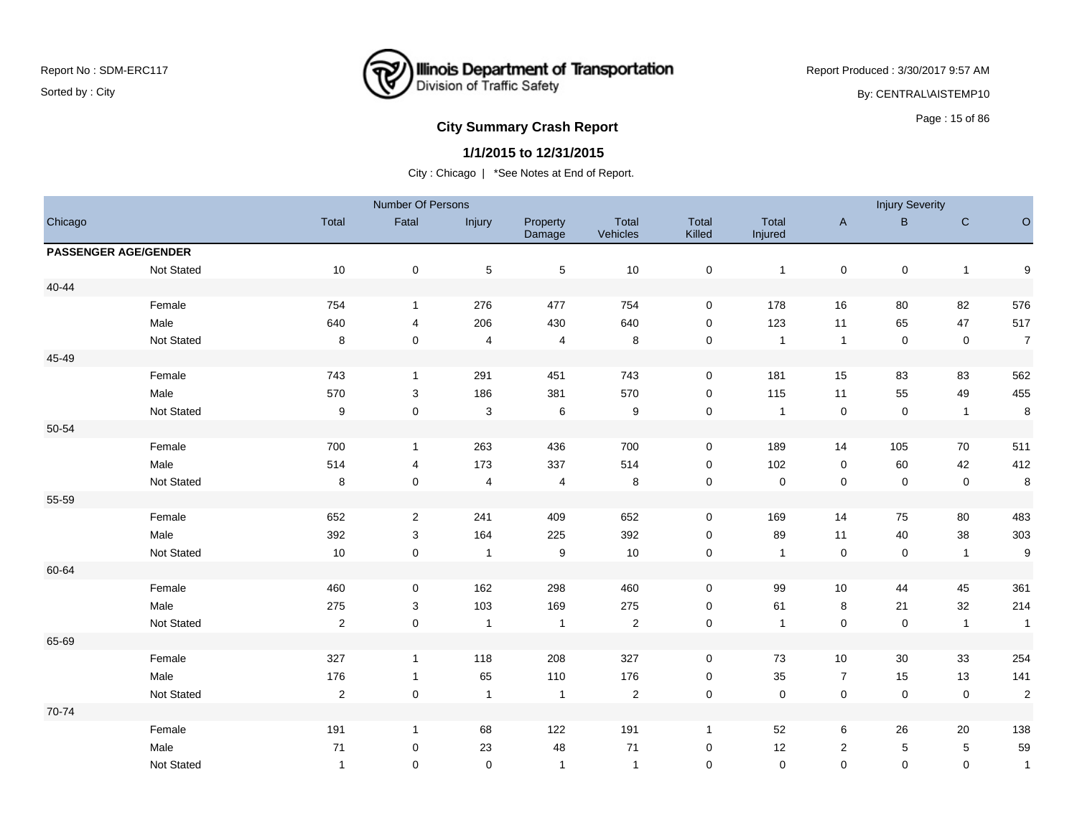

Report Produced : 3/30/2017 9:57 AM

By: CENTRAL\AISTEMP10

# **City Summary Crash Report CLASH CRASH REPORT CONSTRUSS AND REPORT CONSTRUSSION CONSTRUSS AND REPORT OF SCHOOL CONSTRUSS AND REPORT OF SCHOOL CONSTRUCTS**

#### **1/1/2015 to 12/31/2015**

|           |                             |                  | Number Of Persons |                         |                    |                   |                     |                  |                | <b>Injury Severity</b> |                |                         |
|-----------|-----------------------------|------------------|-------------------|-------------------------|--------------------|-------------------|---------------------|------------------|----------------|------------------------|----------------|-------------------------|
| Chicago   |                             | Total            | Fatal             | Injury                  | Property<br>Damage | Total<br>Vehicles | Total<br>Killed     | Total<br>Injured | $\mathsf{A}$   | $\mathsf{B}$           | ${\bf C}$      | $\circ$                 |
|           | <b>PASSENGER AGE/GENDER</b> |                  |                   |                         |                    |                   |                     |                  |                |                        |                |                         |
|           | Not Stated                  | 10               | $\mathbf 0$       | $\,$ 5 $\,$             | $\,$ 5 $\,$        | 10                | $\pmb{0}$           | $\overline{1}$   | $\pmb{0}$      | $\mathbf 0$            | $\mathbf{1}$   | $\boldsymbol{9}$        |
| $40 - 44$ |                             |                  |                   |                         |                    |                   |                     |                  |                |                        |                |                         |
|           | Female                      | 754              | $\mathbf{1}$      | 276                     | 477                | 754               | $\mathbf 0$         | 178              | $16\,$         | 80                     | 82             | 576                     |
|           | Male                        | 640              | $\overline{4}$    | 206                     | 430                | 640               | $\pmb{0}$           | 123              | 11             | 65                     | 47             | 517                     |
|           | Not Stated                  | 8                | $\mathbf 0$       | $\overline{\mathbf{4}}$ | $\overline{4}$     | 8                 | $\mathsf{O}\xspace$ | $\overline{1}$   | $\mathbf{1}$   | $\mathbf 0$            | $\mathbf 0$    | $\overline{7}$          |
| 45-49     |                             |                  |                   |                         |                    |                   |                     |                  |                |                        |                |                         |
|           | Female                      | 743              | $\mathbf{1}$      | 291                     | 451                | 743               | $\mathbf 0$         | 181              | 15             | 83                     | 83             | 562                     |
|           | Male                        | 570              | $\sqrt{3}$        | 186                     | 381                | 570               | $\pmb{0}$           | 115              | 11             | 55                     | 49             | 455                     |
|           | Not Stated                  | $\boldsymbol{9}$ | $\mathbf 0$       | 3                       | 6                  | $9\,$             | $\mathsf{O}\xspace$ | $\mathbf{1}$     | $\mathsf 0$    | $\mathsf 0$            | $\overline{1}$ | $\, 8$                  |
| 50-54     |                             |                  |                   |                         |                    |                   |                     |                  |                |                        |                |                         |
|           | Female                      | 700              | $\mathbf{1}$      | 263                     | 436                | 700               | $\mathbf 0$         | 189              | 14             | 105                    | 70             | 511                     |
|           | Male                        | 514              | 4                 | 173                     | 337                | 514               | $\mathbf 0$         | 102              | 0              | 60                     | 42             | 412                     |
|           | Not Stated                  | 8                | $\mathbf 0$       | 4                       | 4                  | 8                 | $\mathbf 0$         | $\mathsf 0$      | 0              | $\mathbf 0$            | $\mathsf 0$    | 8                       |
| 55-59     |                             |                  |                   |                         |                    |                   |                     |                  |                |                        |                |                         |
|           | Female                      | 652              | $\overline{2}$    | 241                     | 409                | 652               | $\mathbf 0$         | 169              | 14             | 75                     | 80             | 483                     |
|           | Male                        | 392              | 3                 | 164                     | 225                | 392               | $\mathsf{O}\xspace$ | 89               | 11             | 40                     | 38             | 303                     |
|           | Not Stated                  | 10               | $\mathbf 0$       | $\overline{1}$          | 9                  | 10                | $\pmb{0}$           | $\overline{1}$   | $\mathsf 0$    | $\mathbf 0$            | $\overline{1}$ | 9                       |
| 60-64     |                             |                  |                   |                         |                    |                   |                     |                  |                |                        |                |                         |
|           | Female                      | 460              | $\mathbf 0$       | 162                     | 298                | 460               | $\mathsf{O}\xspace$ | 99               | $10$           | 44                     | 45             | 361                     |
|           | Male                        | 275              | 3                 | 103                     | 169                | 275               | $\mathsf{O}\xspace$ | 61               | 8              | 21                     | 32             | 214                     |
|           | Not Stated                  | $\overline{2}$   | $\mathbf 0$       | $\overline{1}$          | $\mathbf{1}$       | $\sqrt{2}$        | $\pmb{0}$           | $\mathbf{1}$     | $\pmb{0}$      | $\mathsf 0$            | $\mathbf{1}$   | $\mathbf{1}$            |
| 65-69     |                             |                  |                   |                         |                    |                   |                     |                  |                |                        |                |                         |
|           | Female                      | 327              | $\mathbf{1}$      | 118                     | 208                | 327               | $\mathbf 0$         | 73               | 10             | 30                     | 33             | 254                     |
|           | Male                        | 176              | $\mathbf{1}$      | 65                      | 110                | 176               | $\mathbf 0$         | 35               | $\overline{7}$ | 15                     | 13             | 141                     |
|           | Not Stated                  | $\overline{2}$   | $\pmb{0}$         | $\overline{1}$          | $\mathbf{1}$       | $\overline{2}$    | $\pmb{0}$           | $\pmb{0}$        | $\mathsf 0$    | $\mathsf 0$            | $\mathsf 0$    | $\overline{\mathbf{c}}$ |
| 70-74     |                             |                  |                   |                         |                    |                   |                     |                  |                |                        |                |                         |
|           | Female                      | 191              | $\mathbf{1}$      | 68                      | 122                | 191               | $\mathbf{1}$        | 52               | 6              | 26                     | 20             | 138                     |
|           | Male                        | 71               | $\mathbf 0$       | 23                      | 48                 | 71                | $\mathbf 0$         | 12               | 2              | 5                      | 5              | 59                      |
|           | Not Stated                  | $\mathbf{1}$     | $\mathbf 0$       | $\mathbf 0$             | $\mathbf{1}$       | $\overline{1}$    | $\mathbf 0$         | $\mathbf 0$      | $\mathbf 0$    | $\mathbf 0$            | $\mathbf 0$    | $\mathbf{1}$            |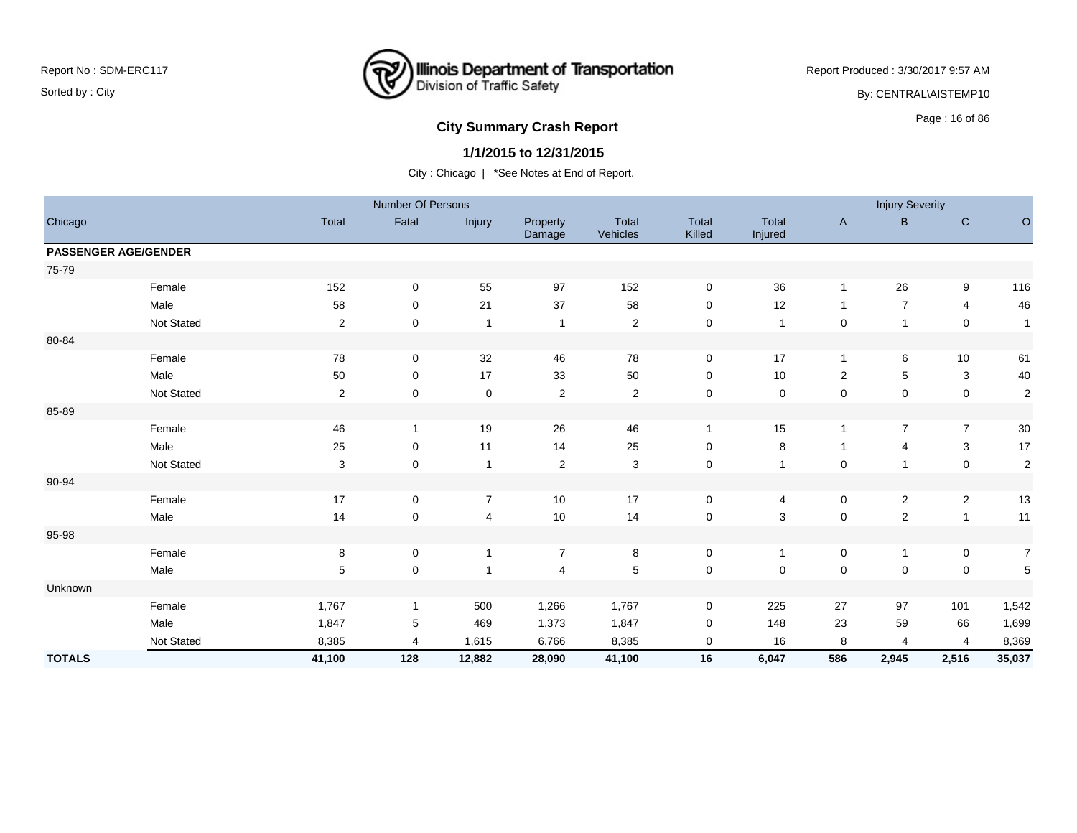## **Illinois Department of Transportation**<br>Division of Traffic Safety ष्ट्र

Report Produced : 3/30/2017 9:57 AM

By: CENTRAL\AISTEMP10

# Page : 16 of 86 **City Summary Crash Report**

### **1/1/2015 to 12/31/2015**

|               |                             |                | Number Of Persons |                |                    |                   |                 |                  |                     | <b>Injury Severity</b> |                           |                  |
|---------------|-----------------------------|----------------|-------------------|----------------|--------------------|-------------------|-----------------|------------------|---------------------|------------------------|---------------------------|------------------|
| Chicago       |                             | Total          | Fatal             | Injury         | Property<br>Damage | Total<br>Vehicles | Total<br>Killed | Total<br>Injured | A                   | B                      | $\mathsf{C}$              | $\circ$          |
|               | <b>PASSENGER AGE/GENDER</b> |                |                   |                |                    |                   |                 |                  |                     |                        |                           |                  |
| 75-79         |                             |                |                   |                |                    |                   |                 |                  |                     |                        |                           |                  |
|               | Female                      | 152            | $\pmb{0}$         | 55             | 97                 | 152               | $\pmb{0}$       | 36               | $\mathbf{1}$        | 26                     | $\boldsymbol{9}$          | 116              |
|               | Male                        | 58             | 0                 | 21             | 37                 | 58                | 0               | 12               | $\mathbf{1}$        | $\overline{7}$         | $\overline{4}$            | 46               |
|               | Not Stated                  | $\overline{c}$ | 0                 | $\mathbf{1}$   | $\mathbf{1}$       | $\sqrt{2}$        | $\mathbf 0$     | $\overline{1}$   | $\mathbf 0$         | $\mathbf{1}$           | $\pmb{0}$                 | $\mathbf{1}$     |
| 80-84         |                             |                |                   |                |                    |                   |                 |                  |                     |                        |                           |                  |
|               | Female                      | 78             | 0                 | 32             | 46                 | 78                | $\mathbf 0$     | 17               | $\mathbf{1}$        | 6                      | 10                        | 61               |
|               | Male                        | 50             | $\mathbf 0$       | 17             | 33                 | 50                | $\mathbf 0$     | $10$             | $\overline{c}$      | 5                      | $\ensuremath{\mathsf{3}}$ | 40               |
|               | Not Stated                  | $\overline{c}$ | 0                 | $\mathbf 0$    | $\overline{c}$     | $\overline{c}$    | 0               | $\mathbf 0$      | $\mathbf 0$         | 0                      | $\pmb{0}$                 | $\sqrt{2}$       |
| 85-89         |                             |                |                   |                |                    |                   |                 |                  |                     |                        |                           |                  |
|               | Female                      | 46             | 1                 | 19             | 26                 | 46                | $\mathbf{1}$    | 15               | $\mathbf{1}$        | $\overline{7}$         | $\overline{7}$            | $30\,$           |
|               | Male                        | 25             | $\mathbf 0$       | 11             | 14                 | 25                | $\mathbf 0$     | 8                | $\mathbf{1}$        | 4                      | $\ensuremath{\mathsf{3}}$ | 17               |
|               | Not Stated                  | 3              | $\mathbf 0$       | $\mathbf{1}$   | $\overline{c}$     | $\mathbf{3}$      | $\mathbf 0$     | $\mathbf 1$      | $\pmb{0}$           | $\mathbf{1}$           | $\mathsf 0$               | $\overline{2}$   |
| 90-94         |                             |                |                   |                |                    |                   |                 |                  |                     |                        |                           |                  |
|               | Female                      | 17             | $\mathbf 0$       | $\overline{7}$ | 10                 | 17                | $\mathbf 0$     | 4                | $\mathbf 0$         | $\overline{c}$         | $\overline{c}$            | $13$             |
|               | Male                        | 14             | 0                 | $\overline{4}$ | 10                 | 14                | $\pmb{0}$       | 3                | $\mathsf{O}\xspace$ | $\boldsymbol{2}$       | $\mathbf{1}$              | 11               |
| 95-98         |                             |                |                   |                |                    |                   |                 |                  |                     |                        |                           |                  |
|               | Female                      | 8              | 0                 | $\mathbf{1}$   | $\overline{7}$     | 8                 | $\mathbf 0$     | $\mathbf{1}$     | $\pmb{0}$           | $\mathbf{1}$           | $\pmb{0}$                 | $\boldsymbol{7}$ |
|               | Male                        | $\,$ 5 $\,$    | $\pmb{0}$         | $\mathbf{1}$   | 4                  | $\,$ 5 $\,$       | $\mathsf 0$     | $\mathbf 0$      | $\mathsf{O}\xspace$ | $\pmb{0}$              | $\pmb{0}$                 | 5                |
| Unknown       |                             |                |                   |                |                    |                   |                 |                  |                     |                        |                           |                  |
|               | Female                      | 1,767          | 1                 | 500            | 1,266              | 1,767             | 0               | 225              | 27                  | 97                     | 101                       | 1,542            |
|               | Male                        | 1,847          | 5                 | 469            | 1,373              | 1,847             | $\mathbf 0$     | 148              | 23                  | 59                     | 66                        | 1,699            |
|               | Not Stated                  | 8,385          | 4                 | 1,615          | 6,766              | 8,385             | 0               | 16               | 8                   | 4                      | $\overline{4}$            | 8,369            |
| <b>TOTALS</b> |                             | 41,100         | 128               | 12,882         | 28,090             | 41,100            | 16              | 6,047            | 586                 | 2,945                  | 2,516                     | 35,037           |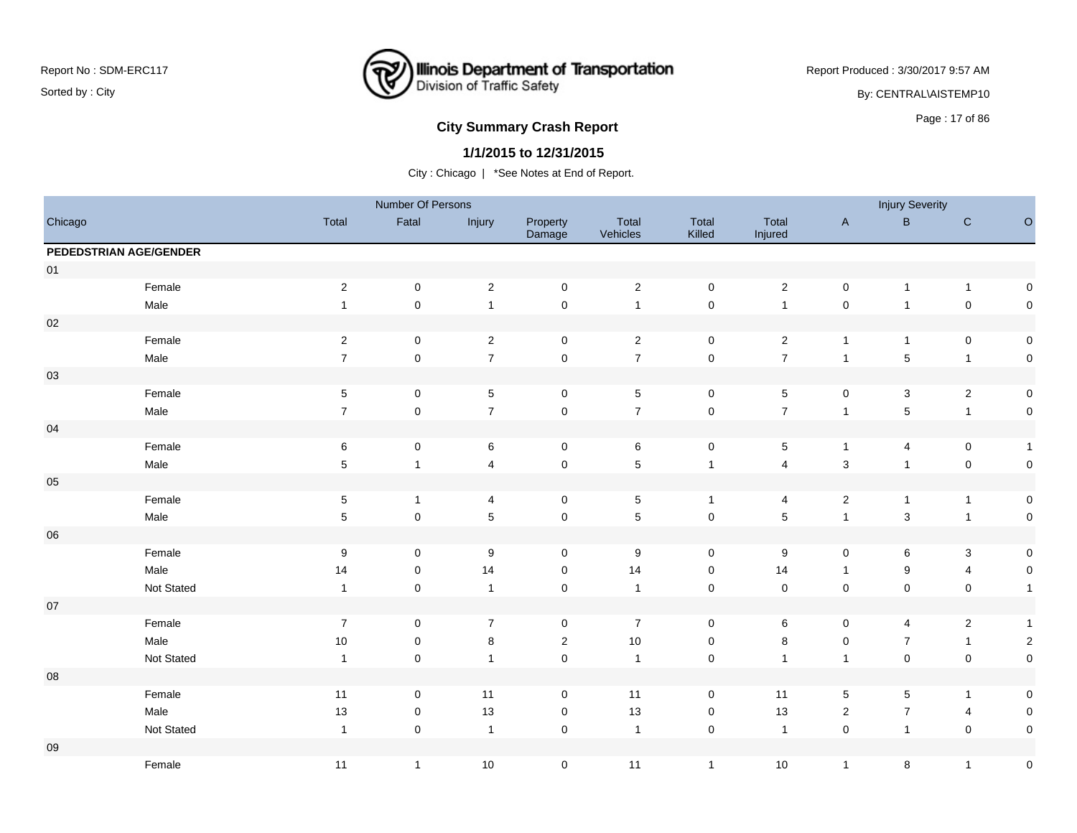

Report Produced : 3/30/2017 9:57 AM

By: CENTRAL\AISTEMP10

## **City Summary Crash Report CLASH Report CLASH Report CLASH Report CLASH Report CLASH Report CLASH Report CLASH Report CLASH Report CLASH Report CLASH Report CLASH Report CLASH Report CLASH Report**

### **1/1/2015 to 12/31/2015**

|            |                        |                  | Number Of Persons   |                         |                    |                   |                     |                  |                | <b>Injury Severity</b> |                         |                     |
|------------|------------------------|------------------|---------------------|-------------------------|--------------------|-------------------|---------------------|------------------|----------------|------------------------|-------------------------|---------------------|
| Chicago    |                        | Total            | Fatal               | Injury                  | Property<br>Damage | Total<br>Vehicles | Total<br>Killed     | Total<br>Injured | $\mathsf{A}$   | $\sf B$                | ${\bf C}$               | $\hbox{O}$          |
|            | PEDEDSTRIAN AGE/GENDER |                  |                     |                         |                    |                   |                     |                  |                |                        |                         |                     |
| $01$       |                        |                  |                     |                         |                    |                   |                     |                  |                |                        |                         |                     |
|            | Female                 | $\overline{c}$   | $\mathsf{O}\xspace$ | $\overline{c}$          | $\mathsf 0$        | $\sqrt{2}$        | $\mathsf{O}\xspace$ | $\sqrt{2}$       | $\pmb{0}$      | $\mathbf{1}$           | $\mathbf{1}$            | 0                   |
|            | Male                   | $\mathbf{1}$     | $\mathsf 0$         | $\mathbf{1}$            | $\mathsf 0$        | $\overline{1}$    | $\mathsf{O}\xspace$ | $\mathbf{1}$     | $\pmb{0}$      | $\mathbf{1}$           | $\mathbf 0$             | $\mathsf{O}\xspace$ |
| $02\,$     |                        |                  |                     |                         |                    |                   |                     |                  |                |                        |                         |                     |
|            | Female                 | $\sqrt{2}$       | $\pmb{0}$           | $\overline{2}$          | $\mathsf 0$        | $\overline{2}$    | $\mathbf 0$         | $\overline{2}$   | $\overline{1}$ | $\mathbf{1}$           | $\pmb{0}$               | 0                   |
|            | Male                   | $\overline{7}$   | $\pmb{0}$           | $\overline{7}$          | $\mathsf 0$        | $\overline{7}$    | $\mathsf 0$         | $\overline{7}$   | $\overline{1}$ | 5                      | $\mathbf{1}$            | $\mathbf 0$         |
| 03         |                        |                  |                     |                         |                    |                   |                     |                  |                |                        |                         |                     |
|            | Female                 | $\,$ 5 $\,$      | $\pmb{0}$           | $\,$ 5 $\,$             | $\mathsf 0$        | $\,$ 5 $\,$       | $\mathbf 0$         | $\,$ 5 $\,$      | $\pmb{0}$      | $\mathbf{3}$           | $\overline{2}$          | $\mathbf 0$         |
|            | Male                   | $\boldsymbol{7}$ | $\pmb{0}$           | $\overline{7}$          | $\pmb{0}$          | $\overline{7}$    | $\mathsf{O}\xspace$ | $\boldsymbol{7}$ | $\mathbf{1}$   | 5                      | $\mathbf{1}$            | $\pmb{0}$           |
| 04         |                        |                  |                     |                         |                    |                   |                     |                  |                |                        |                         |                     |
|            | Female                 | $\,6$            | $\mathsf{O}\xspace$ | $\,6$                   | $\mathbf 0$        | $\,6\,$           | $\mathbf 0$         | $\sqrt{5}$       | $\mathbf{1}$   | 4                      | $\pmb{0}$               | $\overline{1}$      |
|            | Male                   | $\,$ 5 $\,$      | $\mathbf{1}$        | $\overline{\mathbf{4}}$ | $\pmb{0}$          | $\overline{5}$    | $\overline{1}$      | $\overline{4}$   | $\sqrt{3}$     | $\mathbf{1}$           | $\mathbf 0$             | $\pmb{0}$           |
| 05         |                        |                  |                     |                         |                    |                   |                     |                  |                |                        |                         |                     |
|            | Female                 | $\sqrt{5}$       | $\mathbf{1}$        | 4                       | $\mathbf 0$        | $\,$ 5 $\,$       | $\mathbf{1}$        | 4                | $\sqrt{2}$     | $\mathbf{1}$           | $\mathbf{1}$            | $\boldsymbol{0}$    |
|            | Male                   | $\sqrt{5}$       | $\pmb{0}$           | $\,$ 5 $\,$             | $\pmb{0}$          | $\sqrt{5}$        | $\mathsf{O}\xspace$ | $\,$ 5 $\,$      | $\mathbf{1}$   | 3                      | $\mathbf{1}$            | 0                   |
| ${\bf 06}$ |                        |                  |                     |                         |                    |                   |                     |                  |                |                        |                         |                     |
|            | Female                 | $9\,$            | 0                   | $\boldsymbol{9}$        | $\mathbf 0$        | $\boldsymbol{9}$  | $\mathbf 0$         | $\boldsymbol{9}$ | 0              | 6                      | $\mathsf 3$             | $\boldsymbol{0}$    |
|            | Male                   | 14               | $\pmb{0}$           | 14                      | $\mathbf 0$        | 14                | $\mathbf 0$         | 14               | $\mathbf{1}$   | 9                      | $\overline{4}$          | $\mathsf{O}\xspace$ |
|            | Not Stated             | $\mathbf{1}$     | $\pmb{0}$           | $\overline{1}$          | $\mathbf 0$        | $\mathbf{1}$      | $\mathbf 0$         | $\mathsf 0$      | $\mathsf 0$    | $\mathsf{O}\xspace$    | $\pmb{0}$               | $\overline{1}$      |
| $07\,$     |                        |                  |                     |                         |                    |                   |                     |                  |                |                        |                         |                     |
|            | Female                 | $\overline{7}$   | 0                   | $\overline{7}$          | $\mathbf 0$        | $\overline{7}$    | 0                   | 6                | 0              | 4                      | $\overline{2}$          | $\overline{1}$      |
|            | Male                   | $10$             | 0                   | $\bf 8$                 | $\sqrt{2}$         | $10$              | $\mathbf 0$         | $\,8\,$          | $\pmb{0}$      | $\overline{7}$         | $\mathbf{1}$            | $\sqrt{2}$          |
|            | Not Stated             | $\overline{1}$   | $\pmb{0}$           | $\mathbf{1}$            | $\pmb{0}$          | $\mathbf{1}$      | $\mathbf 0$         | $\overline{1}$   | $\mathbf{1}$   | $\mathsf{O}\xspace$    | $\pmb{0}$               | $\mathbf 0$         |
| ${\bf 08}$ |                        |                  |                     |                         |                    |                   |                     |                  |                |                        |                         |                     |
|            | Female                 | 11               | $\mathsf{O}\xspace$ | 11                      | $\mathbf 0$        | 11                | $\mathbf 0$         | 11               | $\sqrt{5}$     | 5                      | $\mathbf{1}$            | $\mathbf 0$         |
|            | Male                   | 13               | $\pmb{0}$           | 13                      | 0                  | 13                | 0                   | 13               | $\overline{2}$ | $\overline{7}$         | $\overline{\mathbf{4}}$ | 0                   |
|            | Not Stated             | $\overline{1}$   | $\pmb{0}$           | $\overline{1}$          | $\pmb{0}$          | $\overline{1}$    | $\mathbf 0$         | $\overline{1}$   | $\mathsf 0$    | $\mathbf{1}$           | $\mathbf 0$             | $\mathsf 0$         |
| 09         |                        |                  |                     |                         |                    |                   |                     |                  |                |                        |                         |                     |
|            | Female                 | 11               | $\mathbf{1}$        | 10                      | $\mathbf 0$        | 11                | $\mathbf{1}$        | $10$             | $\overline{1}$ | 8                      | $\mathbf{1}$            | $\mathbf 0$         |
|            |                        |                  |                     |                         |                    |                   |                     |                  |                |                        |                         |                     |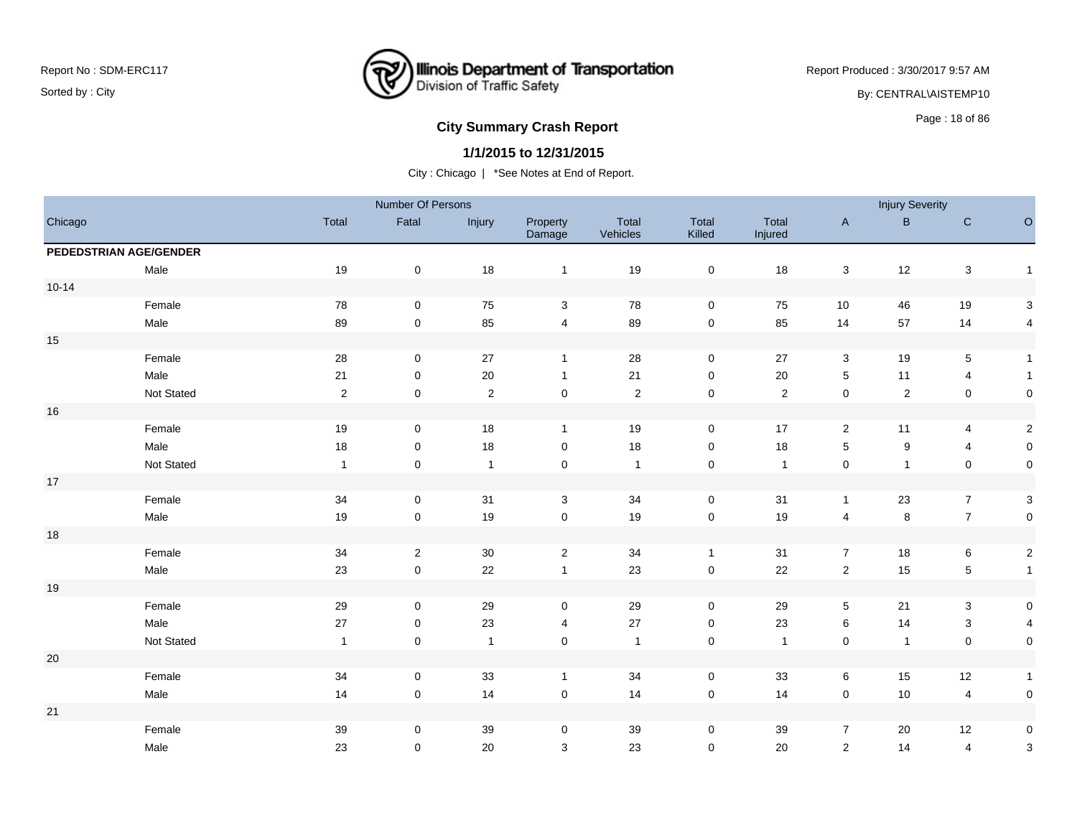

Report Produced : 3/30/2017 9:57 AM By: CENTRAL\AISTEMP10

# **City Summary Crash Report CLASH Report CLASH Report CLASH Report CLASH Report CLASH Report CLASH Report CLASH Report CLASH Report CLASH Report CLASH Report CLASH Report CLASH Report CLASH Report**

#### **1/1/2015 to 12/31/2015**

|                        |            |                | Number Of Persons   |                |                    |                   |                     |                  |                         | <b>Injury Severity</b> |                         |                           |
|------------------------|------------|----------------|---------------------|----------------|--------------------|-------------------|---------------------|------------------|-------------------------|------------------------|-------------------------|---------------------------|
| Chicago                |            | Total          | Fatal               | Injury         | Property<br>Damage | Total<br>Vehicles | Total<br>Killed     | Total<br>Injured | $\mathsf{A}$            | B                      | $\mathbf C$             | $\circ$                   |
| PEDEDSTRIAN AGE/GENDER |            |                |                     |                |                    |                   |                     |                  |                         |                        |                         |                           |
|                        | Male       | 19             | $\mathbf 0$         | 18             | $\mathbf{1}$       | 19                | $\pmb{0}$           | 18               | 3                       | 12                     | 3                       | $\mathbf{1}$              |
| $10 - 14$              |            |                |                     |                |                    |                   |                     |                  |                         |                        |                         |                           |
|                        | Female     | ${\bf 78}$     | $\mathsf{O}\xspace$ | 75             | $\mathbf{3}$       | 78                | $\mathsf{O}\xspace$ | 75               | 10                      | 46                     | 19                      | $\ensuremath{\mathsf{3}}$ |
|                        | Male       | 89             | $\mathbf 0$         | 85             | $\overline{4}$     | 89                | $\pmb{0}$           | 85               | 14                      | 57                     | 14                      | $\overline{4}$            |
| $15\,$                 |            |                |                     |                |                    |                   |                     |                  |                         |                        |                         |                           |
|                        | Female     | ${\bf 28}$     | $\mathbf 0$         | 27             | $\mathbf{1}$       | 28                | $\mathbf 0$         | $27\,$           | $\mathbf{3}$            | 19                     | $\,$ 5 $\,$             | $\overline{1}$            |
|                        | Male       | 21             | 0                   | 20             | $\mathbf{1}$       | 21                | 0                   | $20\,$           | $\,$ 5 $\,$             | 11                     | $\overline{\mathbf{4}}$ | $\mathbf{1}$              |
|                        | Not Stated | $\overline{c}$ | $\mathbf 0$         | $\overline{2}$ | $\mathbf 0$        | $\overline{2}$    | $\mathbf 0$         | $\sqrt{2}$       | $\pmb{0}$               | $\overline{2}$         | $\pmb{0}$               | $\mathbf 0$               |
| $16\,$                 |            |                |                     |                |                    |                   |                     |                  |                         |                        |                         |                           |
|                        | Female     | $19$           | $\mathbf 0$         | 18             | $\mathbf{1}$       | 19                | $\mathsf{O}\xspace$ | 17               | $\overline{2}$          | 11                     | 4                       | $\overline{2}$            |
|                        | Male       | 18             | $\pmb{0}$           | 18             | 0                  | 18                | 0                   | 18               | $\,$ 5 $\,$             | 9                      | $\overline{\mathbf{4}}$ | $\mathbf 0$               |
|                        | Not Stated | $\overline{1}$ | 0                   | $\overline{1}$ | 0                  | $\overline{1}$    | $\pmb{0}$           | $\overline{1}$   | $\pmb{0}$               | $\mathbf{1}$           | $\mathbf 0$             | $\mathsf{O}\xspace$       |
| $17\,$                 |            |                |                     |                |                    |                   |                     |                  |                         |                        |                         |                           |
|                        | Female     | 34             | 0                   | 31             | 3                  | 34                | $\mathbf 0$         | 31               | $\mathbf{1}$            | 23                     | $\overline{7}$          | $\mathbf{3}$              |
|                        | Male       | $19$           | $\mathbf 0$         | 19             | $\mathbf 0$        | 19                | $\pmb{0}$           | 19               | $\overline{\mathbf{4}}$ | $\bf 8$                | $\overline{7}$          | $\mathsf 0$               |
| $18$                   |            |                |                     |                |                    |                   |                     |                  |                         |                        |                         |                           |
|                        | Female     | 34             | $\overline{2}$      | 30             | $\overline{2}$     | 34                | $\mathbf{1}$        | 31               | $\overline{7}$          | 18                     | $\,6\,$                 | $\overline{a}$            |
|                        | Male       | 23             | $\mathbf 0$         | 22             | $\mathbf{1}$       | 23                | $\mathsf{O}\xspace$ | 22               | $\overline{2}$          | 15                     | $\,$ 5 $\,$             | $\mathbf{1}$              |
| $19$                   |            |                |                     |                |                    |                   |                     |                  |                         |                        |                         |                           |
|                        | Female     | 29             | $\mathbf 0$         | 29             | 0                  | 29                | $\mathbf 0$         | 29               | 5                       | 21                     | 3                       | $\mathsf{O}$              |
|                        | Male       | 27             | $\mathbf 0$         | 23             | 4                  | 27                | $\mathsf{O}\xspace$ | 23               | 6                       | 14                     | $\sqrt{3}$              | $\overline{4}$            |
|                        | Not Stated | $\overline{1}$ | $\mathbf 0$         | $\overline{1}$ | $\pmb{0}$          | $\mathbf{1}$      | $\mathbf 0$         | $\overline{1}$   | $\pmb{0}$               | $\overline{1}$         | $\pmb{0}$               | $\mathsf{O}\xspace$       |
| $20\,$                 |            |                |                     |                |                    |                   |                     |                  |                         |                        |                         |                           |
|                        | Female     | 34             | $\mathbf 0$         | 33             | $\mathbf{1}$       | 34                | $\mathsf{O}\xspace$ | 33               | 6                       | 15                     | 12                      | $\mathbf{1}$              |
|                        | Male       | 14             | $\mathbf 0$         | 14             | $\pmb{0}$          | 14                | $\mathsf{O}\xspace$ | 14               | 0                       | 10                     | 4                       | $\mathsf{O}$              |
| $21$                   |            |                |                     |                |                    |                   |                     |                  |                         |                        |                         |                           |
|                        | Female     | 39             | 0                   | 39             | 0                  | 39                | 0                   | 39               | $\overline{7}$          | 20                     | 12                      | $\mathbf 0$               |
|                        | Male       | 23             | 0                   | 20             | 3                  | 23                | $\mathbf 0$         | 20               | $\overline{2}$          | 14                     | 4                       | $\ensuremath{\mathsf{3}}$ |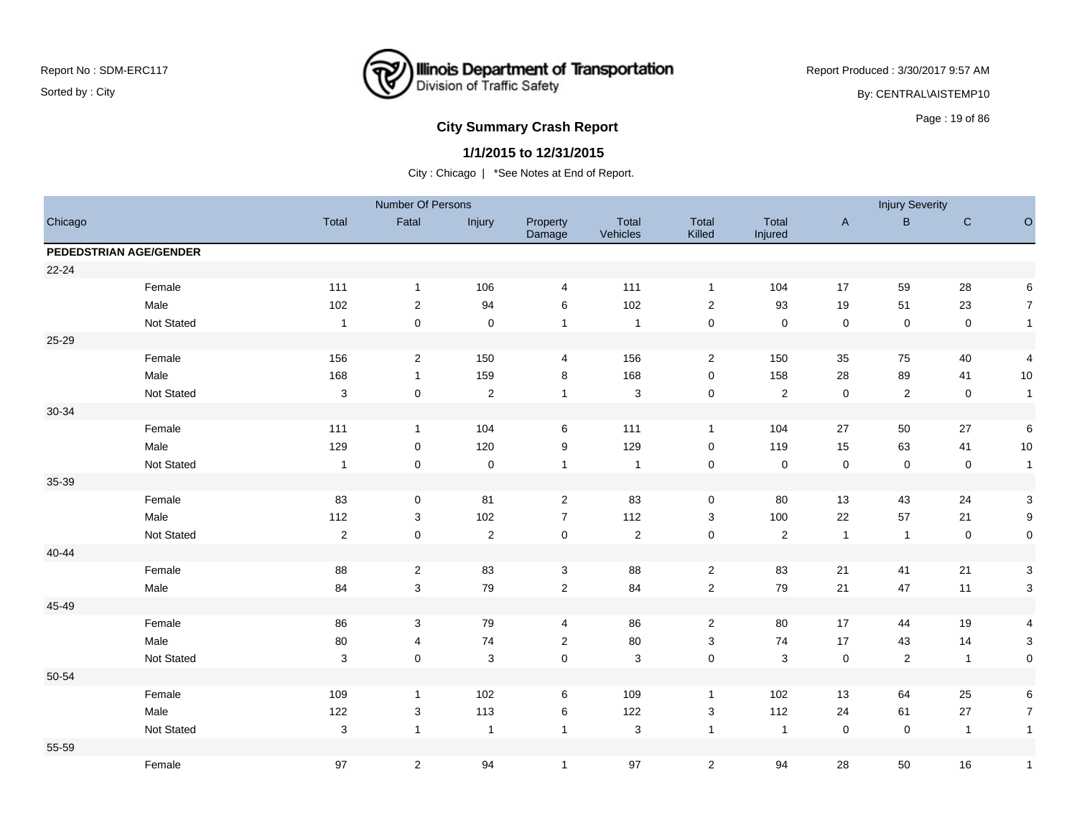

Report Produced : 3/30/2017 9:57 AM By: CENTRAL\AISTEMP10

# **City Summary Crash Report CLASH Report CLASH Report CLASH Report CLASH Report CLASH Report CLASH Report CLASH Report CLASH Report CLASH Report CLASH Report CLASH Report CLASH Report CLASH Report**

#### **1/1/2015 to 12/31/2015**

|           |                        |                  | Number Of Persons |                |                    |                   |                         |                  |                     | <b>Injury Severity</b> |                |                     |
|-----------|------------------------|------------------|-------------------|----------------|--------------------|-------------------|-------------------------|------------------|---------------------|------------------------|----------------|---------------------|
| Chicago   |                        | Total            | Fatal             | Injury         | Property<br>Damage | Total<br>Vehicles | Total<br>Killed         | Total<br>Injured | $\mathsf{A}$        | $\, {\bf B} \,$        | $\mathbf C$    | $\mathsf O$         |
|           | PEDEDSTRIAN AGE/GENDER |                  |                   |                |                    |                   |                         |                  |                     |                        |                |                     |
| $22 - 24$ |                        |                  |                   |                |                    |                   |                         |                  |                     |                        |                |                     |
|           | Female                 | 111              | $\mathbf{1}$      | 106            | 4                  | 111               | $\mathbf{1}$            | 104              | 17                  | 59                     | 28             | 6                   |
|           | Male                   | 102              | $\boldsymbol{2}$  | 94             | 6                  | 102               | $\overline{2}$          | 93               | 19                  | 51                     | 23             | $\overline{7}$      |
|           | Not Stated             | $\overline{1}$   | $\mathsf 0$       | $\mathbf 0$    | $\mathbf{1}$       | $\overline{1}$    | $\pmb{0}$               | $\mathbf 0$      | $\mathsf 0$         | $\mathsf 0$            | $\mathbf 0$    | $\overline{1}$      |
| 25-29     |                        |                  |                   |                |                    |                   |                         |                  |                     |                        |                |                     |
|           | Female                 | 156              | $\overline{2}$    | 150            | 4                  | 156               | $\overline{2}$          | 150              | 35                  | 75                     | 40             | 4                   |
|           | Male                   | 168              | $\mathbf{1}$      | 159            | 8                  | 168               | 0                       | 158              | 28                  | 89                     | 41             | 10                  |
|           | Not Stated             | 3                | $\mathbf 0$       | $\sqrt{2}$     | $\overline{1}$     | $\mathbf{3}$      | $\pmb{0}$               | $\sqrt{2}$       | $\mathsf{O}\xspace$ | $\sqrt{2}$             | $\mathbf 0$    | $\overline{1}$      |
| 30-34     |                        |                  |                   |                |                    |                   |                         |                  |                     |                        |                |                     |
|           | Female                 | 111              | $\mathbf{1}$      | 104            | 6                  | 111               | $\mathbf{1}$            | 104              | $27\,$              | 50                     | 27             | 6                   |
|           | Male                   | 129              | 0                 | 120            | 9                  | 129               | 0                       | 119              | 15                  | 63                     | 41             | 10                  |
|           | Not Stated             | $\overline{1}$   | $\mathsf 0$       | $\pmb{0}$      | $\mathbf{1}$       | $\overline{1}$    | $\mathsf 0$             | $\mathsf 0$      | $\mathbf 0$         | $\mathbf 0$            | $\pmb{0}$      | $\mathbf{1}$        |
| 35-39     |                        |                  |                   |                |                    |                   |                         |                  |                     |                        |                |                     |
|           | Female                 | 83               | 0                 | 81             | $\overline{2}$     | 83                | 0                       | 80               | 13                  | 43                     | 24             | $\mathbf{3}$        |
|           | Male                   | 112              | 3                 | 102            | $\overline{7}$     | 112               | 3                       | 100              | 22                  | 57                     | 21             | $9\,$               |
|           | Not Stated             | $\boldsymbol{2}$ | $\mathsf 0$       | $\sqrt{2}$     | $\pmb{0}$          | $\sqrt{2}$        | $\pmb{0}$               | $\sqrt{2}$       | $\mathbf{1}$        | $\overline{1}$         | $\pmb{0}$      | $\mathsf{O}\xspace$ |
| 40-44     |                        |                  |                   |                |                    |                   |                         |                  |                     |                        |                |                     |
|           | Female                 | 88               | $\overline{2}$    | 83             | 3                  | 88                | $\overline{2}$          | 83               | 21                  | 41                     | 21             | 3                   |
|           | Male                   | 84               | $\mathsf 3$       | 79             | $\sqrt{2}$         | 84                | $\sqrt{2}$              | 79               | 21                  | 47                     | 11             | 3                   |
| 45-49     |                        |                  |                   |                |                    |                   |                         |                  |                     |                        |                |                     |
|           | Female                 | 86               | 3                 | 79             | 4                  | 86                | $\overline{2}$          | 80               | 17                  | 44                     | 19             | 4                   |
|           | Male                   | 80               | 4                 | 74             | $\sqrt{2}$         | 80                | 3                       | 74               | 17                  | 43                     | 14             | 3                   |
|           | Not Stated             | $\mathbf{3}$     | $\pmb{0}$         | $\mathbf{3}$   | $\pmb{0}$          | $\mathbf{3}$      | $\pmb{0}$               | $\mathbf{3}$     | $\mathsf 0$         | $\sqrt{2}$             | $\mathbf{1}$   | $\mathsf 0$         |
| 50-54     |                        |                  |                   |                |                    |                   |                         |                  |                     |                        |                |                     |
|           | Female                 | 109              | $\mathbf{1}$      | 102            | 6                  | 109               | $\mathbf{1}$            | 102              | 13                  | 64                     | 25             | 6                   |
|           | Male                   | 122              | $\mathsf 3$       | 113            | 6                  | 122               | 3                       | 112              | 24                  | 61                     | 27             | $\overline{7}$      |
|           | Not Stated             | 3                | $\mathbf{1}$      | $\overline{1}$ | $\mathbf{1}$       | $\mathbf{3}$      | $\overline{1}$          | $\overline{1}$   | $\mathbf 0$         | 0                      | $\overline{1}$ | $\overline{1}$      |
| 55-59     |                        |                  |                   |                |                    |                   |                         |                  |                     |                        |                |                     |
|           | Female                 | 97               | $\overline{2}$    | 94             | $\mathbf{1}$       | 97                | $\overline{\mathbf{c}}$ | 94               | 28                  | 50                     | 16             | $\overline{1}$      |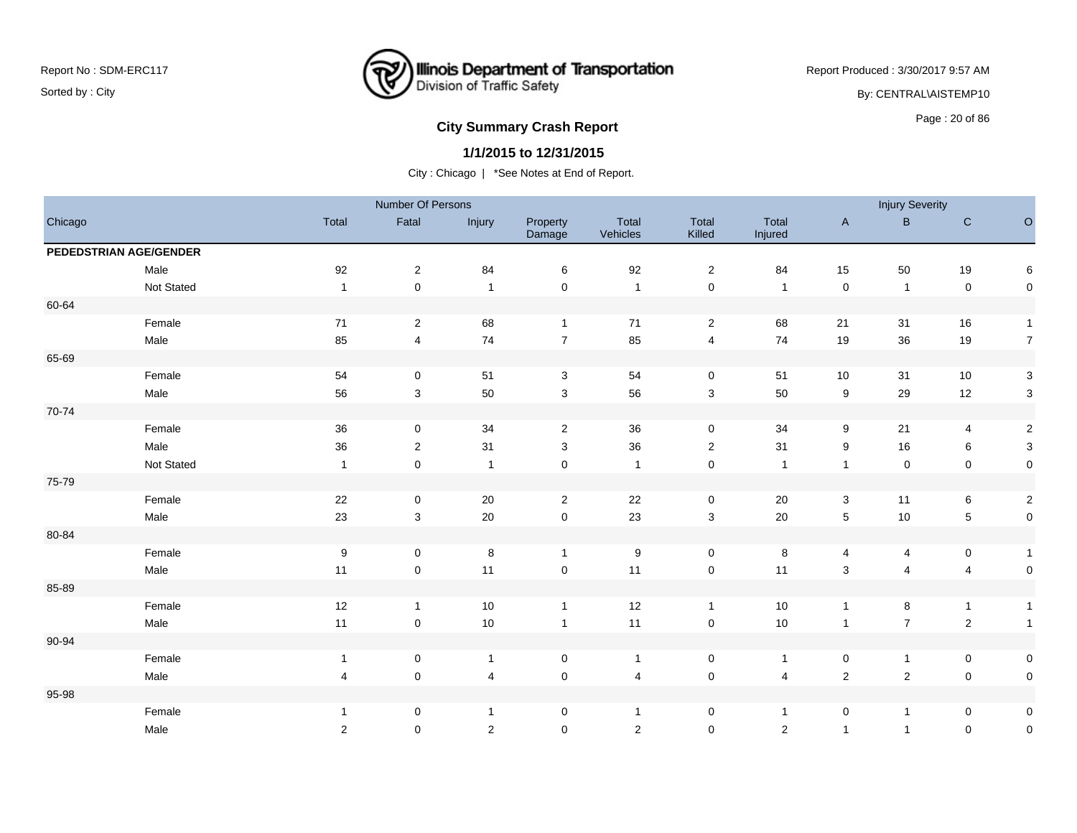

Report Produced : 3/30/2017 9:57 AM By: CENTRAL\AISTEMP10

# **City Summary Crash Report CLASH CRASH REPORT CONSTRUSS AND REPORT CONSTRUSSION CONSTRUSS AND REPORT OF SCHOOL CONSTRUSS AND REPORT OF SCHOOL CONSTRUCT AND REPORT OF SCHOOL CONSTRUCT AND REPORT OF SCHOOL CONSTRUCT AND RE**

### **1/1/2015 to 12/31/2015**

|         |                        |                | Number Of Persons |                |                     |                   |                     |                         |                           | <b>Injury Severity</b> |                         |                           |
|---------|------------------------|----------------|-------------------|----------------|---------------------|-------------------|---------------------|-------------------------|---------------------------|------------------------|-------------------------|---------------------------|
| Chicago |                        | Total          | Fatal             | Injury         | Property<br>Damage  | Total<br>Vehicles | Total<br>Killed     | Total<br>Injured        | $\mathsf A$               | $\, {\bf B} \,$        | $\mathbf C$             | $\circ$                   |
|         | PEDEDSTRIAN AGE/GENDER |                |                   |                |                     |                   |                     |                         |                           |                        |                         |                           |
|         | Male                   | 92             | 2                 | 84             | 6                   | 92                | $\overline{2}$      | 84                      | 15                        | 50                     | 19                      | 6                         |
|         | Not Stated             | $\overline{1}$ | 0                 | $\overline{1}$ | $\mathbf 0$         | $\overline{1}$    | $\mathsf 0$         | $\overline{1}$          | $\mathsf 0$               | $\overline{1}$         | $\pmb{0}$               | $\mathsf{O}$              |
| 60-64   |                        |                |                   |                |                     |                   |                     |                         |                           |                        |                         |                           |
|         | Female                 | 71             | $\overline{2}$    | 68             | $\mathbf{1}$        | 71                | $\overline{c}$      | 68                      | 21                        | 31                     | 16                      | $\mathbf{1}$              |
|         | Male                   | 85             | $\overline{4}$    | 74             | $\overline{7}$      | 85                | $\overline{4}$      | 74                      | 19                        | 36                     | 19                      | $\overline{7}$            |
| 65-69   |                        |                |                   |                |                     |                   |                     |                         |                           |                        |                         |                           |
|         | Female                 | 54             | 0                 | 51             | 3                   | 54                | $\mathbf 0$         | 51                      | 10                        | 31                     | 10                      | $\mathbf{3}$              |
|         | Male                   | 56             | 3                 | 50             | $\mathbf{3}$        | 56                | 3                   | 50                      | 9                         | 29                     | 12                      | $\ensuremath{\mathsf{3}}$ |
| 70-74   |                        |                |                   |                |                     |                   |                     |                         |                           |                        |                         |                           |
|         | Female                 | 36             | 0                 | 34             | $\overline{2}$      | 36                | $\mathbf 0$         | 34                      | 9                         | 21                     | $\overline{\mathbf{4}}$ | $\overline{a}$            |
|         | Male                   | 36             | $\overline{c}$    | 31             | 3                   | 36                | $\overline{2}$      | 31                      | 9                         | 16                     | $\,6$                   | $\ensuremath{\mathsf{3}}$ |
|         | Not Stated             | $\overline{1}$ | 0                 | $\overline{1}$ | $\mathsf{O}\xspace$ | $\overline{1}$    | $\mathsf{O}\xspace$ | $\overline{\mathbf{1}}$ | $\mathbf{1}$              | $\mathbf 0$            | $\mathbf 0$             | $\mathsf{O}\xspace$       |
| 75-79   |                        |                |                   |                |                     |                   |                     |                         |                           |                        |                         |                           |
|         | Female                 | 22             | $\pmb{0}$         | $20\,$         | $\overline{2}$      | 22                | $\mathsf 0$         | $20\,$                  | $\mathbf{3}$              | 11                     | $\,6$                   | $\overline{2}$            |
|         | Male                   | 23             | $\mathbf{3}$      | 20             | $\mathbf 0$         | 23                | $\sqrt{3}$          | 20                      | $\sqrt{5}$                | 10                     | $\mathbf 5$             | $\mathsf{O}\xspace$       |
| 80-84   |                        |                |                   |                |                     |                   |                     |                         |                           |                        |                         |                           |
|         | Female                 | 9              | 0                 | 8              | $\mathbf{1}$        | 9                 | $\mathbf 0$         | 8                       | 4                         | $\overline{4}$         | $\mathbf 0$             | $\mathbf{1}$              |
|         | Male                   | 11             | $\pmb{0}$         | 11             | $\pmb{0}$           | 11                | $\mathsf 0$         | 11                      | $\ensuremath{\mathsf{3}}$ | $\overline{4}$         | $\overline{\mathbf{4}}$ | $\pmb{0}$                 |
| 85-89   |                        |                |                   |                |                     |                   |                     |                         |                           |                        |                         |                           |
|         | Female                 | 12             | $\mathbf{1}$      | $10$           | $\mathbf{1}$        | 12                | $\mathbf{1}$        | $10$                    | $\mathbf{1}$              | 8                      | $\mathbf{1}$            | $\mathbf{1}$              |
|         | Male                   | 11             | $\pmb{0}$         | 10             | $\mathbf{1}$        | 11                | $\pmb{0}$           | $10\,$                  | $\mathbf{1}$              | $\overline{7}$         | $\mathbf 2$             | $\mathbf{1}$              |
| 90-94   |                        |                |                   |                |                     |                   |                     |                         |                           |                        |                         |                           |
|         | Female                 | $\mathbf{1}$   | 0                 | $\mathbf{1}$   | $\mathbf 0$         | $\overline{1}$    | $\mathbf 0$         | $\overline{1}$          | 0                         | $\mathbf{1}$           | $\mathbf 0$             | $\mathsf{O}$              |
|         | Male                   | $\overline{4}$ | 0                 | $\overline{4}$ | 0                   | $\overline{4}$    | $\mathbf 0$         | 4                       | $\sqrt{2}$                | $\overline{2}$         | $\mathbf 0$             | $\mathsf{O}\xspace$       |
| 95-98   |                        |                |                   |                |                     |                   |                     |                         |                           |                        |                         |                           |
|         | Female                 | $\mathbf{1}$   | $\pmb{0}$         | $\mathbf{1}$   | $\mathsf{O}\xspace$ | $\overline{1}$    | $\pmb{0}$           | $\overline{1}$          | $\pmb{0}$                 | $\mathbf{1}$           | $\mathbf 0$             | $\mathbf 0$               |
|         | Male                   | $\overline{2}$ | $\pmb{0}$         | $\sqrt{2}$     | $\mathbf 0$         | 2                 | $\mathbf 0$         | $\mathbf 2$             | $\mathbf{1}$              | $\mathbf{1}$           | $\pmb{0}$               | $\mathbf 0$               |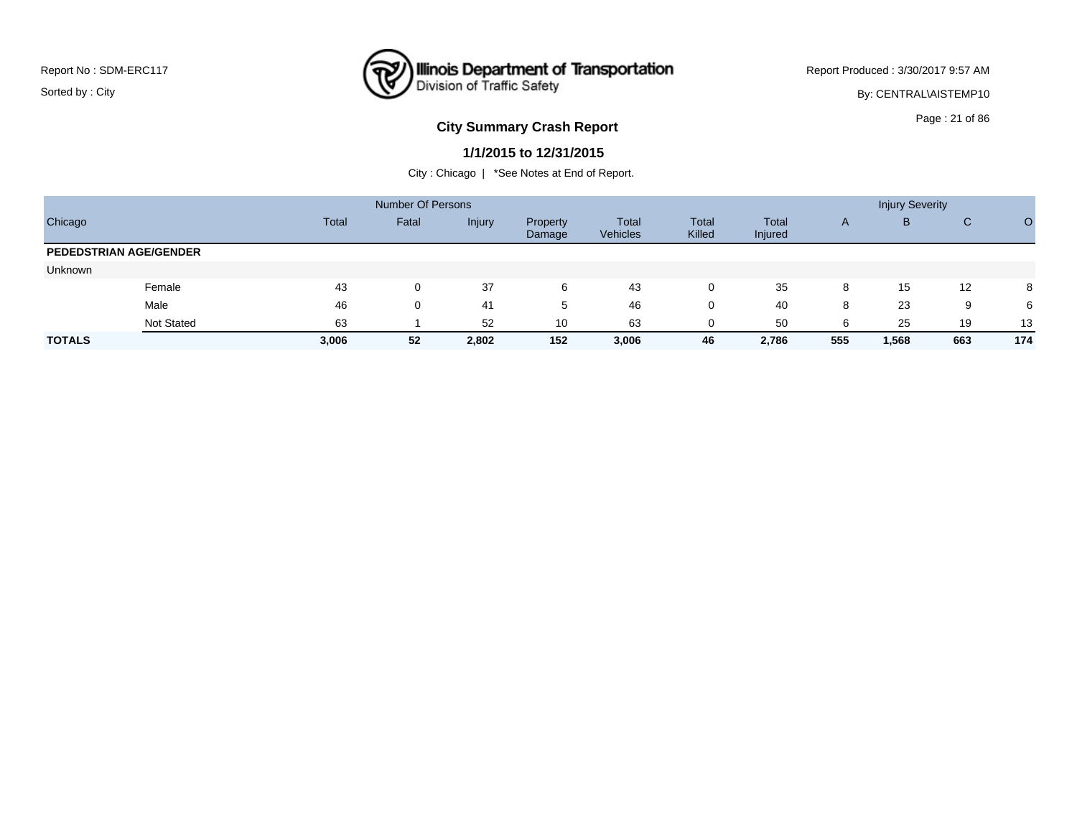

Report Produced : 3/30/2017 9:57 AM

By: CENTRAL\AISTEMP10

## **City Summary Crash Report CLASH CRASH REPORT CONSTRUSS AND REPORT CONSTRUSS ASSESS**

#### **1/1/2015 to 12/31/2015**

|                               |            |       | Number Of Persons |        |                    |                          |                 |                  |              | <b>Injury Severity</b> |     |     |
|-------------------------------|------------|-------|-------------------|--------|--------------------|--------------------------|-----------------|------------------|--------------|------------------------|-----|-----|
| Chicago                       |            | Total | Fatal             | Injury | Property<br>Damage | Total<br><b>Vehicles</b> | Total<br>Killed | Total<br>Injured | $\mathsf{A}$ | B                      | C   |     |
| <b>PEDEDSTRIAN AGE/GENDER</b> |            |       |                   |        |                    |                          |                 |                  |              |                        |     |     |
| Unknown                       |            |       |                   |        |                    |                          |                 |                  |              |                        |     |     |
|                               | Female     | 43    | 0                 | 37     | 6                  | 43                       | 0               | 35               | 8            | 15                     | 12  | 8   |
|                               | Male       | 46    | 0                 | -41    | 5                  | 46                       | 0               | 40               | 8            | 23                     | 9   | 6   |
|                               | Not Stated | 63    |                   | 52     | 10                 | 63                       | 0               | 50               | 6            | 25                     | 19  | 13  |
| <b>TOTALS</b>                 |            | 3,006 | 52                | 2,802  | 152                | 3,006                    | 46              | 2,786            | 555          | 1,568                  | 663 | 174 |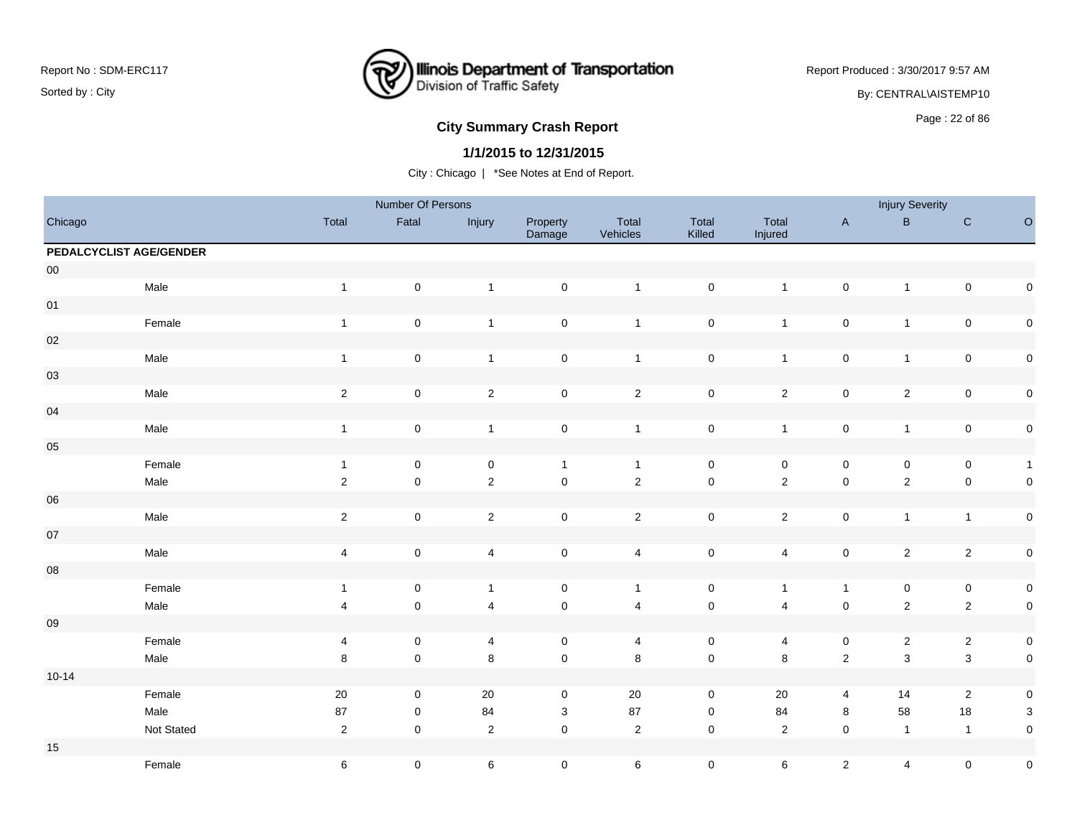## **Illinois Department of Transportation**<br>Division of Traffic Safety ष्ट्र

Report Produced : 3/30/2017 9:57 AM

By: CENTRAL\AISTEMP10

# **City Summary Crash Report CLASH CRASH REPORT CONSTRUSS AND REPORT CONSTRUSSION CONSTRUSS AND REPORT OF SCHOOL CONSTRUSS AND REPORT OF SCHOOL CONSTRUCTION OF SCHOOL CONSTRUCTION OF SCHOOL CONSTRUCTION OF SCHOOL CONSTRUCT**

### **1/1/2015 to 12/31/2015**

|                         |            |                | Number Of Persons   |                         |                     |                         |                     |                         |                     | <b>Injury Severity</b>  |                     |                           |
|-------------------------|------------|----------------|---------------------|-------------------------|---------------------|-------------------------|---------------------|-------------------------|---------------------|-------------------------|---------------------|---------------------------|
| Chicago                 |            | Total          | Fatal               | Injury                  | Property<br>Damage  | Total<br>Vehicles       | Total<br>Killed     | Total<br>Injured        | $\mathsf{A}$        | $\sf B$                 | ${\bf C}$           | $\circ$                   |
| PEDALCYCLIST AGE/GENDER |            |                |                     |                         |                     |                         |                     |                         |                     |                         |                     |                           |
| ${\bf 00}$              |            |                |                     |                         |                     |                         |                     |                         |                     |                         |                     |                           |
|                         | Male       | $\mathbf{1}$   | $\pmb{0}$           | $\mathbf{1}$            | $\mathbf 0$         | $\overline{1}$          | $\mathbf 0$         | $\mathbf{1}$            | $\pmb{0}$           | $\mathbf{1}$            | $\pmb{0}$           | $\pmb{0}$                 |
| 01                      |            |                |                     |                         |                     |                         |                     |                         |                     |                         |                     |                           |
|                         | Female     | $\overline{1}$ | $\mathsf{O}\xspace$ | $\mathbf{1}$            | $\mathsf{O}\xspace$ | $\mathbf{1}$            | $\mathbf 0$         | $\mathbf{1}$            | $\pmb{0}$           | $\mathbf{1}$            | $\pmb{0}$           | $\pmb{0}$                 |
| $02\,$                  |            |                |                     |                         |                     |                         |                     |                         |                     |                         |                     |                           |
|                         | Male       | $\overline{1}$ | $\pmb{0}$           | $\mathbf{1}$            | $\mathsf{O}\xspace$ | $\overline{1}$          | $\mathbf 0$         | $\mathbf{1}$            | $\mathsf{O}\xspace$ | $\mathbf{1}$            | $\pmb{0}$           | $\pmb{0}$                 |
| $03\,$                  |            |                |                     |                         |                     |                         |                     |                         |                     |                         |                     |                           |
|                         | Male       | $\sqrt{2}$     | $\pmb{0}$           | $\overline{2}$          | $\mathsf{O}\xspace$ | $\overline{2}$          | $\mathsf 0$         | $\mathbf{2}$            | $\mathsf{O}\xspace$ | $\overline{2}$          | $\mathsf{O}\xspace$ | $\pmb{0}$                 |
| $04\,$                  |            |                |                     |                         |                     |                         |                     |                         |                     |                         |                     |                           |
|                         | Male       | $\mathbf{1}$   | $\pmb{0}$           | $\overline{1}$          | $\mathsf{O}\xspace$ | $\overline{1}$          | $\mathsf{O}\xspace$ | $\mathbf{1}$            | $\pmb{0}$           | $\mathbf{1}$            | $\pmb{0}$           | $\pmb{0}$                 |
| $05\,$                  |            |                |                     |                         |                     |                         |                     |                         |                     |                         |                     |                           |
|                         | Female     | $\mathbf{1}$   | $\mathsf 0$         | $\pmb{0}$               | $\mathbf{1}$        | $\mathbf{1}$            | $\mathsf{O}\xspace$ | $\mathsf{O}\xspace$     | $\pmb{0}$           | 0                       | $\pmb{0}$           | $\mathbf{1}$              |
|                         | Male       | $\overline{2}$ | $\mathsf{O}\xspace$ | $\sqrt{2}$              | $\mathsf{O}\xspace$ | $\overline{2}$          | $\mathbf 0$         | $\overline{2}$          | $\pmb{0}$           | $\mathbf 2$             | $\pmb{0}$           | $\pmb{0}$                 |
| ${\bf 06}$              |            |                |                     |                         |                     |                         |                     |                         |                     |                         |                     |                           |
|                         | Male       | $\sqrt{2}$     | $\mathsf 0$         | $\overline{2}$          | $\mathbf 0$         | $\overline{2}$          | $\mathsf 0$         | $\overline{c}$          | $\pmb{0}$           | $\mathbf{1}$            | $\mathbf{1}$        | $\pmb{0}$                 |
| $07\,$                  |            |                |                     |                         |                     |                         |                     |                         |                     |                         |                     |                           |
|                         | Male       | $\overline{4}$ | $\mathsf 0$         | $\overline{4}$          | $\mathsf{O}\xspace$ | $\overline{4}$          | $\mathbf 0$         | $\overline{4}$          | $\mathsf{O}\xspace$ | $\overline{\mathbf{c}}$ | $\sqrt{2}$          | $\pmb{0}$                 |
| ${\bf 08}$              |            |                |                     |                         |                     |                         |                     |                         |                     |                         |                     |                           |
|                         | Female     | $\overline{1}$ | $\pmb{0}$           | $\mathbf{1}$            | $\mathsf{O}\xspace$ | $\mathbf{1}$            | $\mathsf 0$         | $\mathbf{1}$            | $\mathbf{1}$        | $\mathsf 0$             | $\pmb{0}$           | $\pmb{0}$                 |
|                         | Male       | $\overline{4}$ | $\pmb{0}$           | $\overline{\mathbf{4}}$ | $\pmb{0}$           | $\overline{\mathbf{4}}$ | $\pmb{0}$           | $\overline{\mathbf{4}}$ | $\pmb{0}$           | $\overline{c}$          | $\sqrt{2}$          | $\pmb{0}$                 |
| ${\bf 09}$              |            |                |                     |                         |                     |                         |                     |                         |                     |                         |                     |                           |
|                         | Female     | 4              | $\mathsf 0$         | 4                       | $\mathbf 0$         | 4                       | $\mathsf 0$         | 4                       | $\pmb{0}$           | $\overline{\mathbf{c}}$ | $\sqrt{2}$          | $\pmb{0}$                 |
|                         | Male       | $\bf 8$        | $\mathbf 0$         | $\,8\,$                 | $\mathsf 0$         | $\bf8$                  | $\mathbf 0$         | $\,8\,$                 | $\sqrt{2}$          | 3                       | $\mathbf 3$         | $\pmb{0}$                 |
| $10 - 14$               |            |                |                     |                         |                     |                         |                     |                         |                     |                         |                     |                           |
|                         | Female     | $20\,$         | $\mathsf{O}\xspace$ | 20                      | $\mathbf 0$         | 20                      | $\mathbf 0$         | 20                      | 4                   | 14                      | $\overline{2}$      | $\pmb{0}$                 |
|                         | Male       | 87             | $\pmb{0}$           | 84                      | 3                   | 87                      | $\mathbf 0$         | 84                      | 8                   | 58                      | 18                  | $\ensuremath{\mathsf{3}}$ |
|                         | Not Stated | $\overline{2}$ | $\mathsf{O}\xspace$ | $\sqrt{2}$              | $\mathsf{O}\xspace$ | $\overline{2}$          | $\pmb{0}$           | $\sqrt{2}$              | $\mathsf 0$         | $\mathbf{1}$            | $\mathbf{1}$        | $\pmb{0}$                 |
| $15\,$                  |            |                |                     |                         |                     |                         |                     |                         |                     |                         |                     |                           |
|                         | Female     | $\,6$          | $\pmb{0}$           | $\,6\,$                 | $\mathsf{O}\xspace$ | $\,6\,$                 | $\pmb{0}$           | 6                       | $\mathbf{2}$        | 4                       | $\mathsf 0$         | $\pmb{0}$                 |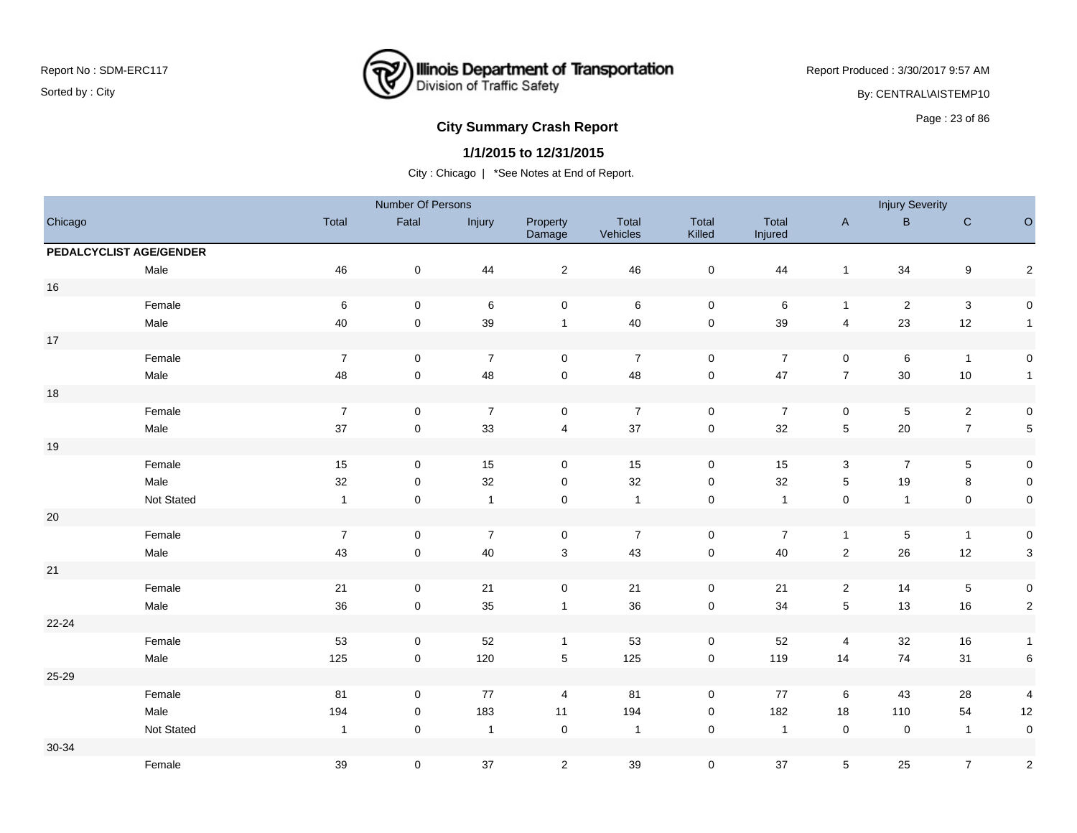

Report Produced : 3/30/2017 9:57 AM By: CENTRAL\AISTEMP10

# **City Summary Crash Report CLASH CRASH REPORT CONSTRUSS AND REPORT CONSTRUSSION CONSTRUSS AND REPORT OF SCHOOL CONSTRUSS AND REPORT OF SCHOOL CONSTRUCTS**

#### **1/1/2015 to 12/31/2015**

|         |                         |                  | Number Of Persons   |                |                         |                   |                     |                  |                         | <b>Injury Severity</b> |                           |                         |
|---------|-------------------------|------------------|---------------------|----------------|-------------------------|-------------------|---------------------|------------------|-------------------------|------------------------|---------------------------|-------------------------|
| Chicago |                         | Total            | Fatal               | Injury         | Property<br>Damage      | Total<br>Vehicles | Total<br>Killed     | Total<br>Injured | $\mathsf{A}$            | $\mathsf{B}$           | ${\bf C}$                 | $\circ$                 |
|         | PEDALCYCLIST AGE/GENDER |                  |                     |                |                         |                   |                     |                  |                         |                        |                           |                         |
|         | Male                    | 46               | $\pmb{0}$           | 44             | $\overline{\mathbf{c}}$ | 46                | $\pmb{0}$           | 44               | $\mathbf{1}$            | 34                     | $\boldsymbol{9}$          | $\mathbf 2$             |
| $16$    |                         |                  |                     |                |                         |                   |                     |                  |                         |                        |                           |                         |
|         | Female                  | 6                | $\mathbf 0$         | 6              | $\mathbf 0$             | 6                 | $\mathsf{O}\xspace$ | 6                | $\mathbf{1}$            | $\overline{2}$         | $\ensuremath{\mathsf{3}}$ | $\mathbf 0$             |
|         | Male                    | 40               | $\pmb{0}$           | 39             | $\mathbf{1}$            | 40                | $\pmb{0}$           | 39               | $\overline{\mathbf{4}}$ | 23                     | 12                        | $\mathbf{1}$            |
| $17$    |                         |                  |                     |                |                         |                   |                     |                  |                         |                        |                           |                         |
|         | Female                  | $\overline{7}$   | $\mathbf 0$         | $\overline{7}$ | $\mathbf 0$             | $\overline{7}$    | $\mathbf 0$         | $\overline{7}$   | $\mathbf 0$             | 6                      | $\mathbf{1}$              | $\mathbf 0$             |
|         | Male                    | 48               | 0                   | 48             | $\pmb{0}$               | 48                | $\mathbf 0$         | 47               | $\boldsymbol{7}$        | $30\,$                 | $10$                      | $\mathbf{1}$            |
| $18$    |                         |                  |                     |                |                         |                   |                     |                  |                         |                        |                           |                         |
|         | Female                  | $\boldsymbol{7}$ | 0                   | $\overline{7}$ | $\mathbf 0$             | $\overline{7}$    | $\mathbf 0$         | $\overline{7}$   | 0                       | $\sqrt{5}$             | $\sqrt{2}$                | $\mathbf 0$             |
|         | Male                    | $37\,$           | $\mathbf 0$         | 33             | 4                       | $37\,$            | $\mathsf{O}\xspace$ | 32               | 5                       | $20\,$                 | $\boldsymbol{7}$          | $\overline{5}$          |
| 19      |                         |                  |                     |                |                         |                   |                     |                  |                         |                        |                           |                         |
|         | Female                  | $15\,$           | 0                   | 15             | 0                       | 15                | $\mathsf{O}\xspace$ | 15               | 3                       | $\overline{7}$         | 5                         | $\mathbf 0$             |
|         | Male                    | 32               | $\mathbf 0$         | 32             | $\mathbf 0$             | 32                | $\mathsf 0$         | 32               | 5                       | 19                     | 8                         | $\mathsf{O}\xspace$     |
|         | Not Stated              | $\overline{1}$   | 0                   | $\overline{1}$ | 0                       | $\overline{1}$    | $\pmb{0}$           | $\overline{1}$   | $\mathsf{O}\xspace$     | $\mathbf{1}$           | $\pmb{0}$                 | $\mathbf 0$             |
| $20\,$  |                         |                  |                     |                |                         |                   |                     |                  |                         |                        |                           |                         |
|         | Female                  | $\boldsymbol{7}$ | $\mathbf 0$         | $\overline{7}$ | $\mathbf 0$             | $\overline{7}$    | $\pmb{0}$           | $\boldsymbol{7}$ | $\mathbf{1}$            | $\sqrt{5}$             | $\mathbf{1}$              | $\mathbf 0$             |
|         | Male                    | 43               | $\mathbf 0$         | 40             | $\mathbf{3}$            | 43                | $\pmb{0}$           | 40               | $\sqrt{2}$              | 26                     | 12                        | $\mathbf{3}$            |
| 21      |                         |                  |                     |                |                         |                   |                     |                  |                         |                        |                           |                         |
|         | Female                  | $21$             | $\pmb{0}$           | $21$           | $\pmb{0}$               | $21$              | $\mathsf{O}\xspace$ | $21$             | $\overline{c}$          | 14                     | $\,$ 5 $\,$               | $\pmb{0}$               |
|         | Male                    | 36               | $\mathbf 0$         | 35             | $\mathbf{1}$            | 36                | $\pmb{0}$           | 34               | 5                       | 13                     | 16                        | $\overline{2}$          |
| 22-24   |                         |                  |                     |                |                         |                   |                     |                  |                         |                        |                           |                         |
|         | Female                  | 53               | 0                   | 52             | $\mathbf{1}$            | 53                | $\mathbf 0$         | 52               | 4                       | 32                     | 16                        | $\mathbf{1}$            |
|         | Male                    | 125              | $\mathsf{O}\xspace$ | 120            | $\sqrt{5}$              | 125               | $\mathsf{O}\xspace$ | 119              | 14                      | 74                     | 31                        | $\,6$                   |
| 25-29   |                         |                  |                     |                |                         |                   |                     |                  |                         |                        |                           |                         |
|         | Female                  | 81               | 0                   | 77             | 4                       | 81                | $\mathbf 0$         | 77               | 6                       | 43                     | 28                        | 4                       |
|         | Male                    | 194              | 0                   | 183            | 11                      | 194               | 0                   | 182              | 18                      | 110                    | 54                        | 12                      |
|         | Not Stated              | $\mathbf{1}$     | $\mathbf 0$         | $\overline{1}$ | $\mathbf 0$             | $\overline{1}$    | $\pmb{0}$           | $\overline{1}$   | $\pmb{0}$               | $\mathbf 0$            | $\overline{1}$            | $\pmb{0}$               |
| 30-34   |                         |                  |                     |                |                         |                   |                     |                  |                         |                        |                           |                         |
|         | Female                  | 39               | 0                   | 37             | $\overline{2}$          | 39                | $\mathsf{O}\xspace$ | 37               | 5                       | 25                     | $\boldsymbol{7}$          | $\overline{\mathbf{c}}$ |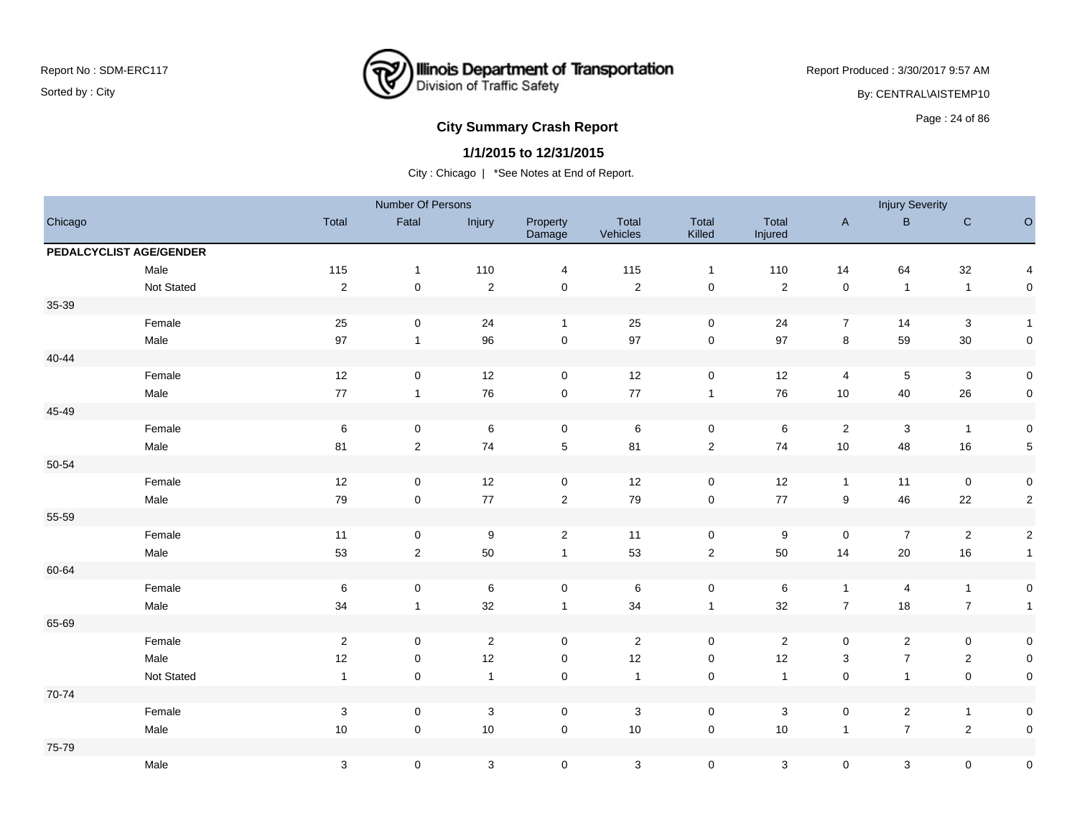

Report Produced : 3/30/2017 9:57 AM By: CENTRAL\AISTEMP10

# **City Summary Crash Report CLASH Report CLASH Report CLASH Report CLASH Report CLASH Report CLASH Report CLASH Report CLASH Report CLASH Report CLASH Report CLASH Report CLASH Report CLASH Report**

#### **1/1/2015 to 12/31/2015**

|           |                         |                | Number Of Persons |                |                    |                   |                     |                  |                     | <b>Injury Severity</b> |                  |                         |
|-----------|-------------------------|----------------|-------------------|----------------|--------------------|-------------------|---------------------|------------------|---------------------|------------------------|------------------|-------------------------|
| Chicago   |                         | Total          | Fatal             | Injury         | Property<br>Damage | Total<br>Vehicles | Total<br>Killed     | Total<br>Injured | $\mathsf{A}$        | B                      | ${\bf C}$        | $\circ$                 |
|           | PEDALCYCLIST AGE/GENDER |                |                   |                |                    |                   |                     |                  |                     |                        |                  |                         |
|           | Male                    | 115            | $\mathbf{1}$      | 110            | 4                  | 115               | $\overline{1}$      | 110              | 14                  | 64                     | 32               | $\overline{\mathbf{4}}$ |
|           | Not Stated              | $\sqrt{2}$     | $\mathbf 0$       | $\sqrt{2}$     | $\pmb{0}$          | $\sqrt{2}$        | $\pmb{0}$           | $\overline{2}$   | $\pmb{0}$           | $\overline{1}$         | $\overline{1}$   | $\mathbf 0$             |
| 35-39     |                         |                |                   |                |                    |                   |                     |                  |                     |                        |                  |                         |
|           | Female                  | 25             | $\mathbf 0$       | 24             | $\mathbf{1}$       | 25                | $\pmb{0}$           | 24               | $\overline{7}$      | 14                     | $\sqrt{3}$       | $\overline{1}$          |
|           | Male                    | 97             | $\mathbf{1}$      | 96             | $\mathbf 0$        | 97                | $\pmb{0}$           | 97               | 8                   | 59                     | 30               | $\mathsf{O}\xspace$     |
| $40 - 44$ |                         |                |                   |                |                    |                   |                     |                  |                     |                        |                  |                         |
|           | Female                  | 12             | $\mathbf 0$       | 12             | 0                  | 12                | $\mathsf{O}\xspace$ | 12               | 4                   | $5\phantom{.0}$        | $\mathbf 3$      | $\mathsf{O}\xspace$     |
|           | Male                    | $77\,$         | $\mathbf{1}$      | 76             | $\mathbf 0$        | 77                | $\overline{1}$      | 76               | $10$                | 40                     | 26               | $\mathsf{O}\xspace$     |
| 45-49     |                         |                |                   |                |                    |                   |                     |                  |                     |                        |                  |                         |
|           | Female                  | $\,6\,$        | 0                 | $\,6$          | 0                  | $\,6\,$           | $\mathsf{O}\xspace$ | $\,6\,$          | $\mathbf{2}$        | $\mathbf{3}$           | $\overline{1}$   | $\mathbf 0$             |
|           | Male                    | 81             | $\overline{2}$    | 74             | $\,$ 5 $\,$        | 81                | $\sqrt{2}$          | 74               | $10$                | 48                     | 16               | $\sqrt{5}$              |
| 50-54     |                         |                |                   |                |                    |                   |                     |                  |                     |                        |                  |                         |
|           | Female                  | $12$           | 0                 | 12             | $\mathbf 0$        | 12                | $\mathbf 0$         | 12               | $\mathbf{1}$        | 11                     | $\mathbf 0$      | $\mathbf 0$             |
|           | Male                    | $\bf 79$       | $\pmb{0}$         | $77\,$         | $\overline{c}$     | 79                | $\mathsf{O}\xspace$ | $77$             | 9                   | 46                     | $22\,$           | $\mathbf{2}$            |
| 55-59     |                         |                |                   |                |                    |                   |                     |                  |                     |                        |                  |                         |
|           | Female                  | 11             | $\mathbf 0$       | 9              | $\overline{2}$     | 11                | $\mathsf{O}\xspace$ | 9                | $\mathsf{O}\xspace$ | $\overline{7}$         | $\sqrt{2}$       | $\overline{2}$          |
|           | Male                    | 53             | $\overline{2}$    | 50             | $\mathbf{1}$       | 53                | $\overline{c}$      | 50               | 14                  | 20                     | 16               | $\mathbf{1}$            |
| 60-64     |                         |                |                   |                |                    |                   |                     |                  |                     |                        |                  |                         |
|           | Female                  | $\,6\,$        | $\mathbf 0$       | $\,6$          | $\pmb{0}$          | $\,6\,$           | $\pmb{0}$           | $\,6$            | $\mathbf{1}$        | 4                      | $\mathbf{1}$     | $\pmb{0}$               |
|           | Male                    | 34             | $\mathbf{1}$      | 32             | $\mathbf{1}$       | 34                | $\mathbf{1}$        | 32               | $\boldsymbol{7}$    | 18                     | $\boldsymbol{7}$ | $\mathbf{1}$            |
| 65-69     |                         |                |                   |                |                    |                   |                     |                  |                     |                        |                  |                         |
|           | Female                  | $\sqrt{2}$     | $\pmb{0}$         | $\sqrt{2}$     | $\mathbf 0$        | $\overline{2}$    | $\pmb{0}$           | $\overline{2}$   | 0                   | $\overline{2}$         | $\pmb{0}$        | $\mathbf 0$             |
|           | Male                    | 12             | $\pmb{0}$         | 12             | $\pmb{0}$          | 12                | $\pmb{0}$           | 12               | $\mathbf{3}$        | $\overline{7}$         | $\sqrt{2}$       | $\mathsf{O}\xspace$     |
|           | Not Stated              | $\overline{1}$ | $\mathbf 0$       | $\overline{1}$ | 0                  | $\overline{1}$    | $\pmb{0}$           | $\overline{1}$   | $\mathsf{O}\xspace$ | $\mathbf{1}$           | $\pmb{0}$        | $\mathbf 0$             |
| 70-74     |                         |                |                   |                |                    |                   |                     |                  |                     |                        |                  |                         |
|           | Female                  | $\sqrt{3}$     | $\mathbf 0$       | $\sqrt{3}$     | $\pmb{0}$          | $\sqrt{3}$        | $\mathsf 0$         | $\sqrt{3}$       | 0                   | $\overline{2}$         | $\mathbf{1}$     | $\pmb{0}$               |
|           | Male                    | $10$           | $\mathbf 0$       | 10             | $\mathbf 0$        | 10                | $\pmb{0}$           | 10               | $\mathbf{1}$        | $\overline{7}$         | $\sqrt{2}$       | $\pmb{0}$               |
| 75-79     |                         |                |                   |                |                    |                   |                     |                  |                     |                        |                  |                         |
|           | Male                    | $\sqrt{3}$     | 0                 | 3              | $\pmb{0}$          | $\sqrt{3}$        | $\mathsf 0$         | $\mathsf 3$      | 0                   | 3                      | $\pmb{0}$        | $\pmb{0}$               |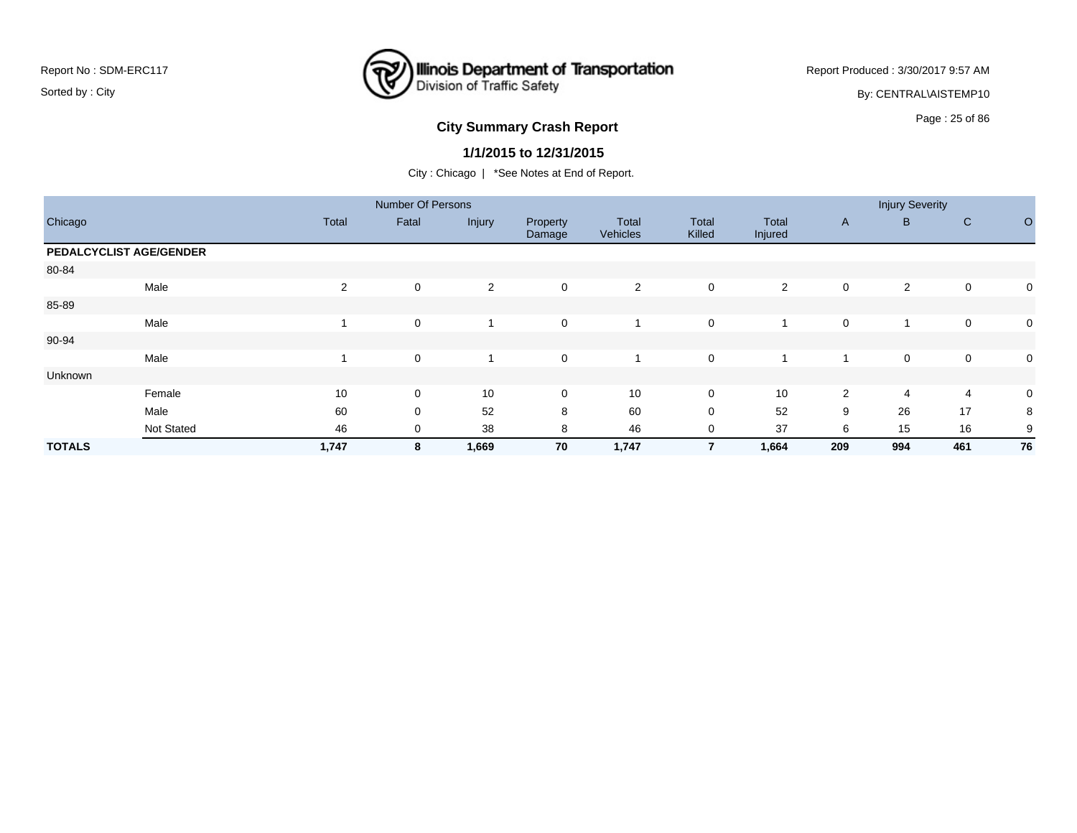# **Illinois Department of Transportation**<br>Division of Traffic Safety

Report Produced : 3/30/2017 9:57 AM

By: CENTRAL\AISTEMP10

# Page : 25 of 86 **City Summary Crash Report**

#### **1/1/2015 to 12/31/2015**

|               |                         |              | <b>Number Of Persons</b> |        |                    |                          |                 |                  |                | <b>Injury Severity</b> |              |             |
|---------------|-------------------------|--------------|--------------------------|--------|--------------------|--------------------------|-----------------|------------------|----------------|------------------------|--------------|-------------|
| Chicago       |                         | <b>Total</b> | Fatal                    | Injury | Property<br>Damage | Total<br><b>Vehicles</b> | Total<br>Killed | Total<br>Injured | $\mathsf{A}$   | B                      | $\mathsf{C}$ | $\circ$     |
|               | PEDALCYCLIST AGE/GENDER |              |                          |        |                    |                          |                 |                  |                |                        |              |             |
| 80-84         |                         |              |                          |        |                    |                          |                 |                  |                |                        |              |             |
|               | Male                    | 2            | $\mathbf 0$              | 2      | $\mathbf 0$        | 2                        | 0               | $\overline{2}$   | 0              | 2                      | $\mathbf 0$  | 0           |
| 85-89         |                         |              |                          |        |                    |                          |                 |                  |                |                        |              |             |
|               | Male                    |              | 0                        |        | $\mathbf 0$        |                          | 0               |                  | 0              |                        | 0            | 0           |
| 90-94         |                         |              |                          |        |                    |                          |                 |                  |                |                        |              |             |
|               | Male                    |              | 0                        |        | $\mathsf{O}$       |                          | 0               |                  |                | 0                      | $\mathbf 0$  | $\mathbf 0$ |
| Unknown       |                         |              |                          |        |                    |                          |                 |                  |                |                        |              |             |
|               | Female                  | 10           | 0                        | 10     | $\mathbf 0$        | 10                       | 0               | 10               | $\overline{2}$ | 4                      | 4            | 0           |
|               | Male                    | 60           | 0                        | 52     | 8                  | 60                       | 0               | 52               | 9              | 26                     | 17           | 8           |
|               | <b>Not Stated</b>       | 46           | 0                        | 38     | 8                  | 46                       | 0               | 37               | 6              | 15                     | 16           | 9           |
| <b>TOTALS</b> |                         | 1,747        | 8                        | 1,669  | 70                 | 1,747                    | 7               | 1,664            | 209            | 994                    | 461          | 76          |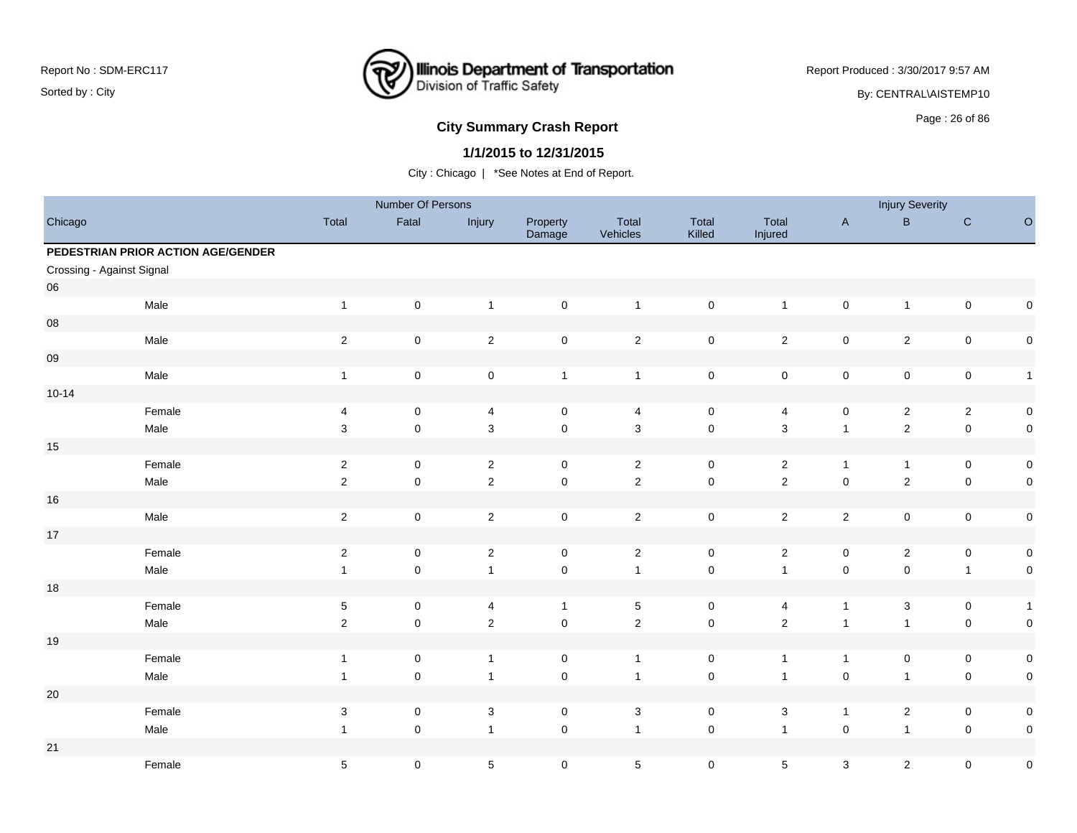

Report Produced : 3/30/2017 9:57 AM

By: CENTRAL\AISTEMP10

## **City Summary Crash Report CLASH CRASH REPORT CONSTRUSS AND REPORT CONSTRUSSION CONSTRUSS AND REPORT OF SCHOOL CONSTRUSS AND REPORT OF SCHOOL CONSTRUCTS**

## **1/1/2015 to 12/31/2015**

|                           |                                    |                           | Number Of Persons   |                |                     |                   |                     |                  |                           | <b>Injury Severity</b> |                |              |
|---------------------------|------------------------------------|---------------------------|---------------------|----------------|---------------------|-------------------|---------------------|------------------|---------------------------|------------------------|----------------|--------------|
| Chicago                   |                                    | Total                     | Fatal               | Injury         | Property<br>Damage  | Total<br>Vehicles | Total<br>Killed     | Total<br>Injured | $\mathsf{A}$              | B                      | ${\bf C}$      | $\circ$      |
|                           | PEDESTRIAN PRIOR ACTION AGE/GENDER |                           |                     |                |                     |                   |                     |                  |                           |                        |                |              |
| Crossing - Against Signal |                                    |                           |                     |                |                     |                   |                     |                  |                           |                        |                |              |
| 06                        |                                    |                           |                     |                |                     |                   |                     |                  |                           |                        |                |              |
|                           | Male                               | $\mathbf{1}$              | $\mathbf 0$         | $\overline{1}$ | $\mathsf{O}\xspace$ | $\mathbf{1}$      | $\pmb{0}$           | $\mathbf{1}$     | $\pmb{0}$                 | $\mathbf{1}$           | $\pmb{0}$      | $\mathbf 0$  |
| ${\bf 08}$                |                                    |                           |                     |                |                     |                   |                     |                  |                           |                        |                |              |
|                           | Male                               | $\sqrt{2}$                | $\mathsf 0$         | $\sqrt{2}$     | $\mathbf 0$         | $\overline{2}$    | $\pmb{0}$           | $\overline{c}$   | $\pmb{0}$                 | $\overline{c}$         | $\pmb{0}$      | $\pmb{0}$    |
| $09\,$                    |                                    |                           |                     |                |                     |                   |                     |                  |                           |                        |                |              |
|                           | Male                               | $\mathbf{1}$              | $\mathsf 0$         | $\pmb{0}$      | $\mathbf{1}$        | $\mathbf{1}$      | $\pmb{0}$           | $\pmb{0}$        | $\pmb{0}$                 | $\pmb{0}$              | $\pmb{0}$      | $\mathbf{1}$ |
| $10 - 14$                 |                                    |                           |                     |                |                     |                   |                     |                  |                           |                        |                |              |
|                           | Female                             | $\overline{4}$            | $\mathbf 0$         | $\overline{4}$ | $\mathbf 0$         | 4                 | $\mathsf 0$         | $\overline{4}$   | $\mathsf 0$               | $\overline{c}$         | $\overline{2}$ | $\pmb{0}$    |
|                           | Male                               | 3                         | $\mathsf 0$         | $\mathbf 3$    | $\mathsf{O}\xspace$ | $\mathbf{3}$      | $\pmb{0}$           | $\mathbf{3}$     | $\overline{1}$            | $\sqrt{2}$             | $\pmb{0}$      | $\mathsf 0$  |
| 15                        |                                    |                           |                     |                |                     |                   |                     |                  |                           |                        |                |              |
|                           | Female                             | $\sqrt{2}$                | $\mathsf 0$         | $\sqrt{2}$     | $\mathbf 0$         | $\overline{2}$    | $\mathsf 0$         | $\overline{2}$   | $\overline{1}$            | $\mathbf{1}$           | $\pmb{0}$      | $\pmb{0}$    |
|                           | Male                               | $\sqrt{2}$                | $\mathbf 0$         | $\overline{2}$ | $\mathsf{O}\xspace$ | $\overline{2}$    | $\pmb{0}$           | $\overline{2}$   | $\pmb{0}$                 | $\overline{2}$         | $\pmb{0}$      | $\mathbf 0$  |
| 16                        |                                    |                           |                     |                |                     |                   |                     |                  |                           |                        |                |              |
|                           | Male                               | $\sqrt{2}$                | $\mathsf 0$         | $\overline{2}$ | $\mathbf 0$         | $\overline{2}$    | $\mathsf 0$         | $\overline{2}$   | $\sqrt{2}$                | $\pmb{0}$              | $\pmb{0}$      | $\pmb{0}$    |
| $17$                      |                                    |                           |                     |                |                     |                   |                     |                  |                           |                        |                |              |
|                           | Female                             | $\mathbf{2}$              | $\mathsf 0$         | $\overline{2}$ | $\mathbf 0$         | $\overline{2}$    | $\mathsf 0$         | $\overline{2}$   | $\pmb{0}$                 | $\overline{a}$         | $\pmb{0}$      | $\pmb{0}$    |
|                           | Male                               | $\mathbf{1}$              | $\pmb{0}$           | $\mathbf{1}$   | $\mathbf 0$         | $\mathbf{1}$      | $\pmb{0}$           | $\mathbf{1}$     | $\pmb{0}$                 | $\mathbf 0$            | $\overline{1}$ | $\pmb{0}$    |
| 18                        |                                    |                           |                     |                |                     |                   |                     |                  |                           |                        |                |              |
|                           | Female                             | $\,$ 5 $\,$               | $\mathsf{O}\xspace$ | $\overline{4}$ | $\mathbf{1}$        | $5\phantom{.0}$   | $\mathbf 0$         | 4                | $\overline{1}$            | 3                      | $\pmb{0}$      | $\mathbf{1}$ |
|                           | Male                               | $\sqrt{2}$                | $\mathsf{O}\xspace$ | $\sqrt{2}$     | $\mathsf{O}\xspace$ | $\overline{2}$    | $\pmb{0}$           | $\overline{2}$   | $\overline{1}$            | $\mathbf{1}$           | $\mathsf 0$    | $\mathbf 0$  |
| 19                        |                                    |                           |                     |                |                     |                   |                     |                  |                           |                        |                |              |
|                           | Female                             | $\mathbf{1}$              | $\mathsf 0$         | $\overline{1}$ | $\mathbf 0$         | $\overline{1}$    | $\mathsf 0$         | $\mathbf{1}$     | $\overline{1}$            | $\mathbf 0$            | 0              | $\pmb{0}$    |
|                           | Male                               | $\mathbf{1}$              | $\mathsf{O}\xspace$ | $\overline{1}$ | $\mathsf{O}\xspace$ | $\overline{1}$    | $\pmb{0}$           | $\overline{1}$   | $\pmb{0}$                 | $\mathbf{1}$           | $\mathsf 0$    | $\mathbf 0$  |
| 20                        |                                    |                           |                     |                |                     |                   |                     |                  |                           |                        |                |              |
|                           | Female                             | $\ensuremath{\mathsf{3}}$ | $\mathsf 0$         | $\sqrt{3}$     | $\mathbf 0$         | $\sqrt{3}$        | $\pmb{0}$           | $\mathbf{3}$     | $\overline{1}$            | $\overline{c}$         | $\pmb{0}$      | $\pmb{0}$    |
|                           | Male                               | $\mathbf{1}$              | $\mathbf 0$         | $\overline{1}$ | $\mathbf 0$         | $\mathbf{1}$      | $\mathsf{O}\xspace$ | $\mathbf{1}$     | $\mathsf 0$               | $\mathbf{1}$           | $\mathsf 0$    | $\pmb{0}$    |
| 21                        |                                    |                           |                     |                |                     |                   |                     |                  |                           |                        |                |              |
|                           | Female                             | $\sqrt{5}$                | $\mathsf{O}\xspace$ | $\sqrt{5}$     | $\mathbf 0$         | $\sqrt{5}$        | $\mathsf{O}\xspace$ | $5\phantom{.0}$  | $\ensuremath{\mathsf{3}}$ | $\overline{c}$         | $\mathsf 0$    | $\pmb{0}$    |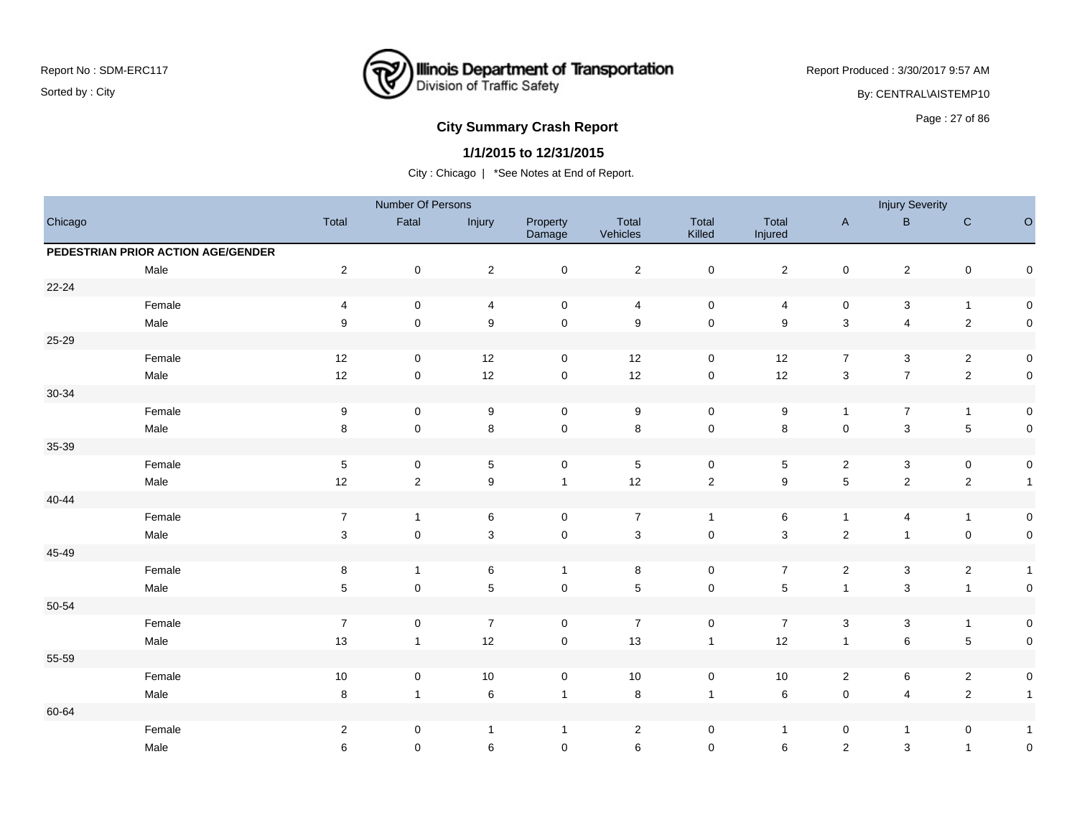

Report Produced : 3/30/2017 9:57 AM

By: CENTRAL\AISTEMP10

# **City Summary Crash Report CLASH CRASH REPORT CONSTRUSS AND REPORT CONSTRUSSION CONSTRUSS AND REPORT OF SCHOOL CONSTRUSS AND REPORT OF SCHOOL CONSTRUCT AND REPORT OF SCHOOL CONSTRUCT AND REPORT OF SCHOOL CONSTRUCT AND RE**

## **1/1/2015 to 12/31/2015**

|           |                                    |                  | Number Of Persons   |                  |                    |                           |                     |                  |                         | <b>Injury Severity</b> |                  |                     |
|-----------|------------------------------------|------------------|---------------------|------------------|--------------------|---------------------------|---------------------|------------------|-------------------------|------------------------|------------------|---------------------|
| Chicago   |                                    | Total            | Fatal               | Injury           | Property<br>Damage | Total<br>Vehicles         | Total<br>Killed     | Total<br>Injured | $\mathsf{A}$            | B                      | $\mathbf C$      | $\circ$             |
|           | PEDESTRIAN PRIOR ACTION AGE/GENDER |                  |                     |                  |                    |                           |                     |                  |                         |                        |                  |                     |
|           | Male                               | $\sqrt{2}$       | $\mathbf 0$         | $\sqrt{2}$       | $\pmb{0}$          | $\overline{2}$            | $\pmb{0}$           | $\overline{2}$   | $\pmb{0}$               | $\mathbf{2}$           | $\pmb{0}$        | $\pmb{0}$           |
| 22-24     |                                    |                  |                     |                  |                    |                           |                     |                  |                         |                        |                  |                     |
|           | Female                             | 4                | 0                   | 4                | $\pmb{0}$          | $\overline{4}$            | $\mathsf 0$         | 4                | $\pmb{0}$               | 3                      | $\mathbf{1}$     | 0                   |
|           | Male                               | 9                | $\mathbf 0$         | $\boldsymbol{9}$ | $\pmb{0}$          | $\boldsymbol{9}$          | $\mathsf 0$         | $\boldsymbol{9}$ | $\mathsf 3$             | $\overline{4}$         | $\sqrt{2}$       | $\mathsf 0$         |
| 25-29     |                                    |                  |                     |                  |                    |                           |                     |                  |                         |                        |                  |                     |
|           | Female                             | 12               | $\mathbf 0$         | 12               | $\mathsf 0$        | 12                        | $\mathsf{O}\xspace$ | 12               | $\overline{7}$          | $\sqrt{3}$             | $\overline{2}$   | $\mathsf{O}\xspace$ |
|           | Male                               | 12               | $\mathbf 0$         | 12               | $\mathbf 0$        | 12                        | $\mathsf{O}\xspace$ | 12               | $\mathbf{3}$            | $\overline{7}$         | $\sqrt{2}$       | $\mathsf{O}\xspace$ |
| $30 - 34$ |                                    |                  |                     |                  |                    |                           |                     |                  |                         |                        |                  |                     |
|           | Female                             | $\boldsymbol{9}$ | $\mathbf 0$         | $\boldsymbol{9}$ | $\pmb{0}$          | $\boldsymbol{9}$          | $\mathbf 0$         | $\boldsymbol{9}$ | $\mathbf{1}$            | $\overline{7}$         | $\mathbf{1}$     | $\mathsf{O}\xspace$ |
|           | Male                               | 8                | $\mathbf 0$         | 8                | $\mathbf 0$        | $\bf 8$                   | $\mathsf 0$         | 8                | $\pmb{0}$               | $\mathbf{3}$           | $\mathbf 5$      | $\mathsf{O}\xspace$ |
| 35-39     |                                    |                  |                     |                  |                    |                           |                     |                  |                         |                        |                  |                     |
|           | Female                             | $\sqrt{5}$       | 0                   | $\mathbf 5$      | $\mathsf 0$        | $\,$ 5 $\,$               | $\mathsf{O}\xspace$ | $\sqrt{5}$       | $\overline{2}$          | 3                      | $\pmb{0}$        | $\mathsf{O}\xspace$ |
|           | Male                               | 12               | $\overline{2}$      | $\boldsymbol{9}$ | $\mathbf{1}$       | 12                        | $\overline{2}$      | $\boldsymbol{9}$ | $\sqrt{5}$              | $\overline{2}$         | $\sqrt{2}$       | $\overline{1}$      |
| $40 - 44$ |                                    |                  |                     |                  |                    |                           |                     |                  |                         |                        |                  |                     |
|           | Female                             | $\boldsymbol{7}$ | $\mathbf{1}$        | 6                | $\pmb{0}$          | $\boldsymbol{7}$          | $\mathbf{1}$        | 6                | $\mathbf{1}$            | 4                      | $\mathbf{1}$     | $\mathsf{O}\xspace$ |
|           | Male                               | $\sqrt{3}$       | $\mathbf 0$         | 3                | $\pmb{0}$          | $\ensuremath{\mathsf{3}}$ | $\pmb{0}$           | $\mathsf 3$      | $\overline{\mathbf{c}}$ | $\mathbf{1}$           | $\pmb{0}$        | $\mathsf{O}\xspace$ |
| 45-49     |                                    |                  |                     |                  |                    |                           |                     |                  |                         |                        |                  |                     |
|           | Female                             | 8                | $\mathbf{1}$        | 6                | $\mathbf{1}$       | 8                         | 0                   | $\overline{7}$   | $\overline{2}$          | 3                      | $\boldsymbol{2}$ | $\mathbf{1}$        |
|           | Male                               | $\sqrt{5}$       | $\mathsf{O}\xspace$ | 5                | $\pmb{0}$          | $\,$ 5 $\,$               | $\mathsf{O}\xspace$ | $5\phantom{.0}$  | $\mathbf{1}$            | $\mathbf{3}$           | $\mathbf{1}$     | $\mathsf{O}\xspace$ |
| 50-54     |                                    |                  |                     |                  |                    |                           |                     |                  |                         |                        |                  |                     |
|           | Female                             | $\boldsymbol{7}$ | 0                   | $\overline{7}$   | 0                  | $\overline{7}$            | $\mathsf{O}\xspace$ | $\overline{7}$   | 3                       | 3                      | $\mathbf{1}$     | $\mathsf{O}\xspace$ |
|           | Male                               | 13               | $\mathbf{1}$        | 12               | $\pmb{0}$          | 13                        | $\mathbf{1}$        | 12               | $\mathbf{1}$            | $\,6$                  | $\mathbf 5$      | $\mathsf{O}\xspace$ |
| 55-59     |                                    |                  |                     |                  |                    |                           |                     |                  |                         |                        |                  |                     |
|           | Female                             | $10\,$           | $\mathbf 0$         | 10               | $\pmb{0}$          | 10                        | $\pmb{0}$           | 10               | $\overline{2}$          | 6                      | $\overline{2}$   | $\mathbf 0$         |
|           | Male                               | 8                | $\mathbf{1}$        | $\,6\,$          | $\mathbf{1}$       | 8                         | $\mathbf{1}$        | 6                | $\pmb{0}$               | 4                      | $\sqrt{2}$       | $\overline{1}$      |
| 60-64     |                                    |                  |                     |                  |                    |                           |                     |                  |                         |                        |                  |                     |
|           | Female                             | $\sqrt{2}$       | 0                   | $\mathbf{1}$     | $\mathbf{1}$       | $\overline{2}$            | 0                   | $\overline{1}$   | 0                       | $\mathbf{1}$           | $\pmb{0}$        | $\mathbf{1}$        |
|           | Male                               | 6                | $\mathbf 0$         | 6                | $\mathbf 0$        | 6                         | $\mathbf 0$         | 6                | $\overline{c}$          | 3                      | $\mathbf{1}$     | $\pmb{0}$           |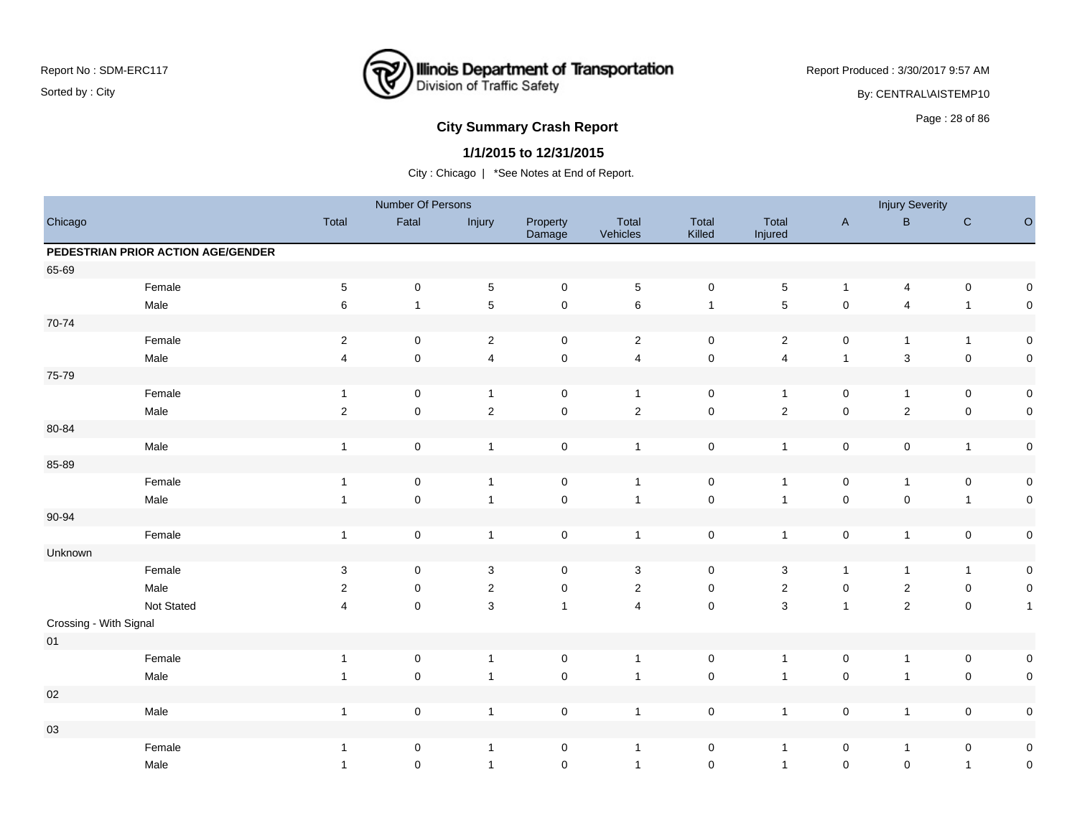

Report Produced : 3/30/2017 9:57 AM

By: CENTRAL\AISTEMP10

# **City Summary Crash Report CLASH CRASH REPORT CONSTRUSS AND REPORT CONSTRUSSION CONSTRUSS AND REPORT OF SCHOOL CONSTRUSS AND REPORT OF SCHOOL CONSTRUCT AND REPORT OF SCHOOL CONSTRUCT AND REPORT OF SCHOOL CONSTRUCT AND RE**

### **1/1/2015 to 12/31/2015**

|                        |                                    |                         | Number Of Persons   |                         |                     |                   |                     |                         |              | <b>Injury Severity</b>  |                |              |
|------------------------|------------------------------------|-------------------------|---------------------|-------------------------|---------------------|-------------------|---------------------|-------------------------|--------------|-------------------------|----------------|--------------|
| Chicago                |                                    | Total                   | Fatal               | Injury                  | Property<br>Damage  | Total<br>Vehicles | Total<br>Killed     | Total<br>Injured        | $\mathsf{A}$ | $\sf B$                 | ${\bf C}$      | $\circ$      |
|                        | PEDESTRIAN PRIOR ACTION AGE/GENDER |                         |                     |                         |                     |                   |                     |                         |              |                         |                |              |
| 65-69                  |                                    |                         |                     |                         |                     |                   |                     |                         |              |                         |                |              |
|                        | Female                             | $\,$ 5 $\,$             | $\mathbf 0$         | $\,$ 5 $\,$             | $\mathbf 0$         | $\sqrt{5}$        | $\mathbf 0$         | $\,$ 5 $\,$             | $\mathbf{1}$ | 4                       | $\mathbf 0$    | 0            |
|                        | Male                               | 6                       | $\mathbf{1}$        | $\sqrt{5}$              | $\mathbf 0$         | $\,6\,$           | $\mathbf{1}$        | $\sqrt{5}$              | $\mathbf 0$  | $\overline{\mathbf{4}}$ | $\mathbf{1}$   | $\pmb{0}$    |
| 70-74                  |                                    |                         |                     |                         |                     |                   |                     |                         |              |                         |                |              |
|                        | Female                             | $\sqrt{2}$              | $\pmb{0}$           | $\overline{2}$          | $\mathbf 0$         | $\overline{2}$    | $\mathbf 0$         | $\overline{2}$          | 0            | $\mathbf{1}$            | $\overline{1}$ | $\pmb{0}$    |
|                        | Male                               | $\overline{\mathbf{4}}$ | $\mathsf 0$         | $\overline{\mathbf{4}}$ | $\mathsf{O}\xspace$ | $\overline{4}$    | $\mathbf 0$         | $\overline{4}$          | $\mathbf{1}$ | 3                       | $\pmb{0}$      | $\pmb{0}$    |
| 75-79                  |                                    |                         |                     |                         |                     |                   |                     |                         |              |                         |                |              |
|                        | Female                             | $\overline{1}$          | $\mathbf 0$         | $\mathbf{1}$            | $\mathbf 0$         | $\overline{1}$    | $\mathbf 0$         | $\mathbf{1}$            | $\mathbf 0$  | $\mathbf{1}$            | $\mathbf 0$    | $\mathsf 0$  |
|                        | Male                               | $\overline{2}$          | $\mathsf 0$         | $\sqrt{2}$              | $\mathbf 0$         | $\sqrt{2}$        | $\mathsf{O}\xspace$ | $\overline{2}$          | $\mathbf 0$  | $\overline{c}$          | $\mathbf 0$    | $\pmb{0}$    |
| 80-84                  |                                    |                         |                     |                         |                     |                   |                     |                         |              |                         |                |              |
|                        | Male                               | $\mathbf{1}$            | $\mathsf{O}\xspace$ | $\overline{1}$          | $\mathsf 0$         | $\overline{1}$    | $\mathbf 0$         | $\mathbf{1}$            | $\mathsf 0$  | $\mathsf 0$             | $\overline{1}$ | $\pmb{0}$    |
| 85-89                  |                                    |                         |                     |                         |                     |                   |                     |                         |              |                         |                |              |
|                        | Female                             | $\mathbf{1}$            | $\mathbf 0$         | $\overline{1}$          | $\mathbf 0$         | $\overline{1}$    | $\pmb{0}$           | $\mathbf{1}$            | $\mathsf 0$  | $\mathbf{1}$            | $\mathbf 0$    | $\pmb{0}$    |
|                        | Male                               | $\mathbf{1}$            | $\mathbf 0$         | $\overline{1}$          | $\mathbf 0$         | $\overline{1}$    | $\mathbf 0$         | $\mathbf{1}$            | $\mathsf 0$  | $\mathsf{O}\xspace$     | $\mathbf{1}$   | $\pmb{0}$    |
| 90-94                  |                                    |                         |                     |                         |                     |                   |                     |                         |              |                         |                |              |
|                        | Female                             | $\overline{1}$          | $\pmb{0}$           | $\overline{1}$          | $\mathsf 0$         | $\overline{1}$    | $\mathbf 0$         | $\mathbf{1}$            | $\mathbf 0$  | $\mathbf{1}$            | $\mathbf 0$    | $\pmb{0}$    |
| Unknown                |                                    |                         |                     |                         |                     |                   |                     |                         |              |                         |                |              |
|                        | Female                             | 3                       | $\mathbf 0$         | 3                       | $\mathbf 0$         | 3                 | $\mathbf 0$         | 3                       | $\mathbf{1}$ | $\mathbf{1}$            | $\mathbf{1}$   | $\pmb{0}$    |
|                        | Male                               | 2                       | 0                   | $\sqrt{2}$              | $\pmb{0}$           | $\sqrt{2}$        | $\mathbf 0$         | $\overline{\mathbf{c}}$ | 0            | $\boldsymbol{2}$        | $\mathbf 0$    | $\pmb{0}$    |
|                        | Not Stated                         | 4                       | $\mathsf{O}\xspace$ | $\mathbf{3}$            | $\mathbf{1}$        | $\overline{4}$    | $\mathsf{O}\xspace$ | $\mathbf{3}$            | $\mathbf{1}$ | $\overline{2}$          | $\mathbf 0$    | $\mathbf{1}$ |
| Crossing - With Signal |                                    |                         |                     |                         |                     |                   |                     |                         |              |                         |                |              |
| $01\,$                 |                                    |                         |                     |                         |                     |                   |                     |                         |              |                         |                |              |
|                        | Female                             | $\mathbf{1}$            | $\mathsf 0$         | $\overline{1}$          | $\mathbf 0$         | $\overline{1}$    | $\mathbf 0$         | $\mathbf{1}$            | $\mathbf 0$  | $\mathbf{1}$            | $\mathbf 0$    | 0            |
|                        | Male                               | $\mathbf{1}$            | $\mathsf{O}\xspace$ | $\overline{1}$          | $\mathbf 0$         | $\overline{1}$    | $\mathsf{O}\xspace$ | $\overline{1}$          | $\mathbf 0$  | $\mathbf{1}$            | $\mathsf 0$    | $\pmb{0}$    |
| $02\,$                 |                                    |                         |                     |                         |                     |                   |                     |                         |              |                         |                |              |
|                        | Male                               | $\mathbf{1}$            | $\pmb{0}$           | $\overline{1}$          | $\mathsf 0$         | $\overline{1}$    | $\pmb{0}$           | $\mathbf{1}$            | $\mathsf 0$  | 1                       | $\mathbf 0$    | $\pmb{0}$    |
| 03                     |                                    |                         |                     |                         |                     |                   |                     |                         |              |                         |                |              |
|                        | Female                             | $\mathbf{1}$            | $\pmb{0}$           | $\overline{1}$          | $\mathsf 0$         | $\mathbf{1}$      | $\pmb{0}$           | $\mathbf{1}$            | $\mathsf 0$  | $\mathbf{1}$            | $\mathbf 0$    | $\pmb{0}$    |
|                        | Male                               | $\mathbf{1}$            | $\mathbf 0$         | $\overline{1}$          | $\mathsf 0$         | $\overline{1}$    | $\pmb{0}$           | $\mathbf{1}$            | $\pmb{0}$    | $\mathsf 0$             | $\mathbf{1}$   | $\mathbf 0$  |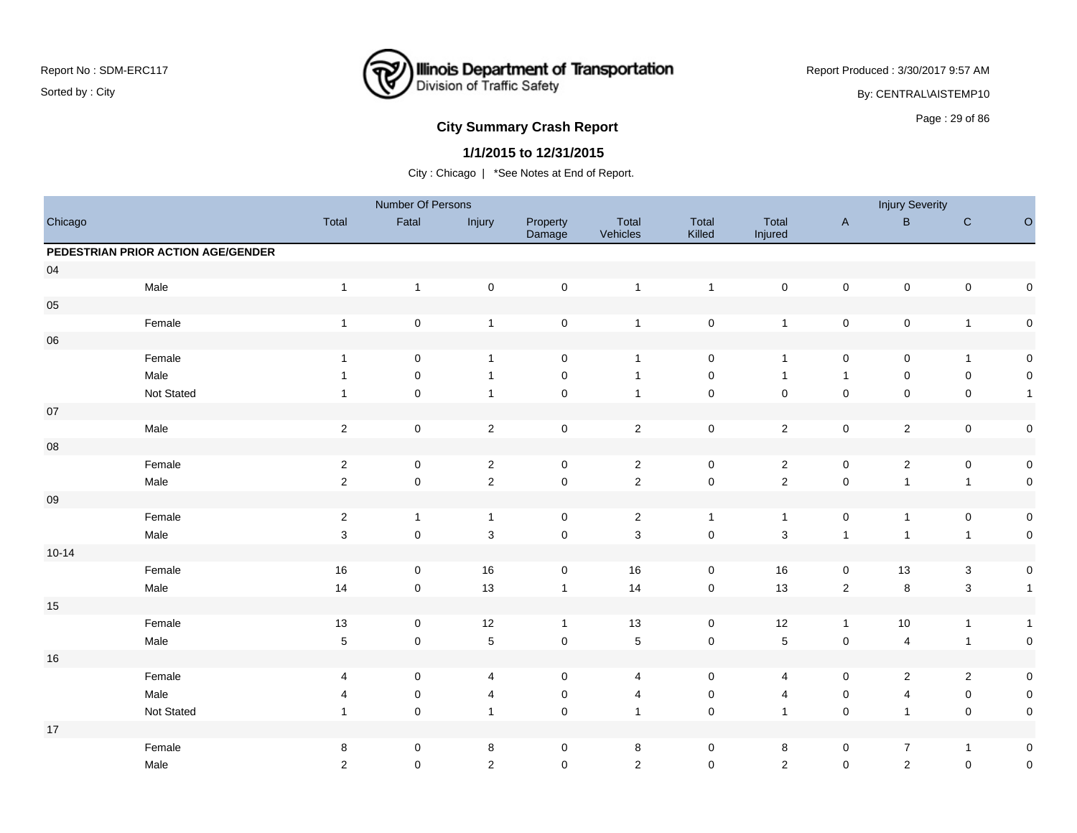

Report Produced : 3/30/2017 9:57 AM

By: CENTRAL\AISTEMP10

# **City Summary Crash Report CLASH CRASH REPORT CONSUMING SUMMARY CRASH CRASH CRASH CRASH CRASH CRASH CRASH CRASH CRASH CRASH CRASH CRASH CRASH CRASH CRASH CRASH CRASH CRASH CRASH CRASH CRASH CRASH CRASH CRASH CRASH CRASH**

### **1/1/2015 to 12/31/2015**

|            |                                    |                | Number Of Persons   |                |                    |                   |                     |                  |                     | <b>Injury Severity</b> |                           |                     |
|------------|------------------------------------|----------------|---------------------|----------------|--------------------|-------------------|---------------------|------------------|---------------------|------------------------|---------------------------|---------------------|
| Chicago    |                                    | Total          | Fatal               | Injury         | Property<br>Damage | Total<br>Vehicles | Total<br>Killed     | Total<br>Injured | $\mathsf{A}$        | $\, {\bf B}$           | ${\bf C}$                 | $\hbox{O}$          |
|            | PEDESTRIAN PRIOR ACTION AGE/GENDER |                |                     |                |                    |                   |                     |                  |                     |                        |                           |                     |
| 04         |                                    |                |                     |                |                    |                   |                     |                  |                     |                        |                           |                     |
|            | Male                               | $\overline{1}$ | $\mathbf{1}$        | $\mathbf 0$    | $\mathsf 0$        | $\mathbf{1}$      | $\mathbf{1}$        | $\pmb{0}$        | $\mathbf 0$         | $\pmb{0}$              | $\pmb{0}$                 | $\mathsf{O}\xspace$ |
| 05         |                                    |                |                     |                |                    |                   |                     |                  |                     |                        |                           |                     |
|            | Female                             | $\mathbf{1}$   | $\mathsf 0$         | $\mathbf{1}$   | $\mathbf 0$        | $\mathbf{1}$      | $\pmb{0}$           | $\overline{1}$   | $\mathbf 0$         | $\pmb{0}$              | $\mathbf{1}$              | $\mathsf{O}\xspace$ |
| ${\bf 06}$ |                                    |                |                     |                |                    |                   |                     |                  |                     |                        |                           |                     |
|            | Female                             | $\overline{1}$ | $\mathbf 0$         | $\mathbf{1}$   | 0                  | $\overline{1}$    | $\mathbf 0$         | $\overline{1}$   | 0                   | 0                      | $\mathbf{1}$              | $\mathbf 0$         |
|            | Male                               | $\mathbf{1}$   | $\mathbf 0$         | $\mathbf{1}$   | $\pmb{0}$          | $\mathbf{1}$      | $\mathsf{O}\xspace$ | $\overline{1}$   | $\mathbf{1}$        | $\mathsf{O}\xspace$    | $\pmb{0}$                 | $\mathbf 0$         |
|            | Not Stated                         |                | $\mathbf 0$         | $\mathbf{1}$   | $\pmb{0}$          | $\overline{1}$    | $\pmb{0}$           | $\mathsf 0$      | $\mathbf 0$         | $\mathsf 0$            | $\pmb{0}$                 | $\overline{1}$      |
| $07\,$     |                                    |                |                     |                |                    |                   |                     |                  |                     |                        |                           |                     |
|            | Male                               | $\overline{2}$ | $\pmb{0}$           | $\sqrt{2}$     | $\pmb{0}$          | $\overline{2}$    | $\mathbf 0$         | $\overline{2}$   | $\pmb{0}$           | $\overline{2}$         | $\pmb{0}$                 | $\mathsf{O}\xspace$ |
| ${\bf 08}$ |                                    |                |                     |                |                    |                   |                     |                  |                     |                        |                           |                     |
|            | Female                             | $\sqrt{2}$     | $\pmb{0}$           | $\sqrt{2}$     | $\mathsf 0$        | $\sqrt{2}$        | $\mathsf{O}\xspace$ | $\sqrt{2}$       | $\pmb{0}$           | $\mathbf 2$            | $\pmb{0}$                 | $\mathsf{O}\xspace$ |
|            | Male                               | $\overline{2}$ | 0                   | $\overline{2}$ | $\mathsf 0$        | $\sqrt{2}$        | $\mathbf 0$         | $\overline{2}$   | $\pmb{0}$           | $\mathbf{1}$           | $\mathbf{1}$              | $\mathbf 0$         |
| $09\,$     |                                    |                |                     |                |                    |                   |                     |                  |                     |                        |                           |                     |
|            | Female                             | $\sqrt{2}$     | $\mathbf{1}$        | $\mathbf{1}$   | $\mathsf 0$        | $\sqrt{2}$        | $\mathbf{1}$        | $\overline{1}$   | $\mathsf{O}\xspace$ | $\overline{1}$         | $\pmb{0}$                 | $\mathsf{O}\xspace$ |
|            | Male                               | $\mathbf 3$    | $\mathsf 0$         | $\mathbf{3}$   | $\mathbf 0$        | $\mathbf{3}$      | $\mathbf 0$         | $\mathbf{3}$     | $\mathbf{1}$        | $\overline{1}$         | $\mathbf{1}$              | $\mathsf{O}\xspace$ |
| $10 - 14$  |                                    |                |                     |                |                    |                   |                     |                  |                     |                        |                           |                     |
|            | Female                             | 16             | 0                   | 16             | $\pmb{0}$          | 16                | $\mathsf 0$         | $16\,$           | $\pmb{0}$           | $13$                   | $\ensuremath{\mathsf{3}}$ | $\mathbf 0$         |
|            | Male                               | 14             | $\mathsf{O}\xspace$ | 13             | $\mathbf{1}$       | 14                | $\mathbf 0$         | 13               | $\sqrt{2}$          | $\bf 8$                | $\mathbf{3}$              | $\overline{1}$      |
| 15         |                                    |                |                     |                |                    |                   |                     |                  |                     |                        |                           |                     |
|            | Female                             | 13             | 0                   | $12$           | $\mathbf{1}$       | 13                | 0                   | $12$             | $\mathbf{1}$        | $10\,$                 | $\mathbf{1}$              | $\overline{1}$      |
|            | Male                               | $\,$ 5 $\,$    | $\pmb{0}$           | $\sqrt{5}$     | $\mathbf 0$        | $\sqrt{5}$        | $\mathbf 0$         | $\sqrt{5}$       | $\pmb{0}$           | $\overline{4}$         | $\mathbf{1}$              | $\pmb{0}$           |
| $16\,$     |                                    |                |                     |                |                    |                   |                     |                  |                     |                        |                           |                     |
|            | Female                             | 4              | $\mathbf 0$         | 4              | 0                  | 4                 | 0                   | 4                | 0                   | 2                      | $\overline{2}$            | $\boldsymbol{0}$    |
|            | Male                               | 4              | 0                   | 4              | 0                  | 4                 | 0                   | 4                | 0                   | 4                      | $\pmb{0}$                 | $\mathbf 0$         |
|            | Not Stated                         | $\mathbf{1}$   | $\mathbf 0$         | $\mathbf{1}$   | $\mathbf 0$        | $\overline{1}$    | $\mathbf 0$         | $\overline{1}$   | $\mathsf 0$         | $\overline{1}$         | $\pmb{0}$                 | $\mathbf 0$         |
| $17$       |                                    |                |                     |                |                    |                   |                     |                  |                     |                        |                           |                     |
|            | Female                             | 8              | 0                   | 8              | 0                  | $\bf 8$           | 0                   | 8                | 0                   | $\overline{7}$         | $\mathbf{1}$              | $\boldsymbol{0}$    |
|            | Male                               | 2              | $\mathbf 0$         | $\overline{2}$ | $\mathbf 0$        | 2                 | $\mathbf 0$         | $\overline{2}$   | $\mathbf 0$         | $\overline{2}$         | $\pmb{0}$                 | $\pmb{0}$           |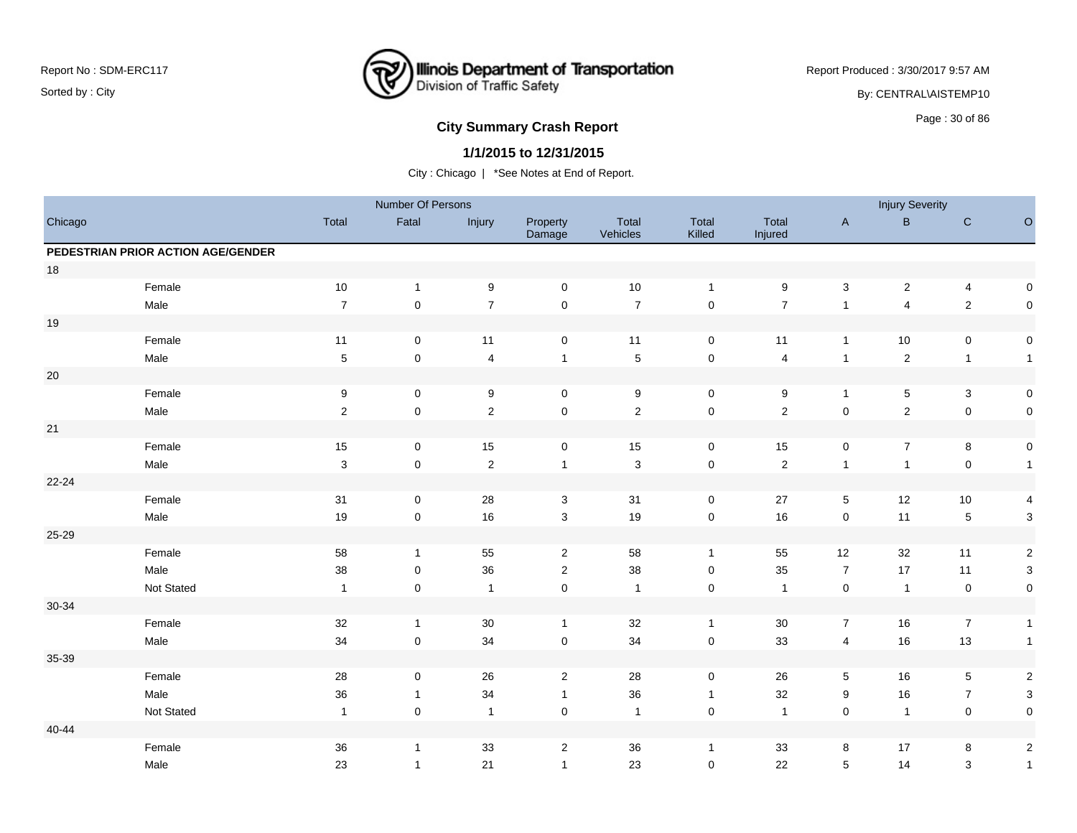

Report Produced : 3/30/2017 9:57 AM

By: CENTRAL\AISTEMP10

# **City Summary Crash Report CLASH CRASH REPORT CONSTRUSS AND REPORT CONSTRUSS ASSESS**

## **1/1/2015 to 12/31/2015**

|         |                                    |                | Number Of Persons   |                         |                     |                   |                 |                  |                     | <b>Injury Severity</b>  |                           |                         |
|---------|------------------------------------|----------------|---------------------|-------------------------|---------------------|-------------------|-----------------|------------------|---------------------|-------------------------|---------------------------|-------------------------|
| Chicago |                                    | Total          | Fatal               | Injury                  | Property<br>Damage  | Total<br>Vehicles | Total<br>Killed | Total<br>Injured | $\mathsf{A}$        | $\, {\bf B}$            | ${\bf C}$                 | $\circ$                 |
|         | PEDESTRIAN PRIOR ACTION AGE/GENDER |                |                     |                         |                     |                   |                 |                  |                     |                         |                           |                         |
| 18      |                                    |                |                     |                         |                     |                   |                 |                  |                     |                         |                           |                         |
|         | Female                             | $10$           | $\mathbf{1}$        | $\boldsymbol{9}$        | $\mathbf 0$         | 10                | $\mathbf{1}$    | $\boldsymbol{9}$ | $\mathbf{3}$        | $\overline{c}$          | $\overline{4}$            | 0                       |
|         | Male                               | $\overline{7}$ | $\mathsf 0$         | $\overline{7}$          | $\mathsf 0$         | $\overline{7}$    | $\pmb{0}$       | $\overline{7}$   | $\mathbf{1}$        | $\overline{\mathbf{4}}$ | $\overline{2}$            | $\mathbf 0$             |
| $19$    |                                    |                |                     |                         |                     |                   |                 |                  |                     |                         |                           |                         |
|         | Female                             | 11             | 0                   | 11                      | $\mathbf 0$         | 11                | $\mathsf 0$     | 11               | $\mathbf{1}$        | 10                      | $\mathbf 0$               | 0                       |
|         | Male                               | $\sqrt{5}$     | $\mathsf 0$         | $\overline{\mathbf{4}}$ | $\mathbf{1}$        | $\overline{5}$    | $\pmb{0}$       | $\overline{4}$   | $\overline{1}$      | $\sqrt{2}$              | $\overline{1}$            | $\mathbf{1}$            |
| $20\,$  |                                    |                |                     |                         |                     |                   |                 |                  |                     |                         |                           |                         |
|         | Female                             | 9              | 0                   | 9                       | $\mathbf 0$         | $\boldsymbol{9}$  | 0               | 9                | $\mathbf{1}$        | 5                       | $\ensuremath{\mathsf{3}}$ | 0                       |
|         | Male                               | $\overline{2}$ | $\mathsf{O}\xspace$ | $\overline{2}$          | $\pmb{0}$           | $\overline{2}$    | $\pmb{0}$       | $\overline{2}$   | $\mathsf 0$         | $\sqrt{2}$              | $\pmb{0}$                 | $\mathbf 0$             |
| 21      |                                    |                |                     |                         |                     |                   |                 |                  |                     |                         |                           |                         |
|         | Female                             | $15\,$         | $\pmb{0}$           | 15                      | $\mathsf 0$         | $15$              | $\pmb{0}$       | 15               | $\mathbf 0$         | $\overline{7}$          | $\bf8$                    | $\pmb{0}$               |
|         | Male                               | 3              | $\mathsf{O}\xspace$ | $\overline{c}$          | $\mathbf{1}$        | $\mathbf{3}$      | $\pmb{0}$       | $\overline{2}$   | $\mathbf{1}$        | $\mathbf{1}$            | $\mathbf 0$               | $\mathbf{1}$            |
| 22-24   |                                    |                |                     |                         |                     |                   |                 |                  |                     |                         |                           |                         |
|         | Female                             | 31             | $\mathsf 0$         | 28                      | $\mathsf 3$         | 31                | 0               | $27\,$           | $\overline{5}$      | 12                      | 10                        | 4                       |
|         | Male                               | $19$           | $\pmb{0}$           | 16                      | $\mathbf{3}$        | 19                | $\pmb{0}$       | 16               | $\mathsf{O}\xspace$ | 11                      | $\,$ 5 $\,$               | $\mathbf{3}$            |
| 25-29   |                                    |                |                     |                         |                     |                   |                 |                  |                     |                         |                           |                         |
|         | Female                             | 58             | $\mathbf{1}$        | 55                      | $\overline{2}$      | 58                | $\mathbf{1}$    | 55               | 12                  | 32                      | 11                        | $\sqrt{2}$              |
|         | Male                               | 38             | 0                   | 36                      | $\overline{2}$      | 38                | 0               | 35               | $\overline{7}$      | 17                      | 11                        | 3                       |
|         | Not Stated                         | $\overline{1}$ | 0                   | $\overline{1}$          | $\mathsf{O}\xspace$ | $\overline{1}$    | $\mathsf 0$     | $\overline{1}$   | $\mathsf{O}\xspace$ | $\mathbf{1}$            | $\pmb{0}$                 | 0                       |
| 30-34   |                                    |                |                     |                         |                     |                   |                 |                  |                     |                         |                           |                         |
|         | Female                             | 32             | $\mathbf{1}$        | 30                      | $\mathbf{1}$        | 32                | $\overline{1}$  | $30\,$           | $\overline{7}$      | 16                      | $\overline{7}$            | $\mathbf{1}$            |
|         | Male                               | 34             | $\pmb{0}$           | 34                      | $\pmb{0}$           | 34                | $\pmb{0}$       | 33               | $\overline{4}$      | $16$                    | 13                        | $\mathbf{1}$            |
| 35-39   |                                    |                |                     |                         |                     |                   |                 |                  |                     |                         |                           |                         |
|         | Female                             | 28             | $\mathsf 0$         | 26                      | $\overline{2}$      | 28                | $\mathsf 0$     | 26               | $5\phantom{.0}$     | 16                      | $\overline{5}$            | $\sqrt{2}$              |
|         | Male                               | 36             | $\mathbf{1}$        | 34                      | $\mathbf{1}$        | 36                | $\overline{1}$  | $32\,$           | 9                   | 16                      | $\boldsymbol{7}$          | $\mathsf 3$             |
|         | Not Stated                         | $\overline{1}$ | $\mathbf 0$         | $\overline{1}$          | $\pmb{0}$           | $\overline{1}$    | $\mathsf 0$     | $\mathbf{1}$     | $\mathsf{O}\xspace$ | $\mathbf{1}$            | $\mathbf 0$               | $\mathbf 0$             |
| 40-44   |                                    |                |                     |                         |                     |                   |                 |                  |                     |                         |                           |                         |
|         | Female                             | $36\,$         | $\mathbf{1}$        | 33                      | $\overline{2}$      | 36                | $\overline{1}$  | 33               | 8                   | 17                      | 8                         | $\overline{\mathbf{c}}$ |
|         | Male                               | 23             | $\mathbf{1}$        | 21                      | $\mathbf{1}$        | 23                | 0               | 22               | 5                   | 14                      | $\ensuremath{\mathsf{3}}$ | $\mathbf{1}$            |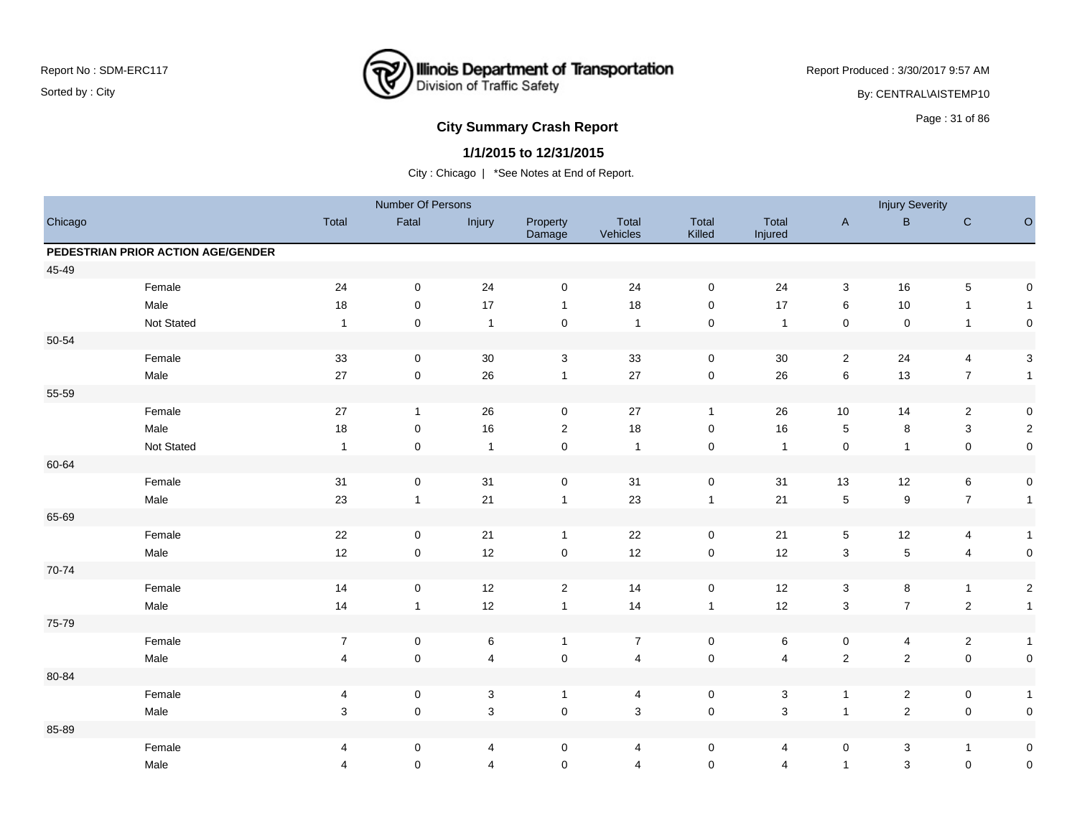

Report Produced : 3/30/2017 9:57 AM

By: CENTRAL\AISTEMP10

# **City Summary Crash Report CLASH CRASH REPORT CONSTRUSS AND REPORT CONSTRUSS ASSESSMENT CONSTRUSS AND REPORT OF SCHOOL CONSTRUSS AND REPORT OF SCHOOL CONSTRUCTION OF SCHOOL CONSTRUCTION OF SCHOOL CONSTRUCTION OF SCHOOL C**

## **1/1/2015 to 12/31/2015**

|         |                                    |                         | Number Of Persons   |                           |                     |                   |                     |                  |                | <b>Injury Severity</b> |                  |                     |
|---------|------------------------------------|-------------------------|---------------------|---------------------------|---------------------|-------------------|---------------------|------------------|----------------|------------------------|------------------|---------------------|
| Chicago |                                    | Total                   | Fatal               | Injury                    | Property<br>Damage  | Total<br>Vehicles | Total<br>Killed     | Total<br>Injured | $\mathsf{A}$   | $\sf B$                | ${\bf C}$        | $\circ$             |
|         | PEDESTRIAN PRIOR ACTION AGE/GENDER |                         |                     |                           |                     |                   |                     |                  |                |                        |                  |                     |
| 45-49   |                                    |                         |                     |                           |                     |                   |                     |                  |                |                        |                  |                     |
|         | Female                             | 24                      | $\mathbf 0$         | 24                        | $\mathbf 0$         | 24                | $\mathbf 0$         | 24               | 3              | 16                     | $\sqrt{5}$       | $\mathsf{O}\xspace$ |
|         | Male                               | 18                      | 0                   | 17                        | $\mathbf{1}$        | 18                | 0                   | 17               | 6              | 10                     | $\mathbf{1}$     | $\mathbf{1}$        |
|         | Not Stated                         | $\overline{1}$          | $\mathsf 0$         | $\mathbf{1}$              | $\mathsf{O}\xspace$ | $\overline{1}$    | $\mathbf 0$         | $\overline{1}$   | $\pmb{0}$      | $\pmb{0}$              | $\overline{1}$   | $\mathsf{O}\xspace$ |
| 50-54   |                                    |                         |                     |                           |                     |                   |                     |                  |                |                        |                  |                     |
|         | Female                             | 33                      | $\mathbf 0$         | 30                        | 3                   | 33                | $\mathbf 0$         | 30               | $\overline{2}$ | 24                     | 4                | $\sqrt{3}$          |
|         | Male                               | 27                      | $\pmb{0}$           | 26                        | $\mathbf{1}$        | 27                | $\mathbf 0$         | 26               | $\,6\,$        | 13                     | $\boldsymbol{7}$ | $\mathbf{1}$        |
| 55-59   |                                    |                         |                     |                           |                     |                   |                     |                  |                |                        |                  |                     |
|         | Female                             | 27                      | $\mathbf{1}$        | 26                        | $\mathbf 0$         | 27                | $\mathbf{1}$        | 26               | 10             | 14                     | $\overline{c}$   | $\pmb{0}$           |
|         | Male                               | 18                      | $\pmb{0}$           | 16                        | 2                   | 18                | 0                   | 16               | $\,$ 5 $\,$    | 8                      | 3                | $\sqrt{2}$          |
|         | Not Stated                         | $\overline{1}$          | $\mathsf 0$         | $\mathbf{1}$              | $\pmb{0}$           | $\overline{1}$    | $\mathbf 0$         | $\overline{1}$   | $\pmb{0}$      | $\mathbf{1}$           | $\mathbf 0$      | $\pmb{0}$           |
| 60-64   |                                    |                         |                     |                           |                     |                   |                     |                  |                |                        |                  |                     |
|         | Female                             | 31                      | $\mathbf 0$         | 31                        | $\mathbf 0$         | 31                | $\mathbf 0$         | 31               | 13             | 12                     | $\,6\,$          | $\pmb{0}$           |
|         | Male                               | 23                      | $\mathbf{1}$        | 21                        | $\mathbf{1}$        | 23                | $\mathbf{1}$        | $21$             | $\mathbf 5$    | $\boldsymbol{9}$       | $\boldsymbol{7}$ | $\mathbf{1}$        |
| 65-69   |                                    |                         |                     |                           |                     |                   |                     |                  |                |                        |                  |                     |
|         | Female                             | 22                      | $\pmb{0}$           | 21                        | $\mathbf{1}$        | 22                | $\mathbf 0$         | $21$             | $\sqrt{5}$     | 12                     | 4                | $\mathbf{1}$        |
|         | Male                               | 12                      | $\mathbf 0$         | 12                        | $\mathsf 0$         | 12                | $\mathbf 0$         | 12               | $\sqrt{3}$     | 5                      | $\overline{4}$   | $\pmb{0}$           |
| 70-74   |                                    |                         |                     |                           |                     |                   |                     |                  |                |                        |                  |                     |
|         | Female                             | 14                      | $\mathsf 0$         | 12                        | $\overline{2}$      | 14                | $\mathbf 0$         | 12               | $\mathsf 3$    | 8                      | $\overline{1}$   | $\sqrt{2}$          |
|         | Male                               | 14                      | $\mathbf{1}$        | 12                        | $\mathbf{1}$        | 14                | $\mathbf{1}$        | 12               | $\mathsf 3$    | $\overline{7}$         | $\sqrt{2}$       | $\mathbf{1}$        |
| 75-79   |                                    |                         |                     |                           |                     |                   |                     |                  |                |                        |                  |                     |
|         | Female                             | $\overline{7}$          | $\mathbf 0$         | $\,6\,$                   | $\mathbf{1}$        | $\bf 7$           | $\mathbf 0$         | 6                | $\pmb{0}$      | 4                      | $\overline{c}$   | $\mathbf{1}$        |
|         | Male                               | $\overline{\mathbf{4}}$ | $\mathsf{O}\xspace$ | $\overline{4}$            | $\pmb{0}$           | $\overline{4}$    | $\mathsf 0$         | $\overline{4}$   | $\mathbf 2$    | $\overline{c}$         | $\mathbf 0$      | $\pmb{0}$           |
| 80-84   |                                    |                         |                     |                           |                     |                   |                     |                  |                |                        |                  |                     |
|         | Female                             | 4                       | $\pmb{0}$           | $\ensuremath{\mathsf{3}}$ | $\mathbf{1}$        | 4                 | $\pmb{0}$           | $\mathbf{3}$     | $\mathbf{1}$   | $\overline{c}$         | $\pmb{0}$        | $\mathbf{1}$        |
|         | Male                               | 3                       | $\mathsf{O}\xspace$ | 3                         | $\pmb{0}$           | $\mathbf{3}$      | $\mathsf{O}\xspace$ | $\mathsf 3$      | $\overline{1}$ | $\overline{c}$         | $\mathbf 0$      | $\mathbf 0$         |
| 85-89   |                                    |                         |                     |                           |                     |                   |                     |                  |                |                        |                  |                     |
|         | Female                             | 4                       | 0                   | $\overline{4}$            | 0                   | 4                 | 0                   | 4                | 0              | 3                      | $\overline{1}$   | 0                   |
|         | Male                               | 4                       | $\mathbf 0$         | $\overline{4}$            | $\mathbf 0$         | $\overline{4}$    | $\mathbf 0$         | 4                | $\mathbf{1}$   | $\mathsf 3$            | $\mathbf 0$      | $\pmb{0}$           |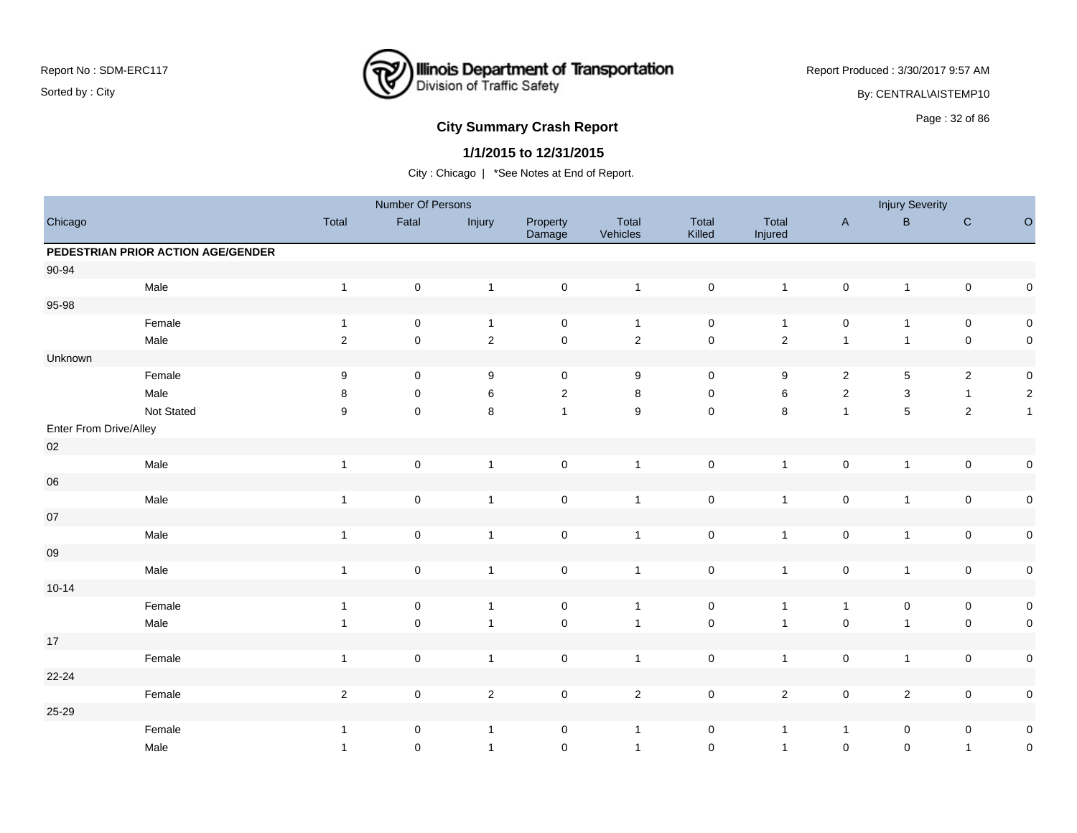

Report Produced : 3/30/2017 9:57 AM

By: CENTRAL\AISTEMP10

# **City Summary Crash Report CLASH CRASH REPORT CONSTRUSS AND REPORT CONSTRUSS ASSESS**

## **1/1/2015 to 12/31/2015**

|                        |                                    |              | Number Of Persons |                |                     |                   |                     |                  |                     | <b>Injury Severity</b> |                |                |
|------------------------|------------------------------------|--------------|-------------------|----------------|---------------------|-------------------|---------------------|------------------|---------------------|------------------------|----------------|----------------|
| Chicago                |                                    | Total        | Fatal             | Injury         | Property<br>Damage  | Total<br>Vehicles | Total<br>Killed     | Total<br>Injured | $\mathsf A$         | $\sf B$                | ${\bf C}$      | $\circ$        |
|                        | PEDESTRIAN PRIOR ACTION AGE/GENDER |              |                   |                |                     |                   |                     |                  |                     |                        |                |                |
| 90-94                  |                                    |              |                   |                |                     |                   |                     |                  |                     |                        |                |                |
|                        | Male                               | $\mathbf{1}$ | $\mathbf 0$       | $\mathbf{1}$   | $\mathbf 0$         | $\overline{1}$    | $\mathbf 0$         | $\mathbf{1}$     | $\mathbf 0$         | $\mathbf{1}$           | $\mathbf 0$    | $\pmb{0}$      |
| 95-98                  |                                    |              |                   |                |                     |                   |                     |                  |                     |                        |                |                |
|                        | Female                             | $\mathbf{1}$ | $\mathbf 0$       | $\mathbf{1}$   | $\mathbf 0$         | $\overline{1}$    | $\mathbf 0$         | $\mathbf{1}$     | $\mathsf{O}\xspace$ | $\mathbf{1}$           | $\mathbf 0$    | $\pmb{0}$      |
|                        | Male                               | $\sqrt{2}$   | $\mathsf 0$       | $\sqrt{2}$     | $\pmb{0}$           | $\sqrt{2}$        | $\mathsf{O}\xspace$ | $\overline{2}$   | $\mathbf{1}$        | $\mathbf{1}$           | $\mathbf 0$    | $\pmb{0}$      |
| Unknown                |                                    |              |                   |                |                     |                   |                     |                  |                     |                        |                |                |
|                        | Female                             | 9            | $\mathbf 0$       | 9              | $\mathbf 0$         | 9                 | $\mathbf 0$         | 9                | $\mathbf{2}$        | $\,$ 5 $\,$            | $\sqrt{2}$     | $\pmb{0}$      |
|                        | Male                               | 8            | $\pmb{0}$         | $\,6$          | $\overline{2}$      | 8                 | $\mathbf 0$         | 6                | $\sqrt{2}$          | 3                      | $\mathbf{1}$   | $\sqrt{2}$     |
|                        | Not Stated                         | 9            | $\mathbf 0$       | $\,8\,$        | $\mathbf{1}$        | 9                 | $\mathbf 0$         | 8                | $\mathbf{1}$        | 5                      | $\overline{2}$ | $\overline{1}$ |
| Enter From Drive/Alley |                                    |              |                   |                |                     |                   |                     |                  |                     |                        |                |                |
| $02\,$                 |                                    |              |                   |                |                     |                   |                     |                  |                     |                        |                |                |
|                        | Male                               | $\mathbf{1}$ | $\mathbf 0$       | $\overline{1}$ | $\mathsf{O}\xspace$ | $\overline{1}$    | $\mathbf 0$         | $\overline{1}$   | $\mathbf 0$         | $\mathbf{1}$           | $\mathbf 0$    | $\pmb{0}$      |
| ${\bf 06}$             |                                    |              |                   |                |                     |                   |                     |                  |                     |                        |                |                |
|                        | Male                               | $\mathbf{1}$ | $\mathbf 0$       | $\overline{1}$ | $\pmb{0}$           | $\overline{1}$    | $\mathbf 0$         | $\mathbf{1}$     | $\mathbf 0$         | $\mathbf{1}$           | $\mathbf 0$    | $\pmb{0}$      |
| $07\,$                 |                                    |              |                   |                |                     |                   |                     |                  |                     |                        |                |                |
|                        | Male                               | $\mathbf{1}$ | $\mathbf 0$       | $\mathbf{1}$   | $\mathsf{O}\xspace$ | $\overline{1}$    | $\mathbf 0$         | $\mathbf{1}$     | $\mathbf 0$         | $\mathbf{1}$           | $\mathbf 0$    | $\pmb{0}$      |
| ${\bf 09}$             |                                    |              |                   |                |                     |                   |                     |                  |                     |                        |                |                |
|                        | Male                               | $\mathbf{1}$ | $\pmb{0}$         | $\overline{1}$ | $\mathsf{O}\xspace$ | $\overline{1}$    | $\pmb{0}$           | $\overline{1}$   | $\mathbf 0$         | $\mathbf{1}$           | $\pmb{0}$      | $\pmb{0}$      |
| $10 - 14$              |                                    |              |                   |                |                     |                   |                     |                  |                     |                        |                |                |
|                        | Female                             | $\mathbf{1}$ | $\pmb{0}$         | $\overline{1}$ | $\mathsf{O}\xspace$ | $\overline{1}$    | $\mathbf 0$         | $\mathbf{1}$     | $\mathbf{1}$        | 0                      | $\mathbf 0$    | $\pmb{0}$      |
|                        | Male                               | $\mathbf{1}$ | $\mathbf 0$       | $\overline{1}$ | $\pmb{0}$           | $\overline{1}$    | $\mathbf 0$         | $\mathbf{1}$     | $\mathbf 0$         | $\mathbf{1}$           | $\mathbf 0$    | $\pmb{0}$      |
| $17$                   |                                    |              |                   |                |                     |                   |                     |                  |                     |                        |                |                |
|                        | Female                             | $\mathbf{1}$ | $\pmb{0}$         | $\overline{1}$ | $\pmb{0}$           | $\mathbf{1}$      | $\mathbf 0$         | $\mathbf{1}$     | $\pmb{0}$           | $\mathbf{1}$           | $\mathbf 0$    | $\pmb{0}$      |
| 22-24                  |                                    |              |                   |                |                     |                   |                     |                  |                     |                        |                |                |
|                        | Female                             | $\sqrt{2}$   | $\pmb{0}$         | $\overline{2}$ | $\mathsf{O}\xspace$ | $\overline{2}$    | $\mathbf 0$         | $\overline{2}$   | $\mathbf 0$         | $\overline{c}$         | $\mathbf 0$    | $\pmb{0}$      |
| 25-29                  |                                    |              |                   |                |                     |                   |                     |                  |                     |                        |                |                |
|                        | Female                             | $\mathbf{1}$ | 0                 | $\overline{1}$ | $\mathbf 0$         | $\overline{1}$    | $\mathbf 0$         | $\mathbf{1}$     | $\mathbf{1}$        | 0                      | 0              | $\pmb{0}$      |
|                        | Male                               | $\mathbf{1}$ | 0                 | $\overline{1}$ | $\mathbf 0$         | $\overline{1}$    | $\mathbf 0$         | $\mathbf{1}$     | $\mathbf 0$         | $\pmb{0}$              | $\mathbf{1}$   | $\pmb{0}$      |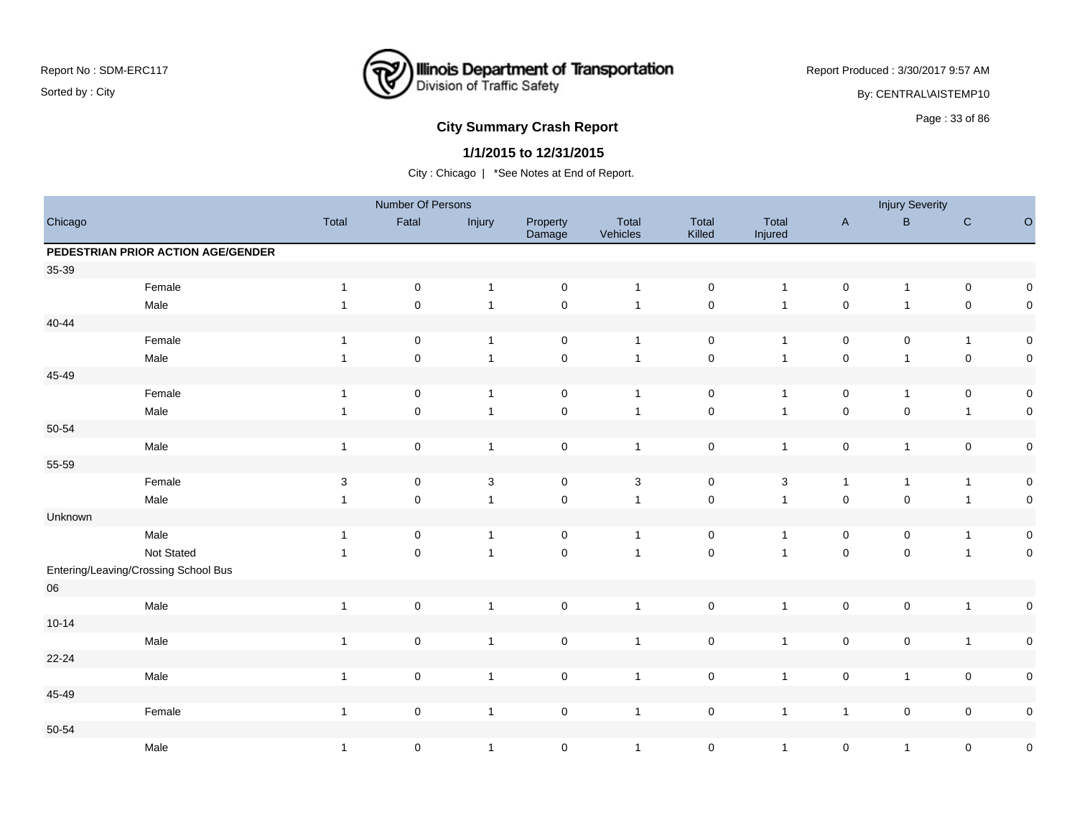

Report Produced : 3/30/2017 9:57 AM

By: CENTRAL\AISTEMP10

# **City Summary Crash Report CLASH Report CLASH Report CLASH Report CLASH Report CLASH Report CLASH Report CLASH Report CLASH Report CLASH Report CLASH Report CLASH Report CLASH Report CLASH Report**

## **1/1/2015 to 12/31/2015**

|            |                                      |                           | Number Of Persons |                |                     |                   |                 |                  |              | <b>Injury Severity</b> |                |           |
|------------|--------------------------------------|---------------------------|-------------------|----------------|---------------------|-------------------|-----------------|------------------|--------------|------------------------|----------------|-----------|
| Chicago    |                                      | Total                     | Fatal             | Injury         | Property<br>Damage  | Total<br>Vehicles | Total<br>Killed | Total<br>Injured | $\mathsf{A}$ | $\sf B$                | $\mathbf C$    | $\circ$   |
|            | PEDESTRIAN PRIOR ACTION AGE/GENDER   |                           |                   |                |                     |                   |                 |                  |              |                        |                |           |
| 35-39      |                                      |                           |                   |                |                     |                   |                 |                  |              |                        |                |           |
|            | Female                               | $\mathbf{1}$              | $\mathbf 0$       | $\overline{1}$ | $\mathsf{O}\xspace$ | $\overline{1}$    | $\mathsf 0$     | $\mathbf{1}$     | $\mathbf 0$  | $\mathbf{1}$           | $\mathbf 0$    | $\pmb{0}$ |
|            | Male                                 | $\mathbf{1}$              | $\pmb{0}$         | $\overline{1}$ | $\pmb{0}$           | $\overline{1}$    | $\mathbf 0$     | $\overline{1}$   | $\pmb{0}$    | $\mathbf{1}$           | $\mathbf 0$    | $\pmb{0}$ |
| $40 - 44$  |                                      |                           |                   |                |                     |                   |                 |                  |              |                        |                |           |
|            | Female                               | $\mathbf{1}$              | $\pmb{0}$         | $\overline{1}$ | $\mathbf 0$         | $\overline{1}$    | $\mathbf 0$     | $\mathbf{1}$     | $\mathbf 0$  | 0                      | $\mathbf{1}$   | $\pmb{0}$ |
|            | Male                                 | $\mathbf{1}$              | $\pmb{0}$         | $\overline{1}$ | $\pmb{0}$           | $\overline{1}$    | $\mathsf 0$     | $\mathbf{1}$     | $\pmb{0}$    | $\mathbf{1}$           | $\mathbf 0$    | $\pmb{0}$ |
| 45-49      |                                      |                           |                   |                |                     |                   |                 |                  |              |                        |                |           |
|            | Female                               | $\mathbf{1}$              | $\mathbf 0$       | $\overline{1}$ | $\pmb{0}$           | $\overline{1}$    | $\mathsf 0$     | $\mathbf{1}$     | $\mathbf 0$  | $\mathbf{1}$           | $\pmb{0}$      | $\pmb{0}$ |
|            | Male                                 | $\mathbf{1}$              | $\mathbf 0$       | $\overline{1}$ | $\pmb{0}$           | $\overline{1}$    | $\pmb{0}$       | $\overline{1}$   | $\pmb{0}$    | $\pmb{0}$              | $\mathbf{1}$   | $\pmb{0}$ |
| 50-54      |                                      |                           |                   |                |                     |                   |                 |                  |              |                        |                |           |
|            | Male                                 | $\mathbf{1}$              | $\pmb{0}$         | $\overline{1}$ | $\mathsf{O}\xspace$ | $\overline{1}$    | $\pmb{0}$       | $\mathbf{1}$     | $\pmb{0}$    | $\mathbf{1}$           | $\mathbf 0$    | $\pmb{0}$ |
| 55-59      |                                      |                           |                   |                |                     |                   |                 |                  |              |                        |                |           |
|            | Female                               | $\ensuremath{\mathsf{3}}$ | $\pmb{0}$         | $\sqrt{3}$     | 0                   | $\mathbf 3$       | $\pmb{0}$       | $\mathbf{3}$     | $\mathbf{1}$ | $\mathbf{1}$           | $\mathbf{1}$   | $\pmb{0}$ |
|            | Male                                 | $\mathbf{1}$              | $\pmb{0}$         | $\overline{1}$ | $\pmb{0}$           | $\overline{1}$    | $\mathsf 0$     | $\overline{1}$   | $\pmb{0}$    | $\mathsf 0$            | $\overline{1}$ | $\pmb{0}$ |
| Unknown    |                                      |                           |                   |                |                     |                   |                 |                  |              |                        |                |           |
|            | Male                                 | $\mathbf{1}$              | $\pmb{0}$         | $\overline{1}$ | $\mathbf 0$         | $\overline{1}$    | $\pmb{0}$       | $\mathbf{1}$     | 0            | 0                      | $\mathbf{1}$   | $\pmb{0}$ |
|            | Not Stated                           | $\mathbf{1}$              | $\mathsf 0$       | $\overline{1}$ | $\mathsf{O}\xspace$ | $\overline{1}$    | $\mathbf 0$     | $\overline{1}$   | $\mathsf 0$  | $\mathbf 0$            | $\mathbf{1}$   | $\pmb{0}$ |
|            | Entering/Leaving/Crossing School Bus |                           |                   |                |                     |                   |                 |                  |              |                        |                |           |
| ${\bf 06}$ |                                      |                           |                   |                |                     |                   |                 |                  |              |                        |                |           |
|            | Male                                 | $\mathbf{1}$              | $\mathbf 0$       | $\overline{1}$ | $\mathbf 0$         | $\overline{1}$    | $\pmb{0}$       | $\mathbf{1}$     | $\mathsf 0$  | $\pmb{0}$              | $\overline{1}$ | $\pmb{0}$ |
| $10 - 14$  |                                      |                           |                   |                |                     |                   |                 |                  |              |                        |                |           |
|            | Male                                 | $\mathbf{1}$              | $\pmb{0}$         | $\overline{1}$ | $\pmb{0}$           | $\mathbf{1}$      | $\mathbf 0$     | $\mathbf{1}$     | $\pmb{0}$    | $\mathsf 0$            | $\mathbf{1}$   | $\pmb{0}$ |
| 22-24      |                                      |                           |                   |                |                     |                   |                 |                  |              |                        |                |           |
|            | Male                                 | $\mathbf{1}$              | $\pmb{0}$         | $\overline{1}$ | $\mathsf{O}\xspace$ | $\overline{1}$    | $\mathbf 0$     | $\mathbf{1}$     | $\mathsf 0$  | $\mathbf{1}$           | $\mathbf 0$    | $\pmb{0}$ |
| 45-49      |                                      |                           |                   |                |                     |                   |                 |                  |              |                        |                |           |
|            | Female                               | $\mathbf{1}$              | $\pmb{0}$         | $\overline{1}$ | $\mathsf{O}\xspace$ | $\overline{1}$    | 0               | $\mathbf{1}$     | $\mathbf{1}$ | $\pmb{0}$              | $\mathbf 0$    | $\pmb{0}$ |
| 50-54      |                                      |                           |                   |                |                     |                   |                 |                  |              |                        |                |           |
|            | Male                                 | $\mathbf{1}$              | $\pmb{0}$         | $\overline{1}$ | $\pmb{0}$           | $\overline{1}$    | $\pmb{0}$       | $\overline{1}$   | $\mathsf 0$  | $\mathbf{1}$           | 0              | $\pmb{0}$ |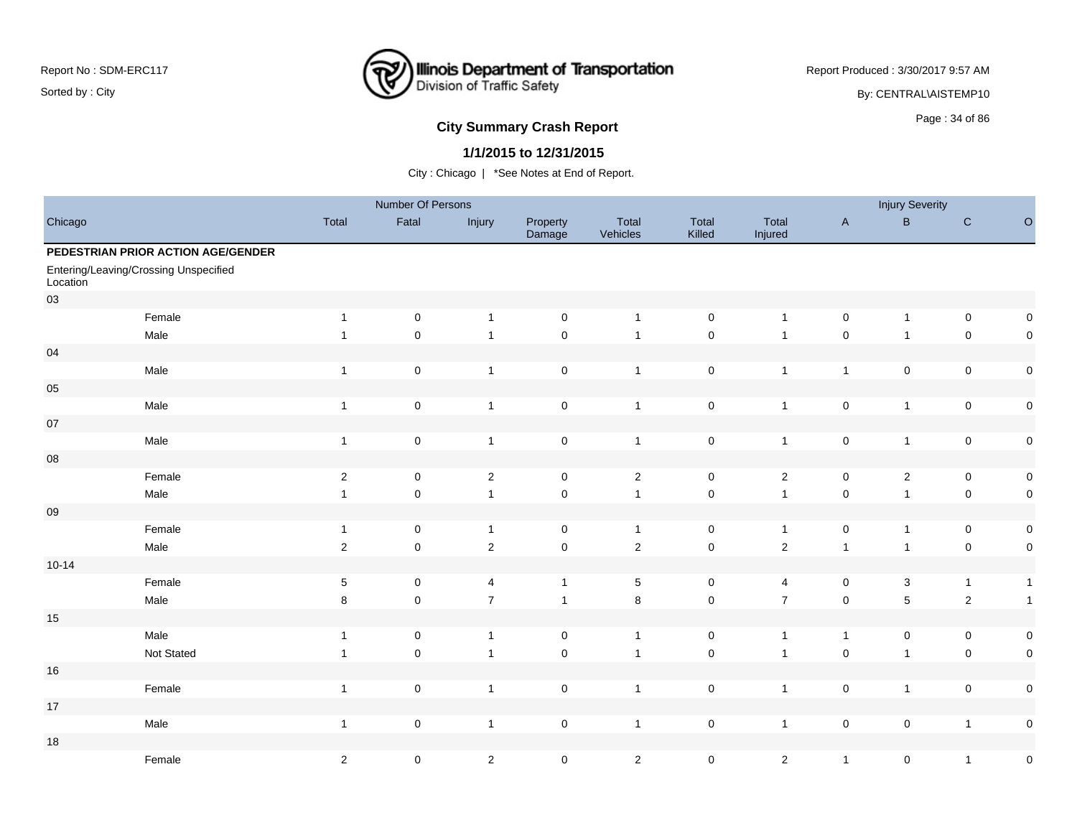

Report Produced : 3/30/2017 9:57 AM

By: CENTRAL\AISTEMP10

## **City Summary Crash Report CLASH CRASH REPORT CONSTRUSS AND REPORT CONSTRUSS A CONSTRUSS AND REPORT OF SAMPLE CONSTRUSS AND REPORT OF SAMPLE CONSTRUSS AND REPORT OF SAMPLE CONSTRUCTION OF SAMPLE CONSTRUSS AND REPORT OF S**

#### **1/1/2015 to 12/31/2015**

|            |                                       |                  | Number Of Persons   |                |                     |                   |                     |                  |                | <b>Injury Severity</b> |                |                  |
|------------|---------------------------------------|------------------|---------------------|----------------|---------------------|-------------------|---------------------|------------------|----------------|------------------------|----------------|------------------|
| Chicago    |                                       | Total            | Fatal               | Injury         | Property<br>Damage  | Total<br>Vehicles | Total<br>Killed     | Total<br>Injured | $\mathsf{A}$   | $\mathsf B$            | $\mathbf C$    | $\circ$          |
|            | PEDESTRIAN PRIOR ACTION AGE/GENDER    |                  |                     |                |                     |                   |                     |                  |                |                        |                |                  |
| Location   | Entering/Leaving/Crossing Unspecified |                  |                     |                |                     |                   |                     |                  |                |                        |                |                  |
| 03         |                                       |                  |                     |                |                     |                   |                     |                  |                |                        |                |                  |
|            | Female                                | $\mathbf{1}$     | $\mathbf 0$         | $\overline{1}$ | $\mathbf 0$         | $\overline{1}$    | 0                   | $\mathbf{1}$     | $\mathsf 0$    | $\mathbf{1}$           | $\mathsf 0$    | 0                |
|            | Male                                  | $\mathbf{1}$     | $\mathbf 0$         | $\overline{1}$ | $\mathsf 0$         | $\overline{1}$    | $\pmb{0}$           | $\overline{1}$   | $\pmb{0}$      | $\mathbf{1}$           | $\pmb{0}$      | $\pmb{0}$        |
| 04         |                                       |                  |                     |                |                     |                   |                     |                  |                |                        |                |                  |
|            | Male                                  | $\mathbf{1}$     | $\mathbf 0$         | $\overline{1}$ | $\mathbf 0$         | $\overline{1}$    | 0                   | $\overline{1}$   | $\overline{1}$ | $\mathsf 0$            | $\pmb{0}$      | $\mathbf 0$      |
| 05         |                                       |                  |                     |                |                     |                   |                     |                  |                |                        |                |                  |
|            | Male                                  | $\mathbf{1}$     | $\mathbf 0$         | $\overline{1}$ | $\pmb{0}$           | $\mathbf{1}$      | $\mathsf 0$         | $\mathbf{1}$     | $\pmb{0}$      | $\mathbf{1}$           | $\pmb{0}$      | $\pmb{0}$        |
| 07         |                                       |                  |                     |                |                     |                   |                     |                  |                |                        |                |                  |
|            | Male                                  | $\mathbf{1}$     | $\mathsf 0$         | $\overline{1}$ | $\mathsf{O}\xspace$ | $\overline{1}$    | $\mathsf 0$         | $\mathbf{1}$     | $\pmb{0}$      | $\mathbf{1}$           | $\pmb{0}$      | $\mathbf 0$      |
| ${\bf 08}$ |                                       |                  |                     |                |                     |                   |                     |                  |                |                        |                |                  |
|            | Female                                | $\boldsymbol{2}$ | $\mathsf 0$         | $\overline{c}$ | $\mathbf 0$         | $\overline{2}$    | $\mathsf{O}\xspace$ | $\overline{2}$   | $\pmb{0}$      | $\overline{2}$         | $\mathsf 0$    | $\mathbf 0$      |
|            | Male                                  | $\mathbf{1}$     | $\pmb{0}$           | $\overline{1}$ | $\mathsf{O}\xspace$ | $\mathbf{1}$      | $\pmb{0}$           | $\mathbf{1}$     | $\pmb{0}$      | $\mathbf{1}$           | $\pmb{0}$      | $\mathbf 0$      |
| 09         |                                       |                  |                     |                |                     |                   |                     |                  |                |                        |                |                  |
|            | Female                                | $\mathbf{1}$     | 0                   | $\overline{1}$ | 0                   | $\mathbf{1}$      | 0                   | $\mathbf{1}$     | 0              | $\mathbf{1}$           | 0              | $\pmb{0}$        |
|            | Male                                  | $\sqrt{2}$       | $\mathsf{O}\xspace$ | $\overline{2}$ | $\mathsf 0$         | $\overline{2}$    | $\pmb{0}$           | $\overline{2}$   | $\overline{1}$ | $\mathbf{1}$           | $\pmb{0}$      | $\mathbf 0$      |
| $10 - 14$  |                                       |                  |                     |                |                     |                   |                     |                  |                |                        |                |                  |
|            | Female                                | $\mathbf 5$      | $\mathsf 0$         | 4              | $\overline{1}$      | $\,$ 5 $\,$       | $\pmb{0}$           | $\overline{4}$   | $\pmb{0}$      | $\mathsf 3$            | $\overline{1}$ | $\mathbf{1}$     |
|            | Male                                  | 8                | $\mathsf{O}\xspace$ | $\overline{7}$ | $\overline{1}$      | $\,8\,$           | $\pmb{0}$           | $\overline{7}$   | $\pmb{0}$      | $\sqrt{5}$             | $\sqrt{2}$     | $\mathbf{1}$     |
| 15         |                                       |                  |                     |                |                     |                   |                     |                  |                |                        |                |                  |
|            | Male                                  | $\mathbf{1}$     | $\mathsf 0$         | $\overline{1}$ | $\mathbf 0$         | $\mathbf{1}$      | $\pmb{0}$           | $\mathbf{1}$     | $\mathbf{1}$   | $\mathsf 0$            | $\pmb{0}$      | $\pmb{0}$        |
|            | Not Stated                            | $\mathbf{1}$     | $\pmb{0}$           | $\overline{1}$ | $\mathbf 0$         | $\overline{1}$    | $\mathbf 0$         | $\overline{1}$   | $\pmb{0}$      | $\mathbf{1}$           | $\pmb{0}$      | $\pmb{0}$        |
| 16         |                                       |                  |                     |                |                     |                   |                     |                  |                |                        |                |                  |
|            | Female                                | $\mathbf{1}$     | $\mathsf{O}\xspace$ | $\mathbf{1}$   | $\mathsf{O}\xspace$ | $\overline{1}$    | $\mathsf 0$         | $\mathbf{1}$     | $\mathsf 0$    | $\mathbf{1}$           | $\pmb{0}$      | $\pmb{0}$        |
| 17         |                                       |                  |                     |                |                     |                   |                     |                  |                |                        |                |                  |
|            | Male                                  | $\mathbf{1}$     | $\mathsf{O}\xspace$ | $\overline{1}$ | $\mathbf 0$         | $\mathbf{1}$      | 0                   | $\overline{1}$   | $\pmb{0}$      | $\mathsf 0$            | $\overline{1}$ | $\pmb{0}$        |
| 18         |                                       |                  |                     |                |                     |                   |                     |                  |                |                        |                |                  |
|            | Female                                | $\sqrt{2}$       | $\pmb{0}$           | $\overline{c}$ | $\mathbf 0$         | $\overline{2}$    | 0                   | $\overline{a}$   | $\overline{1}$ | $\pmb{0}$              | $\overline{1}$ | $\boldsymbol{0}$ |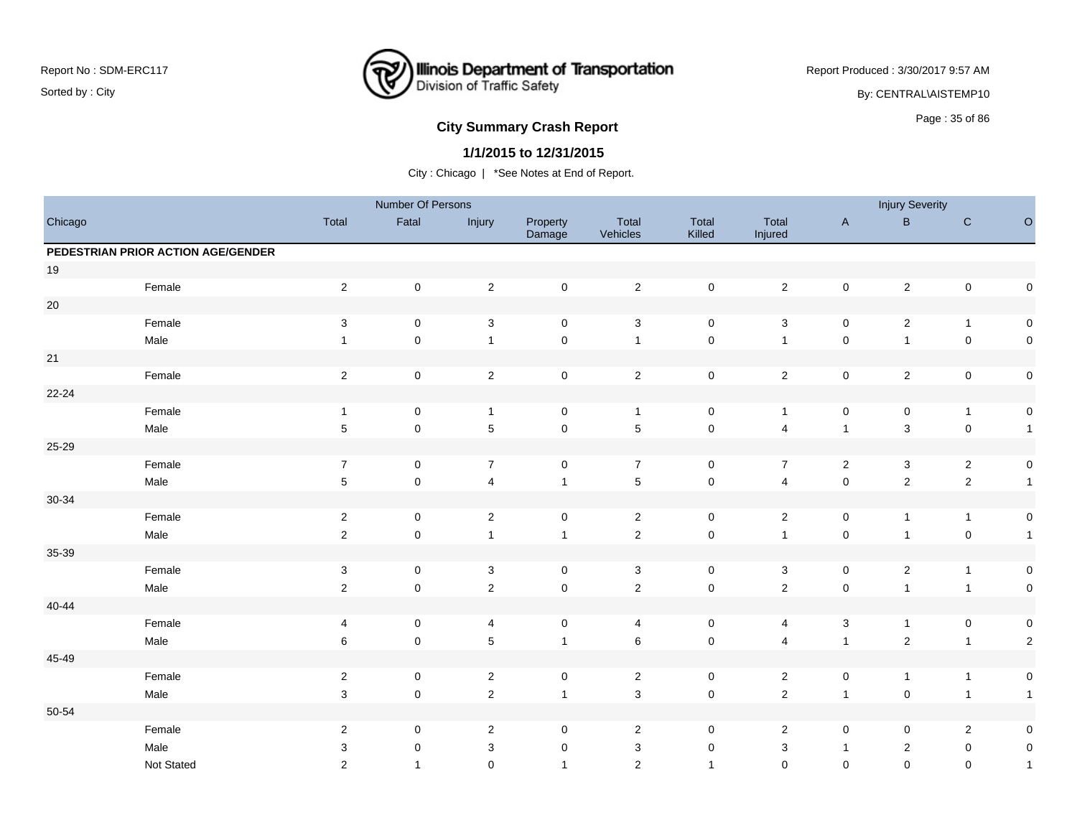

Report Produced : 3/30/2017 9:57 AM

By: CENTRAL\AISTEMP10

# **City Summary Crash Report CLAST CONSTRUSS 25 of 86 City Summary Crash Report**

## **1/1/2015 to 12/31/2015**

|           |                                    |                           | Number Of Persons   |                           |                    |                   |                 |                         |                     | <b>Injury Severity</b> |                     |                |
|-----------|------------------------------------|---------------------------|---------------------|---------------------------|--------------------|-------------------|-----------------|-------------------------|---------------------|------------------------|---------------------|----------------|
| Chicago   |                                    | Total                     | Fatal               | Injury                    | Property<br>Damage | Total<br>Vehicles | Total<br>Killed | Total<br>Injured        | $\mathsf{A}$        | B                      | ${\bf C}$           | $\mathsf O$    |
|           | PEDESTRIAN PRIOR ACTION AGE/GENDER |                           |                     |                           |                    |                   |                 |                         |                     |                        |                     |                |
| $19$      |                                    |                           |                     |                           |                    |                   |                 |                         |                     |                        |                     |                |
|           | Female                             | $\overline{2}$            | $\mathsf{O}\xspace$ | $\overline{2}$            | $\mathsf 0$        | $\overline{2}$    | $\pmb{0}$       | $\mathbf{2}$            | $\mathsf{O}\xspace$ | $\overline{c}$         | $\mathsf{O}\xspace$ | $\pmb{0}$      |
| $20\,$    |                                    |                           |                     |                           |                    |                   |                 |                         |                     |                        |                     |                |
|           | Female                             | $\ensuremath{\mathsf{3}}$ | $\mathsf 0$         | $\ensuremath{\mathsf{3}}$ | $\mathbf 0$        | $\sqrt{3}$        | $\mathsf 0$     | $\sqrt{3}$              | $\mathbf 0$         | $\overline{c}$         | $\mathbf{1}$        | $\mathsf 0$    |
|           | Male                               | $\overline{1}$            | $\mathbf 0$         | $\mathbf{1}$              | $\pmb{0}$          | $\mathbf{1}$      | $\mathbf 0$     | $\mathbf{1}$            | $\mathbf 0$         | $\mathbf{1}$           | $\mathbf 0$         | $\mathsf 0$    |
| 21        |                                    |                           |                     |                           |                    |                   |                 |                         |                     |                        |                     |                |
|           | Female                             | $\sqrt{2}$                | $\mathsf 0$         | $\overline{c}$            | $\mathsf 0$        | $\sqrt{2}$        | $\pmb{0}$       | $\overline{2}$          | $\mathsf{O}\xspace$ | $\boldsymbol{2}$       | $\pmb{0}$           | $\mathbf 0$    |
| 22-24     |                                    |                           |                     |                           |                    |                   |                 |                         |                     |                        |                     |                |
|           | Female                             | $\overline{1}$            | $\mathsf 0$         | $\overline{1}$            | 0                  | $\overline{1}$    | 0               | $\mathbf{1}$            | $\mathbf 0$         | 0                      | $\mathbf{1}$        | $\pmb{0}$      |
|           | Male                               | $\sqrt{5}$                | $\mathsf 0$         | 5                         | $\mathbf 0$        | $\overline{5}$    | $\pmb{0}$       | 4                       | $\mathbf{1}$        | 3                      | $\mathbf 0$         | $\mathbf{1}$   |
| 25-29     |                                    |                           |                     |                           |                    |                   |                 |                         |                     |                        |                     |                |
|           | Female                             | $\overline{7}$            | 0                   | $\overline{7}$            | $\mathbf 0$        | $\overline{7}$    | $\mathsf 0$     | $\overline{7}$          | $\overline{2}$      | 3                      | $\overline{2}$      | $\pmb{0}$      |
|           | Male                               | $\sqrt{5}$                | $\mathsf 0$         | $\overline{4}$            | $\mathbf{1}$       | $\sqrt{5}$        | $\mathsf 0$     | $\overline{4}$          | $\mathsf 0$         | $\sqrt{2}$             | $\overline{2}$      | $\mathbf{1}$   |
| 30-34     |                                    |                           |                     |                           |                    |                   |                 |                         |                     |                        |                     |                |
|           | Female                             | $\overline{c}$            | 0                   | $\overline{2}$            | $\mathsf 0$        | $\mathbf{2}$      | 0               | $\overline{\mathbf{c}}$ | $\mathbf 0$         | $\mathbf{1}$           | $\mathbf{1}$        | $\pmb{0}$      |
|           | Male                               | $\overline{2}$            | $\mathsf{O}\xspace$ | $\mathbf{1}$              | $\mathbf{1}$       | $\overline{2}$    | $\pmb{0}$       | $\mathbf{1}$            | $\mathsf{O}\xspace$ | $\mathbf{1}$           | $\mathsf{O}\xspace$ | $\mathbf{1}$   |
| 35-39     |                                    |                           |                     |                           |                    |                   |                 |                         |                     |                        |                     |                |
|           | Female                             | $\sqrt{3}$                | $\pmb{0}$           | $\ensuremath{\mathsf{3}}$ | $\mathsf 0$        | $\sqrt{3}$        | $\pmb{0}$       | $\sqrt{3}$              | $\mathbf 0$         | $\overline{c}$         | $\mathbf{1}$        | $\pmb{0}$      |
|           | Male                               | $\overline{2}$            | $\mathsf{O}\xspace$ | $\sqrt{2}$                | $\mathsf 0$        | $\overline{2}$    | $\mathbf 0$     | $\sqrt{2}$              | $\mathsf{O}\xspace$ | $\mathbf{1}$           | $\mathbf{1}$        | $\mathsf 0$    |
| $40 - 44$ |                                    |                           |                     |                           |                    |                   |                 |                         |                     |                        |                     |                |
|           | Female                             | 4                         | $\mathsf 0$         | 4                         | $\mathbf 0$        | 4                 | $\mathsf 0$     | 4                       | $\mathbf{3}$        | $\mathbf{1}$           | $\mathbf 0$         | $\mathsf 0$    |
|           | Male                               | 6                         | $\mathbf 0$         | $\mathbf 5$               | $\mathbf{1}$       | $\,6\,$           | $\pmb{0}$       | $\overline{\mathbf{4}}$ | $\mathbf{1}$        | $\sqrt{2}$             | $\mathbf{1}$        | $\sqrt{2}$     |
| 45-49     |                                    |                           |                     |                           |                    |                   |                 |                         |                     |                        |                     |                |
|           | Female                             | $\overline{c}$            | $\mathbf 0$         | $\overline{c}$            | $\mathbf 0$        | $\overline{2}$    | $\mathbf 0$     | $\overline{2}$          | $\mathbf 0$         | $\mathbf{1}$           | $\overline{1}$      | $\mathbf 0$    |
|           | Male                               | 3                         | $\mathsf 0$         | $\overline{2}$            | $\mathbf{1}$       | $\sqrt{3}$        | $\mathsf 0$     | $\overline{2}$          | $\mathbf{1}$        | $\pmb{0}$              | $\overline{1}$      | $\mathbf{1}$   |
| 50-54     |                                    |                           |                     |                           |                    |                   |                 |                         |                     |                        |                     |                |
|           | Female                             | $\overline{2}$            | $\mathbf 0$         | $\overline{2}$            | $\mathbf 0$        | $\overline{2}$    | $\mathbf 0$     | $\overline{c}$          | $\mathbf 0$         | 0                      | $\overline{2}$      | $\pmb{0}$      |
|           | Male                               | 3                         | 0                   | $\ensuremath{\mathsf{3}}$ | 0                  | 3                 | 0               | 3                       | $\mathbf{1}$        | $\overline{2}$         | $\mathbf 0$         | $\pmb{0}$      |
|           | Not Stated                         | $\mathbf{2}$              | $\mathbf{1}$        | $\mathbf 0$               | $\overline{1}$     | 2                 | $\overline{1}$  | $\mathbf 0$             | $\mathbf 0$         | 0                      | $\mathbf 0$         | $\overline{1}$ |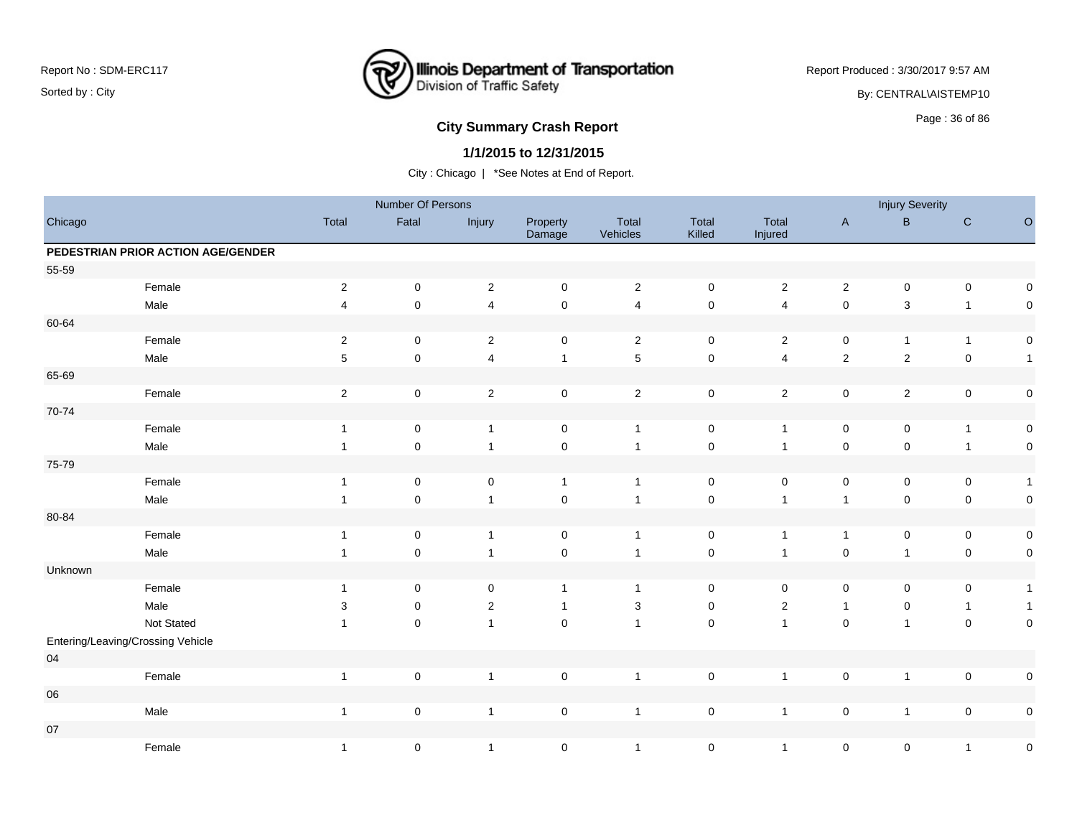

Report Produced : 3/30/2017 9:57 AM

By: CENTRAL\AISTEMP10

# **City Summary Crash Report CLASH CRASH REPORT CONSTRUSS AND REPORT CONSTRUSS ASSESS**

## **1/1/2015 to 12/31/2015**

|         |                                    |                         | Number Of Persons   |                |                    |                   |                     |                     |                     | <b>Injury Severity</b> |                |                     |
|---------|------------------------------------|-------------------------|---------------------|----------------|--------------------|-------------------|---------------------|---------------------|---------------------|------------------------|----------------|---------------------|
| Chicago |                                    | Total                   | Fatal               | Injury         | Property<br>Damage | Total<br>Vehicles | Total<br>Killed     | Total<br>Injured    | $\mathsf A$         | $\sf{B}$               | ${\bf C}$      | $\circ$             |
|         | PEDESTRIAN PRIOR ACTION AGE/GENDER |                         |                     |                |                    |                   |                     |                     |                     |                        |                |                     |
| 55-59   |                                    |                         |                     |                |                    |                   |                     |                     |                     |                        |                |                     |
|         | Female                             | $\overline{\mathbf{c}}$ | $\mathbf 0$         | $\overline{2}$ | $\mathsf 0$        | $\overline{2}$    | $\mathbf 0$         | $\overline{c}$      | $\sqrt{2}$          | $\pmb{0}$              | $\pmb{0}$      | 0                   |
|         | Male                               | $\overline{\mathbf{4}}$ | $\mathsf 0$         | $\overline{4}$ | $\mathbf 0$        | $\overline{4}$    | $\mathbf 0$         | $\overline{4}$      | $\pmb{0}$           | $\mathbf{3}$           | $\mathbf{1}$   | $\mathsf 0$         |
| 60-64   |                                    |                         |                     |                |                    |                   |                     |                     |                     |                        |                |                     |
|         | Female                             | $\sqrt{2}$              | $\mathbf 0$         | $\overline{2}$ | $\mathbf 0$        | $\overline{2}$    | $\mathbf 0$         | $\overline{c}$      | $\mathbf 0$         | $\mathbf{1}$           | $\mathbf{1}$   | $\pmb{0}$           |
|         | Male                               | 5                       | $\mathsf 0$         | $\overline{4}$ | $\mathbf{1}$       | $\sqrt{5}$        | $\mathsf{O}\xspace$ | $\overline{4}$      | $\mathbf 2$         | $\overline{c}$         | $\mathbf 0$    | $\mathbf{1}$        |
| 65-69   |                                    |                         |                     |                |                    |                   |                     |                     |                     |                        |                |                     |
|         | Female                             | $\overline{c}$          | $\mathsf 0$         | $\sqrt{2}$     | $\mathsf 0$        | $\overline{2}$    | $\mathbf 0$         | $\overline{c}$      | $\mathsf 0$         | $\mathbf{2}$           | $\mathbf 0$    | $\pmb{0}$           |
| 70-74   |                                    |                         |                     |                |                    |                   |                     |                     |                     |                        |                |                     |
|         | Female                             | $\mathbf{1}$            | $\mathbf 0$         | $\overline{1}$ | $\mathsf 0$        | $\overline{1}$    | $\pmb{0}$           | $\mathbf{1}$        | $\mathsf 0$         | $\pmb{0}$              | $\mathbf{1}$   | $\pmb{0}$           |
|         | Male                               | $\mathbf 1$             | $\mathsf 0$         | $\overline{1}$ | $\pmb{0}$          | $\overline{1}$    | $\mathsf 0$         | $\mathbf{1}$        | $\mathbf 0$         | $\mathsf{O}\xspace$    | $\overline{1}$ | $\pmb{0}$           |
| 75-79   |                                    |                         |                     |                |                    |                   |                     |                     |                     |                        |                |                     |
|         | Female                             | $\mathbf{1}$            | $\mathbf 0$         | $\mathbf 0$    | $\mathbf{1}$       | $\overline{1}$    | $\mathbf 0$         | $\mathsf{O}\xspace$ | 0                   | 0                      | $\mathbf 0$    | $\mathbf{1}$        |
|         | Male                               | $\mathbf{1}$            | $\mathsf{O}\xspace$ | $\overline{1}$ | $\pmb{0}$          | $\overline{1}$    | $\mathsf{O}\xspace$ | $\mathbf{1}$        | $\overline{1}$      | $\mathsf{O}\xspace$    | $\mathbf 0$    | $\pmb{0}$           |
| 80-84   |                                    |                         |                     |                |                    |                   |                     |                     |                     |                        |                |                     |
|         | Female                             | $\mathbf{1}$            | $\mathbf 0$         | $\overline{1}$ | $\mathsf 0$        | $\overline{1}$    | $\pmb{0}$           | $\mathbf{1}$        | $\mathbf{1}$        | $\pmb{0}$              | 0              | $\pmb{0}$           |
|         | Male                               | $\mathbf{1}$            | $\mathsf 0$         | $\overline{1}$ | $\mathbf 0$        | $\overline{1}$    | $\mathsf{O}\xspace$ | $\mathbf{1}$        | $\pmb{0}$           | $\mathbf{1}$           | $\mathbf 0$    | $\pmb{0}$           |
| Unknown |                                    |                         |                     |                |                    |                   |                     |                     |                     |                        |                |                     |
|         | Female                             | $\mathbf{1}$            | 0                   | 0              | $\mathbf{1}$       | $\overline{1}$    | $\mathbf 0$         | 0                   | 0                   | 0                      | 0              | $\mathbf{1}$        |
|         | Male                               | 3                       | $\pmb{0}$           | $\overline{2}$ | $\overline{1}$     | $\mathbf 3$       | $\mathsf 0$         | $\sqrt{2}$          | $\mathbf{1}$        | $\pmb{0}$              | $\overline{1}$ | $\mathbf{1}$        |
|         | Not Stated                         | $\mathbf{1}$            | $\mathbf 0$         | $\overline{1}$ | $\mathsf 0$        | $\overline{1}$    | $\mathsf{O}\xspace$ | $\mathbf{1}$        | $\mathsf{O}\xspace$ | $\mathbf{1}$           | $\mathbf 0$    | $\pmb{0}$           |
|         | Entering/Leaving/Crossing Vehicle  |                         |                     |                |                    |                   |                     |                     |                     |                        |                |                     |
| 04      |                                    |                         |                     |                |                    |                   |                     |                     |                     |                        |                |                     |
|         | Female                             | $\mathbf{1}$            | $\mathsf 0$         | $\overline{1}$ | $\mathbf 0$        | $\overline{1}$    | $\mathbf 0$         | $\mathbf{1}$        | $\mathbf 0$         | $\mathbf{1}$           | $\mathbf 0$    | $\pmb{0}$           |
| 06      |                                    |                         |                     |                |                    |                   |                     |                     |                     |                        |                |                     |
|         | Male                               | $\mathbf{1}$            | $\pmb{0}$           | $\overline{1}$ | $\mathsf 0$        | $\overline{1}$    | $\pmb{0}$           | $\mathbf{1}$        | $\mathsf 0$         | $\mathbf{1}$           | $\mathsf 0$    | $\mathsf{O}\xspace$ |
| $07\,$  |                                    |                         |                     |                |                    |                   |                     |                     |                     |                        |                |                     |
|         | Female                             | $\mathbf{1}$            | $\pmb{0}$           | $\overline{1}$ | $\pmb{0}$          | $\overline{1}$    | $\mathbf 0$         | $\mathbf{1}$        | $\mathbf 0$         | $\pmb{0}$              | $\mathbf{1}$   | $\pmb{0}$           |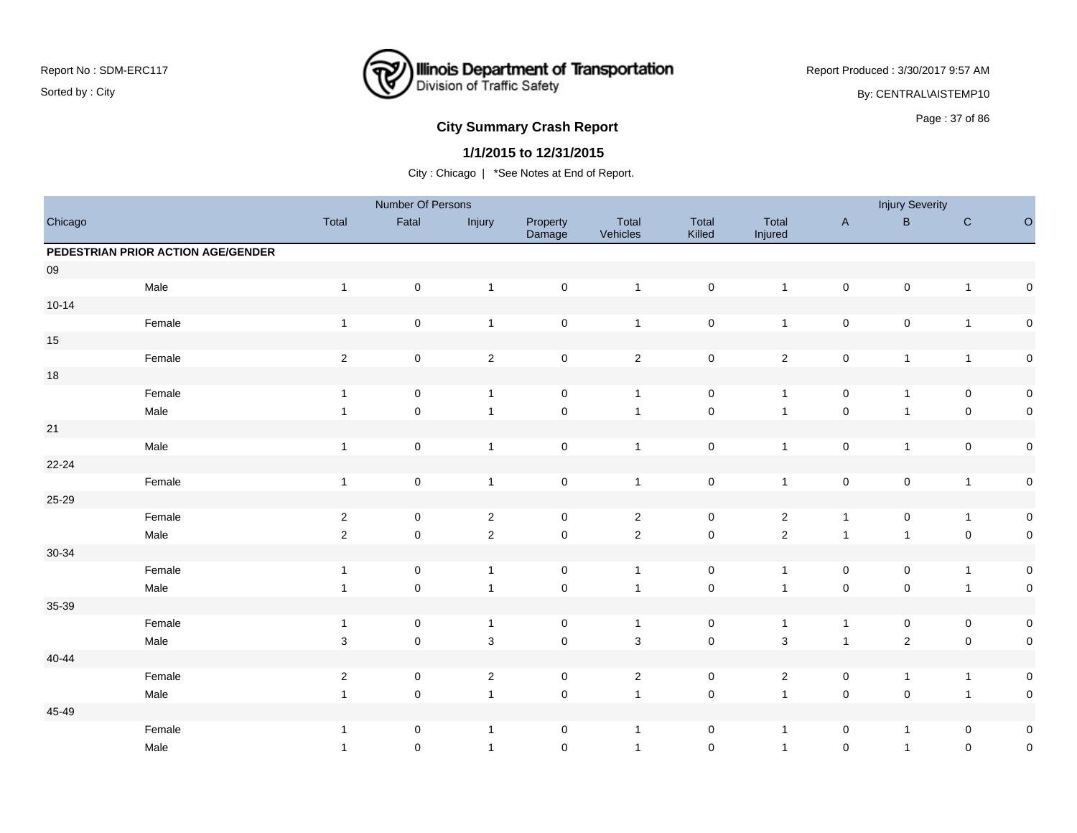

Report Produced : 3/30/2017 9:57 AM

By: CENTRAL\AISTEMP10

# **City Summary Crash Report CLASH Report CLASH Report CLASH Report CLASH Report CLASH Report CLASH Report CLASH Report CLASH Report CLASH Report CLASH Report CLASH Report CLASH Report CLASH Report**

### **1/1/2015 to 12/31/2015**

|           |                                    |                | Number Of Persons |                |                     |                   |                     |                         |                     | <b>Injury Severity</b> |                |                     |
|-----------|------------------------------------|----------------|-------------------|----------------|---------------------|-------------------|---------------------|-------------------------|---------------------|------------------------|----------------|---------------------|
| Chicago   |                                    | Total          | Fatal             | Injury         | Property<br>Damage  | Total<br>Vehicles | Total<br>Killed     | Total<br>Injured        | $\mathsf A$         | $\sf B$                | ${\bf C}$      | $\circ$             |
|           | PEDESTRIAN PRIOR ACTION AGE/GENDER |                |                   |                |                     |                   |                     |                         |                     |                        |                |                     |
| $09\,$    |                                    |                |                   |                |                     |                   |                     |                         |                     |                        |                |                     |
|           | Male                               | $\overline{1}$ | $\mathsf 0$       | $\mathbf{1}$   | $\mathsf{O}\xspace$ | $\overline{1}$    | $\mathsf 0$         | $\mathbf{1}$            | $\mathsf{O}\xspace$ | $\pmb{0}$              | $\mathbf{1}$   | $\pmb{0}$           |
| $10 - 14$ |                                    |                |                   |                |                     |                   |                     |                         |                     |                        |                |                     |
|           | Female                             | $\overline{1}$ | $\pmb{0}$         | $\mathbf{1}$   | $\mathbf 0$         | $\overline{1}$    | $\mathsf 0$         | $\mathbf{1}$            | $\mathsf 0$         | 0                      | $\mathbf{1}$   | $\pmb{0}$           |
| $15\,$    |                                    |                |                   |                |                     |                   |                     |                         |                     |                        |                |                     |
|           | Female                             | $\sqrt{2}$     | $\pmb{0}$         | $\sqrt{2}$     | $\mathbf 0$         | $\sqrt{2}$        | $\mathsf 0$         | $\overline{a}$          | $\pmb{0}$           | $\mathbf{1}$           | $\mathbf{1}$   | $\pmb{0}$           |
| $18\,$    |                                    |                |                   |                |                     |                   |                     |                         |                     |                        |                |                     |
|           | Female                             | $\overline{1}$ | 0                 | $\mathbf{1}$   | $\mathbf 0$         | $\overline{1}$    | $\mathsf 0$         | $\mathbf{1}$            | 0                   | $\mathbf{1}$           | $\mathbf 0$    | $\mathsf{O}\xspace$ |
|           | Male                               | $\overline{1}$ | $\pmb{0}$         | $\mathbf{1}$   | $\mathsf 0$         | $\overline{1}$    | $\pmb{0}$           | $\overline{1}$          | $\pmb{0}$           | $\mathbf{1}$           | $\pmb{0}$      | $\pmb{0}$           |
| 21        |                                    |                |                   |                |                     |                   |                     |                         |                     |                        |                |                     |
|           | Male                               | $\mathbf{1}$   | $\pmb{0}$         | $\mathbf{1}$   | $\mathbf 0$         | $\mathbf{1}$      | $\pmb{0}$           | $\mathbf{1}$            | $\pmb{0}$           | $\mathbf{1}$           | $\pmb{0}$      | $\pmb{0}$           |
| 22-24     |                                    |                |                   |                |                     |                   |                     |                         |                     |                        |                |                     |
|           | Female                             | $\overline{1}$ | $\pmb{0}$         | $\mathbf{1}$   | $\mathbf 0$         | $\overline{1}$    | $\pmb{0}$           | $\mathbf{1}$            | $\pmb{0}$           | $\pmb{0}$              | $\mathbf{1}$   | $\pmb{0}$           |
| 25-29     |                                    |                |                   |                |                     |                   |                     |                         |                     |                        |                |                     |
|           | Female                             | $\overline{2}$ | 0                 | $\sqrt{2}$     | $\mathbf 0$         | $\overline{2}$    | $\mathbf 0$         | $\overline{c}$          | $\mathbf{1}$        | 0                      | $\overline{1}$ | $\pmb{0}$           |
|           | Male                               | $\sqrt{2}$     | $\pmb{0}$         | $\sqrt{2}$     | $\mathsf{O}\xspace$ | $\mathbf 2$       | $\mathbf 0$         | $\overline{2}$          | $\mathbf{1}$        | $\mathbf{1}$           | $\pmb{0}$      | $\pmb{0}$           |
| 30-34     |                                    |                |                   |                |                     |                   |                     |                         |                     |                        |                |                     |
|           | Female                             | $\overline{1}$ | 0                 | $\overline{1}$ | $\mathbf 0$         | $\overline{1}$    | $\mathbf 0$         | $\overline{1}$          | 0                   | 0                      | $\overline{1}$ | $\pmb{0}$           |
|           | Male                               | $\overline{1}$ | $\pmb{0}$         | $\mathbf{1}$   | $\mathsf 0$         | $\overline{1}$    | $\mathsf{O}\xspace$ | $\mathbf{1}$            | $\mathbf 0$         | $\mathsf 0$            | $\overline{1}$ | $\pmb{0}$           |
| 35-39     |                                    |                |                   |                |                     |                   |                     |                         |                     |                        |                |                     |
|           | Female                             | $\mathbf{1}$   | $\pmb{0}$         | $\overline{1}$ | $\mathbf 0$         | $\overline{1}$    | $\mathsf 0$         | $\mathbf{1}$            | $\mathbf{1}$        | $\pmb{0}$              | $\pmb{0}$      | $\pmb{0}$           |
|           | Male                               | $\sqrt{3}$     | $\pmb{0}$         | $\sqrt{3}$     | $\mathsf{O}\xspace$ | $\sqrt{3}$        | $\mathsf{O}\xspace$ | $\mathbf 3$             | $\mathbf{1}$        | $\overline{c}$         | $\pmb{0}$      | $\pmb{0}$           |
| $40 - 44$ |                                    |                |                   |                |                     |                   |                     |                         |                     |                        |                |                     |
|           | Female                             | $\overline{c}$ | 0                 | $\sqrt{2}$     | 0                   | $\mathbf{2}$      | $\mathbf 0$         | $\overline{\mathbf{c}}$ | 0                   | $\mathbf{1}$           | $\overline{1}$ | 0                   |
|           | Male                               | $\mathbf{1}$   | 0                 | $\mathbf{1}$   | $\mathbf 0$         | $\overline{1}$    | $\mathsf{O}\xspace$ | $\mathbf{1}$            | $\pmb{0}$           | 0                      | $\mathbf{1}$   | $\pmb{0}$           |
| 45-49     |                                    |                |                   |                |                     |                   |                     |                         |                     |                        |                |                     |
|           | Female                             | $\mathbf{1}$   | 0                 | $\mathbf{1}$   | 0                   | $\overline{1}$    | $\mathbf 0$         | $\mathbf{1}$            | 0                   | $\mathbf{1}$           | 0              | $\pmb{0}$           |
|           | Male                               | $\mathbf{1}$   | 0                 | $\overline{1}$ | $\mathbf 0$         | $\overline{1}$    | $\mathbf 0$         | $\mathbf{1}$            | $\mathbf 0$         | $\mathbf{1}$           | 0              | $\pmb{0}$           |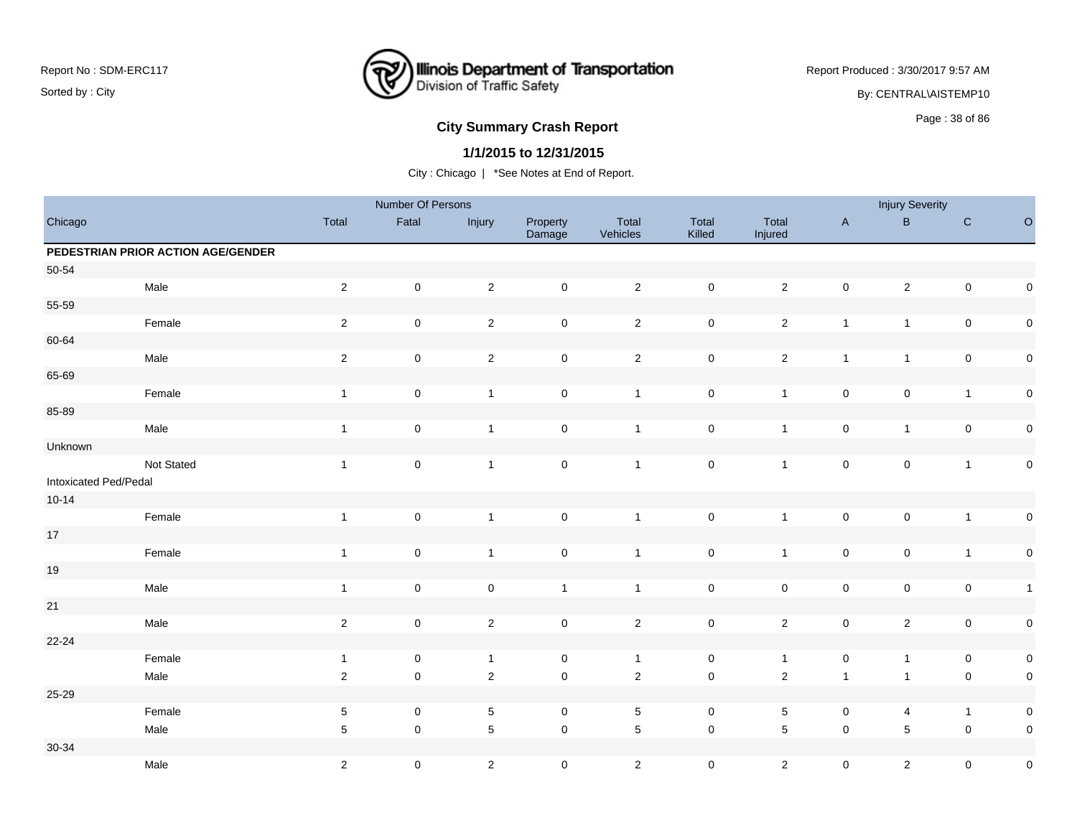

Report Produced : 3/30/2017 9:57 AM

By: CENTRAL\AISTEMP10

# **City Summary Crash Report CLASH Report CLASH Report CLASH Report CLASH Report CLASH Report CLASH Report CLASH Report CLASH Report CLASH Report CLASH Report CLASH Report CLASH Report CLASH Report**

### **1/1/2015 to 12/31/2015**

|                       |                                    |                | Number Of Persons   |                |                     |                   |                 |                  |                     | <b>Injury Severity</b> |                     |              |
|-----------------------|------------------------------------|----------------|---------------------|----------------|---------------------|-------------------|-----------------|------------------|---------------------|------------------------|---------------------|--------------|
| Chicago               |                                    | Total          | Fatal               | Injury         | Property<br>Damage  | Total<br>Vehicles | Total<br>Killed | Total<br>Injured | $\mathsf{A}$        | $\mathsf B$            | ${\rm C}$           | $\mathsf O$  |
|                       | PEDESTRIAN PRIOR ACTION AGE/GENDER |                |                     |                |                     |                   |                 |                  |                     |                        |                     |              |
| 50-54                 |                                    |                |                     |                |                     |                   |                 |                  |                     |                        |                     |              |
|                       | Male                               | $\overline{2}$ | $\mathsf 0$         | $\overline{2}$ | $\mathsf{O}\xspace$ | $\overline{2}$    | $\pmb{0}$       | $\overline{2}$   | $\mathsf{O}\xspace$ | $\overline{c}$         | $\mathsf{O}\xspace$ | $\mathsf 0$  |
| 55-59                 |                                    |                |                     |                |                     |                   |                 |                  |                     |                        |                     |              |
|                       | Female                             | $\overline{2}$ | $\mathsf 0$         | $\overline{2}$ | $\mathsf 0$         | $\overline{2}$    | $\pmb{0}$       | $\overline{2}$   | $\mathbf{1}$        | $\mathbf{1}$           | $\pmb{0}$           | $\mathsf 0$  |
| 60-64                 |                                    |                |                     |                |                     |                   |                 |                  |                     |                        |                     |              |
|                       | Male                               | $\sqrt{2}$     | $\mathbf 0$         | $\mathbf 2$    | $\mathsf 0$         | $\sqrt{2}$        | $\pmb{0}$       | $\overline{2}$   | $\mathbf{1}$        | $\mathbf{1}$           | $\pmb{0}$           | $\mathsf 0$  |
| 65-69                 |                                    |                |                     |                |                     |                   |                 |                  |                     |                        |                     |              |
|                       | Female                             | $\mathbf{1}$   | $\pmb{0}$           | $\mathbf{1}$   | $\pmb{0}$           | $\overline{1}$    | $\pmb{0}$       | $\mathbf{1}$     | $\pmb{0}$           | $\pmb{0}$              | $\mathbf{1}$        | $\pmb{0}$    |
| 85-89                 |                                    |                |                     |                |                     |                   |                 |                  |                     |                        |                     |              |
|                       | Male                               | $\overline{1}$ | $\mathsf 0$         | $\mathbf{1}$   | $\mathsf 0$         | $\overline{1}$    | $\pmb{0}$       | $\mathbf{1}$     | $\pmb{0}$           | $\mathbf{1}$           | $\pmb{0}$           | $\mathsf 0$  |
| Unknown               |                                    |                |                     |                |                     |                   |                 |                  |                     |                        |                     |              |
|                       | Not Stated                         | $\overline{1}$ | $\mathbf 0$         | $\mathbf{1}$   | $\mathsf 0$         | $\overline{1}$    | $\pmb{0}$       | $\mathbf{1}$     | $\mathsf{O}\xspace$ | $\mathbf 0$            | $\mathbf{1}$        | $\mathsf 0$  |
| Intoxicated Ped/Pedal |                                    |                |                     |                |                     |                   |                 |                  |                     |                        |                     |              |
| $10 - 14$             |                                    |                |                     |                |                     |                   |                 |                  |                     |                        |                     |              |
|                       | Female                             | $\overline{1}$ | $\mathsf 0$         | $\mathbf{1}$   | $\mathsf 0$         | $\overline{1}$    | $\pmb{0}$       | $\mathbf{1}$     | $\pmb{0}$           | $\pmb{0}$              | $\mathbf{1}$        | $\pmb{0}$    |
| $17\,$                |                                    |                |                     |                |                     |                   |                 |                  |                     |                        |                     |              |
|                       | Female                             | $\overline{1}$ | $\mathsf 0$         | $\mathbf{1}$   | $\mathsf 0$         | $\overline{1}$    | $\pmb{0}$       | $\mathbf{1}$     | $\mathsf{O}\xspace$ | $\pmb{0}$              | $\overline{1}$      | $\pmb{0}$    |
| $19$                  |                                    |                |                     |                |                     |                   |                 |                  |                     |                        |                     |              |
|                       | Male                               | $\overline{1}$ | $\mathbf 0$         | $\pmb{0}$      | $\mathbf{1}$        | $\mathbf{1}$      | $\pmb{0}$       | $\mathbf 0$      | $\mathsf{O}\xspace$ | $\mathbf 0$            | $\mathsf{O}\xspace$ | $\mathbf{1}$ |
| $21$                  |                                    |                |                     |                |                     |                   |                 |                  |                     |                        |                     |              |
|                       | Male                               | $\sqrt{2}$     | $\pmb{0}$           | $\overline{2}$ | $\mathsf 0$         | $\overline{2}$    | $\pmb{0}$       | $\overline{2}$   | $\pmb{0}$           | $\overline{c}$         | $\mathsf{O}\xspace$ | $\mathbf 0$  |
| $22 - 24$             |                                    |                |                     |                |                     |                   |                 |                  |                     |                        |                     |              |
|                       | Female                             | $\overline{1}$ | $\mathbf 0$         | $\overline{1}$ | $\mathsf{O}\xspace$ | $\overline{1}$    | $\pmb{0}$       | $\mathbf{1}$     | $\mathsf{O}\xspace$ | $\mathbf{1}$           | $\mathbf 0$         | $\mathsf 0$  |
|                       | Male                               | $\overline{2}$ | $\mathbf 0$         | $\overline{2}$ | $\mathsf{O}\xspace$ | $\overline{2}$    | $\mathsf 0$     | $\overline{2}$   | $\mathbf{1}$        | $\mathbf{1}$           | $\mathbf 0$         | $\mathsf 0$  |
| 25-29                 |                                    |                |                     |                |                     |                   |                 |                  |                     |                        |                     |              |
|                       | Female                             | $\sqrt{5}$     | $\mathbf 0$         | $\mathbf 5$    | $\mathbf 0$         | $\sqrt{5}$        | $\mathsf 0$     | $5\phantom{.0}$  | $\pmb{0}$           | 4                      | $\mathbf{1}$        | $\mathsf 0$  |
|                       | Male                               | 5              | $\mathsf{O}\xspace$ | $\sqrt{5}$     | $\mathsf 0$         | $\overline{5}$    | $\mathbf 0$     | $\overline{5}$   | $\mathsf{O}\xspace$ | $\sqrt{5}$             | $\mathsf{O}\xspace$ | $\mathsf 0$  |
| $30 - 34$             |                                    |                |                     |                |                     |                   |                 |                  |                     |                        |                     |              |
|                       | Male                               | $\sqrt{2}$     | $\pmb{0}$           | $\overline{c}$ | $\mathbf 0$         | $\overline{2}$    | $\mathsf 0$     | $\overline{2}$   | $\mathbf 0$         | $\overline{c}$         | $\mathbf 0$         | $\mathbf 0$  |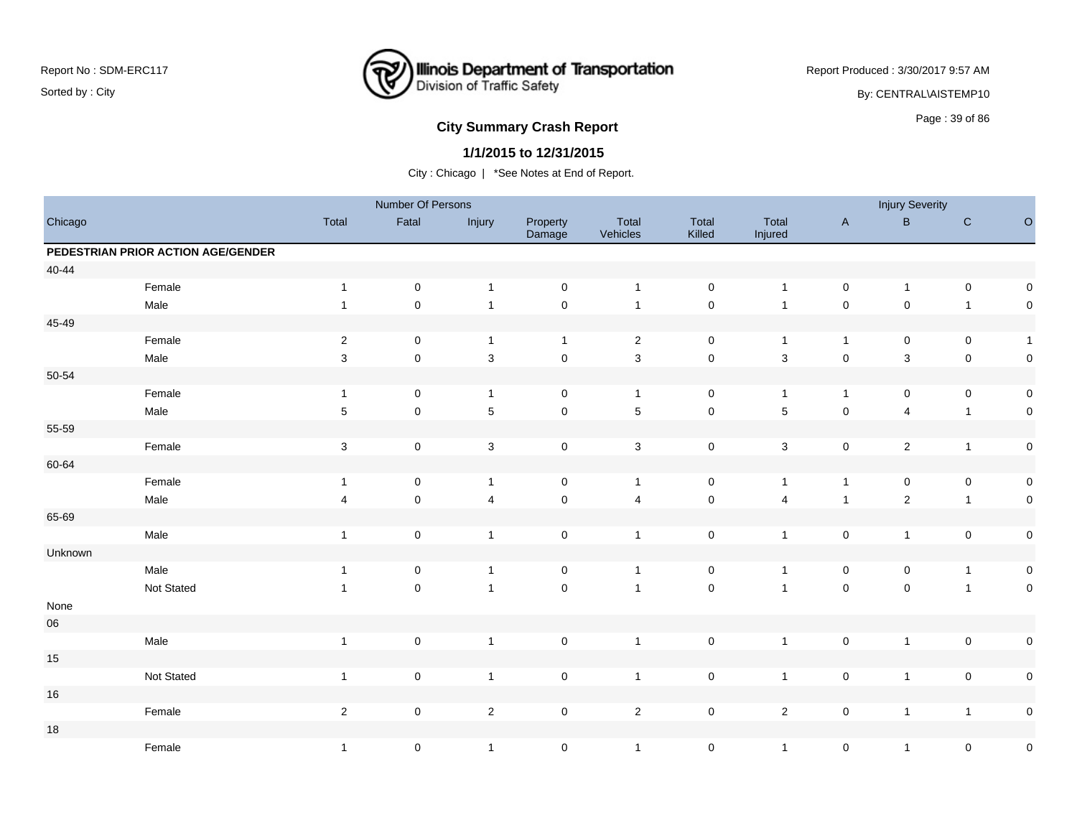

Report Produced : 3/30/2017 9:57 AM

By: CENTRAL\AISTEMP10

# **City Summary Crash Report CLASH CRASH REPORT CONSUMING SUMMARY CRASH CRASH CRASH CRASH CRASH CRASH CRASH CRASH CRASH CRASH CRASH CRASH CRASH CRASH CRASH CRASH CRASH CRASH CRASH CRASH CRASH CRASH CRASH CRASH CRASH CRASH**

### **1/1/2015 to 12/31/2015**

|            |                                    |              | Number Of Persons |                |                     |                   |                     |                  |              | <b>Injury Severity</b>  |                |              |
|------------|------------------------------------|--------------|-------------------|----------------|---------------------|-------------------|---------------------|------------------|--------------|-------------------------|----------------|--------------|
| Chicago    |                                    | Total        | Fatal             | Injury         | Property<br>Damage  | Total<br>Vehicles | Total<br>Killed     | Total<br>Injured | $\mathsf{A}$ | $\sf B$                 | $\mathbf C$    | $\mathsf O$  |
|            | PEDESTRIAN PRIOR ACTION AGE/GENDER |              |                   |                |                     |                   |                     |                  |              |                         |                |              |
| $40 - 44$  |                                    |              |                   |                |                     |                   |                     |                  |              |                         |                |              |
|            | Female                             | $\mathbf{1}$ | $\mathbf 0$       | $\overline{1}$ | $\mathsf{O}\xspace$ | $\overline{1}$    | $\mathsf 0$         | $\mathbf{1}$     | $\mathbf 0$  | $\mathbf{1}$            | $\mathbf 0$    | $\pmb{0}$    |
|            | Male                               | $\mathbf{1}$ | $\mathbf 0$       | $\overline{1}$ | $\pmb{0}$           | $\overline{1}$    | $\mathsf 0$         | $\mathbf{1}$     | $\pmb{0}$    | $\mathsf 0$             | $\mathbf{1}$   | $\mathbf 0$  |
| 45-49      |                                    |              |                   |                |                     |                   |                     |                  |              |                         |                |              |
|            | Female                             | $\sqrt{2}$   | $\mathbf 0$       | $\overline{1}$ | $\mathbf{1}$        | $\overline{2}$    | $\mathbf 0$         | $\mathbf{1}$     | $\mathbf{1}$ | 0                       | $\mathbf 0$    | $\mathbf{1}$ |
|            | Male                               | 3            | $\mathbf 0$       | $\sqrt{3}$     | $\mathsf{O}\xspace$ | $\mathbf{3}$      | $\mathsf{O}\xspace$ | $\mathbf{3}$     | $\mathbf 0$  | 3                       | $\mathbf 0$    | $\pmb{0}$    |
| $50 - 54$  |                                    |              |                   |                |                     |                   |                     |                  |              |                         |                |              |
|            | Female                             | $\mathbf{1}$ | $\pmb{0}$         | $\mathbf{1}$   | $\pmb{0}$           | $\overline{1}$    | $\mathbf 0$         | $\mathbf{1}$     | $\mathbf{1}$ | 0                       | $\mathbf 0$    | $\pmb{0}$    |
|            | Male                               | $\,$ 5 $\,$  | $\mathbf 0$       | $\sqrt{5}$     | $\pmb{0}$           | $\,$ 5 $\,$       | $\mathbf 0$         | 5                | $\mathbf 0$  | $\overline{\mathbf{4}}$ | $\mathbf{1}$   | $\pmb{0}$    |
| 55-59      |                                    |              |                   |                |                     |                   |                     |                  |              |                         |                |              |
|            | Female                             | $\sqrt{3}$   | $\pmb{0}$         | $\mathsf 3$    | $\mathsf{O}\xspace$ | $\mathbf{3}$      | $\pmb{0}$           | $\mathbf{3}$     | $\mathbf 0$  | $\overline{c}$          | $\overline{1}$ | $\pmb{0}$    |
| 60-64      |                                    |              |                   |                |                     |                   |                     |                  |              |                         |                |              |
|            | Female                             | $\mathbf{1}$ | 0                 | $\overline{1}$ | 0                   | $\overline{1}$    | $\pmb{0}$           | $\mathbf{1}$     | $\mathbf{1}$ | $\pmb{0}$               | $\mathbf 0$    | $\pmb{0}$    |
|            | Male                               | 4            | $\pmb{0}$         | $\overline{4}$ | $\pmb{0}$           | $\overline{4}$    | $\mathsf{O}\xspace$ | 4                | $\mathbf{1}$ | $\sqrt{2}$              | $\overline{1}$ | $\mathbf 0$  |
| 65-69      |                                    |              |                   |                |                     |                   |                     |                  |              |                         |                |              |
|            | Male                               | $\mathbf{1}$ | $\pmb{0}$         | $\overline{1}$ | $\pmb{0}$           | $\overline{1}$    | $\mathbf 0$         | $\mathbf{1}$     | $\pmb{0}$    | $\mathbf{1}$            | $\mathbf 0$    | $\pmb{0}$    |
| Unknown    |                                    |              |                   |                |                     |                   |                     |                  |              |                         |                |              |
|            | Male                               | $\mathbf{1}$ | 0                 | $\overline{1}$ | $\mathbf 0$         | $\overline{1}$    | 0                   | 1                | $\mathbf 0$  | 0                       | $\overline{1}$ | $\pmb{0}$    |
|            | Not Stated                         | $\mathbf{1}$ | $\pmb{0}$         | $\overline{1}$ | $\mathsf{O}\xspace$ | $\overline{1}$    | $\mathsf{O}\xspace$ | $\mathbf{1}$     | $\mathsf 0$  | $\pmb{0}$               | $\overline{1}$ | $\pmb{0}$    |
| None       |                                    |              |                   |                |                     |                   |                     |                  |              |                         |                |              |
| ${\bf 06}$ |                                    |              |                   |                |                     |                   |                     |                  |              |                         |                |              |
|            | Male                               | $\mathbf{1}$ | ${\bf 0}$         | $\mathbf{1}$   | $\pmb{0}$           | $\overline{1}$    | $\mathbf 0$         | $\mathbf{1}$     | $\pmb{0}$    | $\mathbf{1}$            | $\pmb{0}$      | $\pmb{0}$    |
| $15\,$     |                                    |              |                   |                |                     |                   |                     |                  |              |                         |                |              |
|            | Not Stated                         | $\mathbf{1}$ | $\pmb{0}$         | $\overline{1}$ | $\mathsf{O}\xspace$ | $\overline{1}$    | $\mathbf 0$         | $\mathbf{1}$     | $\mathbf 0$  | $\mathbf{1}$            | $\mathbf 0$    | $\pmb{0}$    |
| $16\,$     |                                    |              |                   |                |                     |                   |                     |                  |              |                         |                |              |
|            | Female                             | $\sqrt{2}$   | $\pmb{0}$         | $\mathbf{2}$   | $\mathsf{O}\xspace$ | $\overline{2}$    | $\pmb{0}$           | $\overline{a}$   | $\mathbf 0$  | $\mathbf{1}$            | $\overline{1}$ | $\pmb{0}$    |
| $18$       |                                    |              |                   |                |                     |                   |                     |                  |              |                         |                |              |
|            | Female                             | $\mathbf{1}$ | $\pmb{0}$         | $\overline{1}$ | $\mathbf 0$         | $\overline{1}$    | $\pmb{0}$           | $\overline{1}$   | $\mathbf 0$  | $\mathbf{1}$            | $\pmb{0}$      | $\pmb{0}$    |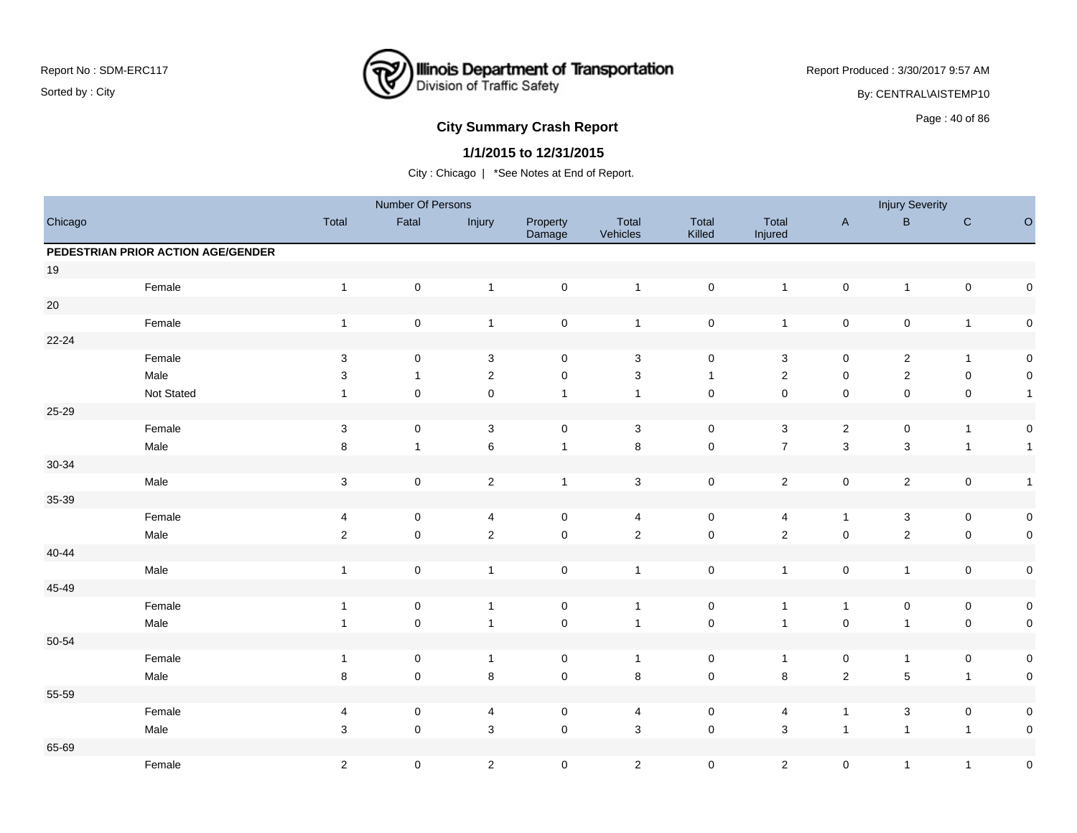

Report Produced : 3/30/2017 9:57 AM

By: CENTRAL\AISTEMP10

# **City Summary Crash Report CLASH Report CLASH Report CLASH Report CLASH Report CLASH Report CLASH Report CLASH Report CLASH Report CLASH Report CLASH Report CLASH Report CLASH Report CLASH Report**

### **1/1/2015 to 12/31/2015**

|           |                                    |                         | Number Of Persons   |                         |                    |                   |                     |                  |                | <b>Injury Severity</b> |              |                      |
|-----------|------------------------------------|-------------------------|---------------------|-------------------------|--------------------|-------------------|---------------------|------------------|----------------|------------------------|--------------|----------------------|
| Chicago   |                                    | Total                   | Fatal               | Injury                  | Property<br>Damage | Total<br>Vehicles | Total<br>Killed     | Total<br>Injured | $\mathsf{A}$   | $\, {\bf B} \,$        | $\mathbf C$  | $\hbox{\large\it O}$ |
|           | PEDESTRIAN PRIOR ACTION AGE/GENDER |                         |                     |                         |                    |                   |                     |                  |                |                        |              |                      |
| $19$      |                                    |                         |                     |                         |                    |                   |                     |                  |                |                        |              |                      |
|           | Female                             | $\overline{1}$          | $\pmb{0}$           | $\mathbf{1}$            | $\mathsf 0$        | $\mathbf{1}$      | $\mathsf{O}\xspace$ | $\overline{1}$   | $\mathsf 0$    | $\overline{1}$         | $\mathbf 0$  | $\mathbf 0$          |
| $20\,$    |                                    |                         |                     |                         |                    |                   |                     |                  |                |                        |              |                      |
|           | Female                             | $\mathbf{1}$            | $\pmb{0}$           | $\mathbf{1}$            | $\mathbf 0$        | $\mathbf{1}$      | $\pmb{0}$           | $\overline{1}$   | $\mathbf 0$    | $\pmb{0}$              | $\mathbf{1}$ | $\mathsf{O}\xspace$  |
| $22 - 24$ |                                    |                         |                     |                         |                    |                   |                     |                  |                |                        |              |                      |
|           | Female                             | $\mathbf{3}$            | $\mathbf 0$         | $\mathbf{3}$            | $\mathbf 0$        | 3                 | 0                   | $\sqrt{3}$       | $\mathbf 0$    | $\overline{2}$         | $\mathbf{1}$ | $\mathbf 0$          |
|           | Male                               | 3                       | $\mathbf{1}$        | $\overline{c}$          | $\pmb{0}$          | $\sqrt{3}$        | $\overline{1}$      | $\sqrt{2}$       | $\pmb{0}$      | $\overline{c}$         | $\pmb{0}$    | $\mathbf 0$          |
|           | Not Stated                         | $\mathbf{1}$            | $\mathsf{O}\xspace$ | $\pmb{0}$               | $\mathbf{1}$       | $\mathbf{1}$      | $\mathsf 0$         | $\mathbf 0$      | $\pmb{0}$      | $\mathsf 0$            | $\pmb{0}$    | $\overline{1}$       |
| 25-29     |                                    |                         |                     |                         |                    |                   |                     |                  |                |                        |              |                      |
|           | Female                             | $\sqrt{3}$              | $\mathsf{O}\xspace$ | $\sqrt{3}$              | $\mathbf 0$        | 3                 | $\mathbf 0$         | $\sqrt{3}$       | $\sqrt{2}$     | 0                      | $\mathbf{1}$ | $\mathbf 0$          |
|           | Male                               | 8                       | $\mathbf{1}$        | $\,6$                   | $\mathbf{1}$       | $\bf 8$           | $\mathsf{O}\xspace$ | $\boldsymbol{7}$ | $\mathbf{3}$   | 3                      | $\mathbf{1}$ | $\overline{1}$       |
| $30 - 34$ |                                    |                         |                     |                         |                    |                   |                     |                  |                |                        |              |                      |
|           | Male                               | $\sqrt{3}$              | $\mathsf{O}\xspace$ | $\overline{2}$          | $\mathbf{1}$       | $\sqrt{3}$        | $\mathsf{O}\xspace$ | $\overline{2}$   | $\mathsf 0$    | $\overline{c}$         | $\mathbf 0$  | $\overline{1}$       |
| 35-39     |                                    |                         |                     |                         |                    |                   |                     |                  |                |                        |              |                      |
|           | Female                             | 4                       | $\pmb{0}$           | $\overline{\mathbf{4}}$ | $\mathsf 0$        | 4                 | $\pmb{0}$           | 4                | $\mathbf{1}$   | $\mathbf{3}$           | $\pmb{0}$    | $\mathbf 0$          |
|           | Male                               | $\sqrt{2}$              | $\pmb{0}$           | $\overline{2}$          | $\pmb{0}$          | $\sqrt{2}$        | $\mathsf 0$         | $\mathbf 2$      | $\pmb{0}$      | $\overline{c}$         | $\pmb{0}$    | $\mathsf{O}\xspace$  |
| $40 - 44$ |                                    |                         |                     |                         |                    |                   |                     |                  |                |                        |              |                      |
|           | Male                               | $\overline{1}$          | $\pmb{0}$           | $\mathbf{1}$            | $\pmb{0}$          | $\overline{1}$    | $\mathbf 0$         | $\overline{1}$   | $\pmb{0}$      | $\mathbf{1}$           | $\pmb{0}$    | $\mathbf 0$          |
| 45-49     |                                    |                         |                     |                         |                    |                   |                     |                  |                |                        |              |                      |
|           | Female                             | $\overline{1}$          | 0                   | $\mathbf{1}$            | $\mathbf 0$        | $\overline{1}$    | $\mathbf 0$         | $\overline{1}$   | $\mathbf{1}$   | $\mathbf 0$            | $\pmb{0}$    | $\mathbf 0$          |
|           | Male                               | $\mathbf{1}$            | $\pmb{0}$           | $\mathbf{1}$            | $\mathsf 0$        | $\mathbf{1}$      | $\mathbf 0$         | $\overline{1}$   | $\mathsf 0$    | $\mathbf{1}$           | $\pmb{0}$    | $\mathbf 0$          |
| 50-54     |                                    |                         |                     |                         |                    |                   |                     |                  |                |                        |              |                      |
|           | Female                             | $\overline{1}$          | $\mathbf 0$         | $\overline{1}$          | $\mathsf 0$        | $\overline{1}$    | $\mathbf 0$         | $\overline{1}$   | $\mathsf 0$    | $\mathbf{1}$           | $\pmb{0}$    | $\mathsf{O}\xspace$  |
|           | Male                               | $\,8\,$                 | $\mathsf 0$         | 8                       | $\mathsf 0$        | $\bf 8$           | $\mathsf{O}\xspace$ | $\,8\,$          | $\mathbf 2$    | 5                      | $\mathbf{1}$ | $\mathbf 0$          |
| 55-59     |                                    |                         |                     |                         |                    |                   |                     |                  |                |                        |              |                      |
|           | Female                             | $\overline{\mathbf{4}}$ | $\mathsf 0$         | $\overline{4}$          | $\mathsf 0$        | 4                 | $\mathbf 0$         | 4                | $\overline{1}$ | 3                      | $\mathbf 0$  | $\mathsf{O}\xspace$  |
|           | Male                               | 3                       | $\mathsf 0$         | 3                       | $\mathsf 0$        | $\mathsf 3$       | $\mathsf{O}\xspace$ | $\mathbf{3}$     | $\overline{1}$ | $\overline{1}$         | $\mathbf{1}$ | $\pmb{0}$            |
| 65-69     |                                    |                         |                     |                         |                    |                   |                     |                  |                |                        |              |                      |
|           | Female                             | $\sqrt{2}$              | $\pmb{0}$           | $\overline{2}$          | $\mathbf 0$        | $\overline{2}$    | $\mathbf 0$         | $\overline{2}$   | $\pmb{0}$      | $\mathbf{1}$           | $\mathbf{1}$ | $\pmb{0}$            |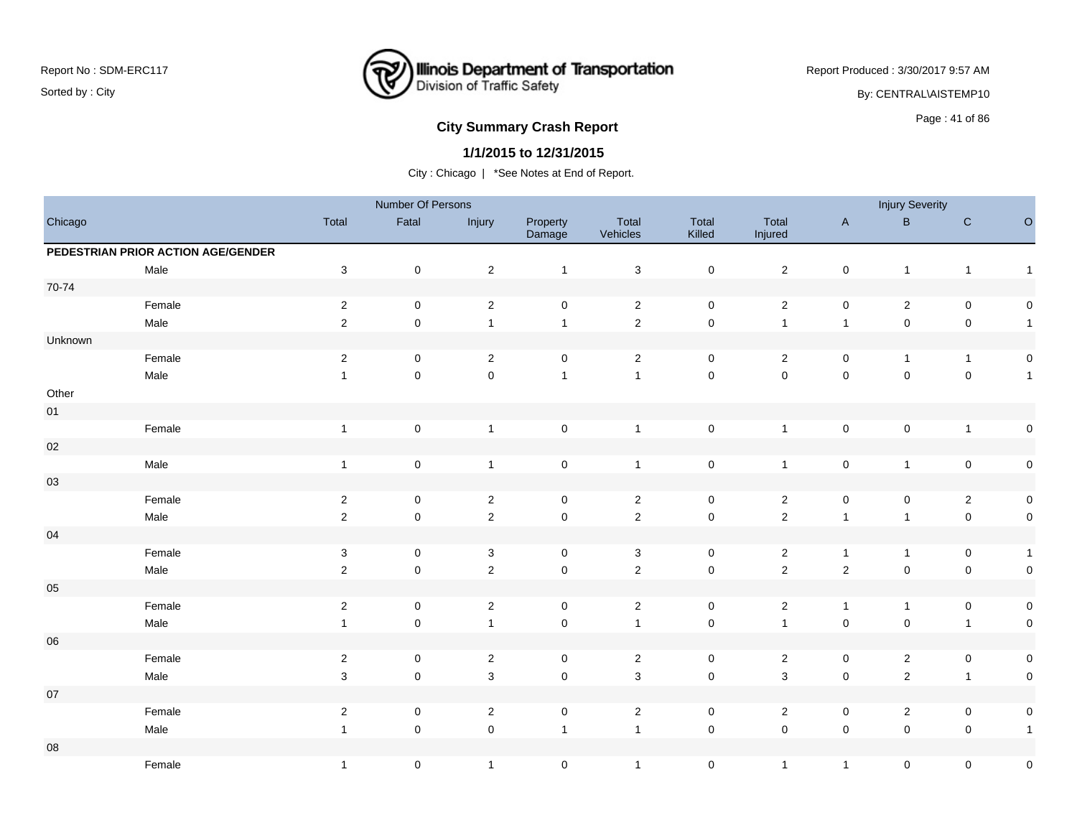

Report Produced : 3/30/2017 9:57 AM

By: CENTRAL\AISTEMP10

# **City Summary Crash Report CLASH CRASH REPORT CONSUMING RANGE 2012 12:00 Page : 41 of 86 and 2013**

### **1/1/2015 to 12/31/2015**

|            |                                    |                           | Number Of Persons   |                |                     |                   |                     |                     |                     | <b>Injury Severity</b> |                     |                     |
|------------|------------------------------------|---------------------------|---------------------|----------------|---------------------|-------------------|---------------------|---------------------|---------------------|------------------------|---------------------|---------------------|
| Chicago    |                                    | Total                     | Fatal               | Injury         | Property<br>Damage  | Total<br>Vehicles | Total<br>Killed     | Total<br>Injured    | $\mathsf{A}$        | $\, {\bf B} \,$        | ${\bf C}$           | $\hbox{O}$          |
|            | PEDESTRIAN PRIOR ACTION AGE/GENDER |                           |                     |                |                     |                   |                     |                     |                     |                        |                     |                     |
|            | Male                               | $\ensuremath{\mathsf{3}}$ | $\pmb{0}$           | $\overline{2}$ | $\mathbf{1}$        | $\sqrt{3}$        | $\mathsf{O}\xspace$ | $\overline{2}$      | $\pmb{0}$           | $\mathbf{1}$           | $\mathbf{1}$        | $\overline{1}$      |
| 70-74      |                                    |                           |                     |                |                     |                   |                     |                     |                     |                        |                     |                     |
|            | Female                             | $\overline{2}$            | $\pmb{0}$           | $\overline{2}$ | $\mathsf 0$         | $\overline{2}$    | $\mathbf 0$         | $\overline{a}$      | $\mathsf 0$         | $\overline{c}$         | $\mathbf 0$         | $\mathbf 0$         |
|            | Male                               | $\overline{2}$            | $\pmb{0}$           | $\mathbf{1}$   | $\mathbf{1}$        | $\overline{2}$    | $\mathsf 0$         | $\overline{1}$      | $\overline{1}$      | $\pmb{0}$              | $\mathbf 0$         | $\overline{1}$      |
| Unknown    |                                    |                           |                     |                |                     |                   |                     |                     |                     |                        |                     |                     |
|            | Female                             | $\overline{2}$            | 0                   | $\overline{2}$ | 0                   | $\overline{2}$    | 0                   | $\overline{2}$      | 0                   | $\mathbf{1}$           | $\mathbf{1}$        | $\mathbf 0$         |
|            | Male                               | $\mathbf{1}$              | $\pmb{0}$           | $\mathbf 0$    | $\mathbf{1}$        | $\mathbf{1}$      | $\mathsf{O}\xspace$ | $\mathsf{O}\xspace$ | $\mathsf{O}\xspace$ | $\mathsf{O}\xspace$    | $\pmb{0}$           | $\overline{1}$      |
| Other      |                                    |                           |                     |                |                     |                   |                     |                     |                     |                        |                     |                     |
| $01\,$     |                                    |                           |                     |                |                     |                   |                     |                     |                     |                        |                     |                     |
|            | Female                             | $\overline{1}$            | $\pmb{0}$           | $\mathbf{1}$   | $\mathsf 0$         | $\mathbf{1}$      | $\mathsf{O}\xspace$ | $\overline{1}$      | $\mathsf 0$         | $\pmb{0}$              | $\mathbf{1}$        | $\mathsf{O}\xspace$ |
| $02\,$     |                                    |                           |                     |                |                     |                   |                     |                     |                     |                        |                     |                     |
|            | Male                               | $\mathbf{1}$              | $\mathbf 0$         | $\mathbf{1}$   | $\mathsf 0$         | $\overline{1}$    | $\mathsf{O}\xspace$ | $\overline{1}$      | $\pmb{0}$           | $\overline{1}$         | $\mathbf 0$         | $\mathbf 0$         |
| 03         |                                    |                           |                     |                |                     |                   |                     |                     |                     |                        |                     |                     |
|            | Female                             | $\overline{2}$            | 0                   | $\overline{2}$ | $\mathbf 0$         | $\overline{2}$    | $\mathbf 0$         | $\overline{2}$      | $\mathsf 0$         | 0                      | $\overline{2}$      | $\mathbf 0$         |
|            | Male                               | $\sqrt{2}$                | $\pmb{0}$           | $\overline{c}$ | $\mathbf 0$         | $\overline{2}$    | $\mathsf{O}\xspace$ | $\mathbf 2$         | $\overline{1}$      | $\mathbf{1}$           | $\pmb{0}$           | $\mathbf 0$         |
| $04\,$     |                                    |                           |                     |                |                     |                   |                     |                     |                     |                        |                     |                     |
|            | Female                             | $\mathbf{3}$              | 0                   | $\mathbf{3}$   | $\mathbf 0$         | $\mathbf{3}$      | 0                   | $\overline{2}$      | $\mathbf{1}$        | $\mathbf{1}$           | 0                   | $\overline{1}$      |
|            | Male                               | $\sqrt{2}$                | $\pmb{0}$           | $\overline{2}$ | $\mathsf{O}\xspace$ | $\overline{2}$    | $\mathsf{O}\xspace$ | $\overline{2}$      | $\sqrt{2}$          | 0                      | $\mathbf 0$         | $\mathsf{O}\xspace$ |
| $05\,$     |                                    |                           |                     |                |                     |                   |                     |                     |                     |                        |                     |                     |
|            | Female                             | $\overline{c}$            | 0                   | $\overline{2}$ | $\mathbf 0$         | $\overline{2}$    | $\mathbf 0$         | $\overline{2}$      | $\mathbf{1}$        | $\mathbf{1}$           | $\pmb{0}$           | $\mathbf 0$         |
|            | Male                               | $\mathbf{1}$              | $\mathbf 0$         | $\mathbf{1}$   | $\mathsf 0$         | $\mathbf{1}$      | $\mathsf{O}\xspace$ | $\overline{1}$      | $\mathsf 0$         | $\mathsf 0$            | $\mathbf{1}$        | $\mathbf 0$         |
| ${\bf 06}$ |                                    |                           |                     |                |                     |                   |                     |                     |                     |                        |                     |                     |
|            | Female                             | $\overline{2}$            | $\mathsf{O}\xspace$ | $\overline{2}$ | $\mathbf 0$         | $\overline{2}$    | $\mathbf 0$         | $\overline{2}$      | $\mathsf 0$         | $\overline{c}$         | $\mathsf{O}\xspace$ | $\mathbf 0$         |
|            | Male                               | $\sqrt{3}$                | $\pmb{0}$           | $\mathbf{3}$   | $\mathsf{O}\xspace$ | $\mathbf{3}$      | $\mathbf 0$         | $\mathbf{3}$        | $\mathsf 0$         | $\mathbf 2$            | $\mathbf{1}$        | $\mathbf 0$         |
| $07\,$     |                                    |                           |                     |                |                     |                   |                     |                     |                     |                        |                     |                     |
|            | Female                             | $\overline{2}$            | $\mathbf 0$         | $\overline{2}$ | $\mathbf 0$         | $\overline{2}$    | $\mathbf 0$         | $\overline{2}$      | $\pmb{0}$           | $\overline{c}$         | $\pmb{0}$           | $\mathbf 0$         |
|            | Male                               | $\mathbf{1}$              | $\mathsf 0$         | $\pmb{0}$      | $\mathbf{1}$        | $\overline{1}$    | $\mathsf 0$         | $\mathsf{O}\xspace$ | $\mathsf{O}\xspace$ | $\mathsf 0$            | $\pmb{0}$           | $\overline{1}$      |
| ${\bf 08}$ |                                    |                           |                     |                |                     |                   |                     |                     |                     |                        |                     |                     |
|            | Female                             | $\mathbf{1}$              | 0                   | $\mathbf{1}$   | $\mathsf 0$         | $\mathbf{1}$      | $\mathbf 0$         | $\mathbf{1}$        | $\mathbf{1}$        | 0                      | $\pmb{0}$           | $\pmb{0}$           |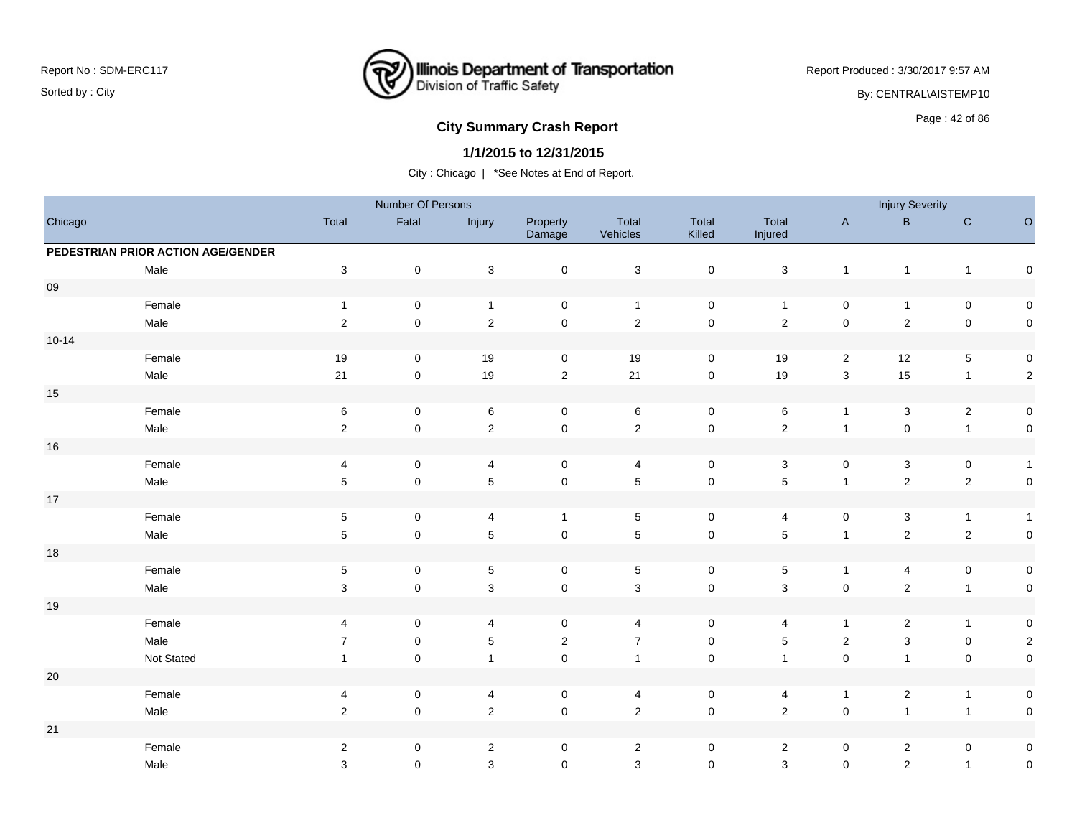

Report Produced : 3/30/2017 9:57 AM

By: CENTRAL\AISTEMP10

# **City Summary Crash Report CLASH CRASH REPORT CONSTRUSS AND REPORT CONSTRUSS AND REPORT CONSTRUSS AND REPORT OF SCHOOL CONSTRUSS AND REPORT OF SCHOOL CONSTRUCTION OF SAMPLE CONSTRUCTION OF SCHOOL CONSTRUCTION OF SCHOOL C**

### **1/1/2015 to 12/31/2015**

|           |                                    |                           | Number Of Persons |                           |                     |                           |                     |                         |                           | <b>Injury Severity</b>    |              |                     |
|-----------|------------------------------------|---------------------------|-------------------|---------------------------|---------------------|---------------------------|---------------------|-------------------------|---------------------------|---------------------------|--------------|---------------------|
| Chicago   |                                    | Total                     | Fatal             | Injury                    | Property<br>Damage  | Total<br>Vehicles         | Total<br>Killed     | Total<br>Injured        | $\boldsymbol{\mathsf{A}}$ | $\mathsf B$               | ${\bf C}$    | $\circ$             |
|           | PEDESTRIAN PRIOR ACTION AGE/GENDER |                           |                   |                           |                     |                           |                     |                         |                           |                           |              |                     |
|           | Male                               | $\ensuremath{\mathsf{3}}$ | $\pmb{0}$         | $\ensuremath{\mathsf{3}}$ | $\pmb{0}$           | $\ensuremath{\mathsf{3}}$ | $\mathsf 0$         | $\sqrt{3}$              | $\mathbf{1}$              | $\overline{1}$            | $\mathbf{1}$ | $\pmb{0}$           |
| $09\,$    |                                    |                           |                   |                           |                     |                           |                     |                         |                           |                           |              |                     |
|           | Female                             | $\mathbf{1}$              | $\mathsf 0$       | $\mathbf{1}$              | 0                   | $\overline{1}$            | $\mathsf 0$         | $\overline{1}$          | $\mathsf{O}\xspace$       | $\mathbf{1}$              | $\pmb{0}$    | $\mathbf 0$         |
|           | Male                               | $\mathbf 2$               | $\mathsf 0$       | $\overline{2}$            | $\mathbf 0$         | $\sqrt{2}$                | $\pmb{0}$           | $\sqrt{2}$              | $\pmb{0}$                 | $\overline{2}$            | $\pmb{0}$    | $\mathsf{O}\xspace$ |
| $10 - 14$ |                                    |                           |                   |                           |                     |                           |                     |                         |                           |                           |              |                     |
|           | Female                             | 19                        | 0                 | 19                        | 0                   | 19                        | 0                   | 19                      | 2                         | 12                        | $\mathbf 5$  | $\mathbf 0$         |
|           | Male                               | 21                        | $\mathsf 0$       | 19                        | $\mathbf 2$         | 21                        | $\mathsf 0$         | 19                      | 3                         | 15                        | $\mathbf{1}$ | $\mathbf{2}$        |
| $15$      |                                    |                           |                   |                           |                     |                           |                     |                         |                           |                           |              |                     |
|           | Female                             | 6                         | 0                 | 6                         | 0                   | $\,6$                     | $\mathsf 0$         | $\,6$                   | $\mathbf{1}$              | $\mathbf{3}$              | $\sqrt{2}$   | $\mathsf{O}\xspace$ |
|           | Male                               | $\overline{2}$            | $\pmb{0}$         | $\overline{2}$            | $\pmb{0}$           | $\sqrt{2}$                | $\mathbf 0$         | $\overline{2}$          | $\mathbf{1}$              | $\pmb{0}$                 | $\mathbf{1}$ | $\mathbf 0$         |
| $16\,$    |                                    |                           |                   |                           |                     |                           |                     |                         |                           |                           |              |                     |
|           | Female                             | 4                         | $\mathsf 0$       | 4                         | $\pmb{0}$           | $\overline{4}$            | $\mathsf 0$         | $\sqrt{3}$              | $\pmb{0}$                 | $\ensuremath{\mathsf{3}}$ | $\pmb{0}$    | $\mathbf{1}$        |
|           | Male                               | $\overline{5}$            | $\mathsf 0$       | $\,$ 5 $\,$               | $\pmb{0}$           | $\,$ 5 $\,$               | $\mathsf{O}\xspace$ | $\sqrt{5}$              | $\mathbf{1}$              | $\overline{2}$            | $\sqrt{2}$   | $\mathsf{O}\xspace$ |
| $17\,$    |                                    |                           |                   |                           |                     |                           |                     |                         |                           |                           |              |                     |
|           | Female                             | $\,$ 5 $\,$               | $\pmb{0}$         | 4                         | $\mathbf{1}$        | $\mathbf 5$               | $\mathsf 0$         | 4                       | $\pmb{0}$                 | $\mathbf{3}$              | $\mathbf{1}$ | $\mathbf{1}$        |
|           | Male                               | $\sqrt{5}$                | $\pmb{0}$         | $\sqrt{5}$                | $\pmb{0}$           | $\sqrt{5}$                | $\mathbf 0$         | $\sqrt{5}$              | $\mathbf{1}$              | $\overline{2}$            | $\sqrt{2}$   | $\mathsf{O}\xspace$ |
| $18$      |                                    |                           |                   |                           |                     |                           |                     |                         |                           |                           |              |                     |
|           | Female                             | $\,$ 5 $\,$               | $\mathsf 0$       | $\,$ 5 $\,$               | 0                   | $\,$ 5 $\,$               | $\mathsf 0$         | $\,$ 5 $\,$             | $\mathbf{1}$              | 4                         | $\pmb{0}$    | $\mathbf 0$         |
|           | Male                               | $\mathbf{3}$              | $\mathsf 0$       | $\mathsf 3$               | $\mathsf{O}\xspace$ | $\mathsf 3$               | $\mathbf 0$         | $\mathsf 3$             | $\pmb{0}$                 | $\overline{2}$            | $\mathbf{1}$ | $\mathsf{O}\xspace$ |
| $19$      |                                    |                           |                   |                           |                     |                           |                     |                         |                           |                           |              |                     |
|           | Female                             | 4                         | $\mathbf 0$       | 4                         | 0                   | 4                         | $\mathbf 0$         | $\overline{4}$          | $\mathbf{1}$              | $\overline{2}$            | $\mathbf{1}$ | $\mathbf 0$         |
|           | Male                               | $\overline{7}$            | $\mathbf 0$       | $\,$ 5 $\,$               | $\mathbf 2$         | $\overline{7}$            | $\pmb{0}$           | $\sqrt{5}$              | $\sqrt{2}$                | $\mathsf 3$               | $\pmb{0}$    | $\overline{2}$      |
|           | Not Stated                         | 1                         | $\mathsf 0$       | $\mathbf{1}$              | $\pmb{0}$           | $\mathbf{1}$              | $\mathsf 0$         | $\overline{1}$          | $\pmb{0}$                 | $\mathbf{1}$              | $\mathbf 0$  | $\pmb{0}$           |
| $20\,$    |                                    |                           |                   |                           |                     |                           |                     |                         |                           |                           |              |                     |
|           | Female                             | 4                         | $\pmb{0}$         | $\overline{\mathbf{4}}$   | $\pmb{0}$           | 4                         | $\mathsf 0$         | $\overline{\mathbf{4}}$ | $\mathbf{1}$              | $\overline{a}$            | $\mathbf{1}$ | $\mathbf 0$         |
|           | Male                               | $\overline{2}$            | $\mathbf 0$       | $\sqrt{2}$                | $\pmb{0}$           | $\sqrt{2}$                | $\mathsf{O}\xspace$ | $\overline{2}$          | $\pmb{0}$                 | $\mathbf{1}$              | $\mathbf{1}$ | $\mathbf 0$         |
| 21        |                                    |                           |                   |                           |                     |                           |                     |                         |                           |                           |              |                     |
|           | Female                             | $\sqrt{2}$                | 0                 | $\sqrt{2}$                | 0                   | $\sqrt{2}$                | $\mathsf 0$         | $\sqrt{2}$              | 0                         | $\overline{\mathbf{c}}$   | $\mathbf 0$  | $\mathbf 0$         |
|           | Male                               | 3                         | $\mathbf 0$       | $\mathsf 3$               | $\pmb{0}$           | $\mathsf 3$               | $\mathbf 0$         | $\mathbf{3}$            | $\mathsf{O}\xspace$       | $\overline{2}$            | $\mathbf{1}$ | $\pmb{0}$           |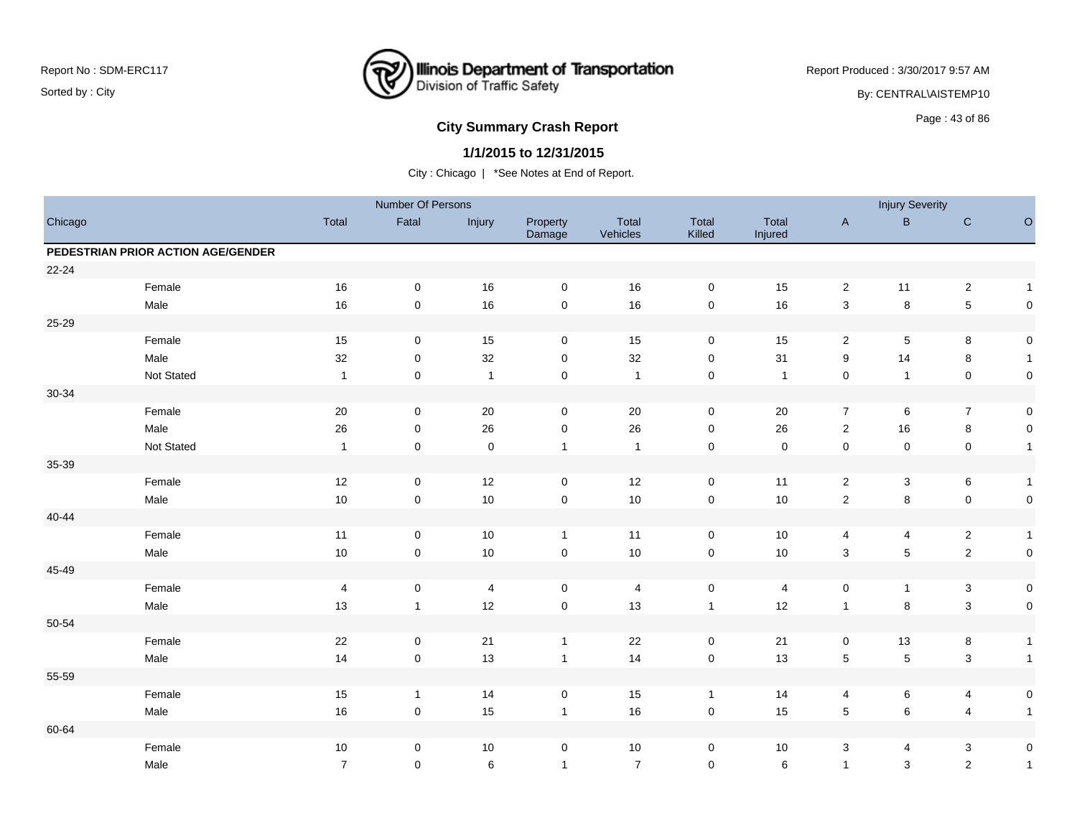

Report Produced : 3/30/2017 9:57 AM

By: CENTRAL\AISTEMP10

# **City Summary Crash Report CLASH CRASH REPORT CONSTRUSS AND REPORT CONSTRUSS ASSESS**

### **1/1/2015 to 12/31/2015**

|           |                                    |                         | Number Of Persons |                |                     |                   |                     |                  |                     | <b>Injury Severity</b> |                         |                     |
|-----------|------------------------------------|-------------------------|-------------------|----------------|---------------------|-------------------|---------------------|------------------|---------------------|------------------------|-------------------------|---------------------|
| Chicago   |                                    | Total                   | Fatal             | Injury         | Property<br>Damage  | Total<br>Vehicles | Total<br>Killed     | Total<br>Injured | $\mathsf{A}$        | $\sf B$                | ${\bf C}$               | $\circ$             |
|           | PEDESTRIAN PRIOR ACTION AGE/GENDER |                         |                   |                |                     |                   |                     |                  |                     |                        |                         |                     |
| 22-24     |                                    |                         |                   |                |                     |                   |                     |                  |                     |                        |                         |                     |
|           | Female                             | 16                      | $\mathbf 0$       | 16             | $\mathbf 0$         | 16                | 0                   | 15               | $\overline{2}$      | 11                     | $\sqrt{2}$              | $\mathbf{1}$        |
|           | Male                               | 16                      | $\mathsf 0$       | 16             | $\mathsf{O}\xspace$ | 16                | $\mathsf{O}\xspace$ | 16               | $\mathbf{3}$        | 8                      | $\sqrt{5}$              | $\mathsf{O}\xspace$ |
| 25-29     |                                    |                         |                   |                |                     |                   |                     |                  |                     |                        |                         |                     |
|           | Female                             | 15                      | 0                 | 15             | $\mathbf 0$         | 15                | 0                   | 15               | $\overline{2}$      | 5                      | 8                       | $\pmb{0}$           |
|           | Male                               | 32                      | $\mathsf 0$       | 32             | $\mathbf 0$         | 32                | 0                   | 31               | 9                   | 14                     | 8                       | $\mathbf{1}$        |
|           | Not Stated                         | $\mathbf{1}$            | $\mathsf 0$       | $\mathbf{1}$   | $\pmb{0}$           | $\overline{1}$    | $\mathbf 0$         | $\mathbf{1}$     | $\pmb{0}$           | $\mathbf{1}$           | $\mathbf 0$             | $\pmb{0}$           |
| 30-34     |                                    |                         |                   |                |                     |                   |                     |                  |                     |                        |                         |                     |
|           | Female                             | 20                      | 0                 | 20             | $\mathbf 0$         | 20                | 0                   | 20               | $\overline{7}$      | 6                      | $\overline{7}$          | $\pmb{0}$           |
|           | Male                               | 26                      | 0                 | 26             | $\mathbf 0$         | 26                | $\mathbf 0$         | 26               | $\overline{2}$      | 16                     | $\bf 8$                 | $\pmb{0}$           |
|           | Not Stated                         | $\overline{1}$          | $\mathsf 0$       | $\mathbf 0$    | $\mathbf{1}$        | $\overline{1}$    | $\mathsf{O}\xspace$ | $\mathbf 0$      | $\mathsf{O}\xspace$ | $\pmb{0}$              | $\mathbf 0$             | $\mathbf{1}$        |
| 35-39     |                                    |                         |                   |                |                     |                   |                     |                  |                     |                        |                         |                     |
|           | Female                             | 12                      | $\mathbf 0$       | 12             | $\mathbf 0$         | 12                | $\mathbf 0$         | 11               | $\overline{2}$      | 3                      | $\,6\,$                 | $\mathbf{1}$        |
|           | Male                               | 10                      | $\mathsf 0$       | 10             | $\mathsf{O}\xspace$ | $10$              | $\mathsf{O}\xspace$ | 10               | $\mathbf 2$         | 8                      | $\mathsf 0$             | $\pmb{0}$           |
| $40 - 44$ |                                    |                         |                   |                |                     |                   |                     |                  |                     |                        |                         |                     |
|           | Female                             | 11                      | $\pmb{0}$         | 10             | $\mathbf{1}$        | 11                | $\mathbf 0$         | 10               | 4                   | 4                      | $\mathbf{2}$            | $\mathbf{1}$        |
|           | Male                               | 10                      | $\mathsf 0$       | 10             | $\mathsf{O}\xspace$ | $10$              | $\mathbf 0$         | 10               | $\mathbf{3}$        | 5                      | $\mathbf 2$             | $\pmb{0}$           |
| 45-49     |                                    |                         |                   |                |                     |                   |                     |                  |                     |                        |                         |                     |
|           | Female                             | $\overline{\mathbf{4}}$ | $\pmb{0}$         | $\overline{4}$ | $\mathbf 0$         | 4                 | $\pmb{0}$           | 4                | $\pmb{0}$           | $\mathbf{1}$           | $\sqrt{3}$              | $\pmb{0}$           |
|           | Male                               | 13                      | $\mathbf{1}$      | 12             | $\mathsf{O}\xspace$ | 13                | $\mathbf{1}$        | 12               | $\mathbf{1}$        | 8                      | $\mathbf{3}$            | $\pmb{0}$           |
| 50-54     |                                    |                         |                   |                |                     |                   |                     |                  |                     |                        |                         |                     |
|           | Female                             | 22                      | $\mathbf 0$       | 21             | $\mathbf{1}$        | 22                | $\pmb{0}$           | 21               | 0                   | 13                     | 8                       | $\mathbf{1}$        |
|           | Male                               | 14                      | $\mathbf 0$       | 13             | $\mathbf{1}$        | 14                | $\mathsf{O}\xspace$ | 13               | $\sqrt{5}$          | 5                      | $\sqrt{3}$              | $\mathbf{1}$        |
| 55-59     |                                    |                         |                   |                |                     |                   |                     |                  |                     |                        |                         |                     |
|           | Female                             | 15                      | $\mathbf{1}$      | 14             | 0                   | $15\,$            | $\mathbf{1}$        | 14               | 4                   | 6                      | $\overline{\mathbf{4}}$ | 0                   |
|           | Male                               | 16                      | $\mathsf 0$       | 15             | $\mathbf{1}$        | $16\,$            | $\mathbf 0$         | 15               | $\sqrt{5}$          | 6                      | $\overline{4}$          | $\mathbf{1}$        |
| 60-64     |                                    |                         |                   |                |                     |                   |                     |                  |                     |                        |                         |                     |
|           | Female                             | 10                      | 0                 | 10             | 0                   | $10\,$            | 0                   | 10               | $\mathbf{3}$        | 4                      | $\mathbf{3}$            | $\pmb{0}$           |
|           | Male                               | $\overline{7}$          | $\mathbf 0$       | 6              | $\mathbf{1}$        | $\overline{7}$    | $\mathbf 0$         | 6                | $\mathbf{1}$        | 3                      | $\overline{2}$          | $\mathbf{1}$        |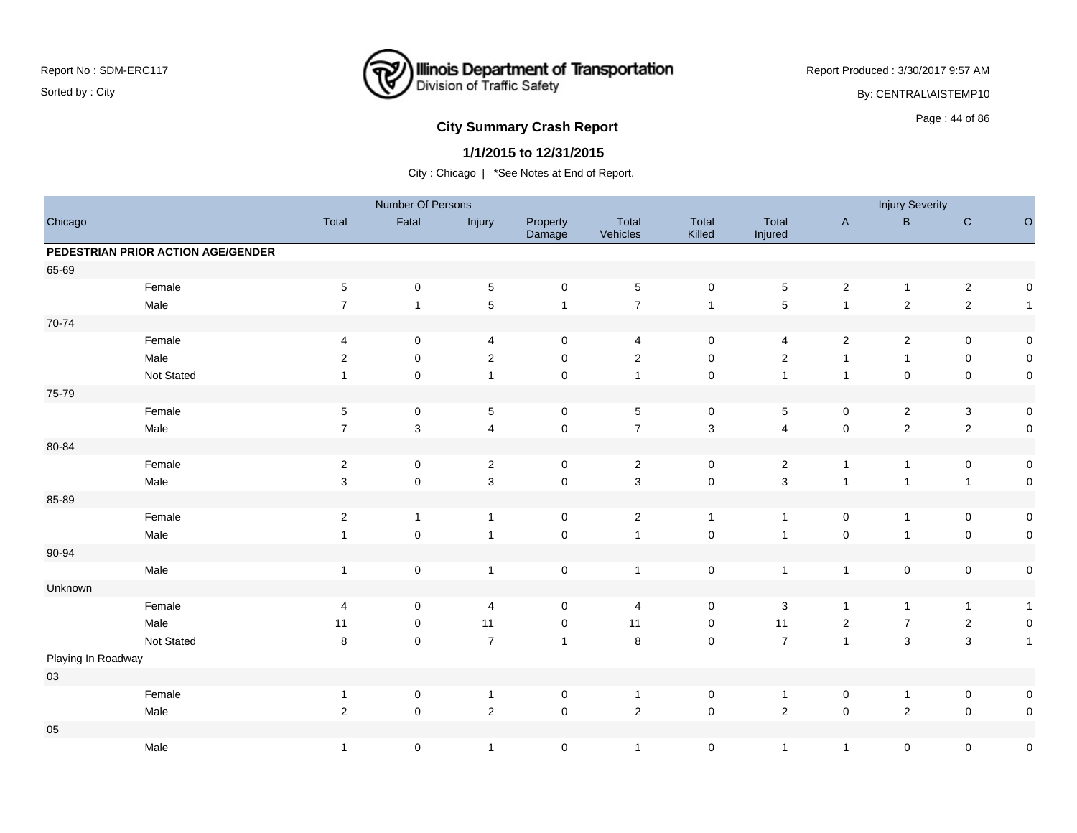

Report Produced : 3/30/2017 9:57 AM

By: CENTRAL\AISTEMP10

# **City Summary Crash Report CLASH CRASH REPORT CONSTRUSS AND REPORT CONSTRUSS AND REPORT CONSTRUSS AND REPORT OF SCHOOL CONSTRUSS AND REPORT OF SCHOOL CONSTRUCTION OF SCHOOL CONSTRUCTION OF SCHOOL CONSTRUCTION OF SCHOOL C**

### **1/1/2015 to 12/31/2015**

|                    |                                    |                         | Number Of Persons |                          |                     |                   |                           |                         |                | <b>Injury Severity</b> |                |                     |
|--------------------|------------------------------------|-------------------------|-------------------|--------------------------|---------------------|-------------------|---------------------------|-------------------------|----------------|------------------------|----------------|---------------------|
| Chicago            |                                    | Total                   | Fatal             | Injury                   | Property<br>Damage  | Total<br>Vehicles | Total<br>Killed           | Total<br>Injured        | $\mathsf A$    | $\sf{B}$               | ${\bf C}$      | $\circ$             |
|                    | PEDESTRIAN PRIOR ACTION AGE/GENDER |                         |                   |                          |                     |                   |                           |                         |                |                        |                |                     |
| 65-69              |                                    |                         |                   |                          |                     |                   |                           |                         |                |                        |                |                     |
|                    | Female                             | $\sqrt{5}$              | $\mathbf 0$       | $\,$ 5 $\,$              | $\mathsf{O}\xspace$ | $\sqrt{5}$        | $\mathbf 0$               | 5                       | $\mathbf{2}$   | $\mathbf{1}$           | $\sqrt{2}$     | 0                   |
|                    | Male                               | $\overline{7}$          | $\mathbf{1}$      | $\overline{5}$           | $\mathbf{1}$        | $\boldsymbol{7}$  | $\mathbf{1}$              | $\mathbf 5$             | $\mathbf{1}$   | $\overline{c}$         | $\mathbf 2$    | $\overline{1}$      |
| 70-74              |                                    |                         |                   |                          |                     |                   |                           |                         |                |                        |                |                     |
|                    | Female                             | 4                       | 0                 | $\overline{4}$           | $\mathbf 0$         | $\overline{4}$    | 0                         | 4                       | $\overline{2}$ | $\overline{c}$         | 0              | $\pmb{0}$           |
|                    | Male                               | $\overline{\mathbf{c}}$ | $\pmb{0}$         | $\sqrt{2}$               | $\pmb{0}$           | $\sqrt{2}$        | $\pmb{0}$                 | $\overline{\mathbf{c}}$ | $\mathbf{1}$   | $\mathbf{1}$           | $\mathsf 0$    | 0                   |
|                    | Not Stated                         | $\mathbf{1}$            | $\mathbf 0$       | $\overline{1}$           | $\mathbf 0$         | $\overline{1}$    | $\mathbf 0$               | $\mathbf{1}$            | $\mathbf{1}$   | 0                      | $\mathsf 0$    | $\pmb{0}$           |
| 75-79              |                                    |                         |                   |                          |                     |                   |                           |                         |                |                        |                |                     |
|                    | Female                             | $\mathbf 5$             | $\pmb{0}$         | $\mathbf 5$              | $\mathbf 0$         | $\,$ 5 $\,$       | $\mathbf 0$               | 5                       | $\mathbf 0$    | $\mathbf 2$            | $\mathbf 3$    | $\pmb{0}$           |
|                    | Male                               | $\overline{7}$          | $\sqrt{3}$        | $\overline{4}$           | $\mathsf 0$         | $\overline{7}$    | $\ensuremath{\mathsf{3}}$ | $\overline{4}$          | $\mathsf 0$    | $\overline{c}$         | $\overline{2}$ | $\pmb{0}$           |
| 80-84              |                                    |                         |                   |                          |                     |                   |                           |                         |                |                        |                |                     |
|                    | Female                             | $\sqrt{2}$              | $\mathbf 0$       | $\overline{2}$           | $\mathbf 0$         | $\overline{2}$    | $\mathbf 0$               | $\overline{c}$          | $\mathbf{1}$   | $\mathbf{1}$           | $\mathbf 0$    | $\mathsf{O}\xspace$ |
|                    | Male                               | 3                       | $\mathbf 0$       | $\mathbf{3}$             | $\mathsf{O}\xspace$ | $\mathbf{3}$      | $\mathbf 0$               | 3                       | $\mathbf{1}$   | $\mathbf{1}$           | $\mathbf{1}$   | $\pmb{0}$           |
| 85-89              |                                    |                         |                   |                          |                     |                   |                           |                         |                |                        |                |                     |
|                    | Female                             | $\sqrt{2}$              | $\mathbf{1}$      | $\overline{1}$           | $\mathbf 0$         | $\overline{2}$    | $\mathbf{1}$              | $\mathbf{1}$            | $\mathbf 0$    | $\mathbf{1}$           | $\pmb{0}$      | $\pmb{0}$           |
|                    | Male                               | $\mathbf{1}$            | $\pmb{0}$         | $\overline{1}$           | $\mathsf{O}\xspace$ | $\overline{1}$    | $\mathbf 0$               | $\mathbf{1}$            | $\mathbf 0$    | $\mathbf{1}$           | $\mathbf 0$    | $\pmb{0}$           |
| 90-94              |                                    |                         |                   |                          |                     |                   |                           |                         |                |                        |                |                     |
|                    | Male                               | $\mathbf{1}$            | $\mathbf 0$       | $\overline{1}$           | $\mathbf 0$         | $\overline{1}$    | $\mathbf 0$               | $\mathbf{1}$            | $\overline{1}$ | 0                      | $\mathbf 0$    | $\mathsf{O}\xspace$ |
| Unknown            |                                    |                         |                   |                          |                     |                   |                           |                         |                |                        |                |                     |
|                    | Female                             | 4                       | $\mathbf 0$       | $\overline{\mathcal{A}}$ | $\pmb{0}$           | 4                 | $\mathbf 0$               | $\sqrt{3}$              | $\mathbf{1}$   | $\mathbf{1}$           | $\mathbf{1}$   | $\mathbf{1}$        |
|                    | Male                               | 11                      | $\mathbf 0$       | 11                       | 0                   | 11                | 0                         | 11                      | $\overline{2}$ | $\overline{7}$         | $\overline{2}$ | $\pmb{0}$           |
|                    | Not Stated                         | 8                       | $\pmb{0}$         | $\overline{7}$           | $\mathbf{1}$        | $\,8\,$           | $\mathbf 0$               | $\overline{7}$          | $\mathbf{1}$   | $\mathbf{3}$           | $\mathbf{3}$   | $\mathbf{1}$        |
| Playing In Roadway |                                    |                         |                   |                          |                     |                   |                           |                         |                |                        |                |                     |
| $03\,$             |                                    |                         |                   |                          |                     |                   |                           |                         |                |                        |                |                     |
|                    | Female                             | $\mathbf{1}$            | $\pmb{0}$         | $\mathbf{1}$             | $\mathbf 0$         | $\overline{1}$    | $\mathbf 0$               | $\mathbf{1}$            | $\mathbf 0$    | $\mathbf{1}$           | $\mathbf 0$    | 0                   |
|                    | Male                               | $\boldsymbol{2}$        | $\pmb{0}$         | $\sqrt{2}$               | $\pmb{0}$           | $\sqrt{2}$        | $\mathsf{O}\xspace$       | $\mathbf 2$             | $\pmb{0}$      | $\overline{c}$         | $\mathbf 0$    | $\mathsf{O}\xspace$ |
| 05                 |                                    |                         |                   |                          |                     |                   |                           |                         |                |                        |                |                     |
|                    | Male                               | $\mathbf{1}$            | 0                 | $\overline{1}$           | $\mathbf 0$         | $\overline{1}$    | $\mathbf 0$               | $\mathbf{1}$            | $\overline{1}$ | 0                      | $\mathsf 0$    | $\pmb{0}$           |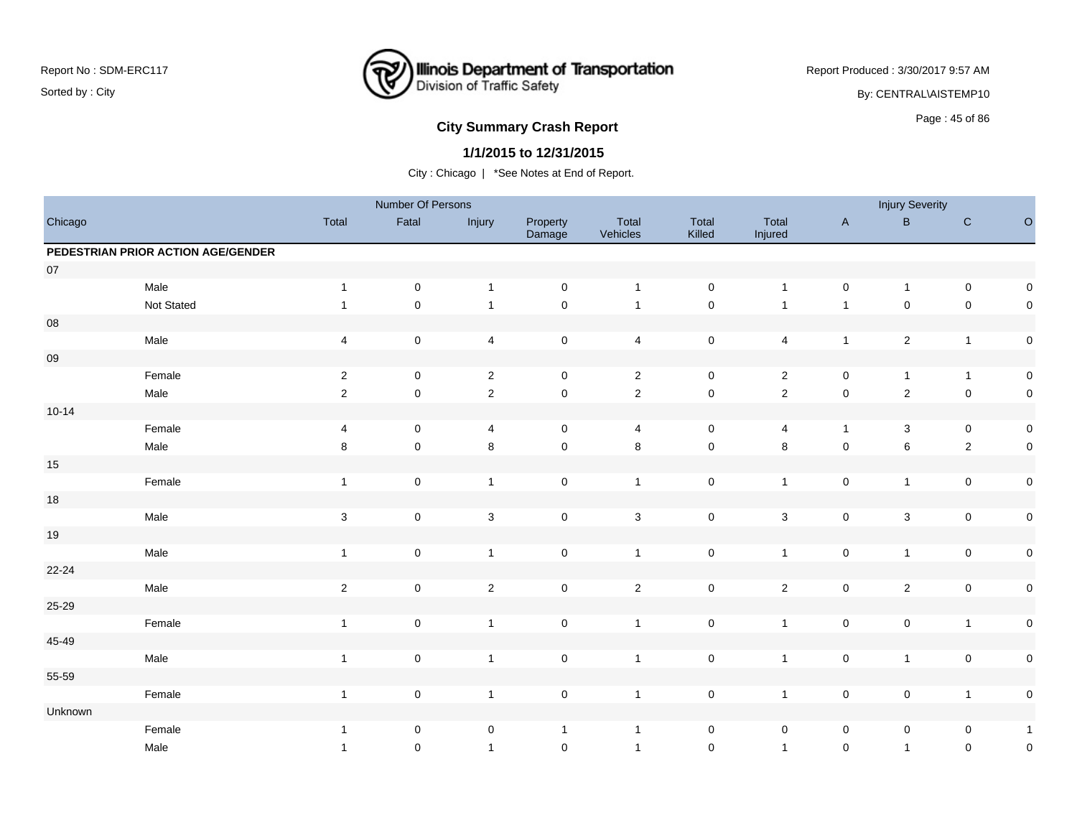

Report Produced : 3/30/2017 9:57 AM

By: CENTRAL\AISTEMP10

# Page : 45 of 86 **City Summary Crash Report**

### **1/1/2015 to 12/31/2015**

|            |                                    |                         | Number Of Persons |                |                     |                   |                     |                  |                | <b>Injury Severity</b> |                |                     |
|------------|------------------------------------|-------------------------|-------------------|----------------|---------------------|-------------------|---------------------|------------------|----------------|------------------------|----------------|---------------------|
| Chicago    |                                    | Total                   | Fatal             | Injury         | Property<br>Damage  | Total<br>Vehicles | Total<br>Killed     | Total<br>Injured | $\mathsf{A}$   | $\sf B$                | $\mathbf C$    | $\circ$             |
|            | PEDESTRIAN PRIOR ACTION AGE/GENDER |                         |                   |                |                     |                   |                     |                  |                |                        |                |                     |
| $07\,$     |                                    |                         |                   |                |                     |                   |                     |                  |                |                        |                |                     |
|            | Male                               | $\mathbf{1}$            | $\pmb{0}$         | $\overline{1}$ | $\mathsf{O}\xspace$ | $\overline{1}$    | $\mathbf 0$         | $\mathbf{1}$     | $\mathsf 0$    | $\mathbf{1}$           | $\mathbf 0$    | $\mathsf{O}\xspace$ |
|            | Not Stated                         | $\mathbf{1}$            | $\mathbf 0$       | $\overline{1}$ | $\pmb{0}$           | $\overline{1}$    | $\pmb{0}$           | $\mathbf{1}$     | $\overline{1}$ | $\mathsf 0$            | $\mathbf 0$    | $\mathbf 0$         |
| ${\bf 08}$ |                                    |                         |                   |                |                     |                   |                     |                  |                |                        |                |                     |
|            | Male                               | $\overline{\mathbf{4}}$ | $\mathbf 0$       | $\overline{4}$ | $\mathbf 0$         | $\overline{4}$    | $\mathbf 0$         | $\overline{4}$   | $\mathbf{1}$   | $\overline{c}$         | $\overline{1}$ | $\pmb{0}$           |
| ${\bf 09}$ |                                    |                         |                   |                |                     |                   |                     |                  |                |                        |                |                     |
|            | Female                             | $\overline{2}$          | 0                 | $\mathbf{2}$   | $\mathbf 0$         | $\overline{2}$    | 0                   | $\overline{a}$   | 0              | $\mathbf{1}$           | $\overline{1}$ | $\pmb{0}$           |
|            | Male                               | 2                       | $\pmb{0}$         | $\overline{2}$ | $\pmb{0}$           | $\overline{2}$    | $\mathsf{O}\xspace$ | $\overline{2}$   | $\mathbf 0$    | $\overline{c}$         | $\mathbf 0$    | $\pmb{0}$           |
| $10 - 14$  |                                    |                         |                   |                |                     |                   |                     |                  |                |                        |                |                     |
|            | Female                             | 4                       | $\pmb{0}$         | $\overline{4}$ | $\mathbf 0$         | 4                 | $\mathbf 0$         | 4                | $\mathbf{1}$   | 3                      | $\mathbf 0$    | $\pmb{0}$           |
|            | Male                               | $\bf 8$                 | $\mathbf 0$       | $\bf 8$        | $\pmb{0}$           | $\bf 8$           | $\mathsf 0$         | $\bf 8$          | $\mathbf 0$    | 6                      | $\overline{2}$ | $\pmb{0}$           |
| $15\,$     |                                    |                         |                   |                |                     |                   |                     |                  |                |                        |                |                     |
|            | Female                             | $\mathbf{1}$            | $\pmb{0}$         | $\mathbf{1}$   | $\mathsf{O}\xspace$ | $\mathbf{1}$      | $\mathsf 0$         | $\mathbf{1}$     | $\mathbf 0$    | $\mathbf{1}$           | $\mathbf 0$    | $\pmb{0}$           |
| $18\,$     |                                    |                         |                   |                |                     |                   |                     |                  |                |                        |                |                     |
|            | Male                               | $\sqrt{3}$              | $\mathbf 0$       | $\mathbf{3}$   | $\mathbf 0$         | 3                 | $\mathbf 0$         | 3                | $\mathbf 0$    | 3                      | $\mathbf 0$    | $\pmb{0}$           |
| $19$       |                                    |                         |                   |                |                     |                   |                     |                  |                |                        |                |                     |
|            | Male                               | $\mathbf{1}$            | $\mathbf 0$       | $\overline{1}$ | $\pmb{0}$           | $\mathbf{1}$      | $\mathbf 0$         | $\mathbf{1}$     | $\mathsf 0$    | $\mathbf{1}$           | $\mathbf 0$    | $\pmb{0}$           |
| $22 - 24$  |                                    |                         |                   |                |                     |                   |                     |                  |                |                        |                |                     |
|            | Male                               | $\overline{2}$          | $\mathbf 0$       | $\sqrt{2}$     | $\mathsf{O}\xspace$ | $\overline{2}$    | $\mathsf 0$         | $\overline{c}$   | $\mathbf 0$    | $\overline{2}$         | $\mathbf 0$    | $\pmb{0}$           |
| $25 - 29$  |                                    |                         |                   |                |                     |                   |                     |                  |                |                        |                |                     |
|            | Female                             | $\mathbf{1}$            | $\mathbf 0$       | $\overline{1}$ | $\mathsf{O}\xspace$ | $\overline{1}$    | $\pmb{0}$           | $\mathbf{1}$     | $\mathbf 0$    | 0                      | $\overline{1}$ | $\pmb{0}$           |
| 45-49      |                                    |                         |                   |                |                     |                   |                     |                  |                |                        |                |                     |
|            | Male                               | $\mathbf{1}$            | $\mathbf 0$       | $\overline{1}$ | $\pmb{0}$           | $\overline{1}$    | $\mathbf 0$         | $\mathbf{1}$     | $\mathbf 0$    | $\mathbf{1}$           | $\mathbf 0$    | $\pmb{0}$           |
| 55-59      |                                    |                         |                   |                |                     |                   |                     |                  |                |                        |                |                     |
|            | Female                             | $\mathbf{1}$            | $\mathbf 0$       | $\mathbf{1}$   | $\mathsf{O}\xspace$ | $\overline{1}$    | $\mathbf 0$         | $\mathbf{1}$     | $\mathbf 0$    | $\pmb{0}$              | $\overline{1}$ | $\pmb{0}$           |
| Unknown    |                                    |                         |                   |                |                     |                   |                     |                  |                |                        |                |                     |
|            | Female                             | $\mathbf{1}$            | 0                 | $\pmb{0}$      | $\mathbf{1}$        | $\overline{1}$    | 0                   | $\mathbf 0$      | $\mathbf 0$    | 0                      | 0              | $\mathbf{1}$        |
|            | Male                               | $\mathbf{1}$            | 0                 | $\overline{1}$ | $\mathbf 0$         | $\overline{1}$    | $\mathbf 0$         | $\mathbf{1}$     | $\mathbf 0$    | $\mathbf{1}$           | $\mathbf 0$    | $\pmb{0}$           |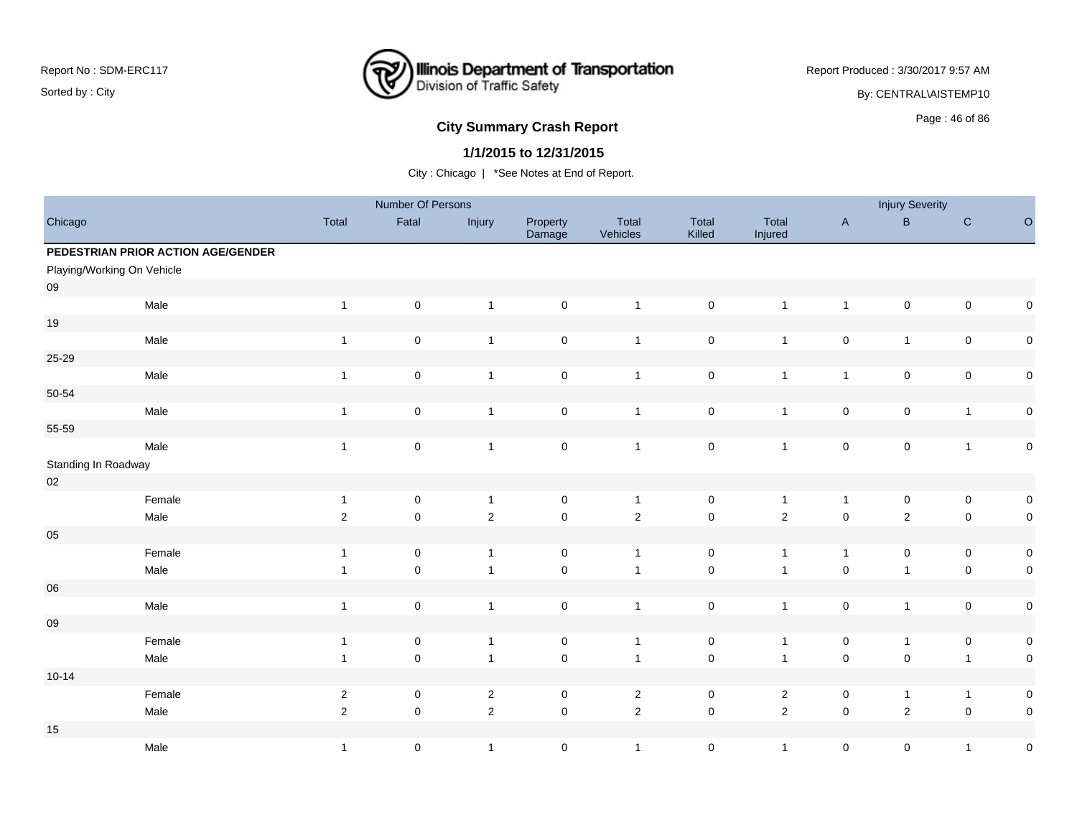

Report Produced : 3/30/2017 9:57 AM

By: CENTRAL\AISTEMP10

# **City Summary Crash Report CLASH CRASH REPORT CONSUMING SUMMARY CRASH CRASH CRASH CRASH CRASH CRASH CRASH CRASH CRASH CRASH CRASH CRASH CRASH CRASH CRASH CRASH CRASH CRASH CRASH CRASH CRASH CRASH CRASH CRASH CRASH CRASH**

### **1/1/2015 to 12/31/2015**

|                     |                                    |                | Number Of Persons   |                |                     |                   |                     |                  |                     | <b>Injury Severity</b> |                |           |
|---------------------|------------------------------------|----------------|---------------------|----------------|---------------------|-------------------|---------------------|------------------|---------------------|------------------------|----------------|-----------|
| Chicago             |                                    | Total          | Fatal               | Injury         | Property<br>Damage  | Total<br>Vehicles | Total<br>Killed     | Total<br>Injured | $\mathsf A$         | $\sf B$                | ${\bf C}$      | $\circ$   |
|                     | PEDESTRIAN PRIOR ACTION AGE/GENDER |                |                     |                |                     |                   |                     |                  |                     |                        |                |           |
|                     | Playing/Working On Vehicle         |                |                     |                |                     |                   |                     |                  |                     |                        |                |           |
| 09                  |                                    |                |                     |                |                     |                   |                     |                  |                     |                        |                |           |
|                     | Male                               | $\mathbf{1}$   | $\mathsf 0$         | $\mathbf{1}$   | $\mathsf{O}\xspace$ | $\overline{1}$    | $\pmb{0}$           | $\mathbf{1}$     | $\mathbf{1}$        | $\mathbf 0$            | $\mathbf 0$    | $\pmb{0}$ |
| 19                  |                                    |                |                     |                |                     |                   |                     |                  |                     |                        |                |           |
|                     | Male                               | $\mathbf{1}$   | $\mathsf 0$         | $\mathbf{1}$   | $\mathsf{O}\xspace$ | $\overline{1}$    | $\pmb{0}$           | $\mathbf{1}$     | $\mathsf 0$         | $\mathbf{1}$           | $\mathsf 0$    | $\pmb{0}$ |
| 25-29               |                                    |                |                     |                |                     |                   |                     |                  |                     |                        |                |           |
|                     | Male                               | $\mathbf{1}$   | $\mathsf 0$         | $\overline{1}$ | $\mathsf{O}\xspace$ | $\overline{1}$    | $\mathbf 0$         | $\mathbf{1}$     | $\mathbf{1}$        | $\mathbf 0$            | $\mathbf 0$    | $\pmb{0}$ |
| $50 - 54$           |                                    |                |                     |                |                     |                   |                     |                  |                     |                        |                |           |
|                     | Male                               | $\mathbf{1}$   | $\mathsf 0$         | $\overline{1}$ | $\mathsf{O}\xspace$ | $\overline{1}$    | $\pmb{0}$           | $\mathbf{1}$     | $\mathsf 0$         | $\mathsf{O}\xspace$    | $\overline{1}$ | $\pmb{0}$ |
| 55-59               |                                    |                |                     |                |                     |                   |                     |                  |                     |                        |                |           |
|                     | Male                               | $\mathbf{1}$   | $\mathsf 0$         | $\overline{1}$ | $\mathsf{O}\xspace$ | $\overline{1}$    | $\pmb{0}$           | $\mathbf{1}$     | $\mathsf 0$         | $\mathbf 0$            | $\mathbf{1}$   | $\pmb{0}$ |
| Standing In Roadway |                                    |                |                     |                |                     |                   |                     |                  |                     |                        |                |           |
| $02\,$              |                                    |                |                     |                |                     |                   |                     |                  |                     |                        |                |           |
|                     | Female                             | $\mathbf{1}$   | $\mathsf 0$         | $\mathbf{1}$   | $\mathsf{O}\xspace$ | $\mathbf{1}$      | $\mathsf{O}\xspace$ | $\mathbf{1}$     | $\mathbf{1}$        | $\mathbf 0$            | $\mathbf 0$    | $\pmb{0}$ |
|                     | Male                               | $\overline{2}$ | $\mathsf 0$         | 2              | $\mathsf 0$         | $\mathbf 2$       | $\mathbf 0$         | $\overline{2}$   | $\mathsf{O}\xspace$ | $\overline{2}$         | $\mathbf 0$    | $\pmb{0}$ |
| 05                  |                                    |                |                     |                |                     |                   |                     |                  |                     |                        |                |           |
|                     | Female                             | $\mathbf{1}$   | $\mathsf 0$         | $\overline{1}$ | $\mathbf 0$         | $\overline{1}$    | $\mathbf 0$         | $\mathbf{1}$     | $\mathbf{1}$        | $\mathbf 0$            | $\mathbf 0$    | $\pmb{0}$ |
|                     | Male                               | $\mathbf{1}$   | $\mathsf{O}\xspace$ | $\overline{1}$ | $\mathsf{O}\xspace$ | $\overline{1}$    | $\pmb{0}$           | $\mathbf{1}$     | $\mathsf{O}\xspace$ | $\mathbf{1}$           | $\mathbf 0$    | $\pmb{0}$ |
| 06                  |                                    |                |                     |                |                     |                   |                     |                  |                     |                        |                |           |
|                     | Male                               | $\mathbf{1}$   | $\mathsf 0$         | $\overline{1}$ | $\mathbf 0$         | $\overline{1}$    | $\pmb{0}$           | $\mathbf{1}$     | $\mathsf 0$         | $\mathbf{1}$           | $\mathbf 0$    | $\pmb{0}$ |
| 09                  |                                    |                |                     |                |                     |                   |                     |                  |                     |                        |                |           |
|                     | Female                             | $\mathbf{1}$   | $\mathsf 0$         | $\overline{1}$ | $\mathbf 0$         | $\overline{1}$    | $\pmb{0}$           | $\mathbf{1}$     | $\pmb{0}$           | $\mathbf{1}$           | $\mathbf 0$    | $\pmb{0}$ |
|                     | Male                               | $\mathbf{1}$   | $\mathsf{O}\xspace$ | $\overline{1}$ | $\mathsf{O}\xspace$ | $\overline{1}$    | $\pmb{0}$           | $\overline{1}$   | $\mathbf 0$         | $\pmb{0}$              | $\overline{1}$ | $\pmb{0}$ |
| $10 - 14$           |                                    |                |                     |                |                     |                   |                     |                  |                     |                        |                |           |
|                     | Female                             | $\overline{2}$ | $\mathsf 0$         | $\overline{2}$ | $\mathbf 0$         | $\overline{2}$    | $\mathbf 0$         | $\mathbf{2}$     | $\mathsf 0$         | $\mathbf{1}$           | $\mathbf{1}$   | $\pmb{0}$ |
|                     | Male                               | 2              | $\mathsf{O}\xspace$ | $\overline{2}$ | $\mathsf 0$         | $\overline{2}$    | $\mathsf{O}\xspace$ | $\overline{2}$   | $\mathsf{O}\xspace$ | $\sqrt{2}$             | $\mathbf 0$    | $\pmb{0}$ |
| 15                  |                                    |                |                     |                |                     |                   |                     |                  |                     |                        |                |           |
|                     | Male                               | $\mathbf{1}$   | $\mathsf{O}\xspace$ | $\overline{1}$ | $\mathbf 0$         | $\overline{1}$    | $\mathsf{O}\xspace$ | $\mathbf{1}$     | $\mathbf 0$         | $\pmb{0}$              | $\mathbf{1}$   | $\pmb{0}$ |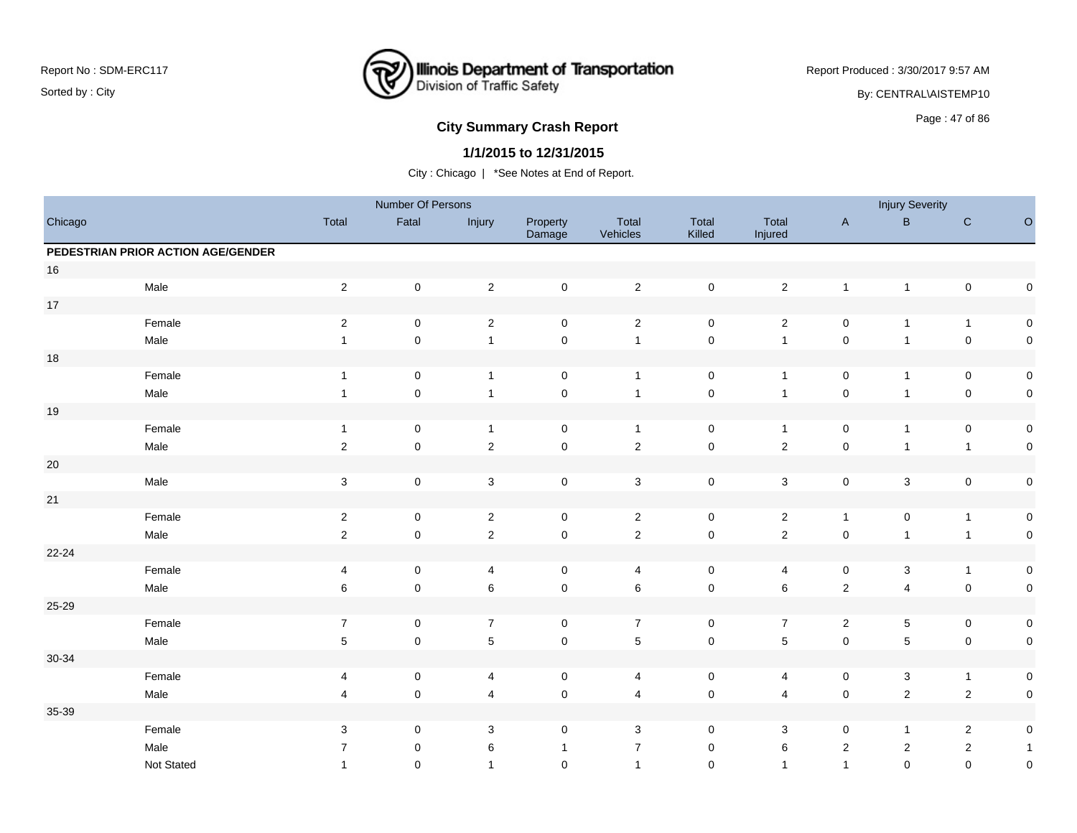

Report Produced : 3/30/2017 9:57 AM

By: CENTRAL\AISTEMP10

# **City Summary Crash Report CLASH CRASH REPORT CONTROLLY ASSESS**

### **1/1/2015 to 12/31/2015**

|         |                                    |                | Number Of Persons   |                           |                     |                         |                     |                  |                     | <b>Injury Severity</b> |                |                     |
|---------|------------------------------------|----------------|---------------------|---------------------------|---------------------|-------------------------|---------------------|------------------|---------------------|------------------------|----------------|---------------------|
| Chicago |                                    | Total          | Fatal               | Injury                    | Property<br>Damage  | Total<br>Vehicles       | Total<br>Killed     | Total<br>Injured | $\mathsf{A}$        | $\, {\bf B}$           | ${\bf C}$      | $\hbox{O}$          |
|         | PEDESTRIAN PRIOR ACTION AGE/GENDER |                |                     |                           |                     |                         |                     |                  |                     |                        |                |                     |
| 16      |                                    |                |                     |                           |                     |                         |                     |                  |                     |                        |                |                     |
|         | Male                               | $\overline{2}$ | $\mathsf 0$         | $\sqrt{2}$                | $\mathsf{O}\xspace$ | $\overline{2}$          | $\mathbf 0$         | $\overline{2}$   | $\mathbf{1}$        | $\overline{1}$         | $\pmb{0}$      | $\mathsf{O}\xspace$ |
| $17\,$  |                                    |                |                     |                           |                     |                         |                     |                  |                     |                        |                |                     |
|         | Female                             | $\sqrt{2}$     | $\mathsf 0$         | $\boldsymbol{2}$          | $\mathbf 0$         | $\sqrt{2}$              | $\pmb{0}$           | $\sqrt{2}$       | $\mathsf{O}\xspace$ | $\mathbf 1$            | $\mathbf{1}$   | $\pmb{0}$           |
|         | Male                               | $\mathbf{1}$   | 0                   | $\mathbf{1}$              | $\pmb{0}$           | $\overline{1}$          | $\pmb{0}$           | $\overline{1}$   | $\mathbf 0$         | $\overline{1}$         | $\pmb{0}$      | $\mathsf{O}\xspace$ |
| $18\,$  |                                    |                |                     |                           |                     |                         |                     |                  |                     |                        |                |                     |
|         | Female                             | $\mathbf{1}$   | 0                   | $\mathbf{1}$              | $\pmb{0}$           | $\overline{1}$          | $\mathsf 0$         | $\overline{1}$   | $\pmb{0}$           | $\mathbf{1}$           | $\pmb{0}$      | $\mathbf 0$         |
|         | Male                               | $\mathbf{1}$   | 0                   | $\mathbf{1}$              | $\mathbf 0$         | $\overline{1}$          | $\pmb{0}$           | $\overline{1}$   | $\mathbf 0$         | $\overline{1}$         | $\pmb{0}$      | $\mathbf 0$         |
| $19$    |                                    |                |                     |                           |                     |                         |                     |                  |                     |                        |                |                     |
|         | Female                             | $\mathbf{1}$   | 0                   | $\mathbf{1}$              | $\pmb{0}$           | $\mathbf{1}$            | $\mathsf 0$         | $\overline{1}$   | $\pmb{0}$           | $\overline{1}$         | $\pmb{0}$      | $\mathbf 0$         |
|         | Male                               | $\overline{2}$ | $\mathsf{O}\xspace$ | $\sqrt{2}$                | $\pmb{0}$           | $\overline{2}$          | $\mathbf 0$         | $\sqrt{2}$       | $\pmb{0}$           | $\overline{1}$         | $\mathbf{1}$   | $\mathsf{O}\xspace$ |
| $20\,$  |                                    |                |                     |                           |                     |                         |                     |                  |                     |                        |                |                     |
|         | Male                               | $\sqrt{3}$     | 0                   | $\ensuremath{\mathsf{3}}$ | $\mathsf 0$         | $\mathbf 3$             | $\mathsf 0$         | $\mathbf{3}$     | $\mathbf 0$         | $\mathbf{3}$           | $\pmb{0}$      | $\mathbf 0$         |
| 21      |                                    |                |                     |                           |                     |                         |                     |                  |                     |                        |                |                     |
|         | Female                             | $\overline{2}$ | $\pmb{0}$           | $\sqrt{2}$                | $\pmb{0}$           | $\overline{c}$          | $\mathsf 0$         | $\sqrt{2}$       | $\mathbf{1}$        | 0                      | $\mathbf{1}$   | $\mathbf 0$         |
|         | Male                               | $\overline{2}$ | $\mathbf 0$         | $\overline{2}$            | $\mathbf 0$         | $\sqrt{2}$              | $\mathbf 0$         | $\sqrt{2}$       | $\mathbf 0$         | $\mathbf{1}$           | $\mathbf{1}$   | $\mathsf{O}\xspace$ |
| 22-24   |                                    |                |                     |                           |                     |                         |                     |                  |                     |                        |                |                     |
|         | Female                             | 4              | 0                   | 4                         | 0                   | $\overline{\mathbf{4}}$ | $\mathsf 0$         | 4                | 0                   | $\mathbf{3}$           | $\mathbf{1}$   | $\mathbf 0$         |
|         | Male                               | 6              | $\mathbf 0$         | $\,6$                     | $\pmb{0}$           | $\,6\,$                 | $\mathbf 0$         | 6                | $\sqrt{2}$          | $\overline{4}$         | $\pmb{0}$      | $\mathbf 0$         |
| 25-29   |                                    |                |                     |                           |                     |                         |                     |                  |                     |                        |                |                     |
|         | Female                             | $\overline{7}$ | $\pmb{0}$           | $\overline{7}$            | $\pmb{0}$           | $\overline{7}$          | $\mathsf 0$         | $\overline{7}$   | $\overline{2}$      | $\,$ 5 $\,$            | $\pmb{0}$      | $\boldsymbol{0}$    |
|         | Male                               | $\,$ 5 $\,$    | 0                   | $\mathbf 5$               | $\mathbf 0$         | $\sqrt{5}$              | $\mathbf 0$         | $\sqrt{5}$       | $\pmb{0}$           | $\sqrt{5}$             | $\pmb{0}$      | $\pmb{0}$           |
| 30-34   |                                    |                |                     |                           |                     |                         |                     |                  |                     |                        |                |                     |
|         | Female                             | 4              | 0                   | $\overline{4}$            | $\mathsf 0$         | $\overline{4}$          | $\mathbf 0$         | 4                | 0                   | 3                      | $\mathbf{1}$   | $\overline{0}$      |
|         | Male                               | 4              | 0                   | $\overline{\mathbf{4}}$   | $\pmb{0}$           | $\overline{\mathbf{4}}$ | $\mathsf{O}\xspace$ | $\overline{4}$   | $\pmb{0}$           | $\sqrt{2}$             | $\sqrt{2}$     | $\mathsf{O}\xspace$ |
| 35-39   |                                    |                |                     |                           |                     |                         |                     |                  |                     |                        |                |                     |
|         | Female                             | 3              | 0                   | 3                         | 0                   | 3                       | $\mathbf 0$         | 3                | 0                   | $\mathbf{1}$           | $\overline{2}$ | $\boldsymbol{0}$    |
|         | Male                               | 7              | 0                   | 6                         | $\mathbf{1}$        | $\overline{7}$          | 0                   | 6                | $\overline{2}$      | $\overline{2}$         | $\overline{2}$ | $\overline{1}$      |
|         | Not Stated                         | 1              | $\Omega$            | $\mathbf{1}$              | $\mathbf 0$         | $\mathbf{1}$            | $\mathbf 0$         | $\overline{1}$   | $\overline{1}$      | $\mathbf 0$            | $\mathbf 0$    | $\pmb{0}$           |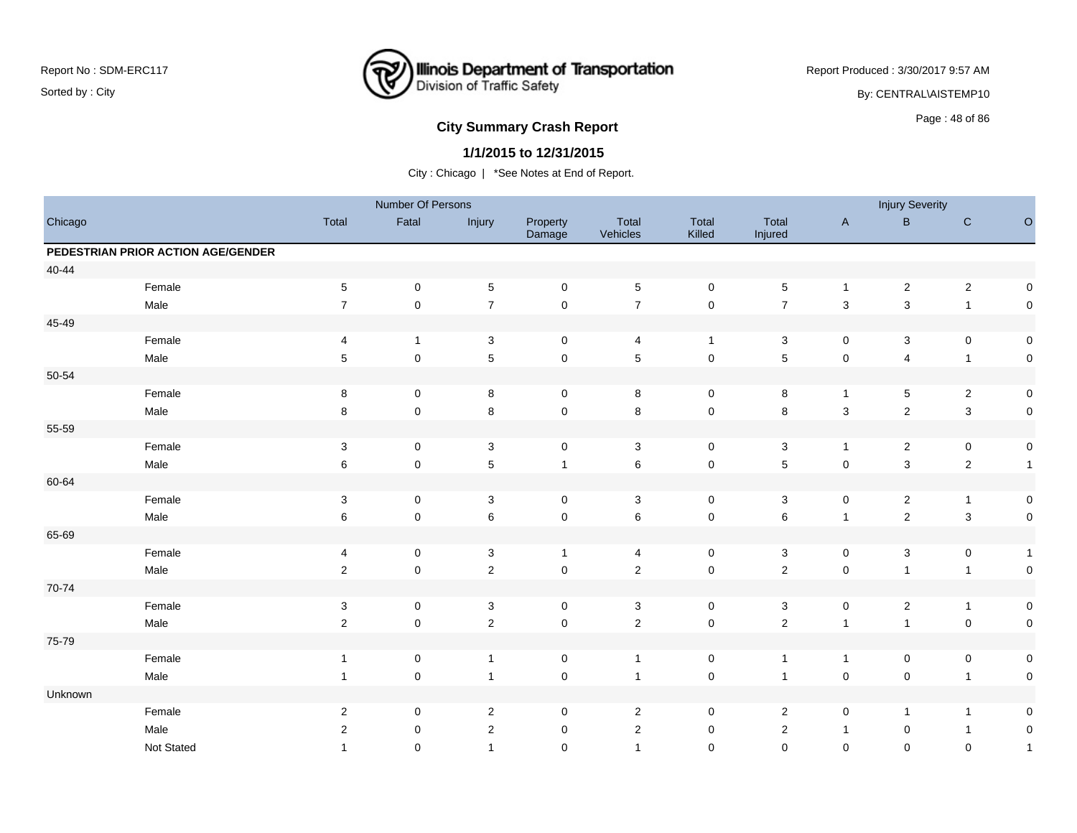

Report Produced : 3/30/2017 9:57 AM

By: CENTRAL\AISTEMP10

# **City Summary Crash Report CLASH CRASH REPORT CONSUMING THE SET OF 86 CITY SUMMARY CRASH REPORT OF SAMPLE SET OF SET OF SET OF SET OF SET OF SET OF SET OF SET OF SET OF SET OF SET OF SET OF SET OF SET OF SET OF SET OF SE**

### **1/1/2015 to 12/31/2015**

|           |                                    |                           | Number Of Persons |                |                     |                   |                     |                  |                           | <b>Injury Severity</b> |                |                     |
|-----------|------------------------------------|---------------------------|-------------------|----------------|---------------------|-------------------|---------------------|------------------|---------------------------|------------------------|----------------|---------------------|
| Chicago   |                                    | Total                     | Fatal             | Injury         | Property<br>Damage  | Total<br>Vehicles | Total<br>Killed     | Total<br>Injured | $\mathsf A$               | $\sf B$                | ${\bf C}$      | $\circ$             |
|           | PEDESTRIAN PRIOR ACTION AGE/GENDER |                           |                   |                |                     |                   |                     |                  |                           |                        |                |                     |
| $40 - 44$ |                                    |                           |                   |                |                     |                   |                     |                  |                           |                        |                |                     |
|           | Female                             | $\sqrt{5}$                | $\pmb{0}$         | $\sqrt{5}$     | $\pmb{0}$           | $\sqrt{5}$        | $\mathbf 0$         | 5                | $\mathbf{1}$              | $\boldsymbol{2}$       | $\sqrt{2}$     | $\mathsf{O}\xspace$ |
|           | Male                               | $\overline{7}$            | $\pmb{0}$         | $\overline{7}$ | $\pmb{0}$           | $\overline{7}$    | $\mathbf 0$         | $\overline{7}$   | $\ensuremath{\mathsf{3}}$ | 3                      | $\mathbf{1}$   | $\mathbf 0$         |
| 45-49     |                                    |                           |                   |                |                     |                   |                     |                  |                           |                        |                |                     |
|           | Female                             | 4                         | $\mathbf{1}$      | 3              | $\mathsf{O}\xspace$ | $\overline{4}$    | $\mathbf{1}$        | 3                | 0                         | 3                      | $\mathbf 0$    | $\pmb{0}$           |
|           | Male                               | $\sqrt{5}$                | $\pmb{0}$         | $\overline{5}$ | $\pmb{0}$           | $\sqrt{5}$        | $\pmb{0}$           | 5                | $\pmb{0}$                 | $\overline{4}$         | $\overline{1}$ | $\pmb{0}$           |
| 50-54     |                                    |                           |                   |                |                     |                   |                     |                  |                           |                        |                |                     |
|           | Female                             | 8                         | $\pmb{0}$         | 8              | $\mathsf{O}\xspace$ | 8                 | $\mathbf 0$         | 8                | $\mathbf{1}$              | 5                      | $\sqrt{2}$     | $\pmb{0}$           |
|           | Male                               | 8                         | $\mathbf 0$       | $\,8\,$        | $\mathsf 0$         | 8                 | $\pmb{0}$           | 8                | $\sqrt{3}$                | $\mathbf 2$            | $\mathsf 3$    | $\pmb{0}$           |
| 55-59     |                                    |                           |                   |                |                     |                   |                     |                  |                           |                        |                |                     |
|           | Female                             | $\ensuremath{\mathsf{3}}$ | $\pmb{0}$         | $\sqrt{3}$     | $\pmb{0}$           | $\sqrt{3}$        | $\pmb{0}$           | $\mathbf{3}$     | $\mathbf{1}$              | $\overline{c}$         | $\mathbf 0$    | $\pmb{0}$           |
|           | Male                               | $\,6$                     | $\mathbf 0$       | $\sqrt{5}$     | $\mathbf{1}$        | $\,6\,$           | $\pmb{0}$           | 5                | $\mathbf 0$               | $\mathbf 3$            | $\mathbf 2$    | $\mathbf{1}$        |
| 60-64     |                                    |                           |                   |                |                     |                   |                     |                  |                           |                        |                |                     |
|           | Female                             | $\ensuremath{\mathsf{3}}$ | $\mathbf 0$       | $\sqrt{3}$     | $\mathsf 0$         | 3                 | $\mathbf 0$         | 3                | $\mathbf 0$               | $\overline{c}$         | $\overline{1}$ | $\pmb{0}$           |
|           | Male                               | 6                         | $\mathbf 0$       | $\,6\,$        | $\pmb{0}$           | $\,6\,$           | $\pmb{0}$           | 6                | $\overline{1}$            | $\mathbf 2$            | $\mathbf 3$    | $\pmb{0}$           |
| 65-69     |                                    |                           |                   |                |                     |                   |                     |                  |                           |                        |                |                     |
|           | Female                             | 4                         | 0                 | $\sqrt{3}$     | $\mathbf{1}$        | 4                 | 0                   | 3                | 0                         | 3                      | 0              | $\mathbf{1}$        |
|           | Male                               | $\sqrt{2}$                | $\pmb{0}$         | $\overline{2}$ | $\mathbf 0$         | $\overline{2}$    | $\mathsf 0$         | $\overline{2}$   | $\mathsf 0$               | $\mathbf{1}$           | $\mathbf{1}$   | $\pmb{0}$           |
| 70-74     |                                    |                           |                   |                |                     |                   |                     |                  |                           |                        |                |                     |
|           | Female                             | $\sqrt{3}$                | $\pmb{0}$         | $\sqrt{3}$     | $\mathsf 0$         | $\mathbf 3$       | $\mathbf 0$         | 3                | $\pmb{0}$                 | $\overline{c}$         | $\overline{1}$ | 0                   |
|           | Male                               | $\sqrt{2}$                | $\mathbf 0$       | $\sqrt{2}$     | $\pmb{0}$           | $\sqrt{2}$        | $\mathbf 0$         | $\overline{2}$   | $\mathbf{1}$              | $\mathbf{1}$           | $\mathbf 0$    | $\pmb{0}$           |
| 75-79     |                                    |                           |                   |                |                     |                   |                     |                  |                           |                        |                |                     |
|           | Female                             | $\mathbf{1}$              | $\pmb{0}$         | $\overline{1}$ | $\pmb{0}$           | $\overline{1}$    | $\pmb{0}$           | $\mathbf{1}$     | $\mathbf{1}$              | $\pmb{0}$              | $\mathbf 0$    | $\pmb{0}$           |
|           | Male                               | $\mathbf{1}$              | $\mathsf 0$       | $\overline{1}$ | $\pmb{0}$           | $\overline{1}$    | $\mathsf{O}\xspace$ | $\overline{1}$   | $\mathbf 0$               | $\mathbf 0$            | $\mathbf{1}$   | $\pmb{0}$           |
| Unknown   |                                    |                           |                   |                |                     |                   |                     |                  |                           |                        |                |                     |
|           | Female                             | $\sqrt{2}$                | 0                 | $\overline{2}$ | 0                   | $\overline{2}$    | 0                   | 2                | 0                         | $\mathbf{1}$           | $\mathbf{1}$   | 0                   |
|           | Male                               | 2                         | 0                 | 2              | $\mathbf 0$         | 2                 | 0                   | $\overline{2}$   | $\mathbf{1}$              | 0                      | $\mathbf{1}$   | $\pmb{0}$           |
|           | Not Stated                         | $\mathbf{1}$              | $\Omega$          | $\overline{1}$ | $\mathbf 0$         | $\overline{1}$    | $\Omega$            | $\Omega$         | $\mathbf 0$               | $\Omega$               | $\mathbf 0$    | $\mathbf{1}$        |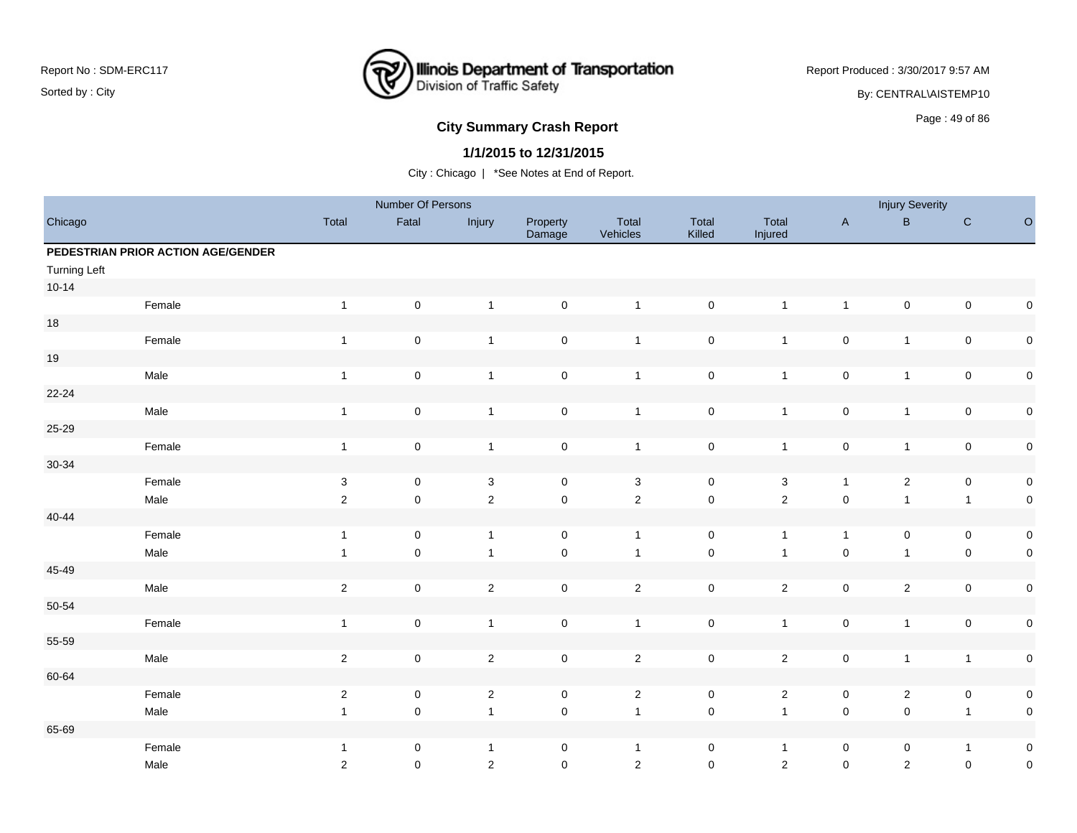

Report Produced : 3/30/2017 9:57 AM

By: CENTRAL\AISTEMP10

# Page : 49 of 86 **City Summary Crash Report**

### **1/1/2015 to 12/31/2015**

|                     |                                    |                           | Number Of Persons   |                |                     |                   |                 |                  |                         | <b>Injury Severity</b>  |                |             |
|---------------------|------------------------------------|---------------------------|---------------------|----------------|---------------------|-------------------|-----------------|------------------|-------------------------|-------------------------|----------------|-------------|
| Chicago             |                                    | Total                     | Fatal               | Injury         | Property<br>Damage  | Total<br>Vehicles | Total<br>Killed | Total<br>Injured | $\mathsf{A}$            | B                       | ${\bf C}$      | $\circ$     |
|                     | PEDESTRIAN PRIOR ACTION AGE/GENDER |                           |                     |                |                     |                   |                 |                  |                         |                         |                |             |
| <b>Turning Left</b> |                                    |                           |                     |                |                     |                   |                 |                  |                         |                         |                |             |
| $10 - 14$           |                                    |                           |                     |                |                     |                   |                 |                  |                         |                         |                |             |
|                     | Female                             | $\mathbf{1}$              | $\mathsf 0$         | $\mathbf{1}$   | $\mathsf{O}\xspace$ | $\mathbf{1}$      | $\pmb{0}$       | $\mathbf{1}$     | $\overline{\mathbf{1}}$ | $\pmb{0}$               | $\pmb{0}$      | $\pmb{0}$   |
| 18                  |                                    |                           |                     |                |                     |                   |                 |                  |                         |                         |                |             |
|                     | Female                             | $\mathbf{1}$              | $\mathsf 0$         | $\overline{1}$ | $\mathsf{O}\xspace$ | $\mathbf{1}$      | $\pmb{0}$       | $\mathbf{1}$     | $\pmb{0}$               | $\mathbf{1}$            | $\pmb{0}$      | $\mathbf 0$ |
| 19                  |                                    |                           |                     |                |                     |                   |                 |                  |                         |                         |                |             |
|                     | Male                               | $\mathbf{1}$              | $\mathsf 0$         | $\overline{1}$ | $\mathsf{O}\xspace$ | $\overline{1}$    | $\pmb{0}$       | $\mathbf{1}$     | $\pmb{0}$               | $\mathbf{1}$            | $\pmb{0}$      | $\pmb{0}$   |
| $22 - 24$           |                                    |                           |                     |                |                     |                   |                 |                  |                         |                         |                |             |
|                     | Male                               | $\mathbf{1}$              | $\mathsf 0$         | $\overline{1}$ | $\mathbf 0$         | $\overline{1}$    | $\pmb{0}$       | $\mathbf{1}$     | $\pmb{0}$               | $\mathbf{1}$            | $\pmb{0}$      | $\pmb{0}$   |
| 25-29               |                                    |                           |                     |                |                     |                   |                 |                  |                         |                         |                |             |
|                     | Female                             | $\mathbf{1}$              | $\mathbf 0$         | $\overline{1}$ | $\pmb{0}$           | $\mathbf{1}$      | $\pmb{0}$       | $\mathbf{1}$     | $\pmb{0}$               | $\mathbf{1}$            | $\pmb{0}$      | $\pmb{0}$   |
| 30-34               |                                    |                           |                     |                |                     |                   |                 |                  |                         |                         |                |             |
|                     | Female                             | $\ensuremath{\mathsf{3}}$ | $\mathsf 0$         | $\sqrt{3}$     | $\mathbf 0$         | $\mathsf 3$       | $\pmb{0}$       | $\mathbf{3}$     | $\overline{1}$          | $\overline{2}$          | $\pmb{0}$      | $\pmb{0}$   |
|                     | Male                               | $\mathbf 2$               | $\mathbf 0$         | $\mathbf 2$    | $\mathsf{O}\xspace$ | $\overline{2}$    | $\pmb{0}$       | $\overline{2}$   | $\pmb{0}$               | $\mathbf{1}$            | $\mathbf{1}$   | $\pmb{0}$   |
| 40-44               |                                    |                           |                     |                |                     |                   |                 |                  |                         |                         |                |             |
|                     | Female                             | $\mathbf{1}$              | $\mathsf{O}\xspace$ | $\overline{1}$ | $\mathsf{O}\xspace$ | $\overline{1}$    | $\mathsf 0$     | $\mathbf{1}$     | $\overline{1}$          | $\mathsf 0$             | $\mathsf 0$    | $\mathbf 0$ |
|                     | Male                               | $\mathbf{1}$              | $\mathsf{O}\xspace$ | $\overline{1}$ | $\mathsf{O}\xspace$ | $\overline{1}$    | $\pmb{0}$       | $\mathbf{1}$     | $\pmb{0}$               | $\mathbf{1}$            | $\mathsf 0$    | $\mathbf 0$ |
| 45-49               |                                    |                           |                     |                |                     |                   |                 |                  |                         |                         |                |             |
|                     | Male                               | $\sqrt{2}$                | $\mathsf 0$         | $\mathbf 2$    | $\mathsf{O}\xspace$ | $\overline{2}$    | $\mathsf 0$     | $\overline{2}$   | $\pmb{0}$               | $\overline{2}$          | $\pmb{0}$      | $\mathbf 0$ |
| 50-54               |                                    |                           |                     |                |                     |                   |                 |                  |                         |                         |                |             |
|                     | Female                             | $\mathbf{1}$              | $\pmb{0}$           | $\mathbf{1}$   | $\mathbf 0$         | $\mathbf{1}$      | $\pmb{0}$       | $\mathbf{1}$     | $\pmb{0}$               | $\mathbf{1}$            | $\pmb{0}$      | $\pmb{0}$   |
| 55-59               |                                    |                           |                     |                |                     |                   |                 |                  |                         |                         |                |             |
|                     | Male                               | $\mathbf 2$               | $\mathsf 0$         | $\sqrt{2}$     | $\mathsf{O}\xspace$ | $\overline{2}$    | $\pmb{0}$       | $\overline{2}$   | $\pmb{0}$               | $\mathbf{1}$            | $\overline{1}$ | $\mathbf 0$ |
| 60-64               |                                    |                           |                     |                |                     |                   |                 |                  |                         |                         |                |             |
|                     | Female                             | $\sqrt{2}$                | $\mathsf 0$         | $\sqrt{2}$     | $\mathbf 0$         | $\mathbf{2}$      | $\pmb{0}$       | $\overline{a}$   | 0                       | $\overline{\mathbf{c}}$ | $\pmb{0}$      | $\pmb{0}$   |
|                     | Male                               | $\mathbf{1}$              | $\pmb{0}$           | $\overline{1}$ | $\mathsf 0$         | $\overline{1}$    | $\pmb{0}$       | $\mathbf{1}$     | $\mathbf 0$             | $\pmb{0}$               | $\overline{1}$ | $\mathbf 0$ |
| 65-69               |                                    |                           |                     |                |                     |                   |                 |                  |                         |                         |                |             |
|                     | Female                             | $\mathbf{1}$              | 0                   | $\overline{1}$ | 0                   | $\overline{1}$    | 0               | $\mathbf{1}$     | 0                       | 0                       | $\overline{1}$ | $\pmb{0}$   |
|                     | Male                               | $\overline{2}$            | $\mathbf 0$         | $\sqrt{2}$     | $\mathbf 0$         | $\overline{2}$    | $\mathbf 0$     | $\sqrt{2}$       | $\pmb{0}$               | $\overline{2}$          | $\pmb{0}$      | $\mathbf 0$ |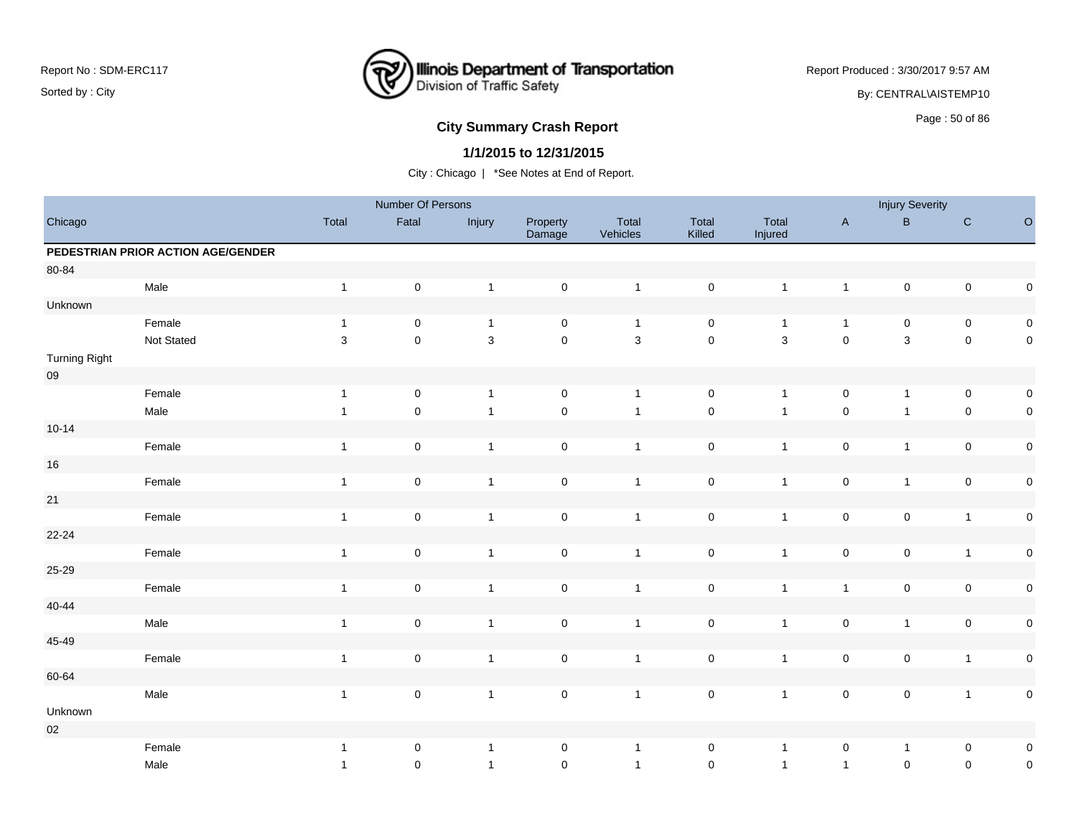

Report Produced : 3/30/2017 9:57 AM

By: CENTRAL\AISTEMP10

# **City Summary Crash Report CLASH Report CLASH Report CLASH Report CLASH Report CLASH Report CLASH Report CLASH Report CLASH Report CLASH Report CLASH Report CLASH Report CLASH Report CLASH Report**

### **1/1/2015 to 12/31/2015**

|                      |                                    |                | Number Of Persons   |                |                     |                   |                     |                  |                     | <b>Injury Severity</b> |                     |             |
|----------------------|------------------------------------|----------------|---------------------|----------------|---------------------|-------------------|---------------------|------------------|---------------------|------------------------|---------------------|-------------|
| Chicago              |                                    | Total          | Fatal               | Injury         | Property<br>Damage  | Total<br>Vehicles | Total<br>Killed     | Total<br>Injured | $\mathsf A$         | $\sf B$                | ${\bf C}$           | $\circ$     |
|                      | PEDESTRIAN PRIOR ACTION AGE/GENDER |                |                     |                |                     |                   |                     |                  |                     |                        |                     |             |
| 80-84                |                                    |                |                     |                |                     |                   |                     |                  |                     |                        |                     |             |
|                      | Male                               | $\mathbf{1}$   | $\mathbf 0$         | $\overline{1}$ | $\mathsf 0$         | $\mathbf{1}$      | $\mathsf{O}\xspace$ | $\mathbf{1}$     | $\mathbf{1}$        | $\mathbf 0$            | $\mathsf{O}\xspace$ | $\pmb{0}$   |
| Unknown              |                                    |                |                     |                |                     |                   |                     |                  |                     |                        |                     |             |
|                      | Female                             | $\overline{1}$ | $\pmb{0}$           | $\mathbf{1}$   | $\pmb{0}$           | $\overline{1}$    | $\mathsf 0$         | $\mathbf{1}$     | $\mathbf{1}$        | $\pmb{0}$              | $\pmb{0}$           | $\pmb{0}$   |
|                      | Not Stated                         | $\sqrt{3}$     | $\pmb{0}$           | $\mathbf{3}$   | $\pmb{0}$           | $\mathbf{3}$      | $\mathsf 0$         | $\mathbf{3}$     | $\pmb{0}$           | $\mathbf{3}$           | $\pmb{0}$           | $\mathbf 0$ |
| <b>Turning Right</b> |                                    |                |                     |                |                     |                   |                     |                  |                     |                        |                     |             |
| ${\bf 09}$           |                                    |                |                     |                |                     |                   |                     |                  |                     |                        |                     |             |
|                      | Female                             | $\mathbf{1}$   | $\pmb{0}$           | $\mathbf{1}$   | $\mathsf{O}\xspace$ | $\mathbf{1}$      | $\mathsf{O}\xspace$ | $\mathbf{1}$     | $\mathsf{O}\xspace$ | $\mathbf{1}$           | $\mathbf 0$         | $\pmb{0}$   |
|                      | Male                               | $\overline{1}$ | $\pmb{0}$           | $\mathbf{1}$   | $\mathsf{O}\xspace$ | $\overline{1}$    | $\mathbf 0$         | $\mathbf{1}$     | $\pmb{0}$           | $\mathbf{1}$           | $\mathsf{O}\xspace$ | $\pmb{0}$   |
| $10 - 14$            |                                    |                |                     |                |                     |                   |                     |                  |                     |                        |                     |             |
|                      | Female                             | $\overline{1}$ | $\mathsf{O}\xspace$ | $\mathbf{1}$   | $\mathsf 0$         | $\mathbf{1}$      | $\mathbf 0$         | $\mathbf{1}$     | $\mathsf{O}\xspace$ | $\mathbf{1}$           | $\mathsf{O}\xspace$ | $\pmb{0}$   |
| $16\,$               |                                    |                |                     |                |                     |                   |                     |                  |                     |                        |                     |             |
|                      | Female                             | $\mathbf{1}$   | $\pmb{0}$           | $\overline{1}$ | $\mathsf{O}\xspace$ | $\overline{1}$    | $\mathsf 0$         | $\mathbf{1}$     | $\mathsf{O}\xspace$ | $\mathbf{1}$           | $\mathsf{O}\xspace$ | $\pmb{0}$   |
| 21                   |                                    |                |                     |                |                     |                   |                     |                  |                     |                        |                     |             |
|                      | Female                             | $\mathbf{1}$   | $\mathsf 0$         | $\mathbf{1}$   | $\pmb{0}$           | $\mathbf{1}$      | $\mathbf 0$         | $\mathbf{1}$     | $\pmb{0}$           | $\pmb{0}$              | $\mathbf{1}$        | $\pmb{0}$   |
| $22 - 24$            |                                    |                |                     |                |                     |                   |                     |                  |                     |                        |                     |             |
|                      | Female                             | $\mathbf{1}$   | $\pmb{0}$           | $\overline{1}$ | $\mathsf{O}\xspace$ | $\overline{1}$    | $\mathbf 0$         | $\mathbf{1}$     | $\pmb{0}$           | $\mathbf 0$            | $\mathbf{1}$        | $\pmb{0}$   |
| $25 - 29$            |                                    |                |                     |                |                     |                   |                     |                  |                     |                        |                     |             |
|                      | Female                             | $\overline{1}$ | $\mathsf 0$         | $\mathbf{1}$   | $\mathsf 0$         | $\mathbf{1}$      | $\mathbf 0$         | $\mathbf{1}$     | $\mathbf{1}$        | $\mathbf 0$            | $\pmb{0}$           | $\pmb{0}$   |
| $40 - 44$            |                                    |                |                     |                |                     |                   |                     |                  |                     |                        |                     |             |
|                      | Male                               | $\overline{1}$ | $\mathsf 0$         | $\mathbf{1}$   | $\mathsf{O}\xspace$ | $\overline{1}$    | $\mathbf 0$         | $\mathbf{1}$     | $\pmb{0}$           | $\mathbf{1}$           | $\pmb{0}$           | $\pmb{0}$   |
| 45-49                |                                    |                |                     |                |                     |                   |                     |                  |                     |                        |                     |             |
|                      | Female                             | $\mathbf{1}$   | $\pmb{0}$           | $\mathbf{1}$   | $\mathsf{O}\xspace$ | $\mathbf{1}$      | $\pmb{0}$           | $\mathbf{1}$     | $\pmb{0}$           | $\pmb{0}$              | $\mathbf{1}$        | $\pmb{0}$   |
| 60-64                |                                    |                |                     |                |                     |                   |                     |                  |                     |                        |                     |             |
|                      | Male                               | $\mathbf{1}$   | $\mathsf 0$         | $\mathbf{1}$   | $\mathsf{O}\xspace$ | $\overline{1}$    | $\mathsf 0$         | $\mathbf{1}$     | $\mathsf{O}\xspace$ | $\mathsf{O}\xspace$    | $\mathbf{1}$        | $\pmb{0}$   |
| Unknown              |                                    |                |                     |                |                     |                   |                     |                  |                     |                        |                     |             |
| $02\,$               |                                    |                |                     |                |                     |                   |                     |                  |                     |                        |                     |             |
|                      | Female                             | $\overline{1}$ | 0                   | $\overline{1}$ | $\mathbf 0$         | $\overline{1}$    | 0                   | $\mathbf{1}$     | 0                   | $\mathbf{1}$           | $\mathbf 0$         | $\pmb{0}$   |
|                      | Male                               | $\overline{1}$ | 0                   | $\mathbf{1}$   | $\mathsf{O}\xspace$ | $\overline{1}$    | $\mathbf 0$         | $\mathbf{1}$     | $\mathbf{1}$        | $\mathsf 0$            | $\pmb{0}$           | $\pmb{0}$   |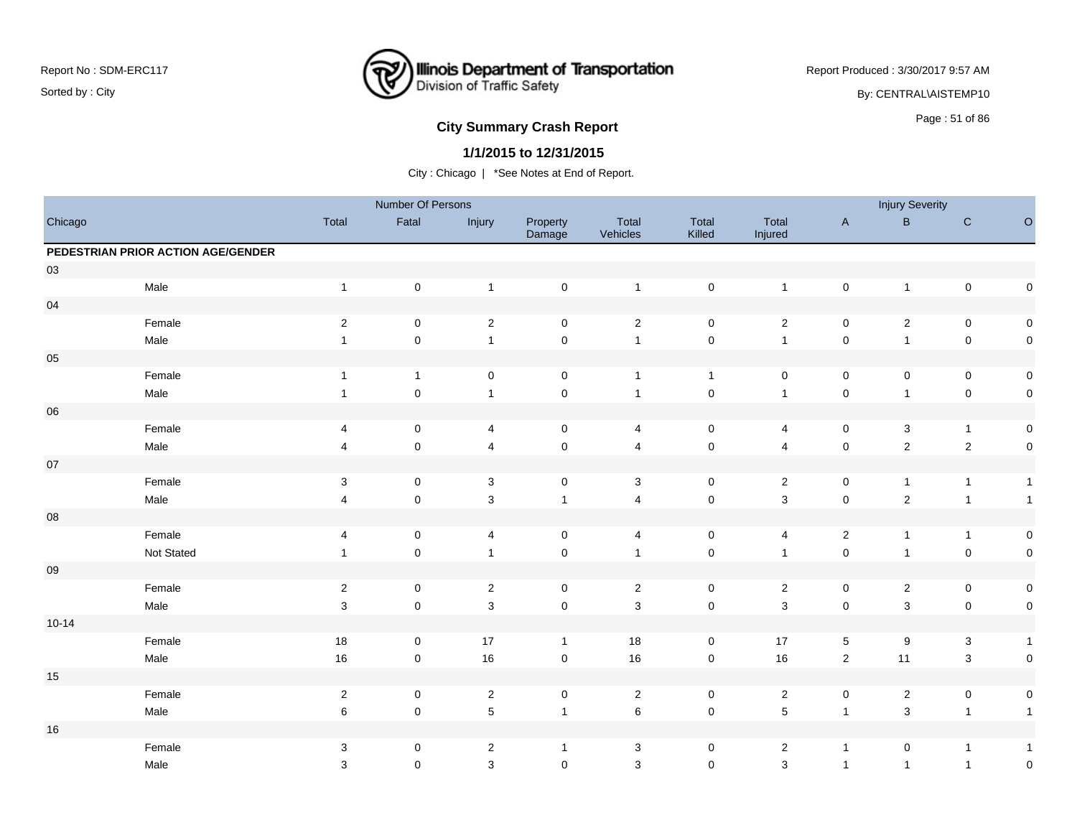

Report Produced : 3/30/2017 9:57 AM

By: CENTRAL\AISTEMP10

# **City Summary Crash Report CLASH CRASH REPORT CONSTRUSS AND REPORT CONSTRUSSION CONSTRUSS AND REPORT OF SCHOOL CONSTRUSS AND REPORT OF SCHOOL CONSTRUCTION OF SCHOOL CONSTRUCTION OF SCHOOL CONSTRUCTION OF SCHOOL CONSTRUCT**

### **1/1/2015 to 12/31/2015**

|            |                                    |                           | Number Of Persons   |                         |                     |                   |                 |                         |                     | <b>Injury Severity</b>  |                           |              |
|------------|------------------------------------|---------------------------|---------------------|-------------------------|---------------------|-------------------|-----------------|-------------------------|---------------------|-------------------------|---------------------------|--------------|
| Chicago    |                                    | Total                     | Fatal               | Injury                  | Property<br>Damage  | Total<br>Vehicles | Total<br>Killed | Total<br>Injured        | $\mathsf{A}$        | $\, {\bf B} \,$         | ${\bf C}$                 | $\mathsf O$  |
|            | PEDESTRIAN PRIOR ACTION AGE/GENDER |                           |                     |                         |                     |                   |                 |                         |                     |                         |                           |              |
| 03         |                                    |                           |                     |                         |                     |                   |                 |                         |                     |                         |                           |              |
|            | Male                               | $\overline{1}$            | $\mathsf 0$         | $\overline{1}$          | $\mathsf 0$         | $\overline{1}$    | $\pmb{0}$       | $\mathbf{1}$            | $\mathsf{O}\xspace$ | $\mathbf{1}$            | $\mathsf{O}\xspace$       | $\pmb{0}$    |
| 04         |                                    |                           |                     |                         |                     |                   |                 |                         |                     |                         |                           |              |
|            | Female                             | $\sqrt{2}$                | $\mathsf 0$         | $\sqrt{2}$              | $\mathsf 0$         | $\sqrt{2}$        | $\pmb{0}$       | $\overline{c}$          | $\mathsf{O}\xspace$ | $\overline{c}$          | $\mathsf{O}\xspace$       | $\mathsf 0$  |
|            | Male                               | $\overline{1}$            | $\mathsf 0$         | $\mathbf{1}$            | $\pmb{0}$           | $\mathbf{1}$      | $\pmb{0}$       | $\overline{1}$          | $\mathsf{O}\xspace$ | $\mathbf{1}$            | $\mathbf 0$               | $\mathsf 0$  |
| $05\,$     |                                    |                           |                     |                         |                     |                   |                 |                         |                     |                         |                           |              |
|            | Female                             | $\overline{1}$            | $\mathbf{1}$        | $\pmb{0}$               | $\mathsf 0$         | $\mathbf{1}$      | $\mathbf{1}$    | $\mathbf 0$             | $\mathbf 0$         | 0                       | $\pmb{0}$                 | $\pmb{0}$    |
|            | Male                               | $\mathbf{1}$              | $\mathsf 0$         | $\mathbf{1}$            | $\pmb{0}$           | $\mathbf{1}$      | $\pmb{0}$       | $\mathbf{1}$            | $\pmb{0}$           | $\mathbf{1}$            | $\mathsf{O}\xspace$       | $\mathsf 0$  |
| ${\bf 06}$ |                                    |                           |                     |                         |                     |                   |                 |                         |                     |                         |                           |              |
|            | Female                             | 4                         | $\mathbf 0$         | 4                       | $\mathbf 0$         | $\overline{4}$    | $\mathsf 0$     | 4                       | $\mathbf 0$         | 3                       | $\mathbf{1}$              | $\mathsf 0$  |
|            | Male                               | $\overline{\mathbf{4}}$   | $\mathbf 0$         | $\overline{4}$          | $\mathsf{O}\xspace$ | $\overline{4}$    | $\pmb{0}$       | $\overline{4}$          | $\mathsf{O}\xspace$ | $\overline{2}$          | $\overline{2}$            | $\mathsf 0$  |
| $07\,$     |                                    |                           |                     |                         |                     |                   |                 |                         |                     |                         |                           |              |
|            | Female                             | $\ensuremath{\mathsf{3}}$ | $\mathsf 0$         | $\sqrt{3}$              | $\mathbf 0$         | $\sqrt{3}$        | $\mathsf 0$     | $\overline{c}$          | 0                   | $\mathbf{1}$            | $\mathbf{1}$              | $\mathbf{1}$ |
|            | Male                               | $\overline{4}$            | $\mathsf 0$         | $\mathsf 3$             | $\mathbf{1}$        | $\overline{4}$    | $\pmb{0}$       | $\mathbf{3}$            | $\mathsf 0$         | $\sqrt{2}$              | $\mathbf{1}$              | $\mathbf{1}$ |
| ${\bf 08}$ |                                    |                           |                     |                         |                     |                   |                 |                         |                     |                         |                           |              |
|            | Female                             | 4                         | $\mathbf 0$         | 4                       | $\mathsf 0$         | 4                 | $\pmb{0}$       | 4                       | $\overline{2}$      | $\mathbf{1}$            | $\mathbf{1}$              | $\pmb{0}$    |
|            | Not Stated                         | $\overline{1}$            | $\mathsf 0$         | $\mathbf{1}$            | $\mathbf 0$         | $\overline{1}$    | $\pmb{0}$       | $\overline{1}$          | $\mathsf 0$         | $\mathbf{1}$            | $\mathsf 0$               | $\mathbf 0$  |
| ${\bf 09}$ |                                    |                           |                     |                         |                     |                   |                 |                         |                     |                         |                           |              |
|            | Female                             | $\sqrt{2}$                | $\pmb{0}$           | $\overline{\mathbf{c}}$ | $\pmb{0}$           | $\sqrt{2}$        | $\pmb{0}$       | $\overline{\mathbf{c}}$ | $\pmb{0}$           | $\overline{\mathbf{c}}$ | $\pmb{0}$                 | $\pmb{0}$    |
|            | Male                               | 3                         | $\mathbf 0$         | $\mathbf{3}$            | $\mathsf 0$         | $\mathbf{3}$      | $\mathbf 0$     | $\mathbf 3$             | $\pmb{0}$           | $\mathbf{3}$            | $\pmb{0}$                 | $\mathsf 0$  |
| $10 - 14$  |                                    |                           |                     |                         |                     |                   |                 |                         |                     |                         |                           |              |
|            | Female                             | $18\,$                    | $\pmb{0}$           | 17                      | $\mathbf{1}$        | 18                | $\pmb{0}$       | $17$                    | $\,$ 5 $\,$         | $\boldsymbol{9}$        | $\ensuremath{\mathsf{3}}$ | $\mathbf{1}$ |
|            | Male                               | $16\,$                    | $\mathsf{O}\xspace$ | 16                      | $\mathsf 0$         | 16                | $\pmb{0}$       | 16                      | $\mathbf 2$         | 11                      | $\sqrt{3}$                | $\mathsf 0$  |
| $15\,$     |                                    |                           |                     |                         |                     |                   |                 |                         |                     |                         |                           |              |
|            | Female                             | $\overline{2}$            | $\mathbf 0$         | $\overline{\mathbf{c}}$ | $\mathsf 0$         | $\overline{2}$    | $\pmb{0}$       | $\overline{\mathbf{c}}$ | $\pmb{0}$           | $\overline{\mathbf{c}}$ | $\pmb{0}$                 | $\pmb{0}$    |
|            | Male                               | $\,6\,$                   | $\pmb{0}$           | $\sqrt{5}$              | $\mathbf{1}$        | $\,6\,$           | $\pmb{0}$       | $\sqrt{5}$              | $\overline{1}$      | $\mathsf 3$             | $\overline{1}$            | $\mathbf{1}$ |
| 16         |                                    |                           |                     |                         |                     |                   |                 |                         |                     |                         |                           |              |
|            | Female                             | $\mathbf{3}$              | 0                   | $\overline{2}$          | $\mathbf{1}$        | $\mathbf{3}$      | 0               | $\overline{c}$          | $\mathbf{1}$        | 0                       | $\mathbf{1}$              | $\mathbf{1}$ |
|            | Male                               | 3                         | $\mathbf 0$         | 3                       | $\mathbf 0$         | 3                 | $\mathbf 0$     | 3                       | $\mathbf{1}$        | $\mathbf{1}$            | $\overline{1}$            | $\pmb{0}$    |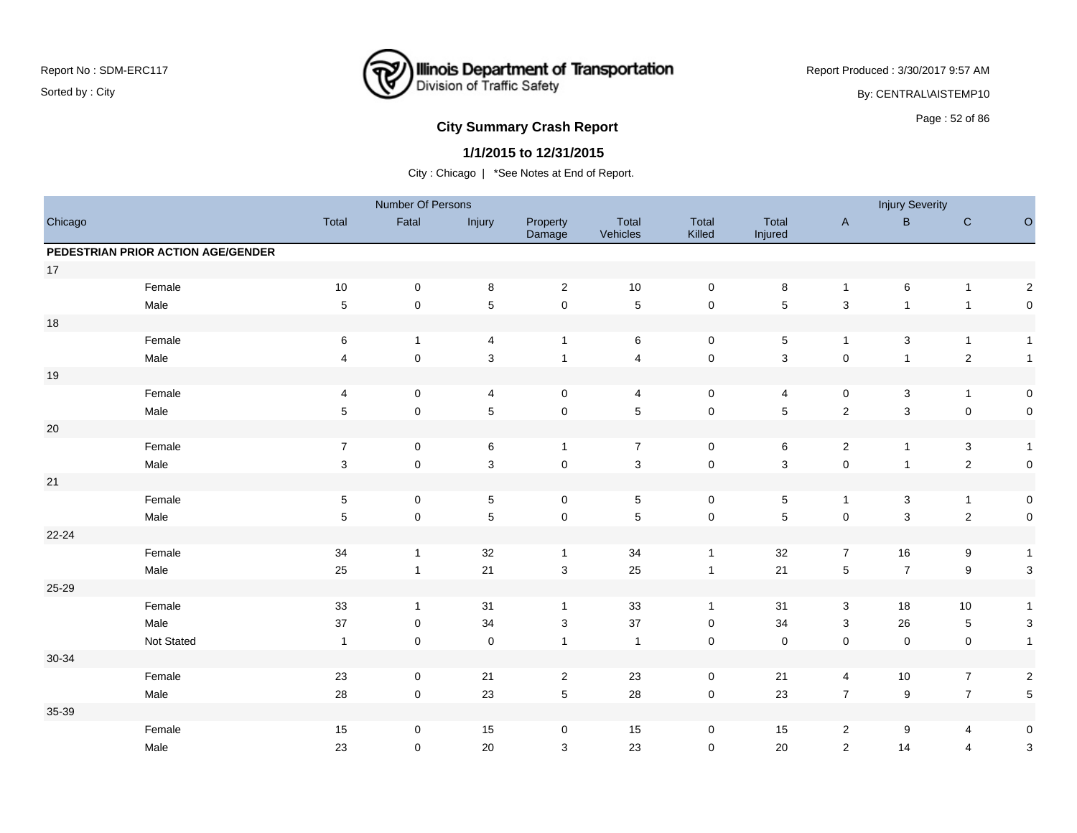

Report Produced : 3/30/2017 9:57 AM

By: CENTRAL\AISTEMP10

# **City Summary Crash Report CLASH CRASH REPORT CONSTRUSS AND REPORT CONSTRUSS ASSESS** Page : 52 of 86

### **1/1/2015 to 12/31/2015**

|           |                                    |                         | Number Of Persons |                |                    |                   |                     |                  |                  | <b>Injury Severity</b> |                  |                           |
|-----------|------------------------------------|-------------------------|-------------------|----------------|--------------------|-------------------|---------------------|------------------|------------------|------------------------|------------------|---------------------------|
| Chicago   |                                    | Total                   | Fatal             | Injury         | Property<br>Damage | Total<br>Vehicles | Total<br>Killed     | Total<br>Injured | $\mathsf A$      | $\sf B$                | ${\bf C}$        | $\circ$                   |
|           | PEDESTRIAN PRIOR ACTION AGE/GENDER |                         |                   |                |                    |                   |                     |                  |                  |                        |                  |                           |
| 17        |                                    |                         |                   |                |                    |                   |                     |                  |                  |                        |                  |                           |
|           | Female                             | $10$                    | $\mathbf 0$       | $\bf 8$        | $\overline{2}$     | $10$              | $\mathbf 0$         | 8                | $\mathbf{1}$     | 6                      | $\mathbf{1}$     | $\sqrt{2}$                |
|           | Male                               | $\sqrt{5}$              | $\pmb{0}$         | $\overline{5}$ | $\pmb{0}$          | $\sqrt{5}$        | $\mathsf{O}\xspace$ | 5                | $\mathsf 3$      | $\mathbf{1}$           | $\overline{1}$   | $\mathsf 0$               |
| 18        |                                    |                         |                   |                |                    |                   |                     |                  |                  |                        |                  |                           |
|           | Female                             | $\,6\,$                 | $\mathbf{1}$      | 4              | $\mathbf{1}$       | $\,6\,$           | $\pmb{0}$           | 5                | $\mathbf{1}$     | $\mathbf{3}$           | $\mathbf{1}$     | $\mathbf{1}$              |
|           | Male                               | $\overline{\mathbf{4}}$ | $\pmb{0}$         | $\mathbf{3}$   | $\mathbf{1}$       | $\overline{4}$    | $\mathsf 0$         | 3                | $\pmb{0}$        | $\mathbf{1}$           | $\sqrt{2}$       | $\mathbf{1}$              |
| $19$      |                                    |                         |                   |                |                    |                   |                     |                  |                  |                        |                  |                           |
|           | Female                             | $\overline{\mathbf{4}}$ | $\mathbf 0$       | $\overline{4}$ | $\mathbf 0$        | 4                 | $\mathbf 0$         | 4                | 0                | $\mathbf{3}$           | $\mathbf{1}$     | 0                         |
|           | Male                               | $\,$ 5 $\,$             | $\pmb{0}$         | $5\,$          | $\pmb{0}$          | $\,$ 5 $\,$       | $\pmb{0}$           | 5                | $\sqrt{2}$       | $\mathbf{3}$           | $\mathbf 0$      | $\mathsf 0$               |
| $20\,$    |                                    |                         |                   |                |                    |                   |                     |                  |                  |                        |                  |                           |
|           | Female                             | $\overline{7}$          | $\pmb{0}$         | $\,6\,$        | $\mathbf{1}$       | $\overline{7}$    | $\pmb{0}$           | 6                | $\sqrt{2}$       | $\mathbf{1}$           | $\mathbf{3}$     | $\mathbf{1}$              |
|           | Male                               | $\sqrt{3}$              | $\pmb{0}$         | $\mathbf{3}$   | $\pmb{0}$          | $\sqrt{3}$        | $\mathsf 0$         | 3                | $\pmb{0}$        | $\mathbf{1}$           | $\sqrt{2}$       | $\pmb{0}$                 |
| 21        |                                    |                         |                   |                |                    |                   |                     |                  |                  |                        |                  |                           |
|           | Female                             | $\sqrt{5}$              | $\mathbf 0$       | $\sqrt{5}$     | $\mathbf 0$        | $\sqrt{5}$        | $\mathbf 0$         | 5                | $\mathbf{1}$     | $\mathbf{3}$           | $\mathbf{1}$     | $\pmb{0}$                 |
|           | Male                               | 5                       | $\mathbf 0$       | $\overline{5}$ | $\pmb{0}$          | $\sqrt{5}$        | $\pmb{0}$           | 5                | $\pmb{0}$        | $\mathbf{3}$           | $\sqrt{2}$       | $\mathsf 0$               |
| $22 - 24$ |                                    |                         |                   |                |                    |                   |                     |                  |                  |                        |                  |                           |
|           | Female                             | 34                      | $\mathbf{1}$      | 32             | $\mathbf{1}$       | 34                | $\mathbf{1}$        | 32               | $\overline{7}$   | 16                     | $\boldsymbol{9}$ | $\mathbf{1}$              |
|           | Male                               | 25                      | $\mathbf{1}$      | 21             | $\mathsf 3$        | 25                | $\mathbf{1}$        | $21$             | $\sqrt{5}$       | $\boldsymbol{7}$       | $\boldsymbol{9}$ | $\sqrt{3}$                |
| 25-29     |                                    |                         |                   |                |                    |                   |                     |                  |                  |                        |                  |                           |
|           | Female                             | 33                      | $\mathbf{1}$      | 31             | $\mathbf{1}$       | 33                | $\mathbf{1}$        | 31               | $\mathsf 3$      | 18                     | $10$             | $\mathbf{1}$              |
|           | Male                               | 37                      | 0                 | 34             | 3                  | 37                | 0                   | 34               | 3                | 26                     | $\sqrt{5}$       | $\ensuremath{\mathsf{3}}$ |
|           | Not Stated                         | $\overline{1}$          | $\mathbf 0$       | $\pmb{0}$      | $\mathbf{1}$       | $\overline{1}$    | $\mathbf 0$         | $\mathsf 0$      | $\pmb{0}$        | 0                      | $\mathbf 0$      | $\mathbf{1}$              |
| $30 - 34$ |                                    |                         |                   |                |                    |                   |                     |                  |                  |                        |                  |                           |
|           | Female                             | 23                      | $\mathbf 0$       | 21             | $\overline{2}$     | 23                | $\mathbf 0$         | 21               | 4                | 10                     | $\overline{7}$   | $\boldsymbol{2}$          |
|           | Male                               | 28                      | $\mathbf 0$       | 23             | $\sqrt{5}$         | 28                | $\mathsf 0$         | 23               | $\boldsymbol{7}$ | $\boldsymbol{9}$       | $\overline{7}$   | $\sqrt{5}$                |
| 35-39     |                                    |                         |                   |                |                    |                   |                     |                  |                  |                        |                  |                           |
|           | Female                             | 15                      | 0                 | 15             | 0                  | 15                | 0                   | 15               | $\overline{2}$   | 9                      | 4                | $\pmb{0}$                 |
|           | Male                               | 23                      | 0                 | 20             | 3                  | 23                | $\mathbf 0$         | 20               | $\overline{2}$   | 14                     | $\overline{4}$   | $\mathsf 3$               |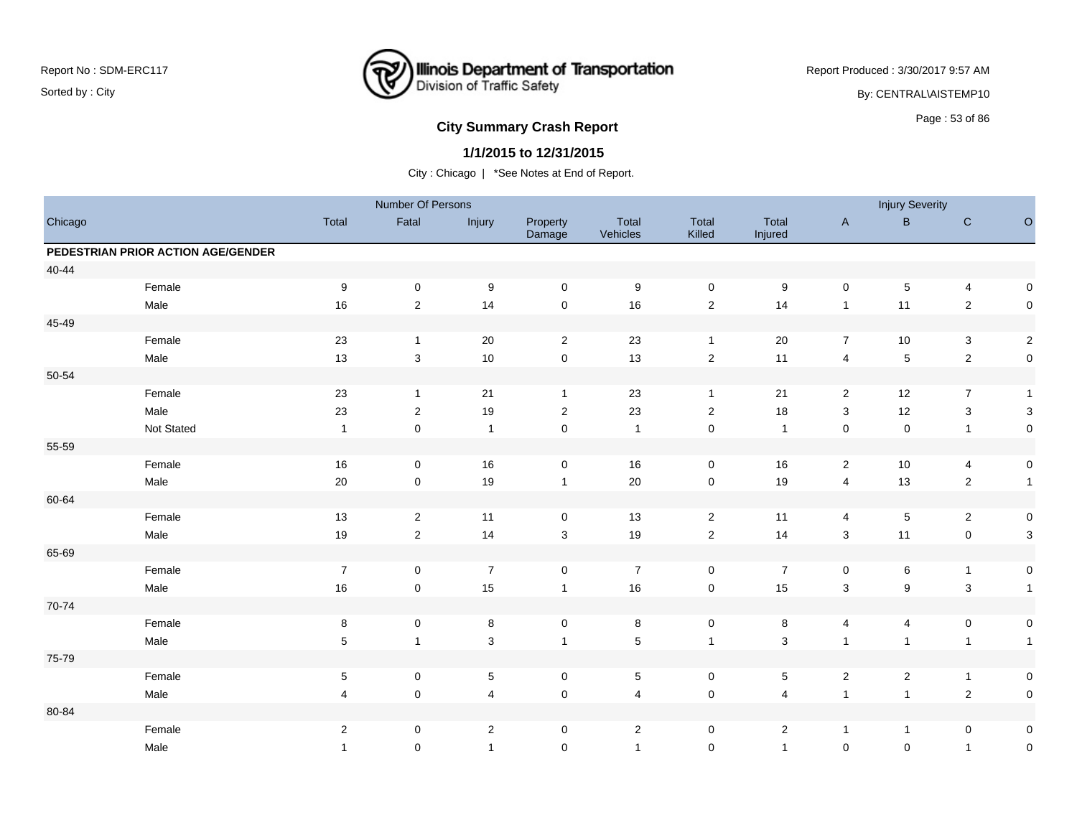

Report Produced : 3/30/2017 9:57 AM

By: CENTRAL\AISTEMP10

# **City Summary Crash Report CLAST CONSTRUSS 2009 120 AU 2010 12:30 Page : 53 of 86**

### **1/1/2015 to 12/31/2015**

|         |                                    |                | Number Of Persons |                  |                     |                   |                     |                  |                         | <b>Injury Severity</b>  |                           |                     |
|---------|------------------------------------|----------------|-------------------|------------------|---------------------|-------------------|---------------------|------------------|-------------------------|-------------------------|---------------------------|---------------------|
| Chicago |                                    | Total          | Fatal             | Injury           | Property<br>Damage  | Total<br>Vehicles | Total<br>Killed     | Total<br>Injured | $\mathsf{A}$            | $\sf B$                 | ${\bf C}$                 | $\circ$             |
|         | PEDESTRIAN PRIOR ACTION AGE/GENDER |                |                   |                  |                     |                   |                     |                  |                         |                         |                           |                     |
| 40-44   |                                    |                |                   |                  |                     |                   |                     |                  |                         |                         |                           |                     |
|         | Female                             | 9              | $\pmb{0}$         | $\boldsymbol{9}$ | $\mathbf 0$         | 9                 | $\mathbf 0$         | 9                | 0                       | 5                       | $\overline{4}$            | 0                   |
|         | Male                               | 16             | $\sqrt{2}$        | 14               | $\pmb{0}$           | 16                | $\sqrt{2}$          | 14               | $\mathbf{1}$            | 11                      | $\sqrt{2}$                | $\mathsf 0$         |
| 45-49   |                                    |                |                   |                  |                     |                   |                     |                  |                         |                         |                           |                     |
|         | Female                             | 23             | $\mathbf{1}$      | 20               | $\overline{2}$      | 23                | $\mathbf{1}$        | 20               | $\overline{7}$          | 10                      | $\ensuremath{\mathsf{3}}$ | $\sqrt{2}$          |
|         | Male                               | 13             | $\mathbf{3}$      | $10$             | $\mathsf{O}\xspace$ | 13                | $\sqrt{2}$          | 11               | $\overline{\mathbf{4}}$ | $\mathbf 5$             | $\sqrt{2}$                | $\pmb{0}$           |
| 50-54   |                                    |                |                   |                  |                     |                   |                     |                  |                         |                         |                           |                     |
|         | Female                             | 23             | $\mathbf{1}$      | 21               | $\mathbf{1}$        | 23                | $\mathbf{1}$        | 21               | 2                       | 12                      | $\overline{7}$            | $\mathbf{1}$        |
|         | Male                               | 23             | $\overline{c}$    | 19               | 2                   | 23                | $\boldsymbol{2}$    | 18               | 3                       | 12                      | $\sqrt{3}$                | $\sqrt{3}$          |
|         | Not Stated                         | $\overline{1}$ | $\mathbf 0$       | $\overline{1}$   | $\mathsf 0$         | $\overline{1}$    | $\mathbf 0$         | $\overline{1}$   | $\mathbf 0$             | 0                       | $\mathbf{1}$              | $\mathsf{O}\xspace$ |
| 55-59   |                                    |                |                   |                  |                     |                   |                     |                  |                         |                         |                           |                     |
|         | Female                             | $16$           | $\mathbf 0$       | 16               | $\mathsf{O}\xspace$ | 16                | $\mathbf 0$         | 16               | $\overline{2}$          | 10                      | 4                         | 0                   |
|         | Male                               | $20\,$         | $\pmb{0}$         | 19               | $\mathbf{1}$        | $20\,$            | $\mathsf 0$         | 19               | 4                       | 13                      | $\sqrt{2}$                | $\mathbf{1}$        |
| 60-64   |                                    |                |                   |                  |                     |                   |                     |                  |                         |                         |                           |                     |
|         | Female                             | 13             | $\overline{2}$    | 11               | $\mathbf 0$         | 13                | $\overline{2}$      | 11               | 4                       | 5                       | $\overline{2}$            | 0                   |
|         | Male                               | 19             | $\overline{c}$    | 14               | $\sqrt{3}$          | 19                | $\sqrt{2}$          | 14               | 3                       | 11                      | $\mathbf 0$               | 3                   |
| 65-69   |                                    |                |                   |                  |                     |                   |                     |                  |                         |                         |                           |                     |
|         | Female                             | $\overline{7}$ | $\mathbf 0$       | $\overline{7}$   | $\mathbf 0$         | $\overline{7}$    | $\mathbf 0$         | $\overline{7}$   | 0                       | 6                       | $\overline{1}$            | $\pmb{0}$           |
|         | Male                               | 16             | $\mathbf 0$       | 15               | $\mathbf{1}$        | 16                | $\mathsf{O}\xspace$ | 15               | $\sqrt{3}$              | 9                       | $\ensuremath{\mathsf{3}}$ | $\mathbf{1}$        |
| 70-74   |                                    |                |                   |                  |                     |                   |                     |                  |                         |                         |                           |                     |
|         | Female                             | 8              | $\pmb{0}$         | 8                | $\mathsf{O}\xspace$ | 8                 | $\mathbf 0$         | 8                | 4                       | 4                       | 0                         | 0                   |
|         | Male                               | 5              | $\mathbf{1}$      | $\mathbf{3}$     | $\mathbf{1}$        | $\sqrt{5}$        | $\mathbf{1}$        | 3                | $\mathbf{1}$            | $\mathbf{1}$            | $\mathbf{1}$              | $\mathbf{1}$        |
| 75-79   |                                    |                |                   |                  |                     |                   |                     |                  |                         |                         |                           |                     |
|         | Female                             | $\sqrt{5}$     | $\mathbf 0$       | $\sqrt{5}$       | $\mathsf{O}\xspace$ | $\sqrt{5}$        | $\mathbf 0$         | 5                | $\overline{c}$          | $\overline{\mathbf{c}}$ | $\overline{1}$            | 0                   |
|         | Male                               | $\overline{4}$ | $\pmb{0}$         | $\overline{4}$   | $\pmb{0}$           | $\overline{4}$    | $\mathsf 0$         | 4                | $\mathbf{1}$            | $\mathbf{1}$            | $\sqrt{2}$                | $\mathsf{O}\xspace$ |
| 80-84   |                                    |                |                   |                  |                     |                   |                     |                  |                         |                         |                           |                     |
|         | Female                             | $\sqrt{2}$     | 0                 | $\overline{2}$   | $\mathbf 0$         | $\sqrt{2}$        | 0                   | $\overline{a}$   | $\mathbf{1}$            | $\mathbf{1}$            | 0                         | 0                   |
|         | Male                               | $\mathbf{1}$   | 0                 | $\overline{1}$   | $\mathbf 0$         | $\overline{1}$    | $\mathbf 0$         | $\mathbf{1}$     | $\mathbf 0$             | $\mathbf 0$             | $\mathbf{1}$              | $\mathsf{O}\xspace$ |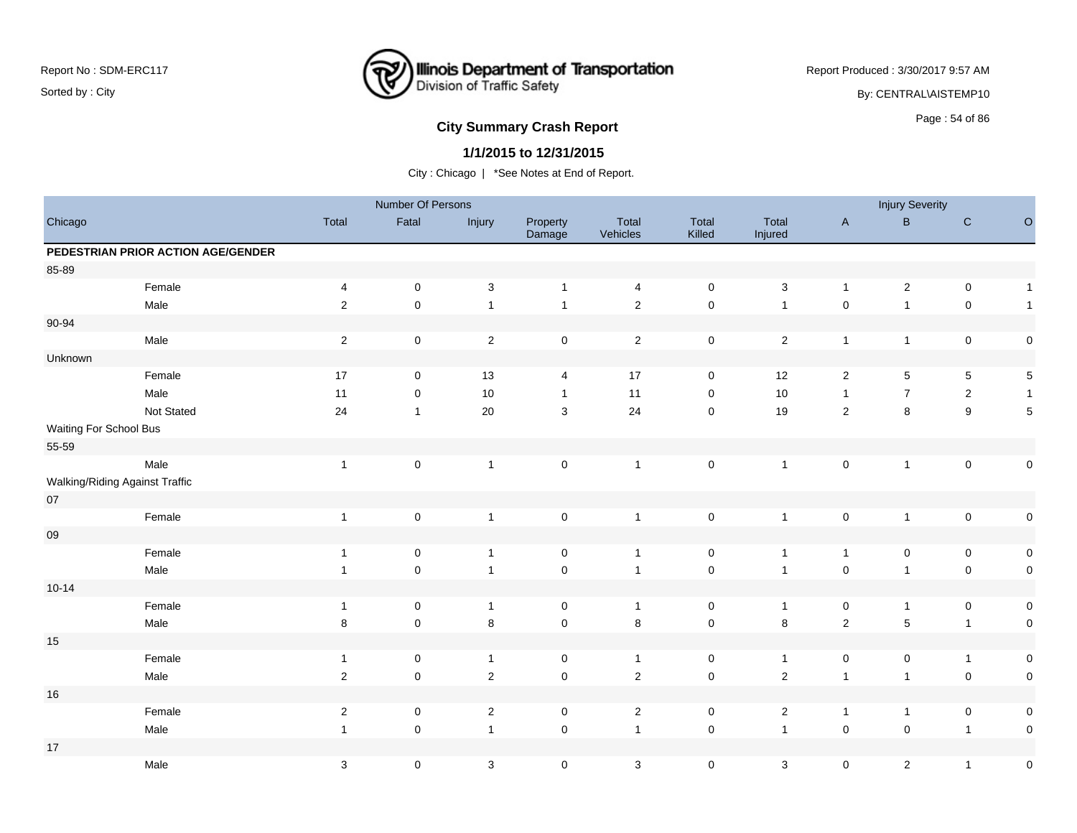

Report Produced : 3/30/2017 9:57 AM

By: CENTRAL\AISTEMP10

# **City Summary Crash Report CLASH CRASH REPORT CONSUMING THE SET OF 86 CITY SUMMARY CRASH REPORT OF SAMPLE SET OF SET OF SAMPLE SET OF SAMPLE SET OF SAMPLE SET OF SAMPLE SET OF SAMPLE SET OF SAMPLE SET OF SAMPLE SET OF SA**

### **1/1/2015 to 12/31/2015**

|                        |                                    |                           | Number Of Persons   |                |                     |                   |                     |                  |                | <b>Injury Severity</b> |                  |              |
|------------------------|------------------------------------|---------------------------|---------------------|----------------|---------------------|-------------------|---------------------|------------------|----------------|------------------------|------------------|--------------|
| Chicago                |                                    | Total                     | Fatal               | Injury         | Property<br>Damage  | Total<br>Vehicles | Total<br>Killed     | Total<br>Injured | $\mathsf{A}$   | B                      | $\mathbf C$      | $\circ$      |
|                        | PEDESTRIAN PRIOR ACTION AGE/GENDER |                           |                     |                |                     |                   |                     |                  |                |                        |                  |              |
| 85-89                  |                                    |                           |                     |                |                     |                   |                     |                  |                |                        |                  |              |
|                        | Female                             | 4                         | $\mathsf 0$         | $\mathbf 3$    | $\mathbf{1}$        | 4                 | $\mathsf 0$         | $\mathbf{3}$     | $\overline{1}$ | $\overline{c}$         | $\pmb{0}$        | $\mathbf{1}$ |
|                        | Male                               | $\sqrt{2}$                | $\mathsf 0$         | $\mathbf{1}$   | $\mathbf{1}$        | $\mathbf 2$       | $\pmb{0}$           | $\mathbf{1}$     | $\pmb{0}$      | $\mathbf{1}$           | $\pmb{0}$        | $\mathbf{1}$ |
| 90-94                  |                                    |                           |                     |                |                     |                   |                     |                  |                |                        |                  |              |
|                        | Male                               | $\overline{2}$            | $\mathbf 0$         | $\overline{2}$ | $\mathsf{O}\xspace$ | $\overline{2}$    | $\mathbf 0$         | $\overline{2}$   | $\overline{1}$ | $\mathbf{1}$           | $\pmb{0}$        | $\pmb{0}$    |
| Unknown                |                                    |                           |                     |                |                     |                   |                     |                  |                |                        |                  |              |
|                        | Female                             | 17                        | $\mathsf 0$         | 13             | 4                   | 17                | $\pmb{0}$           | 12               | $\sqrt{2}$     | $\overline{5}$         | $\overline{5}$   | $\mathbf 5$  |
|                        | Male                               | 11                        | $\pmb{0}$           | 10             | $\mathbf{1}$        | 11                | $\pmb{0}$           | $10$             | $\overline{1}$ | $\overline{7}$         | $\sqrt{2}$       | $\mathbf{1}$ |
|                        | Not Stated                         | 24                        | $\mathbf{1}$        | 20             | $\mathbf{3}$        | 24                | $\mathsf{O}\xspace$ | 19               | $\sqrt{2}$     | 8                      | $\boldsymbol{9}$ | $\sqrt{5}$   |
| Waiting For School Bus |                                    |                           |                     |                |                     |                   |                     |                  |                |                        |                  |              |
| 55-59                  |                                    |                           |                     |                |                     |                   |                     |                  |                |                        |                  |              |
|                        | Male                               | $\mathbf{1}$              | $\mathsf 0$         | $\overline{1}$ | $\mathsf{O}\xspace$ | $\overline{1}$    | $\pmb{0}$           | $\mathbf{1}$     | $\pmb{0}$      | $\mathbf{1}$           | $\pmb{0}$        | $\pmb{0}$    |
|                        | Walking/Riding Against Traffic     |                           |                     |                |                     |                   |                     |                  |                |                        |                  |              |
| $07\,$                 |                                    |                           |                     |                |                     |                   |                     |                  |                |                        |                  |              |
|                        | Female                             | $\mathbf{1}$              | $\pmb{0}$           | $\mathbf{1}$   | $\mathsf{O}\xspace$ | $\overline{1}$    | $\pmb{0}$           | $\mathbf{1}$     | $\pmb{0}$      | $\mathbf{1}$           | $\pmb{0}$        | 0            |
| 09                     |                                    |                           |                     |                |                     |                   |                     |                  |                |                        |                  |              |
|                        | Female                             | $\mathbf{1}$              | $\mathsf 0$         | $\overline{1}$ | $\mathbf 0$         | $\mathbf{1}$      | $\pmb{0}$           | $\mathbf{1}$     | $\overline{1}$ | $\pmb{0}$              | $\pmb{0}$        | $\pmb{0}$    |
|                        | Male                               | $\mathbf{1}$              | $\mathsf{O}\xspace$ | $\overline{1}$ | $\mathsf{O}\xspace$ | $\overline{1}$    | $\pmb{0}$           | $\mathbf{1}$     | $\mathbf 0$    | $\mathbf{1}$           | $\mathsf 0$      | $\pmb{0}$    |
| $10 - 14$              |                                    |                           |                     |                |                     |                   |                     |                  |                |                        |                  |              |
|                        | Female                             | $\mathbf{1}$              | $\mathsf 0$         | $\overline{1}$ | 0                   | $\overline{1}$    | $\pmb{0}$           | $\mathbf{1}$     | 0              | $\mathbf{1}$           | $\pmb{0}$        | $\pmb{0}$    |
|                        | Male                               | $\,8\,$                   | $\mathsf{O}\xspace$ | $\bf 8$        | $\mathsf{O}\xspace$ | $\bf8$            | $\pmb{0}$           | $\bf 8$          | $\sqrt{2}$     | $\mathbf 5$            | $\mathbf{1}$     | $\pmb{0}$    |
| 15                     |                                    |                           |                     |                |                     |                   |                     |                  |                |                        |                  |              |
|                        | Female                             | $\mathbf{1}$              | $\mathsf{O}\xspace$ | $\overline{1}$ | $\mathbf 0$         | $\overline{1}$    | $\mathsf{O}\xspace$ | $\mathbf{1}$     | $\mathsf 0$    | $\mathbf 0$            | $\overline{1}$   | $\mathbf 0$  |
|                        | Male                               | $\overline{c}$            | $\mathbf 0$         | $\sqrt{2}$     | $\mathbf 0$         | $\overline{2}$    | $\mathsf 0$         | $\overline{2}$   | $\overline{1}$ | $\mathbf{1}$           | $\mathsf 0$      | $\pmb{0}$    |
| 16                     |                                    |                           |                     |                |                     |                   |                     |                  |                |                        |                  |              |
|                        | Female                             | $\boldsymbol{2}$          | $\mathbf 0$         | $\sqrt{2}$     | $\mathbf 0$         | $\overline{2}$    | $\mathsf{O}\xspace$ | $\overline{2}$   | $\overline{1}$ | $\mathbf{1}$           | $\pmb{0}$        | $\mathsf 0$  |
|                        | Male                               | $\mathbf{1}$              | $\mathsf{O}\xspace$ | $\mathbf{1}$   | $\mathsf 0$         | $\mathbf{1}$      | $\pmb{0}$           | $\mathbf{1}$     | $\pmb{0}$      | $\mathbf 0$            | $\overline{1}$   | $\mathbf 0$  |
| $17$                   |                                    |                           |                     |                |                     |                   |                     |                  |                |                        |                  |              |
|                        | Male                               | $\ensuremath{\mathsf{3}}$ | $\pmb{0}$           | 3              | $\mathbf 0$         | $\mathbf{3}$      | 0                   | 3                | $\mathsf 0$    | $\overline{a}$         | $\overline{1}$   | $\pmb{0}$    |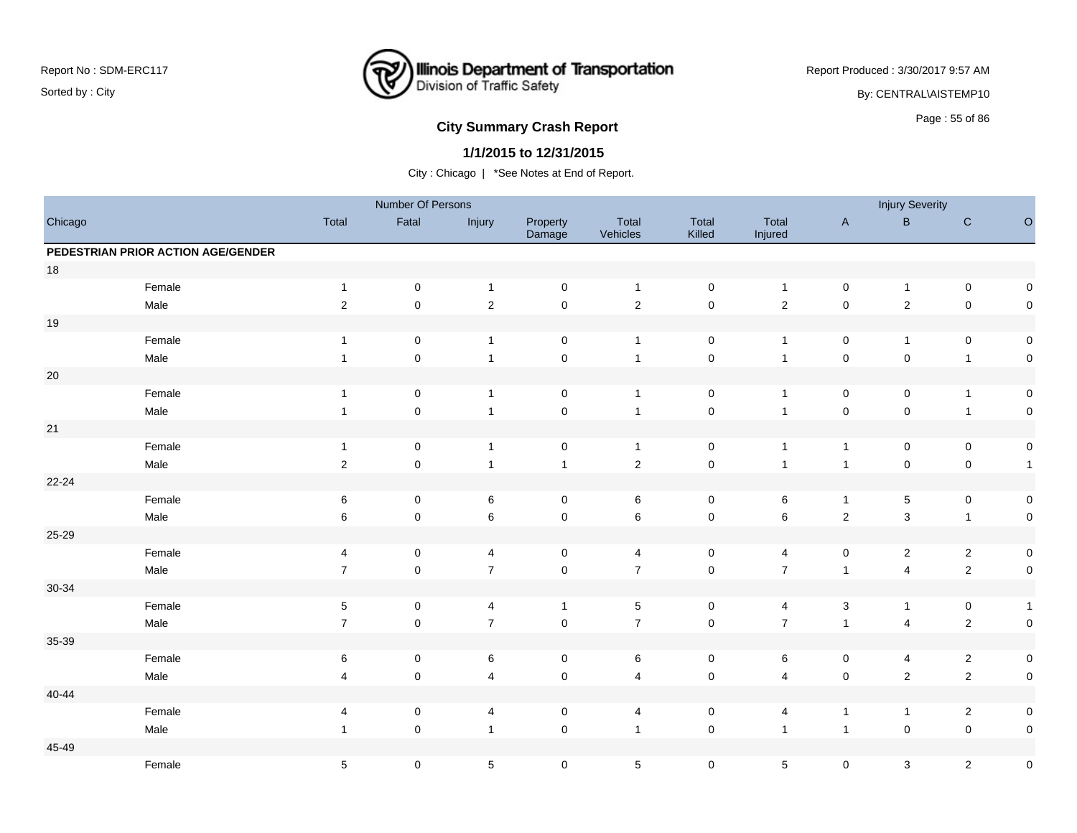

Report Produced : 3/30/2017 9:57 AM

By: CENTRAL\AISTEMP10

# Page : 55 of 86 **City Summary Crash Report**

### **1/1/2015 to 12/31/2015**

|           |                                    |                  | Number Of Persons |                |                     |                   |                     |                  |                     | <b>Injury Severity</b>  |                         |                     |
|-----------|------------------------------------|------------------|-------------------|----------------|---------------------|-------------------|---------------------|------------------|---------------------|-------------------------|-------------------------|---------------------|
| Chicago   |                                    | Total            | Fatal             | Injury         | Property<br>Damage  | Total<br>Vehicles | Total<br>Killed     | Total<br>Injured | $\mathsf{A}$        | $\sf B$                 | ${\bf C}$               | $\circ$             |
|           | PEDESTRIAN PRIOR ACTION AGE/GENDER |                  |                   |                |                     |                   |                     |                  |                     |                         |                         |                     |
| $18$      |                                    |                  |                   |                |                     |                   |                     |                  |                     |                         |                         |                     |
|           | Female                             | $\mathbf{1}$     | $\mathsf 0$       | $\mathbf{1}$   | $\pmb{0}$           | $\overline{1}$    | $\mathsf 0$         | $\mathbf{1}$     | $\mathbf 0$         | $\mathbf{1}$            | $\mathbf 0$             | $\mathsf{O}\xspace$ |
|           | Male                               | $\sqrt{2}$       | $\mathbf 0$       | $\sqrt{2}$     | $\mathsf 0$         | $\sqrt{2}$        | $\mathsf 0$         | $\mathbf 2$      | $\mathbf 0$         | $\overline{c}$          | $\mathbf 0$             | $\pmb{0}$           |
| $19$      |                                    |                  |                   |                |                     |                   |                     |                  |                     |                         |                         |                     |
|           | Female                             | $\mathbf{1}$     | $\mathbf 0$       | $\overline{1}$ | $\mathbf 0$         | $\overline{1}$    | $\mathbf 0$         | $\mathbf{1}$     | $\mathbf 0$         | $\mathbf{1}$            | $\pmb{0}$               | $\pmb{0}$           |
|           | Male                               | $\mathbf{1}$     | $\mathbf 0$       | $\overline{1}$ | $\pmb{0}$           | $\overline{1}$    | $\mathsf 0$         | $\mathbf{1}$     | $\mathbf 0$         | $\mathsf 0$             | $\mathbf{1}$            | $\pmb{0}$           |
| $20\,$    |                                    |                  |                   |                |                     |                   |                     |                  |                     |                         |                         |                     |
|           | Female                             | $\mathbf{1}$     | $\pmb{0}$         | $\overline{1}$ | $\pmb{0}$           | $\overline{1}$    | $\pmb{0}$           | $\mathbf{1}$     | $\pmb{0}$           | 0                       | $\overline{1}$          | $\pmb{0}$           |
|           | Male                               | $\mathbf{1}$     | $\pmb{0}$         | $\overline{1}$ | $\pmb{0}$           | $\overline{1}$    | $\pmb{0}$           | $\mathbf{1}$     | $\mathbf 0$         | $\mathbf 0$             | $\overline{1}$          | $\pmb{0}$           |
| $21$      |                                    |                  |                   |                |                     |                   |                     |                  |                     |                         |                         |                     |
|           | Female                             | $\mathbf{1}$     | $\pmb{0}$         | $\mathbf{1}$   | $\pmb{0}$           | $\overline{1}$    | $\pmb{0}$           | $\mathbf{1}$     | $\mathbf{1}$        | $\pmb{0}$               | $\mathbf 0$             | $\pmb{0}$           |
|           | Male                               | $\boldsymbol{2}$ | $\pmb{0}$         | $\overline{1}$ | $\mathbf{1}$        | $\sqrt{2}$        | $\pmb{0}$           | $\overline{1}$   | $\mathbf{1}$        | $\mathsf 0$             | $\mathbf 0$             | $\mathbf{1}$        |
| 22-24     |                                    |                  |                   |                |                     |                   |                     |                  |                     |                         |                         |                     |
|           | Female                             | $\,6\,$          | $\pmb{0}$         | $\,6\,$        | $\mathbf 0$         | 6                 | $\mathbf 0$         | 6                | $\mathbf{1}$        | 5                       | $\mathbf 0$             | $\pmb{0}$           |
|           | Male                               | 6                | $\mathbf 0$       | $\,6\,$        | $\pmb{0}$           | $\,6\,$           | $\mathsf{O}\xspace$ | 6                | $\mathbf 2$         | 3                       | $\overline{1}$          | $\mathsf{O}\xspace$ |
| 25-29     |                                    |                  |                   |                |                     |                   |                     |                  |                     |                         |                         |                     |
|           | Female                             | 4                | $\pmb{0}$         | 4              | $\mathbf 0$         | 4                 | $\mathbf 0$         | 4                | $\mathbf 0$         | $\overline{\mathbf{c}}$ | $\overline{\mathbf{c}}$ | $\pmb{0}$           |
|           | Male                               | $\overline{7}$   | $\pmb{0}$         | $\overline{7}$ | $\pmb{0}$           | $\overline{7}$    | $\pmb{0}$           | $\overline{7}$   | $\mathbf{1}$        | $\overline{\mathbf{4}}$ | $\mathbf 2$             | $\pmb{0}$           |
| 30-34     |                                    |                  |                   |                |                     |                   |                     |                  |                     |                         |                         |                     |
|           | Female                             | $\sqrt{5}$       | $\pmb{0}$         | 4              | $\mathbf{1}$        | $\sqrt{5}$        | $\pmb{0}$           | 4                | $\mathsf 3$         | $\mathbf{1}$            | $\mathbf 0$             | $\mathbf{1}$        |
|           | Male                               | $\overline{7}$   | $\mathbf 0$       | $\overline{7}$ | $\pmb{0}$           | $\overline{7}$    | $\mathbf 0$         | $\boldsymbol{7}$ | $\mathbf{1}$        | 4                       | $\sqrt{2}$              | $\pmb{0}$           |
| 35-39     |                                    |                  |                   |                |                     |                   |                     |                  |                     |                         |                         |                     |
|           | Female                             | 6                | $\mathbf 0$       | $\,6\,$        | $\mathbf 0$         | 6                 | $\mathbf 0$         | 6                | $\mathbf 0$         | 4                       | $\overline{2}$          | $\pmb{0}$           |
|           | Male                               | 4                | $\mathbf 0$       | $\overline{4}$ | $\mathsf{O}\xspace$ | 4                 | $\mathbf 0$         | 4                | $\mathbf 0$         | $\mathbf 2$             | $\overline{2}$          | $\pmb{0}$           |
| $40 - 44$ |                                    |                  |                   |                |                     |                   |                     |                  |                     |                         |                         |                     |
|           | Female                             | 4                | $\pmb{0}$         | $\overline{4}$ | $\mathsf 0$         | 4                 | $\mathbf 0$         | 4                | $\mathbf{1}$        | $\mathbf{1}$            | $\overline{c}$          | $\pmb{0}$           |
|           | Male                               | $\mathbf{1}$     | $\mathbf 0$       | $\overline{1}$ | $\pmb{0}$           | $\overline{1}$    | $\mathsf{O}\xspace$ | $\mathbf{1}$     | $\mathbf{1}$        | $\mathbf 0$             | $\mathbf 0$             | $\pmb{0}$           |
| 45-49     |                                    |                  |                   |                |                     |                   |                     |                  |                     |                         |                         |                     |
|           | Female                             | $\mathbf 5$      | $\pmb{0}$         | $\sqrt{5}$     | $\pmb{0}$           | $\sqrt{5}$        | $\pmb{0}$           | 5                | $\mathsf{O}\xspace$ | 3                       | $\sqrt{2}$              | $\pmb{0}$           |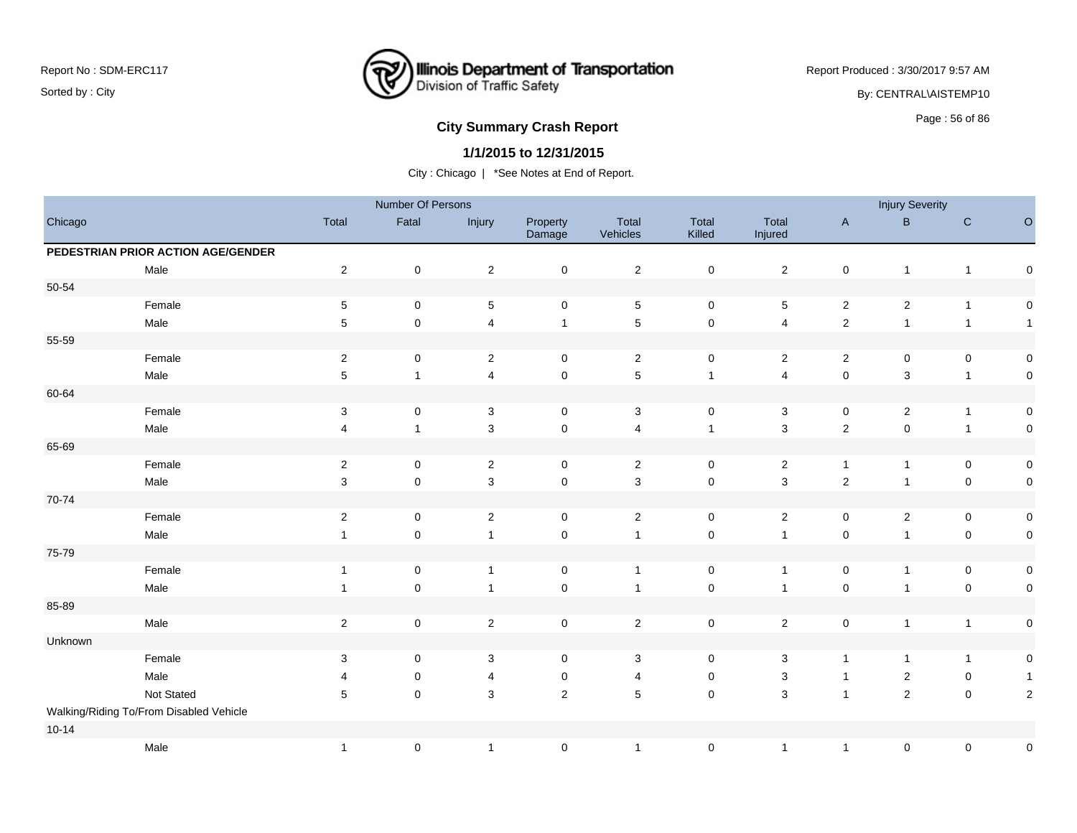

Report Produced : 3/30/2017 9:57 AM

By: CENTRAL\AISTEMP10

# Page : 56 of 86 **City Summary Crash Report**

### **1/1/2015 to 12/31/2015**

|           |                                         |                           | Number Of Persons |                |                     |                   |                 |                           |                     | <b>Injury Severity</b> |                     |                     |
|-----------|-----------------------------------------|---------------------------|-------------------|----------------|---------------------|-------------------|-----------------|---------------------------|---------------------|------------------------|---------------------|---------------------|
| Chicago   |                                         | Total                     | Fatal             | Injury         | Property<br>Damage  | Total<br>Vehicles | Total<br>Killed | Total<br>Injured          | $\mathsf{A}$        | $\, {\bf B} \,$        | $\mathbf C$         | $\mathsf O$         |
|           | PEDESTRIAN PRIOR ACTION AGE/GENDER      |                           |                   |                |                     |                   |                 |                           |                     |                        |                     |                     |
|           | Male                                    | $\sqrt{2}$                | $\pmb{0}$         | $\sqrt{2}$     | $\mathbf 0$         | $\mathbf{2}$      | 0               | $\overline{2}$            | $\pmb{0}$           | $\mathbf{1}$           | $\mathbf{1}$        | 0                   |
| 50-54     |                                         |                           |                   |                |                     |                   |                 |                           |                     |                        |                     |                     |
|           | Female                                  | $\,$ 5 $\,$               | $\mathbf 0$       | $\sqrt{5}$     | $\mathbf 0$         | $\sqrt{5}$        | $\mathbf 0$     | 5                         | $\overline{2}$      | $\overline{2}$         | $\mathbf{1}$        | 0                   |
|           | Male                                    | 5                         | $\mathbf 0$       | $\overline{4}$ | $\mathbf{1}$        | $\sqrt{5}$        | $\mathbf 0$     | 4                         | $\overline{2}$      | $\overline{1}$         | $\mathbf{1}$        | $\overline{1}$      |
| 55-59     |                                         |                           |                   |                |                     |                   |                 |                           |                     |                        |                     |                     |
|           | Female                                  | $\sqrt{2}$                | $\pmb{0}$         | $\overline{2}$ | $\mathbf 0$         | $\overline{2}$    | $\mathsf 0$     | $\overline{2}$            | $\mathbf{2}$        | 0                      | $\pmb{0}$           | $\mathsf{O}\xspace$ |
|           | Male                                    | $\,$ 5 $\,$               | $\mathbf{1}$      | $\overline{4}$ | $\mathsf{O}\xspace$ | $\sqrt{5}$        | $\overline{1}$  | $\overline{\mathbf{4}}$   | $\mathsf 0$         | 3                      | $\mathbf{1}$        | $\mathbf 0$         |
| 60-64     |                                         |                           |                   |                |                     |                   |                 |                           |                     |                        |                     |                     |
|           | Female                                  | $\ensuremath{\mathsf{3}}$ | $\pmb{0}$         | $\sqrt{3}$     | $\mathbf 0$         | 3                 | $\mathsf 0$     | 3                         | 0                   | $\overline{c}$         | $\mathbf{1}$        | $\mathbf 0$         |
|           | Male                                    | 4                         | $\mathbf{1}$      | $\sqrt{3}$     | $\mathbf 0$         | $\overline{4}$    | $\mathbf{1}$    | $\mathsf 3$               | $\sqrt{2}$          | $\mathbf 0$            | $\mathbf{1}$        | $\mathbf 0$         |
| 65-69     |                                         |                           |                   |                |                     |                   |                 |                           |                     |                        |                     |                     |
|           | Female                                  | $\sqrt{2}$                | $\pmb{0}$         | $\overline{2}$ | $\mathbf 0$         | $\overline{2}$    | $\mathsf 0$     | $\boldsymbol{2}$          | $\mathbf{1}$        | $\mathbf{1}$           | $\pmb{0}$           | $\mathbf 0$         |
|           | Male                                    | $\mathsf 3$               | $\mathbf 0$       | $\mathbf{3}$   | $\mathsf{O}\xspace$ | $\mathsf 3$       | $\pmb{0}$       | $\mathsf 3$               | $\mathbf 2$         | 1                      | $\pmb{0}$           | $\mathbf 0$         |
| 70-74     |                                         |                           |                   |                |                     |                   |                 |                           |                     |                        |                     |                     |
|           | Female                                  | $\sqrt{2}$                | $\mathbf 0$       | $\sqrt{2}$     | $\mathbf 0$         | $\overline{2}$    | $\mathsf 0$     | $\overline{2}$            | $\mathsf 0$         | $\mathbf 2$            | $\pmb{0}$           | $\mathbf 0$         |
|           | Male                                    | $\mathbf{1}$              | $\pmb{0}$         | $\mathbf{1}$   | $\mathbf 0$         | $\mathbf{1}$      | $\mathsf 0$     | $\mathbf{1}$              | $\pmb{0}$           | $\mathbf{1}$           | $\pmb{0}$           | $\mathbf 0$         |
| 75-79     |                                         |                           |                   |                |                     |                   |                 |                           |                     |                        |                     |                     |
|           | Female                                  | $\mathbf{1}$              | 0                 | $\mathbf{1}$   | 0                   | $\overline{1}$    | 0               | $\mathbf{1}$              | 0                   | $\mathbf{1}$           | 0                   | $\mathbf 0$         |
|           | Male                                    | $\mathbf{1}$              | $\pmb{0}$         | $\mathbf{1}$   | $\mathbf 0$         | $\overline{1}$    | $\mathsf 0$     | $\mathbf{1}$              | $\mathsf{O}\xspace$ | 1                      | $\pmb{0}$           | $\mathbf 0$         |
| 85-89     |                                         |                           |                   |                |                     |                   |                 |                           |                     |                        |                     |                     |
|           | Male                                    | $\sqrt{2}$                | $\mathbf 0$       | $\overline{2}$ | $\mathbf 0$         | $\overline{2}$    | $\mathsf 0$     | $\overline{2}$            | $\mathsf{O}\xspace$ | $\mathbf{1}$           | $\mathbf{1}$        | $\boldsymbol{0}$    |
| Unknown   |                                         |                           |                   |                |                     |                   |                 |                           |                     |                        |                     |                     |
|           | Female                                  | $\ensuremath{\mathsf{3}}$ | $\mathbf 0$       | $\mathsf 3$    | $\mathsf{O}\xspace$ | $\mathsf 3$       | $\pmb{0}$       | $\ensuremath{\mathsf{3}}$ | $\mathbf{1}$        | $\mathbf{1}$           | $\mathbf{1}$        | $\mathbf 0$         |
|           | Male                                    | 4                         | $\pmb{0}$         | $\overline{4}$ | $\pmb{0}$           | 4                 | 0               | $\ensuremath{\mathsf{3}}$ | $\mathbf{1}$        | $\overline{c}$         | $\pmb{0}$           | $\overline{1}$      |
|           | Not Stated                              | 5                         | $\pmb{0}$         | 3              | $\overline{2}$      | $\sqrt{5}$        | $\mathsf 0$     | 3                         | $\mathbf{1}$        | $\mathbf 2$            | $\mathsf{O}\xspace$ | $\sqrt{2}$          |
|           | Walking/Riding To/From Disabled Vehicle |                           |                   |                |                     |                   |                 |                           |                     |                        |                     |                     |
| $10 - 14$ |                                         |                           |                   |                |                     |                   |                 |                           |                     |                        |                     |                     |
|           | Male                                    | $\mathbf{1}$              | $\pmb{0}$         | $\mathbf{1}$   | $\pmb{0}$           | $\mathbf{1}$      | $\pmb{0}$       | $\mathbf{1}$              | $\mathbf{1}$        | 0                      | $\pmb{0}$           | $\pmb{0}$           |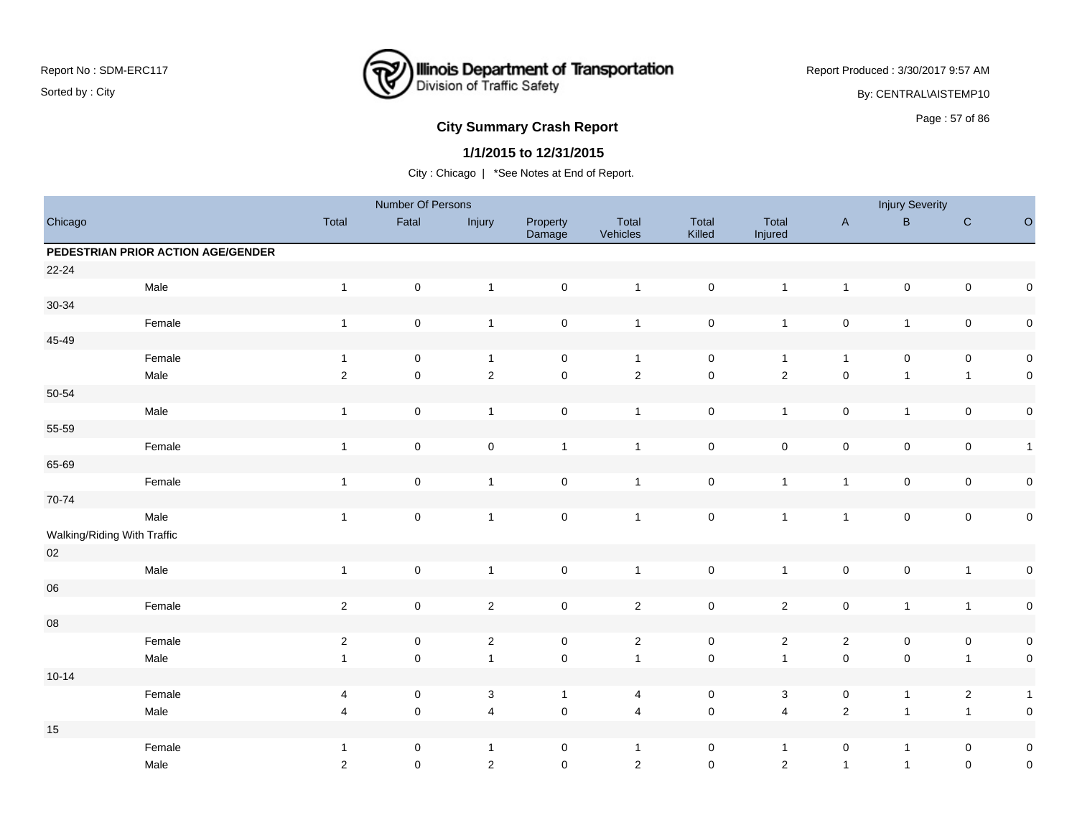

Report Produced : 3/30/2017 9:57 AM

By: CENTRAL\AISTEMP10

# **City Summary Crash Report CLASH CRASH REPORT CONSUMING THE SET OF 86 CITY SUMMARY CRASH REPORT OF SET OF 86**

### **1/1/2015 to 12/31/2015**

|                             |                                    |                | Number Of Persons   |                |                     |                         |                 |                  |                     | <b>Injury Severity</b> |                         |              |
|-----------------------------|------------------------------------|----------------|---------------------|----------------|---------------------|-------------------------|-----------------|------------------|---------------------|------------------------|-------------------------|--------------|
| Chicago                     |                                    | Total          | Fatal               | Injury         | Property<br>Damage  | Total<br>Vehicles       | Total<br>Killed | Total<br>Injured | $\mathsf{A}$        | $\, {\bf B} \,$        | ${\bf C}$               | $\circ$      |
|                             | PEDESTRIAN PRIOR ACTION AGE/GENDER |                |                     |                |                     |                         |                 |                  |                     |                        |                         |              |
| $22 - 24$                   |                                    |                |                     |                |                     |                         |                 |                  |                     |                        |                         |              |
|                             | Male                               | $\overline{1}$ | $\mathsf 0$         | $\mathbf{1}$   | $\mathsf{O}\xspace$ | $\mathbf{1}$            | $\mathsf 0$     | $\mathbf{1}$     | $\mathbf{1}$        | $\pmb{0}$              | $\pmb{0}$               | $\pmb{0}$    |
| $30 - 34$                   |                                    |                |                     |                |                     |                         |                 |                  |                     |                        |                         |              |
|                             | Female                             | $\overline{1}$ | $\mathsf{O}\xspace$ | $\mathbf{1}$   | $\pmb{0}$           | $\mathbf{1}$            | $\mathbf 0$     | $\mathbf{1}$     | $\pmb{0}$           | $\mathbf{1}$           | $\pmb{0}$               | $\pmb{0}$    |
| 45-49                       |                                    |                |                     |                |                     |                         |                 |                  |                     |                        |                         |              |
|                             | Female                             | $\overline{1}$ | 0                   | $\overline{1}$ | $\mathbf 0$         | $\overline{1}$          | $\mathbf 0$     | $\mathbf{1}$     | $\mathbf{1}$        | 0                      | $\mathbf 0$             | $\pmb{0}$    |
|                             | Male                               | $\overline{2}$ | $\pmb{0}$           | $\overline{2}$ | $\pmb{0}$           | $\overline{2}$          | $\mathsf 0$     | $\mathbf 2$      | $\pmb{0}$           | $\mathbf{1}$           | $\mathbf{1}$            | $\pmb{0}$    |
| 50-54                       |                                    |                |                     |                |                     |                         |                 |                  |                     |                        |                         |              |
|                             | Male                               | $\overline{1}$ | $\pmb{0}$           | $\mathbf{1}$   | $\mathsf{O}\xspace$ | $\overline{1}$          | $\mathsf 0$     | $\mathbf{1}$     | $\mathsf{O}\xspace$ | $\mathbf{1}$           | $\mathsf{O}\xspace$     | $\pmb{0}$    |
| 55-59                       |                                    |                |                     |                |                     |                         |                 |                  |                     |                        |                         |              |
|                             | Female                             | $\mathbf{1}$   | $\mathsf 0$         | $\pmb{0}$      | $\mathbf{1}$        | $\mathbf{1}$            | $\mathsf 0$     | $\mathsf 0$      | $\mathbf 0$         | $\pmb{0}$              | $\mathbf 0$             | $\mathbf{1}$ |
| 65-69                       |                                    |                |                     |                |                     |                         |                 |                  |                     |                        |                         |              |
|                             | Female                             | $\overline{1}$ | $\pmb{0}$           | $\overline{1}$ | $\mathsf{O}\xspace$ | $\overline{1}$          | $\mathbf 0$     | $\mathbf{1}$     | $\mathbf{1}$        | $\mathsf 0$            | $\pmb{0}$               | $\pmb{0}$    |
| 70-74                       |                                    |                |                     |                |                     |                         |                 |                  |                     |                        |                         |              |
|                             | Male                               | $\mathbf{1}$   | $\mathsf 0$         | $\mathbf{1}$   | $\mathsf{O}\xspace$ | $\mathbf{1}$            | $\mathbf 0$     | $\mathbf{1}$     | $\mathbf{1}$        | $\mathsf 0$            | $\pmb{0}$               | $\pmb{0}$    |
| Walking/Riding With Traffic |                                    |                |                     |                |                     |                         |                 |                  |                     |                        |                         |              |
| $02\,$                      |                                    |                |                     |                |                     |                         |                 |                  |                     |                        |                         |              |
|                             | Male                               | $\overline{1}$ | $\mathsf 0$         | $\mathbf{1}$   | $\mathbf 0$         | $\overline{1}$          | $\mathsf 0$     | $\mathbf{1}$     | $\pmb{0}$           | $\pmb{0}$              | $\mathbf{1}$            | $\pmb{0}$    |
| ${\bf 06}$                  |                                    |                |                     |                |                     |                         |                 |                  |                     |                        |                         |              |
|                             | Female                             | $\sqrt{2}$     | $\mathsf{O}\xspace$ | $\overline{2}$ | $\mathsf{O}\xspace$ | $\overline{2}$          | $\mathsf 0$     | $\overline{2}$   | $\mathsf{O}\xspace$ | $\mathbf{1}$           | $\mathbf{1}$            | $\pmb{0}$    |
| ${\bf 08}$                  |                                    |                |                     |                |                     |                         |                 |                  |                     |                        |                         |              |
|                             | Female                             | $\sqrt{2}$     | $\pmb{0}$           | $\sqrt{2}$     | $\mathsf{O}\xspace$ | $\sqrt{2}$              | $\pmb{0}$       | $\overline{a}$   | $\sqrt{2}$          | $\pmb{0}$              | $\pmb{0}$               | $\pmb{0}$    |
|                             | Male                               | $\overline{1}$ | $\pmb{0}$           | $\mathbf{1}$   | $\mathsf 0$         | $\overline{1}$          | $\pmb{0}$       | $\mathbf{1}$     | $\pmb{0}$           | $\pmb{0}$              | $\mathbf{1}$            | $\pmb{0}$    |
| $10 - 14$                   |                                    |                |                     |                |                     |                         |                 |                  |                     |                        |                         |              |
|                             | Female                             | 4              | $\pmb{0}$           | 3              | $\mathbf{1}$        | 4                       | $\mathsf 0$     | 3                | 0                   | $\mathbf{1}$           | $\overline{\mathbf{c}}$ | $\mathbf{1}$ |
|                             | Male                               | $\overline{4}$ | $\pmb{0}$           | $\overline{4}$ | $\mathsf 0$         | $\overline{\mathbf{4}}$ | $\pmb{0}$       | $\overline{4}$   | $\mathbf 2$         | $\mathbf{1}$           | $\overline{1}$          | $\pmb{0}$    |
| $15\,$                      |                                    |                |                     |                |                     |                         |                 |                  |                     |                        |                         |              |
|                             | Female                             | $\overline{1}$ | 0                   | $\mathbf{1}$   | $\mathbf 0$         | $\mathbf{1}$            | 0               | $\mathbf{1}$     | 0                   | $\mathbf{1}$           | $\mathbf 0$             | $\pmb{0}$    |
|                             | Male                               | $\overline{2}$ | $\pmb{0}$           | $\sqrt{2}$     | $\mathsf 0$         | $\overline{2}$          | $\mathbf 0$     | $\mathbf 2$      | $\mathbf{1}$        | $\mathbf{1}$           | $\mathsf{O}\xspace$     | $\pmb{0}$    |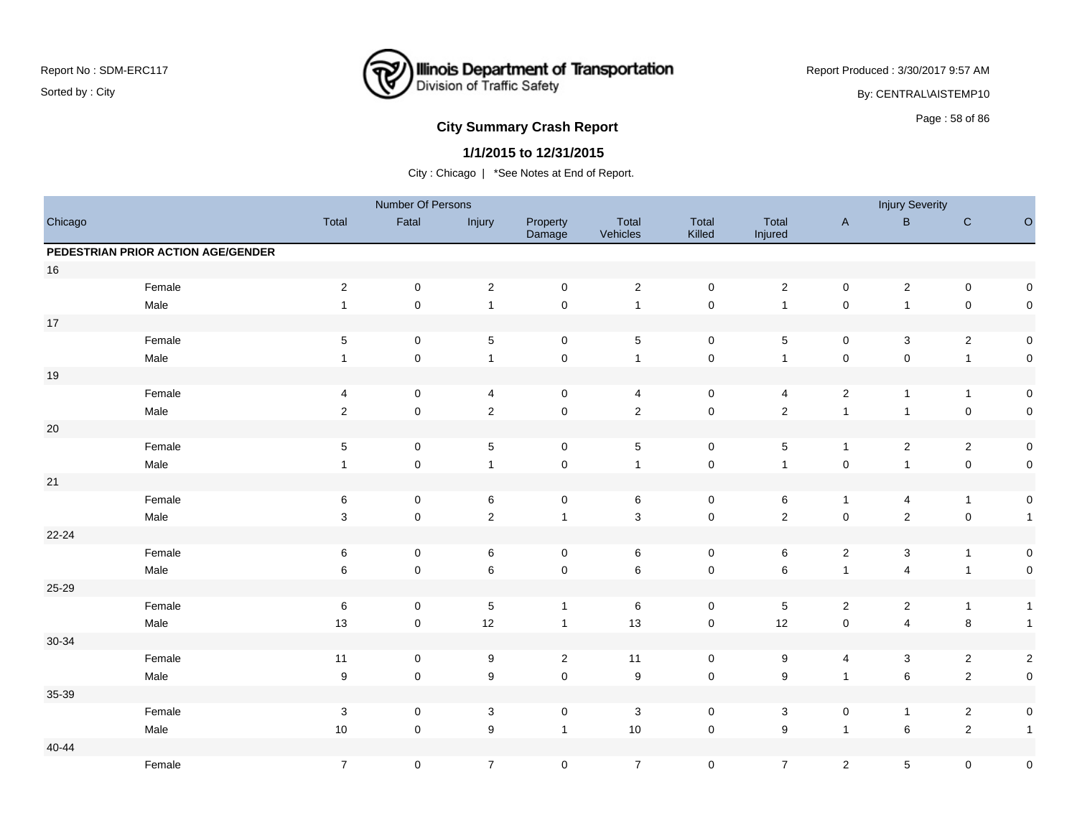

Report Produced : 3/30/2017 9:57 AM

By: CENTRAL\AISTEMP10

# **City Summary Crash Report CLASH Report CLASH Report CLASH Report CLASH Report CLASH Report CLASH Report CLASH Report CLASH Report CLASH Report CLASH Report CLASH Report CLASH Report CLASH Report**

### **1/1/2015 to 12/31/2015**

|           |                                    |                           | Number Of Persons   |                           |                     |                   |                     |                  |                | <b>Injury Severity</b>  |                |                     |
|-----------|------------------------------------|---------------------------|---------------------|---------------------------|---------------------|-------------------|---------------------|------------------|----------------|-------------------------|----------------|---------------------|
| Chicago   |                                    | Total                     | Fatal               | Injury                    | Property<br>Damage  | Total<br>Vehicles | Total<br>Killed     | Total<br>Injured | $\mathsf{A}$   | $\, {\bf B}$            | $\mathbf C$    | $\hbox{O}$          |
|           | PEDESTRIAN PRIOR ACTION AGE/GENDER |                           |                     |                           |                     |                   |                     |                  |                |                         |                |                     |
| $16\,$    |                                    |                           |                     |                           |                     |                   |                     |                  |                |                         |                |                     |
|           | Female                             | $\overline{c}$            | $\mathsf 0$         | $\overline{2}$            | $\mathbf 0$         | $\mathbf{2}$      | $\mathbf 0$         | $\overline{c}$   | $\mathsf 0$    | $\overline{\mathbf{c}}$ | $\pmb{0}$      | $\boldsymbol{0}$    |
|           | Male                               | $\mathbf{1}$              | $\pmb{0}$           | $\mathbf{1}$              | $\mathbf 0$         | $\mathbf{1}$      | $\mathsf 0$         | $\overline{1}$   | $\pmb{0}$      | $\mathbf{1}$            | $\mathbf 0$    | $\mathbf 0$         |
| $17\,$    |                                    |                           |                     |                           |                     |                   |                     |                  |                |                         |                |                     |
|           | Female                             | $\mathbf 5$               | 0                   | $\,$ 5 $\,$               | $\mathbf 0$         | $\sqrt{5}$        | $\mathbf 0$         | $\,$ 5 $\,$      | $\mathsf 0$    | $\mathbf{3}$            | $\sqrt{2}$     | $\mathbf 0$         |
|           | Male                               | $\mathbf{1}$              | $\pmb{0}$           | $\mathbf{1}$              | $\mathsf{O}\xspace$ | $\overline{1}$    | $\mathbf 0$         | $\overline{1}$   | $\mathsf 0$    | $\pmb{0}$               | $\mathbf{1}$   | $\mathbf 0$         |
| $19$      |                                    |                           |                     |                           |                     |                   |                     |                  |                |                         |                |                     |
|           | Female                             | 4                         | 0                   | $\overline{4}$            | 0                   | $\overline{4}$    | 0                   | 4                | $\mathbf{2}$   | $\mathbf{1}$            | $\mathbf{1}$   | $\mathbf 0$         |
|           | Male                               | $\sqrt{2}$                | $\pmb{0}$           | $\overline{2}$            | $\mathsf{O}\xspace$ | $\overline{2}$    | $\mathsf{O}\xspace$ | $\overline{2}$   | $\overline{1}$ | $\overline{1}$          | $\pmb{0}$      | $\mathbf 0$         |
| $20\,$    |                                    |                           |                     |                           |                     |                   |                     |                  |                |                         |                |                     |
|           | Female                             | $\,$ 5 $\,$               | 0                   | $\,$ 5 $\,$               | $\mathbf 0$         | $\sqrt{5}$        | $\mathbf 0$         | $\sqrt{5}$       | $\mathbf{1}$   | $\overline{\mathbf{c}}$ | $\overline{2}$ | $\mathbf 0$         |
|           | Male                               | $\mathbf{1}$              | $\mathsf{O}\xspace$ | $\mathbf{1}$              | $\pmb{0}$           | $\mathbf{1}$      | $\mathsf 0$         | $\overline{1}$   | $\pmb{0}$      | $\overline{1}$          | $\mathbf 0$    | $\mathbf 0$         |
| 21        |                                    |                           |                     |                           |                     |                   |                     |                  |                |                         |                |                     |
|           | Female                             | $\,6\,$                   | $\mathsf{O}\xspace$ | 6                         | $\mathbf 0$         | 6                 | $\mathbf 0$         | $\,6\,$          | $\mathbf{1}$   | 4                       | $\mathbf{1}$   | $\mathbf 0$         |
|           | Male                               | $\ensuremath{\mathsf{3}}$ | $\pmb{0}$           | $\overline{c}$            | $\mathbf{1}$        | $\sqrt{3}$        | $\mathsf{O}\xspace$ | $\mathbf 2$      | $\mathsf 0$    | $\sqrt{2}$              | $\mathbf 0$    | $\overline{1}$      |
| 22-24     |                                    |                           |                     |                           |                     |                   |                     |                  |                |                         |                |                     |
|           | Female                             | 6                         | $\mathsf{O}$        | 6                         | $\mathbf 0$         | 6                 | $\mathbf 0$         | 6                | $\sqrt{2}$     | 3                       | $\mathbf{1}$   | $\mathbf 0$         |
|           | Male                               | 6                         | $\mathsf{O}\xspace$ | 6                         | $\pmb{0}$           | $\,6\,$           | $\mathsf{O}\xspace$ | 6                | $\mathbf{1}$   | 4                       | $\mathbf{1}$   | $\mathsf{O}\xspace$ |
| 25-29     |                                    |                           |                     |                           |                     |                   |                     |                  |                |                         |                |                     |
|           | Female                             | $\,6\,$                   | 0                   | $\,$ 5 $\,$               | $\mathbf{1}$        | $\,6\,$           | $\mathbf 0$         | $\,$ 5 $\,$      | $\sqrt{2}$     | $\overline{c}$          | $\mathbf{1}$   | $\overline{1}$      |
|           | Male                               | 13                        | $\mathbf 0$         | 12                        | $\mathbf{1}$        | 13                | $\mathbf 0$         | 12               | $\mathsf 0$    | $\overline{4}$          | $\bf 8$        | $\overline{1}$      |
| 30-34     |                                    |                           |                     |                           |                     |                   |                     |                  |                |                         |                |                     |
|           | Female                             | 11                        | $\mathbf 0$         | $\boldsymbol{9}$          | $\overline{2}$      | 11                | $\mathbf 0$         | $\boldsymbol{9}$ | 4              | $\mathbf{3}$            | $\overline{2}$ | $\sqrt{2}$          |
|           | Male                               | $\boldsymbol{9}$          | $\mathsf 0$         | $\boldsymbol{9}$          | $\mathsf{O}\xspace$ | $\boldsymbol{9}$  | $\mathbf 0$         | $\boldsymbol{9}$ | $\mathbf{1}$   | 6                       | $\overline{2}$ | $\mathbf 0$         |
| 35-39     |                                    |                           |                     |                           |                     |                   |                     |                  |                |                         |                |                     |
|           | Female                             | $\ensuremath{\mathsf{3}}$ | $\mathsf 0$         | $\ensuremath{\mathsf{3}}$ | $\pmb{0}$           | $\sqrt{3}$        | $\mathbf 0$         | 3                | $\pmb{0}$      | $\mathbf{1}$            | $\overline{2}$ | $\mathsf{O}\xspace$ |
|           | Male                               | $10$                      | $\mathsf{O}\xspace$ | 9                         | $\mathbf{1}$        | $10$              | $\mathbf 0$         | $\boldsymbol{9}$ | $\overline{1}$ | 6                       | $\sqrt{2}$     | $\mathbf{1}$        |
| $40 - 44$ |                                    |                           |                     |                           |                     |                   |                     |                  |                |                         |                |                     |
|           | Female                             | $\boldsymbol{7}$          | $\pmb{0}$           | $\overline{7}$            | $\pmb{0}$           | $\overline{7}$    | $\mathbf 0$         | $\overline{7}$   | $\overline{c}$ | 5                       | $\pmb{0}$      | $\pmb{0}$           |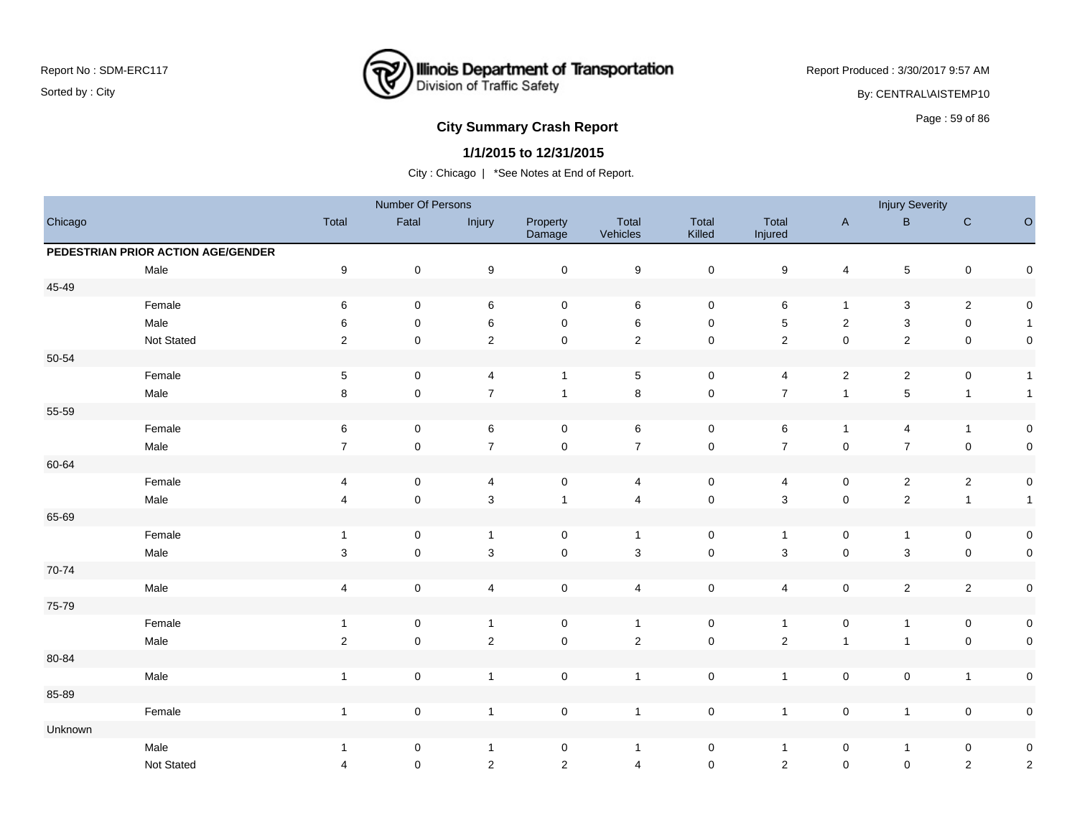

Report Produced : 3/30/2017 9:57 AM

By: CENTRAL\AISTEMP10

# Page : 59 of 86 **City Summary Crash Report**

### **1/1/2015 to 12/31/2015**

|           |                                    |                         | Number Of Persons   |                         |                     |                         |                     |                  |                         | <b>Injury Severity</b> |              |                     |
|-----------|------------------------------------|-------------------------|---------------------|-------------------------|---------------------|-------------------------|---------------------|------------------|-------------------------|------------------------|--------------|---------------------|
| Chicago   |                                    | Total                   | Fatal               | Injury                  | Property<br>Damage  | Total<br>Vehicles       | Total<br>Killed     | Total<br>Injured | $\mathsf{A}$            | $\mathsf{B}$           | ${\bf C}$    | $\circ$             |
|           | PEDESTRIAN PRIOR ACTION AGE/GENDER |                         |                     |                         |                     |                         |                     |                  |                         |                        |              |                     |
|           | Male                               | $\boldsymbol{9}$        | $\mathbf 0$         | $\boldsymbol{9}$        | $\mathsf{O}\xspace$ | $\boldsymbol{9}$        | $\pmb{0}$           | $\boldsymbol{9}$ | $\overline{\mathbf{4}}$ | $\overline{5}$         | $\mathbf 0$  | $\mathsf{O}\xspace$ |
| 45-49     |                                    |                         |                     |                         |                     |                         |                     |                  |                         |                        |              |                     |
|           | Female                             | $\,6\,$                 | $\mathbf 0$         | 6                       | $\mathbf 0$         | 6                       | $\mathsf{O}\xspace$ | $\,6\,$          | $\mathbf{1}$            | $\mathbf{3}$           | $\sqrt{2}$   | $\mathsf{O}\xspace$ |
|           | Male                               | 6                       | $\mathbf 0$         | 6                       | $\mathbf 0$         | 6                       | $\mathbf 0$         | $\sqrt{5}$       | $\overline{c}$          | 3                      | $\mathbf 0$  | $\mathbf{1}$        |
|           | Not Stated                         | $\overline{2}$          | $\mathbf 0$         | $\mathbf 2$             | $\mathbf 0$         | $\sqrt{2}$              | $\pmb{0}$           | $\sqrt{2}$       | $\pmb{0}$               | $\overline{2}$         | $\mathbf 0$  | $\mathsf{O}\xspace$ |
| $50 - 54$ |                                    |                         |                     |                         |                     |                         |                     |                  |                         |                        |              |                     |
|           | Female                             | $\sqrt{5}$              | $\mathbf 0$         | $\overline{\mathbf{4}}$ | $\mathbf{1}$        | $\sqrt{5}$              | $\mathsf{O}\xspace$ | 4                | $\overline{\mathbf{c}}$ | $\overline{2}$         | $\pmb{0}$    | $\mathbf{1}$        |
|           | Male                               | 8                       | $\mathbf 0$         | $\boldsymbol{7}$        | $\mathbf{1}$        | $\bf 8$                 | $\pmb{0}$           | $\boldsymbol{7}$ | $\mathbf{1}$            | $\overline{5}$         | $\mathbf{1}$ | $\mathbf{1}$        |
| 55-59     |                                    |                         |                     |                         |                     |                         |                     |                  |                         |                        |              |                     |
|           | Female                             | $\,6\,$                 | $\mathbf 0$         | 6                       | $\pmb{0}$           | $\,6\,$                 | $\mathbf 0$         | $\,6\,$          | $\mathbf{1}$            | 4                      | $\mathbf{1}$ | $\mathsf{O}\xspace$ |
|           | Male                               | $\overline{7}$          | $\pmb{0}$           | $\overline{7}$          | $\mathbf 0$         | $\overline{7}$          | $\pmb{0}$           | $\overline{7}$   | $\mathsf 0$             | $\overline{7}$         | $\mathbf 0$  | $\mathsf{O}\xspace$ |
| 60-64     |                                    |                         |                     |                         |                     |                         |                     |                  |                         |                        |              |                     |
|           | Female                             | 4                       | 0                   | 4                       | $\pmb{0}$           | $\overline{4}$          | $\mathsf 0$         | 4                | 0                       | $\overline{2}$         | $\sqrt{2}$   | $\mathbf 0$         |
|           | Male                               | 4                       | $\mathbf 0$         | $\mathsf 3$             | $\mathbf{1}$        | $\overline{4}$          | $\pmb{0}$           | $\sqrt{3}$       | $\pmb{0}$               | $\overline{2}$         | $\mathbf{1}$ | $\mathbf{1}$        |
| 65-69     |                                    |                         |                     |                         |                     |                         |                     |                  |                         |                        |              |                     |
|           | Female                             | $\overline{1}$          | 0                   | $\mathbf{1}$            | $\pmb{0}$           | $\overline{1}$          | $\mathsf{O}\xspace$ | $\overline{1}$   | $\pmb{0}$               | $\mathbf{1}$           | $\mathbf 0$  | $\mathbf 0$         |
|           | Male                               | $\mathbf{3}$            | $\mathsf{O}\xspace$ | $\mathbf{3}$            | $\pmb{0}$           | $\mathsf 3$             | $\pmb{0}$           | $\mathbf{3}$     | $\pmb{0}$               | $\mathbf{3}$           | $\pmb{0}$    | $\mathsf 0$         |
| 70-74     |                                    |                         |                     |                         |                     |                         |                     |                  |                         |                        |              |                     |
|           | Male                               | $\overline{\mathbf{4}}$ | $\pmb{0}$           | 4                       | $\pmb{0}$           | $\overline{\mathbf{4}}$ | $\pmb{0}$           | 4                | $\pmb{0}$               | $\overline{2}$         | $\sqrt{2}$   | $\mathbf 0$         |
| 75-79     |                                    |                         |                     |                         |                     |                         |                     |                  |                         |                        |              |                     |
|           | Female                             | $\mathbf{1}$            | $\pmb{0}$           | $\overline{1}$          | $\pmb{0}$           | $\overline{1}$          | $\mathsf{O}\xspace$ | $\mathbf{1}$     | $\pmb{0}$               | $\mathbf{1}$           | $\pmb{0}$    | $\mathsf{O}\xspace$ |
|           | Male                               | $\sqrt{2}$              | $\pmb{0}$           | $\sqrt{2}$              | $\mathbf 0$         | $\sqrt{2}$              | $\pmb{0}$           | $\sqrt{2}$       | $\mathbf{1}$            | $\mathbf{1}$           | $\mathbf 0$  | $\pmb{0}$           |
| 80-84     |                                    |                         |                     |                         |                     |                         |                     |                  |                         |                        |              |                     |
|           | Male                               | $\overline{1}$          | $\mathbf 0$         | $\mathbf{1}$            | $\mathbf 0$         | $\mathbf{1}$            | $\mathsf{O}\xspace$ | $\overline{1}$   | $\mathsf 0$             | $\mathsf{O}\xspace$    | $\mathbf{1}$ | $\mathbf 0$         |
| 85-89     |                                    |                         |                     |                         |                     |                         |                     |                  |                         |                        |              |                     |
|           | Female                             | $\overline{1}$          | $\mathbf 0$         | $\mathbf{1}$            | $\mathbf 0$         | $\overline{1}$          | $\pmb{0}$           | $\mathbf{1}$     | $\mathsf 0$             | $\mathbf{1}$           | $\mathbf 0$  | $\mathsf{O}\xspace$ |
| Unknown   |                                    |                         |                     |                         |                     |                         |                     |                  |                         |                        |              |                     |
|           | Male                               | $\overline{1}$          | 0                   | $\mathbf{1}$            | 0                   | $\mathbf{1}$            | 0                   | $\overline{1}$   | 0                       | $\mathbf{1}$           | $\pmb{0}$    | $\pmb{0}$           |
|           | Not Stated                         | 4                       | 0                   | $\mathbf 2$             | $\overline{2}$      | $\overline{4}$          | $\mathbf 0$         | $\sqrt{2}$       | $\mathbf 0$             | $\mathsf 0$            | $\sqrt{2}$   | $\sqrt{2}$          |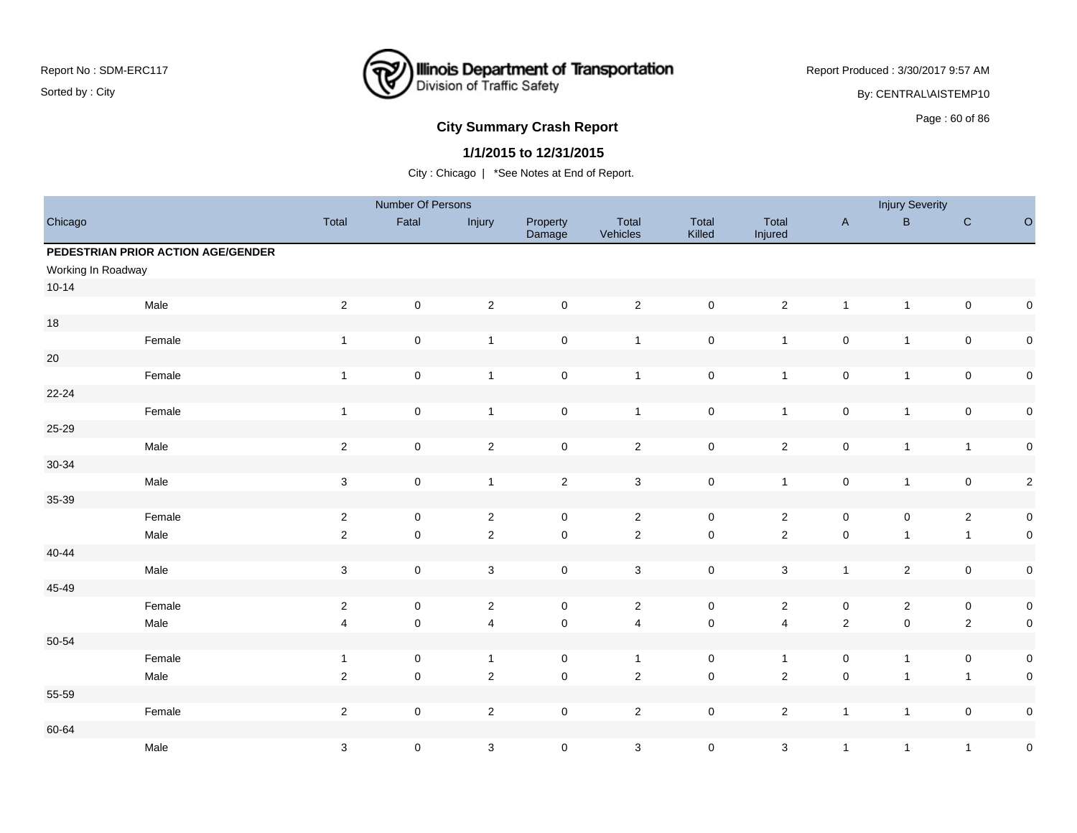

Report Produced : 3/30/2017 9:57 AM By: CENTRAL\AISTEMP10

# **City Summary Crash Report CLASH Report CLASH Report CLASH Report CLASH Report CLASH Report CLASH Report CLASH Report CLASH Report CLASH Report CLASH Report CLASH Report CLASH Report CLASH Report**

### **1/1/2015 to 12/31/2015**

|                    |                                    |                           | Number Of Persons   |                |                     |                   |                     |                  |                | <b>Injury Severity</b> |                |             |
|--------------------|------------------------------------|---------------------------|---------------------|----------------|---------------------|-------------------|---------------------|------------------|----------------|------------------------|----------------|-------------|
| Chicago            |                                    | Total                     | Fatal               | Injury         | Property<br>Damage  | Total<br>Vehicles | Total<br>Killed     | Total<br>Injured | $\mathsf{A}$   | B                      | $\mathbf C$    | $\circ$     |
|                    | PEDESTRIAN PRIOR ACTION AGE/GENDER |                           |                     |                |                     |                   |                     |                  |                |                        |                |             |
| Working In Roadway |                                    |                           |                     |                |                     |                   |                     |                  |                |                        |                |             |
| $10 - 14$          |                                    |                           |                     |                |                     |                   |                     |                  |                |                        |                |             |
|                    | Male                               | $\sqrt{2}$                | $\mathsf{O}\xspace$ | $\overline{2}$ | $\mathsf{O}\xspace$ | $\overline{2}$    | $\pmb{0}$           | $\overline{2}$   | $\overline{1}$ | $\mathbf{1}$           | $\pmb{0}$      | $\mathsf 0$ |
| $18$               |                                    |                           |                     |                |                     |                   |                     |                  |                |                        |                |             |
|                    | Female                             | $\mathbf{1}$              | $\mathsf 0$         | $\overline{1}$ | $\mathsf{O}\xspace$ | $\mathbf{1}$      | $\pmb{0}$           | $\mathbf{1}$     | $\pmb{0}$      | $\mathbf{1}$           | $\pmb{0}$      | $\pmb{0}$   |
| $20\,$             |                                    |                           |                     |                |                     |                   |                     |                  |                |                        |                |             |
|                    | Female                             | $\mathbf{1}$              | $\mathsf 0$         | $\mathbf{1}$   | $\mathsf{O}\xspace$ | $\overline{1}$    | $\mathsf 0$         | $\mathbf{1}$     | $\pmb{0}$      | $\mathbf{1}$           | $\pmb{0}$      | $\mathbf 0$ |
| $22 - 24$          |                                    |                           |                     |                |                     |                   |                     |                  |                |                        |                |             |
|                    | Female                             | $\mathbf{1}$              | $\mathsf 0$         | $\overline{1}$ | $\mathsf{O}\xspace$ | $\overline{1}$    | $\pmb{0}$           | $\mathbf{1}$     | $\pmb{0}$      | $\mathbf{1}$           | $\pmb{0}$      | $\mathbf 0$ |
| 25-29              |                                    |                           |                     |                |                     |                   |                     |                  |                |                        |                |             |
|                    | Male                               | $\mathbf 2$               | $\mathsf 0$         | $\overline{c}$ | $\pmb{0}$           | $\mathbf{2}$      | $\pmb{0}$           | $\overline{c}$   | $\pmb{0}$      | $\mathbf{1}$           | $\mathbf{1}$   | $\pmb{0}$   |
| $30 - 34$          |                                    |                           |                     |                |                     |                   |                     |                  |                |                        |                |             |
|                    | Male                               | $\ensuremath{\mathsf{3}}$ | $\mathsf 0$         | $\overline{1}$ | $\sqrt{2}$          | $\mathbf{3}$      | $\pmb{0}$           | $\mathbf{1}$     | $\pmb{0}$      | $\mathbf{1}$           | $\pmb{0}$      | $\sqrt{2}$  |
| 35-39              |                                    |                           |                     |                |                     |                   |                     |                  |                |                        |                |             |
|                    | Female                             | $\sqrt{2}$                | $\mathbf 0$         | $\overline{2}$ | $\mathbf 0$         | $\overline{2}$    | $\mathsf 0$         | $\overline{2}$   | $\mathsf 0$    | $\mathsf 0$            | $\overline{2}$ | $\pmb{0}$   |
|                    | Male                               | $\sqrt{2}$                | $\mathsf 0$         | $\overline{2}$ | $\mathsf{O}\xspace$ | $\overline{2}$    | $\pmb{0}$           | $\overline{2}$   | $\pmb{0}$      | $\mathbf{1}$           | $\mathbf{1}$   | $\mathbf 0$ |
| $40 - 44$          |                                    |                           |                     |                |                     |                   |                     |                  |                |                        |                |             |
|                    | Male                               | $\mathsf 3$               | $\mathsf{O}\xspace$ | $\mathbf{3}$   | $\mathbf 0$         | $\mathbf{3}$      | $\mathsf{O}\xspace$ | $\mathbf{3}$     | $\overline{1}$ | $\overline{2}$         | $\pmb{0}$      | $\pmb{0}$   |
| 45-49              |                                    |                           |                     |                |                     |                   |                     |                  |                |                        |                |             |
|                    | Female                             | $\sqrt{2}$                | $\mathsf 0$         | $\overline{2}$ | $\mathbf 0$         | $\overline{2}$    | $\mathbf 0$         | $\overline{2}$   | $\pmb{0}$      | $\overline{2}$         | $\pmb{0}$      | $\pmb{0}$   |
|                    | Male                               | $\overline{\mathbf{4}}$   | $\mathsf 0$         | $\overline{4}$ | $\mathbf 0$         | 4                 | $\pmb{0}$           | $\overline{4}$   | $\sqrt{2}$     | $\mathsf 0$            | $\overline{2}$ | $\mathbf 0$ |
| 50-54              |                                    |                           |                     |                |                     |                   |                     |                  |                |                        |                |             |
|                    | Female                             | $\mathbf{1}$              | $\mathbf 0$         | $\overline{1}$ | $\mathbf 0$         | $\mathbf{1}$      | $\mathsf 0$         | $\mathbf{1}$     | $\pmb{0}$      | $\mathbf{1}$           | $\mathsf 0$    | $\pmb{0}$   |
|                    | Male                               | $\sqrt{2}$                | $\mathsf 0$         | $\sqrt{2}$     | $\mathsf{O}\xspace$ | $\mathbf 2$       | $\mathsf 0$         | $\overline{2}$   | $\pmb{0}$      | $\mathbf{1}$           | $\overline{1}$ | $\mathbf 0$ |
| 55-59              |                                    |                           |                     |                |                     |                   |                     |                  |                |                        |                |             |
|                    | Female                             | $\sqrt{2}$                | $\mathbf 0$         | $\sqrt{2}$     | $\mathbf 0$         | $\overline{2}$    | $\mathsf 0$         | $\overline{2}$   | $\overline{1}$ | $\mathbf{1}$           | $\pmb{0}$      | $\mathbf 0$ |
| 60-64              |                                    |                           |                     |                |                     |                   |                     |                  |                |                        |                |             |
|                    | Male                               | $\sqrt{3}$                | $\mathsf{O}\xspace$ | 3              | $\mathbf 0$         | 3                 | $\mathsf{O}\xspace$ | 3                | $\overline{1}$ | $\mathbf{1}$           | $\overline{1}$ | $\pmb{0}$   |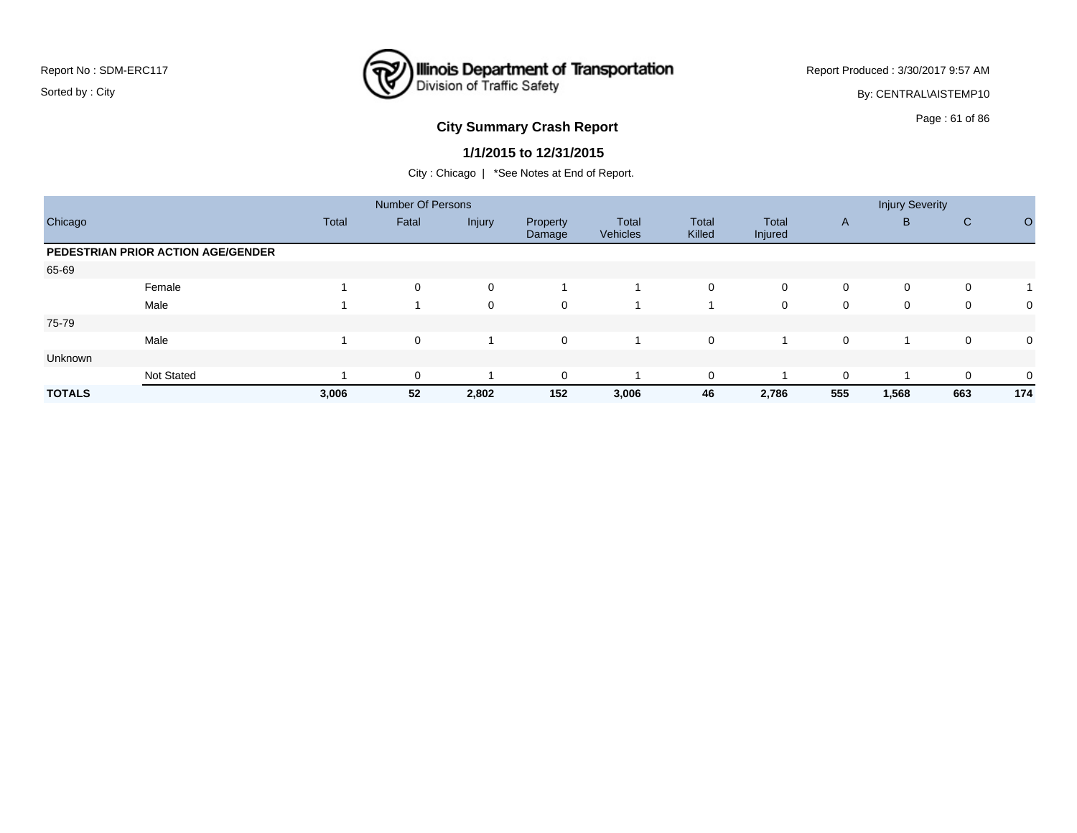

Report Produced : 3/30/2017 9:57 AM By: CENTRAL\AISTEMP10

# **City Summary Crash Report CLASH CRASH REPORT CONSTRUSS AND REPORT CONSTRUSSION CONSTRUSS AND REPORT OF 86 YOM CONSTRUSS AND REPORT OF SCHOOL OF SCHOOL CONSTRUCTION OF SCHOOL OF SCHOOL OF SCHOOL OF SCHOOL OF SCHOOL OF SC**

#### **1/1/2015 to 12/31/2015**

|               |                                    |              | <b>Number Of Persons</b> |             |                    |                   |                 |                  |              | <b>Injury Severity</b> |              |                         |
|---------------|------------------------------------|--------------|--------------------------|-------------|--------------------|-------------------|-----------------|------------------|--------------|------------------------|--------------|-------------------------|
| Chicago       |                                    | <b>Total</b> | Fatal                    | Injury      | Property<br>Damage | Total<br>Vehicles | Total<br>Killed | Total<br>Injured | $\mathsf{A}$ | B                      | $\mathsf{C}$ | O                       |
|               | PEDESTRIAN PRIOR ACTION AGE/GENDER |              |                          |             |                    |                   |                 |                  |              |                        |              |                         |
| 65-69         |                                    |              |                          |             |                    |                   |                 |                  |              |                        |              |                         |
|               | Female                             |              | 0                        | $\mathbf 0$ |                    |                   | 0               | 0                | 0            | 0                      | 0            | $\overline{\mathbf{A}}$ |
|               | Male                               |              |                          | $\mathbf 0$ | $\mathbf 0$        |                   |                 | 0                | 0            | 0                      | 0            | 0                       |
| 75-79         |                                    |              |                          |             |                    |                   |                 |                  |              |                        |              |                         |
|               | Male                               |              | 0                        |             | $\mathbf 0$        |                   | 0               |                  | 0            | ۰                      | 0            | 0                       |
| Unknown       |                                    |              |                          |             |                    |                   |                 |                  |              |                        |              |                         |
|               | <b>Not Stated</b>                  |              | $\mathbf 0$              |             | $\Omega$           |                   | 0               |                  | $\mathbf 0$  |                        | 0            | 0                       |
| <b>TOTALS</b> |                                    | 3,006        | 52                       | 2,802       | 152                | 3,006             | 46              | 2,786            | 555          | 1,568                  | 663          | 174                     |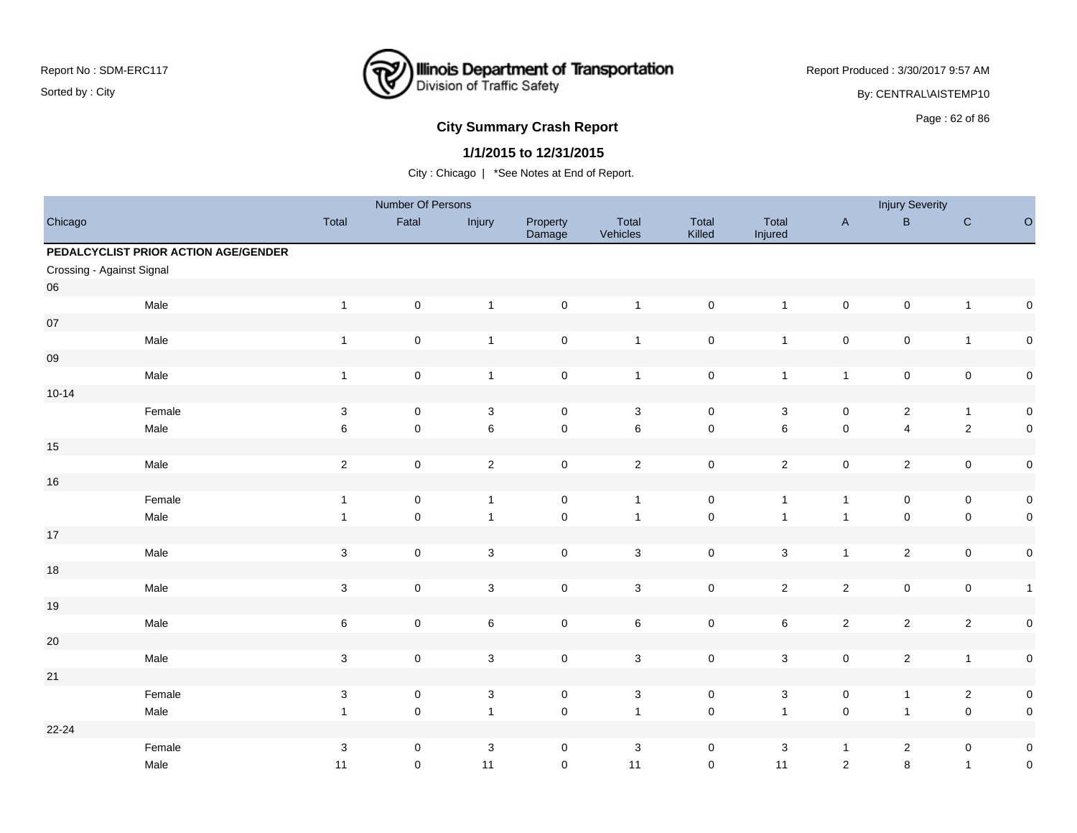

Report Produced : 3/30/2017 9:57 AM

By: CENTRAL\AISTEMP10

# **City Summary Crash Report CLASH CRASH REPORT CONSTRUSS CONSUMING Page : 62 of 86**

### **1/1/2015 to 12/31/2015**

|                           |                                      |                           | Number Of Persons   |                |                     |                   |                     |                           |                     | <b>Injury Severity</b>  |                |              |
|---------------------------|--------------------------------------|---------------------------|---------------------|----------------|---------------------|-------------------|---------------------|---------------------------|---------------------|-------------------------|----------------|--------------|
| Chicago                   |                                      | Total                     | Fatal               | Injury         | Property<br>Damage  | Total<br>Vehicles | Total<br>Killed     | Total<br>Injured          | $\mathsf{A}$        | $\sf B$                 | ${\bf C}$      | $\circ$      |
|                           | PEDALCYCLIST PRIOR ACTION AGE/GENDER |                           |                     |                |                     |                   |                     |                           |                     |                         |                |              |
| Crossing - Against Signal |                                      |                           |                     |                |                     |                   |                     |                           |                     |                         |                |              |
| 06                        |                                      |                           |                     |                |                     |                   |                     |                           |                     |                         |                |              |
|                           | Male                                 | $\mathbf{1}$              | $\mathbf 0$         | $\overline{1}$ | $\pmb{0}$           | $\overline{1}$    | $\mathsf 0$         | $\mathbf{1}$              | $\mathbf 0$         | $\mathbf 0$             | $\mathbf{1}$   | $\pmb{0}$    |
| $07\,$                    |                                      |                           |                     |                |                     |                   |                     |                           |                     |                         |                |              |
|                           | Male                                 | $\mathbf{1}$              | $\mathsf 0$         | $\mathbf{1}$   | $\mathbf 0$         | $\overline{1}$    | $\pmb{0}$           | $\mathbf{1}$              | $\mathsf 0$         | $\mathbf 0$             | $\mathbf{1}$   | $\pmb{0}$    |
| 09                        |                                      |                           |                     |                |                     |                   |                     |                           |                     |                         |                |              |
|                           | Male                                 | $\mathbf{1}$              | $\mathbf 0$         | $\mathbf{1}$   | $\mathsf{O}\xspace$ | $\overline{1}$    | $\pmb{0}$           | $\mathbf{1}$              | $\mathbf{1}$        | $\pmb{0}$               | $\mathbf 0$    | $\pmb{0}$    |
| $10 - 14$                 |                                      |                           |                     |                |                     |                   |                     |                           |                     |                         |                |              |
|                           | Female                               | $\sqrt{3}$                | $\mathsf 0$         | $\mathbf 3$    | $\mathbf 0$         | $\mathbf{3}$      | $\mathbf 0$         | 3                         | $\mathbf 0$         | $\overline{2}$          | $\overline{1}$ | $\pmb{0}$    |
|                           | Male                                 | 6                         | $\mathsf 0$         | $\,6\,$        | $\mathsf{O}\xspace$ | $\,6\,$           | $\pmb{0}$           | $\,6$                     | $\mathsf 0$         | $\overline{\mathbf{4}}$ | $\sqrt{2}$     | $\pmb{0}$    |
| 15                        |                                      |                           |                     |                |                     |                   |                     |                           |                     |                         |                |              |
|                           | Male                                 | $\overline{2}$            | $\mathsf 0$         | $\overline{2}$ | $\mathbf 0$         | $\overline{2}$    | $\pmb{0}$           | $\overline{2}$            | $\mathsf 0$         | $\overline{2}$          | $\mathsf 0$    | $\pmb{0}$    |
| 16                        |                                      |                           |                     |                |                     |                   |                     |                           |                     |                         |                |              |
|                           | Female                               | $\mathbf{1}$              | $\mathsf{O}\xspace$ | $\overline{1}$ | $\mathsf{O}\xspace$ | $\overline{1}$    | $\pmb{0}$           | $\mathbf{1}$              | $\mathbf{1}$        | $\mathsf 0$             | $\mathsf 0$    | $\pmb{0}$    |
|                           | Male                                 | $\mathbf{1}$              | $\mathsf{O}\xspace$ | $\overline{1}$ | $\mathsf{O}\xspace$ | $\overline{1}$    | $\pmb{0}$           | $\mathbf{1}$              | $\mathbf{1}$        | $\mathbf 0$             | $\mathbf 0$    | $\pmb{0}$    |
| 17                        |                                      |                           |                     |                |                     |                   |                     |                           |                     |                         |                |              |
|                           | Male                                 | $\mathbf 3$               | $\mathsf 0$         | $\mathbf{3}$   | $\mathbf 0$         | $\mathbf{3}$      | $\mathsf{O}\xspace$ | $\mathbf{3}$              | $\mathbf{1}$        | $\overline{c}$          | $\mathbf 0$    | $\pmb{0}$    |
| 18                        |                                      |                           |                     |                |                     |                   |                     |                           |                     |                         |                |              |
|                           | Male                                 | $\mathbf{3}$              | $\mathsf 0$         | $\mathbf 3$    | $\mathsf{O}\xspace$ | $\sqrt{3}$        | $\pmb{0}$           | $\overline{2}$            | $\mathbf 2$         | $\mathbf 0$             | $\mathbf 0$    | $\mathbf{1}$ |
| 19                        |                                      |                           |                     |                |                     |                   |                     |                           |                     |                         |                |              |
|                           | Male                                 | 6                         | $\mathsf 0$         | $\,6\,$        | $\mathbf 0$         | $\,6\,$           | $\pmb{0}$           | $\,6\,$                   | $\sqrt{2}$          | $\overline{2}$          | $\overline{2}$ | $\pmb{0}$    |
| $20\,$                    |                                      |                           |                     |                |                     |                   |                     |                           |                     |                         |                |              |
|                           | Male                                 | $\mathbf 3$               | $\mathsf 0$         | $\sqrt{3}$     | $\mathsf{O}\xspace$ | $\sqrt{3}$        | $\pmb{0}$           | $\mathbf{3}$              | $\mathsf 0$         | $\overline{2}$          | $\overline{1}$ | $\pmb{0}$    |
| 21                        |                                      |                           |                     |                |                     |                   |                     |                           |                     |                         |                |              |
|                           | Female                               | $\sqrt{3}$                | $\mathsf 0$         | $\sqrt{3}$     | $\mathbf 0$         | $\mathsf 3$       | $\mathbf 0$         | $\mathbf{3}$              | $\mathsf 0$         | $\mathbf{1}$            | $\overline{c}$ | $\pmb{0}$    |
|                           | Male                                 | $\mathbf{1}$              | $\mathsf{O}\xspace$ | $\overline{1}$ | $\mathsf 0$         | $\overline{1}$    | $\mathsf{O}\xspace$ | $\mathbf{1}$              | $\mathsf{O}\xspace$ | $\mathbf{1}$            | $\mathbf 0$    | $\pmb{0}$    |
| 22-24                     |                                      |                           |                     |                |                     |                   |                     |                           |                     |                         |                |              |
|                           | Female                               | $\ensuremath{\mathsf{3}}$ | $\mathsf 0$         | $\mathbf 3$    | 0                   | $\sqrt{3}$        | $\pmb{0}$           | $\ensuremath{\mathsf{3}}$ | $\mathbf{1}$        | $\overline{2}$          | $\mathbf 0$    | $\pmb{0}$    |
|                           | Male                                 | 11                        | $\mathbf 0$         | 11             | $\mathbf 0$         | 11                | $\pmb{0}$           | 11                        | $\sqrt{2}$          | 8                       | $\mathbf{1}$   | $\mathbf 0$  |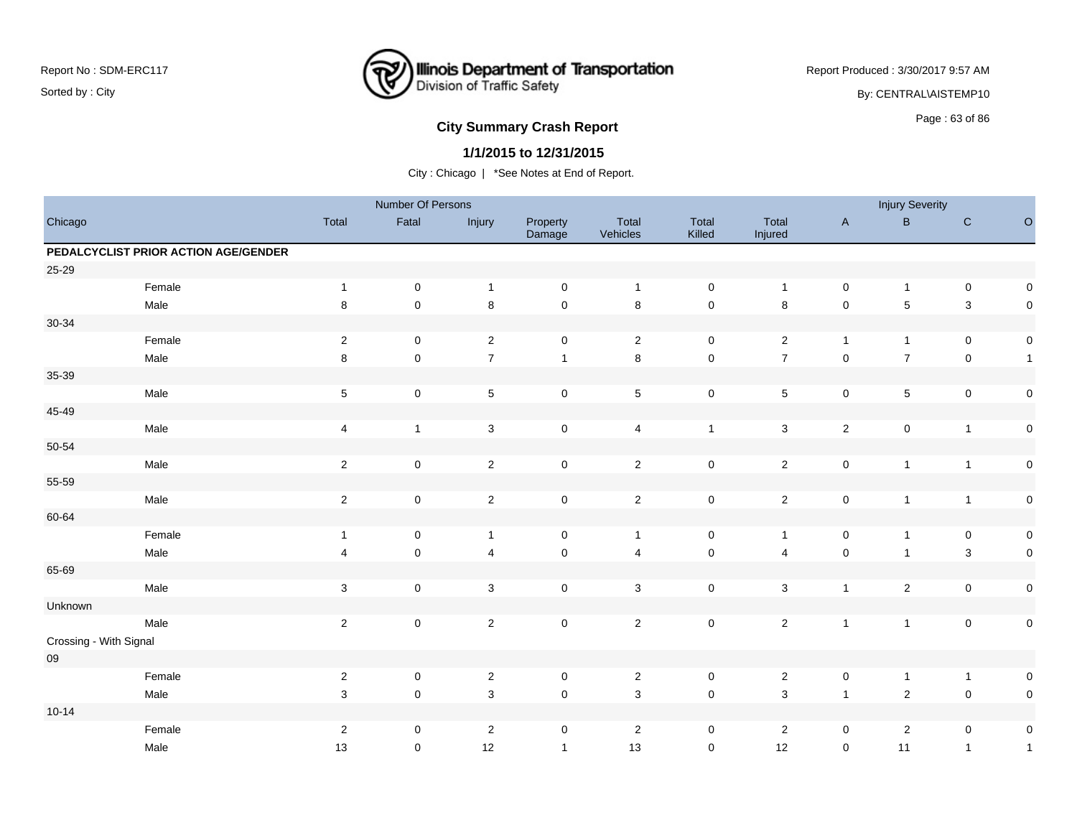

Report Produced : 3/30/2017 9:57 AM By: CENTRAL\AISTEMP10

# **City Summary Crash Report CLAST CONSTRUSS 2009 120 AU 2010 12:30 Page : 63 of 86**

### **1/1/2015 to 12/31/2015**

|                        |                                      |                         | Number Of Persons |                           |                     |                   |                 |                  |              | <b>Injury Severity</b>  |                |              |
|------------------------|--------------------------------------|-------------------------|-------------------|---------------------------|---------------------|-------------------|-----------------|------------------|--------------|-------------------------|----------------|--------------|
| Chicago                |                                      | Total                   | Fatal             | Injury                    | Property<br>Damage  | Total<br>Vehicles | Total<br>Killed | Total<br>Injured | $\mathsf A$  | $\sf B$                 | $\mathbf C$    | $\circ$      |
|                        | PEDALCYCLIST PRIOR ACTION AGE/GENDER |                         |                   |                           |                     |                   |                 |                  |              |                         |                |              |
| 25-29                  |                                      |                         |                   |                           |                     |                   |                 |                  |              |                         |                |              |
|                        | Female                               | $\mathbf{1}$            | $\pmb{0}$         | $\overline{1}$            | $\mathbf 0$         | $\overline{1}$    | $\mathbf 0$     | $\mathbf{1}$     | $\mathsf 0$  | $\mathbf{1}$            | $\mathbf 0$    | 0            |
|                        | Male                                 | 8                       | $\mathbf 0$       | $\bf 8$                   | $\mathsf{O}\xspace$ | $\,8\,$           | $\pmb{0}$       | $\bf 8$          | $\pmb{0}$    | 5                       | $\mathbf{3}$   | $\mathbf 0$  |
| 30-34                  |                                      |                         |                   |                           |                     |                   |                 |                  |              |                         |                |              |
|                        | Female                               | $\sqrt{2}$              | $\mathbf 0$       | $\overline{2}$            | $\mathbf 0$         | $\overline{2}$    | $\pmb{0}$       | $\mathbf{2}$     | $\mathbf{1}$ | $\mathbf{1}$            | $\mathbf 0$    | $\pmb{0}$    |
|                        | Male                                 | $\bf 8$                 | $\mathsf 0$       | $\overline{7}$            | $\mathbf{1}$        | $\bf 8$           | $\mathsf 0$     | $\boldsymbol{7}$ | $\pmb{0}$    | $\boldsymbol{7}$        | $\mathbf 0$    | $\mathbf{1}$ |
| 35-39                  |                                      |                         |                   |                           |                     |                   |                 |                  |              |                         |                |              |
|                        | Male                                 | $\,$ 5 $\,$             | $\pmb{0}$         | $\sqrt{5}$                | $\mathsf{O}\xspace$ | $\overline{5}$    | $\mathbf 0$     | 5                | $\mathbf 0$  | $\,$ 5 $\,$             | $\mathbf 0$    | $\pmb{0}$    |
| 45-49                  |                                      |                         |                   |                           |                     |                   |                 |                  |              |                         |                |              |
|                        | Male                                 | $\overline{\mathbf{4}}$ | $\mathbf{1}$      | $\sqrt{3}$                | $\mathsf{O}\xspace$ | $\overline{4}$    | $\mathbf{1}$    | $\mathbf{3}$     | $\sqrt{2}$   | $\pmb{0}$               | $\mathbf{1}$   | $\pmb{0}$    |
| 50-54                  |                                      |                         |                   |                           |                     |                   |                 |                  |              |                         |                |              |
|                        | Male                                 | $\sqrt{2}$              | $\mathbf 0$       | $\overline{2}$            | $\mathsf{O}\xspace$ | $\overline{2}$    | $\mathsf 0$     | $\overline{2}$   | $\mathbf 0$  | $\mathbf{1}$            | $\overline{1}$ | $\pmb{0}$    |
| 55-59                  |                                      |                         |                   |                           |                     |                   |                 |                  |              |                         |                |              |
|                        | Male                                 | $\sqrt{2}$              | $\mathbf 0$       | $\sqrt{2}$                | $\mathsf{O}\xspace$ | $\overline{2}$    | $\mathbf 0$     | $\overline{c}$   | $\pmb{0}$    | $\mathbf{1}$            | $\overline{1}$ | $\pmb{0}$    |
| 60-64                  |                                      |                         |                   |                           |                     |                   |                 |                  |              |                         |                |              |
|                        | Female                               | $\mathbf{1}$            | $\mathbf 0$       | $\mathbf{1}$              | $\mathbf 0$         | $\overline{1}$    | $\mathbf 0$     | $\mathbf{1}$     | $\mathbf 0$  | $\mathbf{1}$            | $\mathbf 0$    | $\pmb{0}$    |
|                        | Male                                 | $\overline{4}$          | $\mathbf 0$       | $\overline{4}$            | $\pmb{0}$           | $\overline{4}$    | $\mathbf 0$     | 4                | $\pmb{0}$    | $\mathbf{1}$            | $\mathsf 3$    | $\pmb{0}$    |
| 65-69                  |                                      |                         |                   |                           |                     |                   |                 |                  |              |                         |                |              |
|                        | Male                                 | $\sqrt{3}$              | $\pmb{0}$         | $\ensuremath{\mathsf{3}}$ | $\mathsf{O}\xspace$ | $\mathbf{3}$      | $\mathbf 0$     | $\mathbf{3}$     | $\mathbf{1}$ | $\overline{2}$          | $\mathbf 0$    | $\pmb{0}$    |
| Unknown                |                                      |                         |                   |                           |                     |                   |                 |                  |              |                         |                |              |
|                        | Male                                 | $\sqrt{2}$              | $\mathbf 0$       | $\overline{2}$            | $\mathsf{O}\xspace$ | $\overline{2}$    | $\pmb{0}$       | $\overline{2}$   | $\mathbf{1}$ | $\mathbf{1}$            | $\mathbf 0$    | $\pmb{0}$    |
| Crossing - With Signal |                                      |                         |                   |                           |                     |                   |                 |                  |              |                         |                |              |
| ${\bf 09}$             |                                      |                         |                   |                           |                     |                   |                 |                  |              |                         |                |              |
|                        | Female                               | $\sqrt{2}$              | $\pmb{0}$         | $\sqrt{2}$                | $\mathbf 0$         | $\overline{2}$    | $\mathbf 0$     | $\overline{c}$   | $\mathbf 0$  | $\mathbf{1}$            | $\overline{1}$ | $\pmb{0}$    |
|                        | Male                                 | $\mathsf 3$             | $\mathbf 0$       | $\mathsf 3$               | $\mathsf{O}\xspace$ | $\sqrt{3}$        | $\mathbf 0$     | 3                | $\mathbf{1}$ | $\overline{c}$          | $\pmb{0}$      | $\pmb{0}$    |
| $10 - 14$              |                                      |                         |                   |                           |                     |                   |                 |                  |              |                         |                |              |
|                        | Female                               | $\sqrt{2}$              | 0                 | $\overline{c}$            | 0                   | $\overline{2}$    | 0               | $\overline{2}$   | $\mathbf 0$  | $\overline{\mathbf{c}}$ | 0              | $\pmb{0}$    |
|                        | Male                                 | 13                      | 0                 | 12                        | $\mathbf{1}$        | 13                | $\mathbf 0$     | 12               | $\mathbf 0$  | 11                      | $\mathbf{1}$   | $\mathbf{1}$ |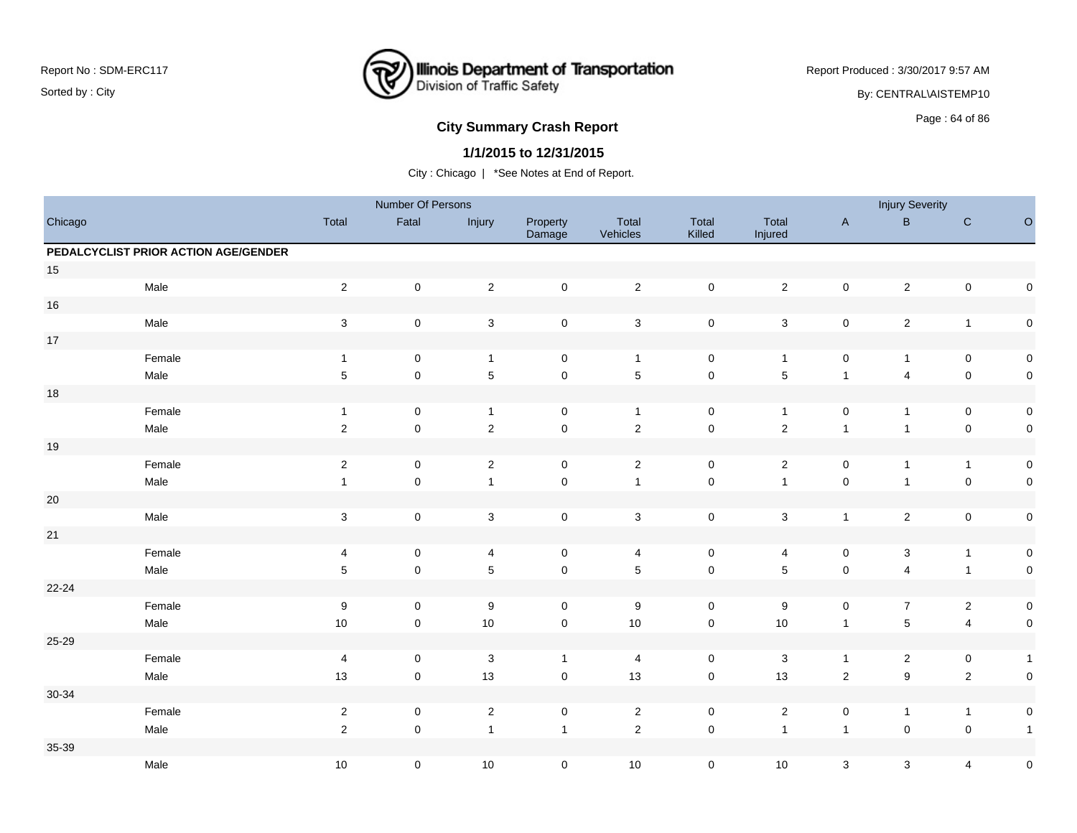

Report Produced : 3/30/2017 9:57 AM

By: CENTRAL\AISTEMP10

# **City Summary Crash Report CLASH CRASH REPORT CONSTRUSS AND REPORT CONSTRUSS A CONSTRUSS AND REPORT OF SCHOOL CONSTRUSS AND REPORT OF SCHOOL CONSTRUCTS**

### **1/1/2015 to 12/31/2015**

|         |                                      |                           | Number Of Persons   |                           |                    |                           |                     |                  |                | <b>Injury Severity</b>  |                         |              |
|---------|--------------------------------------|---------------------------|---------------------|---------------------------|--------------------|---------------------------|---------------------|------------------|----------------|-------------------------|-------------------------|--------------|
| Chicago |                                      | Total                     | Fatal               | Injury                    | Property<br>Damage | Total<br>Vehicles         | Total<br>Killed     | Total<br>Injured | $\mathsf{A}$   | $\, {\bf B} \,$         | ${\bf C}$               | $\hbox{O}$   |
|         | PEDALCYCLIST PRIOR ACTION AGE/GENDER |                           |                     |                           |                    |                           |                     |                  |                |                         |                         |              |
| $15\,$  |                                      |                           |                     |                           |                    |                           |                     |                  |                |                         |                         |              |
|         | Male                                 | $\overline{2}$            | $\mathsf{O}\xspace$ | $\sqrt{2}$                | $\mathbf 0$        | $\overline{2}$            | $\mathsf{O}\xspace$ | $\overline{2}$   | $\mathsf 0$    | $\sqrt{2}$              | $\pmb{0}$               | $\mathbf 0$  |
| $16\,$  |                                      |                           |                     |                           |                    |                           |                     |                  |                |                         |                         |              |
|         | Male                                 | $\ensuremath{\mathsf{3}}$ | $\pmb{0}$           | $\ensuremath{\mathsf{3}}$ | $\pmb{0}$          | $\mathsf 3$               | $\mathsf 0$         | $\mathbf{3}$     | $\mathsf 0$    | $\sqrt{2}$              | $\mathbf{1}$            | $\pmb{0}$    |
| $17\,$  |                                      |                           |                     |                           |                    |                           |                     |                  |                |                         |                         |              |
|         | Female                               | $\mathbf{1}$              | $\mathsf{O}\xspace$ | $\mathbf{1}$              | $\mathsf 0$        | $\overline{1}$            | $\mathbf 0$         | $\overline{1}$   | $\mathsf 0$    | $\mathbf{1}$            | $\pmb{0}$               | $\pmb{0}$    |
|         | Male                                 | $\sqrt{5}$                | $\mathsf{O}\xspace$ | $\mathbf 5$               | $\pmb{0}$          | $\sqrt{5}$                | $\mathsf 0$         | $\mathbf 5$      | $\mathbf{1}$   | 4                       | $\pmb{0}$               | $\pmb{0}$    |
| $18\,$  |                                      |                           |                     |                           |                    |                           |                     |                  |                |                         |                         |              |
|         | Female                               | $\overline{1}$            | 0                   | $\mathbf{1}$              | 0                  | $\overline{1}$            | $\mathbf 0$         | $\mathbf{1}$     | $\mathsf 0$    | $\mathbf{1}$            | $\mathsf 0$             | $\pmb{0}$    |
|         | Male                                 | $\mathbf 2$               | $\mathsf 0$         | $\overline{2}$            | $\mathbf 0$        | $\sqrt{2}$                | $\mathsf{O}\xspace$ | $\sqrt{2}$       | $\mathbf{1}$   | $\mathbf{1}$            | $\pmb{0}$               | $\mathbf 0$  |
| $19$    |                                      |                           |                     |                           |                    |                           |                     |                  |                |                         |                         |              |
|         | Female                               | $\sqrt{2}$                | 0                   | $\sqrt{2}$                | $\mathsf 0$        | $\overline{2}$            | $\mathsf 0$         | $\mathbf{2}$     | 0              | $\mathbf{1}$            | $\mathbf{1}$            | $\pmb{0}$    |
|         | Male                                 | $\mathbf{1}$              | $\mathsf{O}\xspace$ | $\mathbf{1}$              | $\mathsf 0$        | $\overline{1}$            | $\mathsf{O}\xspace$ | $\mathbf{1}$     | $\mathsf 0$    | $\mathbf{1}$            | $\pmb{0}$               | $\mathbf 0$  |
| 20      |                                      |                           |                     |                           |                    |                           |                     |                  |                |                         |                         |              |
|         | Male                                 | $\ensuremath{\mathsf{3}}$ | 0                   | $\sqrt{3}$                | 0                  | $\ensuremath{\mathsf{3}}$ | $\mathsf 0$         | $\sqrt{3}$       | $\mathbf{1}$   | $\overline{c}$          | $\pmb{0}$               | $\pmb{0}$    |
| 21      |                                      |                           |                     |                           |                    |                           |                     |                  |                |                         |                         |              |
|         | Female                               | 4                         | $\mathsf{O}\xspace$ | 4                         | $\mathsf 0$        | 4                         | $\mathbf 0$         | 4                | 0              | 3                       | $\mathbf{1}$            | $\pmb{0}$    |
|         | Male                                 | $5\phantom{.0}$           | $\mathsf{O}\xspace$ | $\mathbf 5$               | $\mathbf 0$        | $\sqrt{5}$                | $\mathbf 0$         | $\sqrt{5}$       | $\pmb{0}$      | $\overline{\mathbf{4}}$ | $\mathbf{1}$            | $\mathsf 0$  |
| 22-24   |                                      |                           |                     |                           |                    |                           |                     |                  |                |                         |                         |              |
|         | Female                               | $9\,$                     | 0                   | $9\,$                     | 0                  | $\boldsymbol{9}$          | 0                   | $\boldsymbol{9}$ | 0              | $\overline{7}$          | $\overline{a}$          | $\pmb{0}$    |
|         | Male                                 | $10\,$                    | $\mathsf 0$         | 10                        | $\pmb{0}$          | 10                        | $\mathsf 0$         | $10$             | $\mathbf{1}$   | $\mathbf 5$             | $\overline{\mathbf{4}}$ | $\mathsf 0$  |
| 25-29   |                                      |                           |                     |                           |                    |                           |                     |                  |                |                         |                         |              |
|         | Female                               | $\overline{4}$            | $\mathbf 0$         | $\mathbf{3}$              | $\mathbf{1}$       | $\overline{4}$            | $\mathbf 0$         | $\mathbf{3}$     | $\mathbf{1}$   | $\overline{\mathbf{c}}$ | $\mathsf 0$             | $\mathbf{1}$ |
|         | Male                                 | 13                        | $\mathsf 0$         | 13                        | $\pmb{0}$          | 13                        | $\mathbf 0$         | 13               | $\overline{2}$ | $\boldsymbol{9}$        | $\overline{2}$          | $\mathbf 0$  |
| 30-34   |                                      |                           |                     |                           |                    |                           |                     |                  |                |                         |                         |              |
|         | Female                               | $\sqrt{2}$                | 0                   | $\sqrt{2}$                | $\pmb{0}$          | $\overline{2}$            | $\mathbf 0$         | $\overline{2}$   | $\pmb{0}$      | $\mathbf{1}$            | $\mathbf{1}$            | $\pmb{0}$    |
|         | Male                                 | $\overline{2}$            | $\mathbf 0$         | $\mathbf{1}$              | $\mathbf{1}$       | $\overline{2}$            | $\mathsf 0$         | $\overline{1}$   | $\mathbf{1}$   | $\pmb{0}$               | $\pmb{0}$               | $\mathbf{1}$ |
| 35-39   |                                      |                           |                     |                           |                    |                           |                     |                  |                |                         |                         |              |
|         | Male                                 | 10                        | 0                   | 10                        | $\pmb{0}$          | $10$                      | $\mathsf 0$         | $10$             | $\mathsf 3$    | 3                       | $\overline{\mathbf{4}}$ | $\mathbf 0$  |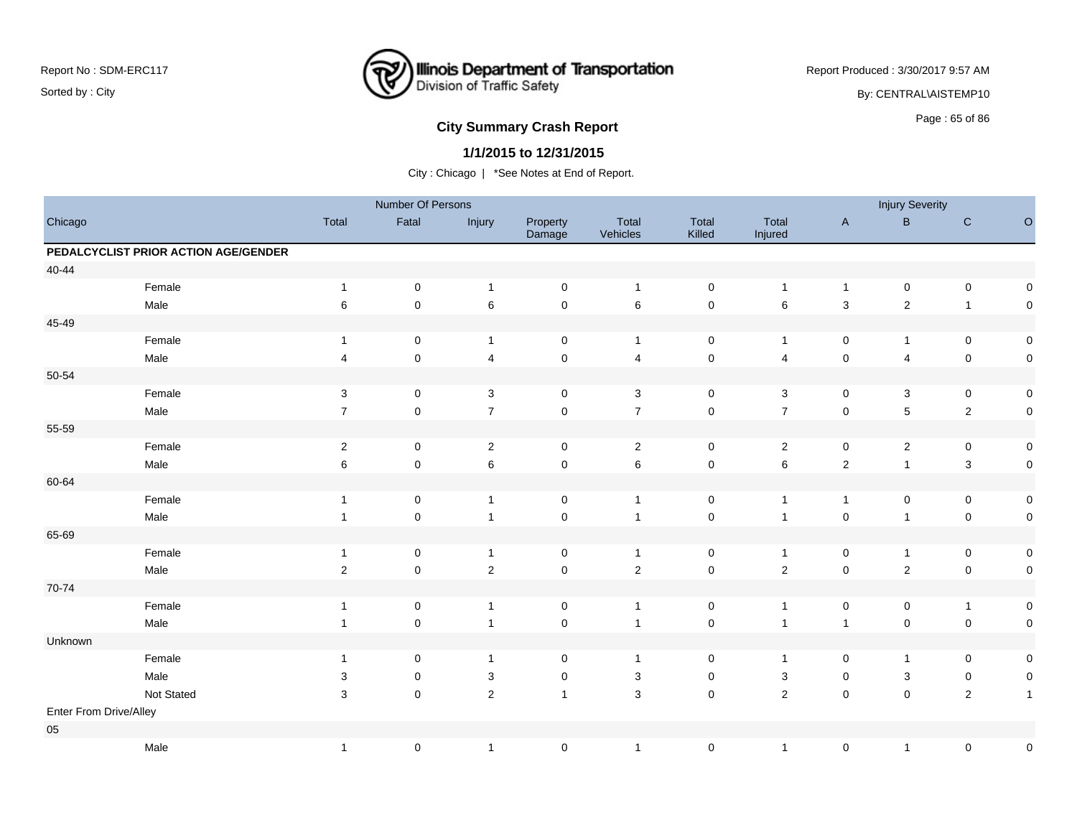

Report Produced : 3/30/2017 9:57 AM By: CENTRAL\AISTEMP10

# **City Summary Crash Report CLASH CRASH REPORT CONSTRUSS** Page : 65 of 86

### **1/1/2015 to 12/31/2015**

|                        |                                      |                         | Number Of Persons |                          |                     |                   |                 |                         |                | <b>Injury Severity</b>  |                |                     |
|------------------------|--------------------------------------|-------------------------|-------------------|--------------------------|---------------------|-------------------|-----------------|-------------------------|----------------|-------------------------|----------------|---------------------|
| Chicago                |                                      | Total                   | Fatal             | Injury                   | Property<br>Damage  | Total<br>Vehicles | Total<br>Killed | Total<br>Injured        | $\mathsf{A}$   | $\, {\bf B} \,$         | ${\bf C}$      | $\circ$             |
|                        | PEDALCYCLIST PRIOR ACTION AGE/GENDER |                         |                   |                          |                     |                   |                 |                         |                |                         |                |                     |
| 40-44                  |                                      |                         |                   |                          |                     |                   |                 |                         |                |                         |                |                     |
|                        | Female                               | $\mathbf{1}$            | $\mathbf 0$       | $\overline{1}$           | $\mathbf 0$         | $\overline{1}$    | $\mathbf 0$     | $\mathbf{1}$            | $\mathbf{1}$   | $\pmb{0}$               | $\pmb{0}$      | 0                   |
|                        | Male                                 | 6                       | $\pmb{0}$         | $\,6\,$                  | $\pmb{0}$           | 6                 | $\pmb{0}$       | 6                       | $\mathsf 3$    | $\overline{c}$          | $\mathbf{1}$   | 0                   |
| 45-49                  |                                      |                         |                   |                          |                     |                   |                 |                         |                |                         |                |                     |
|                        | Female                               | $\mathbf{1}$            | 0                 | $\mathbf{1}$             | $\mathsf{O}\xspace$ | $\overline{1}$    | $\pmb{0}$       | $\mathbf{1}$            | 0              | $\mathbf{1}$            | 0              | $\pmb{0}$           |
|                        | Male                                 | $\overline{\mathbf{4}}$ | $\mathbf 0$       | $\overline{\mathcal{A}}$ | $\pmb{0}$           | $\overline{4}$    | $\mathsf 0$     | $\overline{\mathbf{4}}$ | $\pmb{0}$      | $\overline{\mathbf{4}}$ | $\mathbf 0$    | $\pmb{0}$           |
| 50-54                  |                                      |                         |                   |                          |                     |                   |                 |                         |                |                         |                |                     |
|                        | Female                               | 3                       | 0                 | 3                        | $\mathbf 0$         | 3                 | $\mathbf 0$     | 3                       | $\mathbf 0$    | 3                       | 0              | $\mathsf{O}\xspace$ |
|                        | Male                                 | $\overline{7}$          | $\pmb{0}$         | $\overline{7}$           | $\pmb{0}$           | $\boldsymbol{7}$  | $\pmb{0}$       | $\overline{7}$          | $\pmb{0}$      | $\mathbf 5$             | $\sqrt{2}$     | $\pmb{0}$           |
| 55-59                  |                                      |                         |                   |                          |                     |                   |                 |                         |                |                         |                |                     |
|                        | Female                               | $\sqrt{2}$              | 0                 | $\overline{2}$           | $\mathbf 0$         | $\overline{c}$    | 0               | $\overline{a}$          | 0              | $\overline{\mathbf{c}}$ | 0              | $\pmb{0}$           |
|                        | Male                                 | 6                       | $\pmb{0}$         | $\,6\,$                  | $\pmb{0}$           | $\,6\,$           | $\mathsf 0$     | 6                       | $\sqrt{2}$     | $\mathbf{1}$            | $\mathsf 3$    | $\mathsf 0$         |
| 60-64                  |                                      |                         |                   |                          |                     |                   |                 |                         |                |                         |                |                     |
|                        | Female                               | $\mathbf{1}$            | $\pmb{0}$         | $\overline{1}$           | $\mathsf{O}\xspace$ | $\overline{1}$    | $\pmb{0}$       | $\mathbf{1}$            | $\mathbf{1}$   | $\pmb{0}$               | $\mathbf 0$    | $\pmb{0}$           |
|                        | Male                                 | $\mathbf{1}$            | $\pmb{0}$         | $\overline{1}$           | $\pmb{0}$           | $\overline{1}$    | $\mathbf 0$     | $\overline{1}$          | $\pmb{0}$      | $\mathbf{1}$            | $\mathbf 0$    | $\mathsf 0$         |
| 65-69                  |                                      |                         |                   |                          |                     |                   |                 |                         |                |                         |                |                     |
|                        | Female                               | $\mathbf{1}$            | $\pmb{0}$         | $\overline{1}$           | $\mathbf 0$         | $\overline{1}$    | $\pmb{0}$       | $\mathbf{1}$            | $\pmb{0}$      | $\mathbf{1}$            | $\pmb{0}$      | $\pmb{0}$           |
|                        | Male                                 | $\sqrt{2}$              | $\mathbf 0$       | $\sqrt{2}$               | $\pmb{0}$           | $\sqrt{2}$        | $\mathsf 0$     | $\sqrt{2}$              | $\mathbf 0$    | $\boldsymbol{2}$        | $\mathbf 0$    | $\pmb{0}$           |
| 70-74                  |                                      |                         |                   |                          |                     |                   |                 |                         |                |                         |                |                     |
|                        | Female                               | $\mathbf{1}$            | $\pmb{0}$         | $\overline{1}$           | $\pmb{0}$           | $\overline{1}$    | $\pmb{0}$       | $\mathbf{1}$            | $\pmb{0}$      | $\pmb{0}$               | $\overline{1}$ | 0                   |
|                        | Male                                 | $\mathbf{1}$            | $\pmb{0}$         | $\overline{1}$           | $\pmb{0}$           | $\overline{1}$    | $\mathbf 0$     | $\overline{1}$          | $\overline{1}$ | $\mathsf 0$             | $\pmb{0}$      | $\pmb{0}$           |
| Unknown                |                                      |                         |                   |                          |                     |                   |                 |                         |                |                         |                |                     |
|                        | Female                               | $\mathbf{1}$            | 0                 | $\overline{1}$           | 0                   | $\overline{1}$    | 0               | $\mathbf{1}$            | 0              | $\mathbf{1}$            | 0              | 0                   |
|                        | Male                                 | 3                       | 0                 | $\sqrt{3}$               | $\pmb{0}$           | $\mathbf{3}$      | $\mathbf 0$     | 3                       | $\mathbf 0$    | $\mathbf{3}$            | $\mathbf 0$    | $\pmb{0}$           |
|                        | Not Stated                           | 3                       | $\pmb{0}$         | $\sqrt{2}$               | $\mathbf{1}$        | $\mathbf 3$       | $\mathbf 0$     | $\overline{c}$          | $\mathbf 0$    | $\pmb{0}$               | $\overline{2}$ | $\mathbf{1}$        |
| Enter From Drive/Alley |                                      |                         |                   |                          |                     |                   |                 |                         |                |                         |                |                     |
| 05                     |                                      |                         |                   |                          |                     |                   |                 |                         |                |                         |                |                     |
|                        | Male                                 | $\mathbf{1}$            | $\pmb{0}$         | $\overline{1}$           | $\pmb{0}$           | $\overline{1}$    | $\pmb{0}$       | 1                       | $\pmb{0}$      | $\mathbf{1}$            | $\pmb{0}$      | $\pmb{0}$           |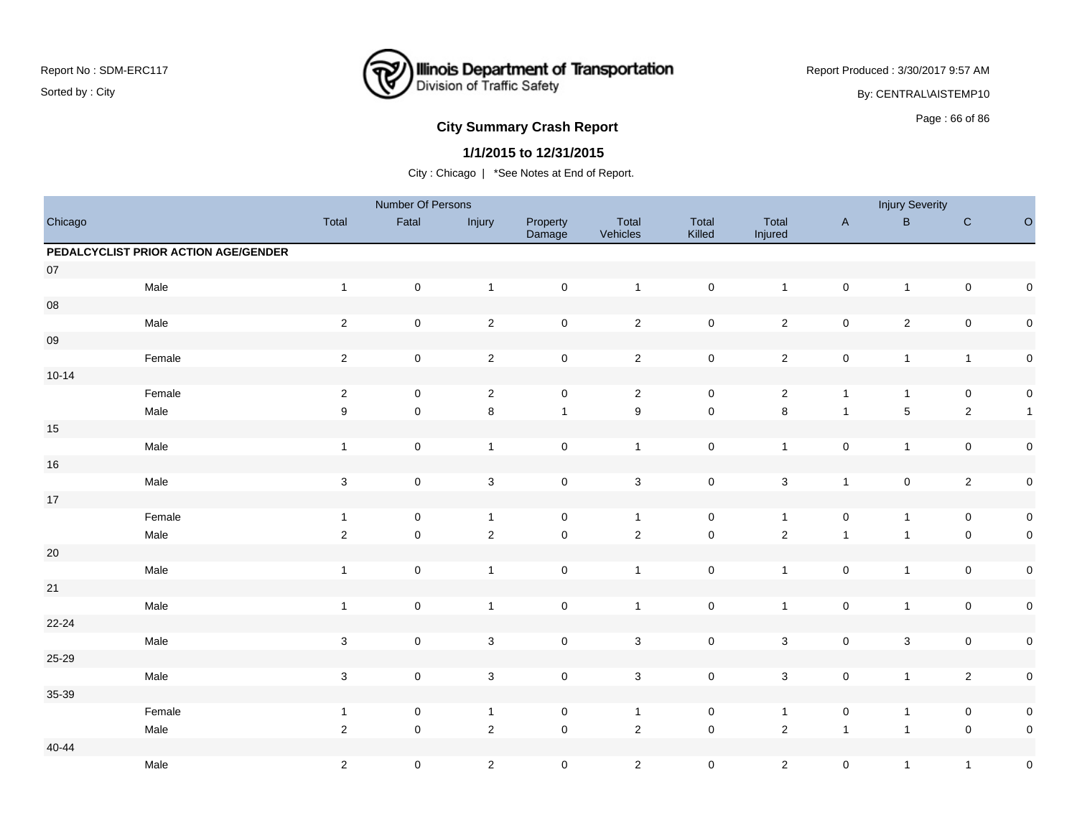

Report Produced : 3/30/2017 9:57 AM By: CENTRAL\AISTEMP10

# **City Summary Crash Report CLASH CRASH REPORT CONSTRUSS AND REPORT CONSTRUSSION CONSTRUSS AND REPORT OF SCHOOL CONSTRUSS AND REPORT OF SCHOOL CONSTRUCTION OF SCHOOL CONSTRUCTION OF SCHOOL CONSTRUCTION OF SCHOOL CONSTRUCT**

### **1/1/2015 to 12/31/2015**

|            |                                      |                           | Number Of Persons   |                           |                     |                           |                     |                  |                     | <b>Injury Severity</b>  |                     |              |
|------------|--------------------------------------|---------------------------|---------------------|---------------------------|---------------------|---------------------------|---------------------|------------------|---------------------|-------------------------|---------------------|--------------|
| Chicago    |                                      | Total                     | Fatal               | Injury                    | Property<br>Damage  | Total<br>Vehicles         | Total<br>Killed     | Total<br>Injured | $\mathsf A$         | $\sf B$                 | ${\bf C}$           | $\circ$      |
|            | PEDALCYCLIST PRIOR ACTION AGE/GENDER |                           |                     |                           |                     |                           |                     |                  |                     |                         |                     |              |
| $07\,$     |                                      |                           |                     |                           |                     |                           |                     |                  |                     |                         |                     |              |
|            | Male                                 | $\mathbf{1}$              | $\mathbf 0$         | $\overline{1}$            | $\mathsf{O}\xspace$ | $\mathbf{1}$              | $\mathsf{O}\xspace$ | $\mathbf{1}$     | $\pmb{0}$           | $\mathbf{1}$            | $\pmb{0}$           | $\pmb{0}$    |
| ${\bf 08}$ |                                      |                           |                     |                           |                     |                           |                     |                  |                     |                         |                     |              |
|            | Male                                 | $\sqrt{2}$                | $\pmb{0}$           | $\overline{2}$            | $\pmb{0}$           | $\mathbf 2$               | $\mathsf 0$         | $\overline{c}$   | $\pmb{0}$           | $\overline{\mathbf{c}}$ | $\pmb{0}$           | $\pmb{0}$    |
| ${\bf 09}$ |                                      |                           |                     |                           |                     |                           |                     |                  |                     |                         |                     |              |
|            | Female                               | $\sqrt{2}$                | $\mathbf 0$         | $\overline{2}$            | $\mathbf 0$         | $\overline{2}$            | $\mathbf 0$         | $\overline{2}$   | $\pmb{0}$           | $\mathbf{1}$            | $\mathbf{1}$        | $\pmb{0}$    |
| $10 - 14$  |                                      |                           |                     |                           |                     |                           |                     |                  |                     |                         |                     |              |
|            | Female                               | $\sqrt{2}$                | $\mathsf 0$         | $\sqrt{2}$                | $\mathsf{O}\xspace$ | $\overline{c}$            | $\mathsf 0$         | $\overline{2}$   | $\mathbf{1}$        | $\mathbf{1}$            | $\mathbf 0$         | $\pmb{0}$    |
|            | Male                                 | 9                         | $\pmb{0}$           | $\,8\,$                   | $\mathbf{1}$        | $\boldsymbol{9}$          | $\mathbf 0$         | $\bf 8$          | $\mathbf{1}$        | $\mathbf 5$             | $\overline{2}$      | $\mathbf{1}$ |
| $15\,$     |                                      |                           |                     |                           |                     |                           |                     |                  |                     |                         |                     |              |
|            | Male                                 | $\mathbf{1}$              | $\pmb{0}$           | $\mathbf{1}$              | $\mathsf{O}\xspace$ | $\overline{1}$            | $\mathsf 0$         | $\mathbf{1}$     | $\pmb{0}$           | $\mathbf{1}$            | $\mathsf{O}\xspace$ | $\pmb{0}$    |
| $16\,$     |                                      |                           |                     |                           |                     |                           |                     |                  |                     |                         |                     |              |
|            | Male                                 | $\mathbf 3$               | $\mathsf 0$         | $\mathbf{3}$              | $\mathsf{O}\xspace$ | $\sqrt{3}$                | $\mathsf 0$         | $\mathbf{3}$     | $\mathbf{1}$        | $\mathsf 0$             | $\overline{2}$      | $\pmb{0}$    |
| $17\,$     |                                      |                           |                     |                           |                     |                           |                     |                  |                     |                         |                     |              |
|            | Female                               | $\overline{1}$            | $\pmb{0}$           | $\mathbf{1}$              | $\pmb{0}$           | $\mathbf{1}$              | $\pmb{0}$           | $\mathbf{1}$     | $\pmb{0}$           | $\mathbf{1}$            | $\mathbf 0$         | $\pmb{0}$    |
|            | Male                                 | $\overline{2}$            | $\pmb{0}$           | $\overline{2}$            | $\mathsf 0$         | $\overline{2}$            | $\mathbf 0$         | $\overline{2}$   | $\overline{1}$      | $\mathbf{1}$            | $\pmb{0}$           | $\pmb{0}$    |
| $20\,$     |                                      |                           |                     |                           |                     |                           |                     |                  |                     |                         |                     |              |
|            | Male                                 | $\overline{1}$            | $\mathsf 0$         | $\mathbf{1}$              | $\mathsf{O}\xspace$ | $\mathbf{1}$              | $\pmb{0}$           | $\mathbf{1}$     | $\mathbf 0$         | $\mathbf{1}$            | $\mathsf{O}\xspace$ | $\pmb{0}$    |
| $21\,$     |                                      |                           |                     |                           |                     |                           |                     |                  |                     |                         |                     |              |
|            | Male                                 | $\mathbf{1}$              | $\pmb{0}$           | $\mathbf{1}$              | $\mathsf{O}\xspace$ | $\overline{1}$            | $\mathsf 0$         | $\mathbf{1}$     | $\pmb{0}$           | $\mathbf{1}$            | $\mathsf{O}\xspace$ | $\pmb{0}$    |
| 22-24      |                                      |                           |                     |                           |                     |                           |                     |                  |                     |                         |                     |              |
|            | Male                                 | $\ensuremath{\mathsf{3}}$ | $\pmb{0}$           | $\ensuremath{\mathsf{3}}$ | $\pmb{0}$           | $\ensuremath{\mathsf{3}}$ | $\pmb{0}$           | $\mathbf{3}$     | $\pmb{0}$           | $\mathsf 3$             | $\pmb{0}$           | $\pmb{0}$    |
| 25-29      |                                      |                           |                     |                           |                     |                           |                     |                  |                     |                         |                     |              |
|            | Male                                 | $\mathbf 3$               | $\mathsf{O}\xspace$ | $\mathbf{3}$              | $\mathsf{O}\xspace$ | $\mathbf{3}$              | $\mathsf 0$         | $\mathbf{3}$     | $\mathsf{O}\xspace$ | $\mathbf{1}$            | $\overline{2}$      | $\pmb{0}$    |
| 35-39      |                                      |                           |                     |                           |                     |                           |                     |                  |                     |                         |                     |              |
|            | Female                               | $\overline{1}$            | $\pmb{0}$           | $\overline{1}$            | $\mathbf 0$         | $\mathbf{1}$              | $\mathsf 0$         | $\mathbf{1}$     | $\pmb{0}$           | $\mathbf{1}$            | $\pmb{0}$           | $\pmb{0}$    |
|            | Male                                 | $\overline{2}$            | $\mathsf{O}\xspace$ | $\overline{2}$            | $\mathsf 0$         | $\overline{2}$            | $\mathsf{O}\xspace$ | $\overline{2}$   | $\overline{1}$      | $\mathbf{1}$            | $\pmb{0}$           | $\pmb{0}$    |
| $40 - 44$  |                                      |                           |                     |                           |                     |                           |                     |                  |                     |                         |                     |              |
|            | Male                                 | $\sqrt{2}$                | $\pmb{0}$           | $\overline{2}$            | $\mathsf{O}\xspace$ | $\overline{2}$            | $\pmb{0}$           | $\overline{a}$   | $\mathsf 0$         | $\mathbf{1}$            | $\mathbf{1}$        | $\pmb{0}$    |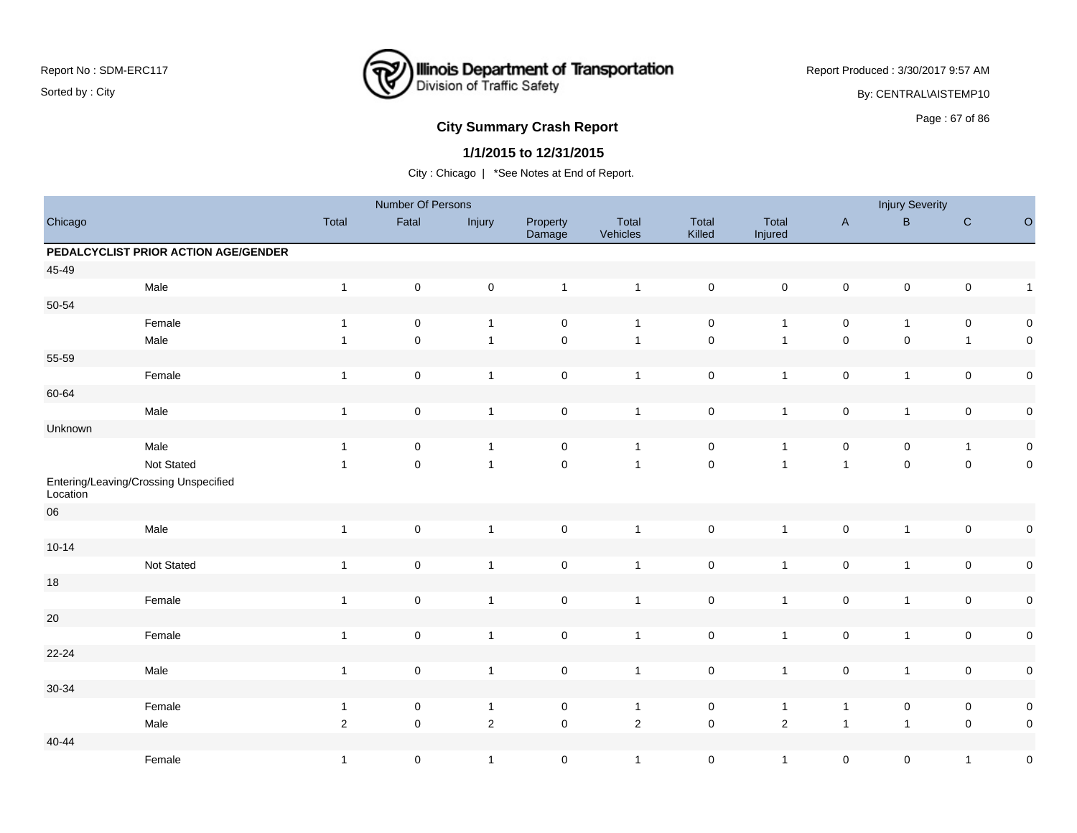

Report Produced : 3/30/2017 9:57 AM

By: CENTRAL\AISTEMP10

# **City Summary Crash Report CLASH Report CLASH Report CLASH Report CLASH Report CLASH Report CLASH Report CLASH Report CLASH Report CLASH Report CLASH Report CLASH Report CLASH Report CLASH Report**

### **1/1/2015 to 12/31/2015**

|                        |                                       |                  | Number Of Persons   |                |                     |                         |                     |                  |                | <b>Injury Severity</b> |                     |                     |
|------------------------|---------------------------------------|------------------|---------------------|----------------|---------------------|-------------------------|---------------------|------------------|----------------|------------------------|---------------------|---------------------|
| Chicago                |                                       | Total            | Fatal               | Injury         | Property<br>Damage  | Total<br>Vehicles       | Total<br>Killed     | Total<br>Injured | $\mathsf A$    | $\sf{B}$               | $\mathbf C$         | $\mathsf O$         |
|                        | PEDALCYCLIST PRIOR ACTION AGE/GENDER  |                  |                     |                |                     |                         |                     |                  |                |                        |                     |                     |
| 45-49                  |                                       |                  |                     |                |                     |                         |                     |                  |                |                        |                     |                     |
|                        | Male                                  | $\overline{1}$   | $\mathbf 0$         | $\mathbf 0$    | $\mathbf{1}$        | $\mathbf{1}$            | $\pmb{0}$           | $\mathbf 0$      | $\mathsf 0$    | $\mathsf 0$            | $\pmb{0}$           | $\mathbf{1}$        |
| $50 - 54$              |                                       |                  |                     |                |                     |                         |                     |                  |                |                        |                     |                     |
|                        | Female                                | $\overline{1}$   | 0                   | $\mathbf{1}$   | $\mathbf 0$         | $\overline{1}$          | $\mathbf 0$         | $\overline{1}$   | 0              | $\mathbf{1}$           | 0                   | $\mathbf 0$         |
|                        | Male                                  | $\mathbf{1}$     | $\pmb{0}$           | $\mathbf{1}$   | $\mathsf{O}\xspace$ | $\overline{1}$          | $\mathsf{O}\xspace$ | $\overline{1}$   | $\mathbf 0$    | $\mathsf{O}\xspace$    | $\mathbf{1}$        | $\mathbf 0$         |
| 55-59                  |                                       |                  |                     |                |                     |                         |                     |                  |                |                        |                     |                     |
|                        | Female                                | $\mathbf{1}$     | $\mathbf 0$         | $\mathbf{1}$   | $\mathsf 0$         | $\mathbf{1}$            | $\mathbf 0$         | $\overline{1}$   | $\pmb{0}$      | $\mathbf{1}$           | $\pmb{0}$           | $\mathbf 0$         |
| 60-64                  |                                       |                  |                     |                |                     |                         |                     |                  |                |                        |                     |                     |
|                        | Male                                  | $\mathbf{1}$     | $\pmb{0}$           | $\mathbf{1}$   | $\mathsf 0$         | $\mathbf{1}$            | $\mathsf{O}\xspace$ | $\overline{1}$   | $\mathsf 0$    | $\mathbf{1}$           | $\pmb{0}$           | $\mathbf 0$         |
| Unknown                |                                       |                  |                     |                |                     |                         |                     |                  |                |                        |                     |                     |
|                        | Male                                  | $\overline{1}$   | 0                   | $\overline{1}$ | $\mathbf 0$         | $\overline{1}$          | $\mathbf 0$         | $\overline{1}$   | $\mathsf 0$    | 0                      | $\mathbf{1}$        | $\mathbf 0$         |
|                        | Not Stated                            | $\mathbf{1}$     | $\mathsf{O}\xspace$ | $\mathbf{1}$   | $\mathbf 0$         | $\overline{1}$          | $\mathsf{O}\xspace$ | $\overline{1}$   | $\mathbf{1}$   | $\pmb{0}$              | $\mathsf{O}\xspace$ | $\mathbf 0$         |
| Location<br>${\bf 06}$ | Entering/Leaving/Crossing Unspecified |                  |                     |                |                     |                         |                     |                  |                |                        |                     |                     |
|                        | Male                                  | $\mathbf{1}$     | $\pmb{0}$           | $\mathbf{1}$   | $\mathsf 0$         | $\overline{\mathbf{1}}$ | $\mathsf{O}\xspace$ | $\overline{1}$   | $\mathsf 0$    | $\mathbf{1}$           | $\pmb{0}$           | $\mathsf{O}\xspace$ |
| $10 - 14$              |                                       |                  |                     |                |                     |                         |                     |                  |                |                        |                     |                     |
|                        | Not Stated                            | $\mathbf{1}$     | $\mathsf{O}\xspace$ | $\mathbf{1}$   | $\mathbf 0$         | $\overline{1}$          | $\mathsf{O}\xspace$ | $\overline{1}$   | $\mathsf 0$    | $\mathbf{1}$           | $\pmb{0}$           | $\mathbf 0$         |
| $18$                   |                                       |                  |                     |                |                     |                         |                     |                  |                |                        |                     |                     |
|                        | Female                                | $\mathbf{1}$     | 0                   | $\mathbf{1}$   | $\mathbf 0$         | $\overline{1}$          | $\mathbf 0$         | $\overline{1}$   | $\pmb{0}$      | $\mathbf{1}$           | $\pmb{0}$           | $\mathbf 0$         |
| $20\,$                 |                                       |                  |                     |                |                     |                         |                     |                  |                |                        |                     |                     |
|                        | Female                                | $\mathbf{1}$     | $\mathsf 0$         | $\mathbf{1}$   | $\mathsf 0$         | $\mathbf{1}$            | $\mathsf{O}\xspace$ | $\overline{1}$   | $\pmb{0}$      | $\overline{1}$         | $\pmb{0}$           | $\mathbf 0$         |
| $22 - 24$              |                                       |                  |                     |                |                     |                         |                     |                  |                |                        |                     |                     |
|                        | Male                                  | $\mathbf{1}$     | $\pmb{0}$           | $\overline{1}$ | $\mathsf 0$         | $\overline{1}$          | $\mathsf{O}\xspace$ | $\overline{1}$   | $\mathsf 0$    | $\mathbf{1}$           | $\pmb{0}$           | $\mathbf 0$         |
| $30 - 34$              |                                       |                  |                     |                |                     |                         |                     |                  |                |                        |                     |                     |
|                        | Female                                | $\mathbf{1}$     | $\pmb{0}$           | $\mathbf{1}$   | $\pmb{0}$           | $\mathbf{1}$            | $\pmb{0}$           | $\overline{1}$   | $\mathbf{1}$   | $\pmb{0}$              | $\pmb{0}$           | $\mathbf 0$         |
|                        | Male                                  | $\boldsymbol{2}$ | $\mathsf{O}\xspace$ | $\overline{2}$ | $\mathsf 0$         | $\overline{2}$          | $\mathsf 0$         | $\overline{2}$   | $\overline{1}$ | $\overline{1}$         | $\pmb{0}$           | $\mathsf{O}\xspace$ |
| $40 - 44$              |                                       |                  |                     |                |                     |                         |                     |                  |                |                        |                     |                     |
|                        | Female                                | $\mathbf{1}$     | $\mathbf 0$         | $\mathbf{1}$   | $\mathsf 0$         | $\mathbf{1}$            | $\mathsf{O}\xspace$ | $\mathbf{1}$     | $\mathsf 0$    | 0                      | $\mathbf{1}$        | $\pmb{0}$           |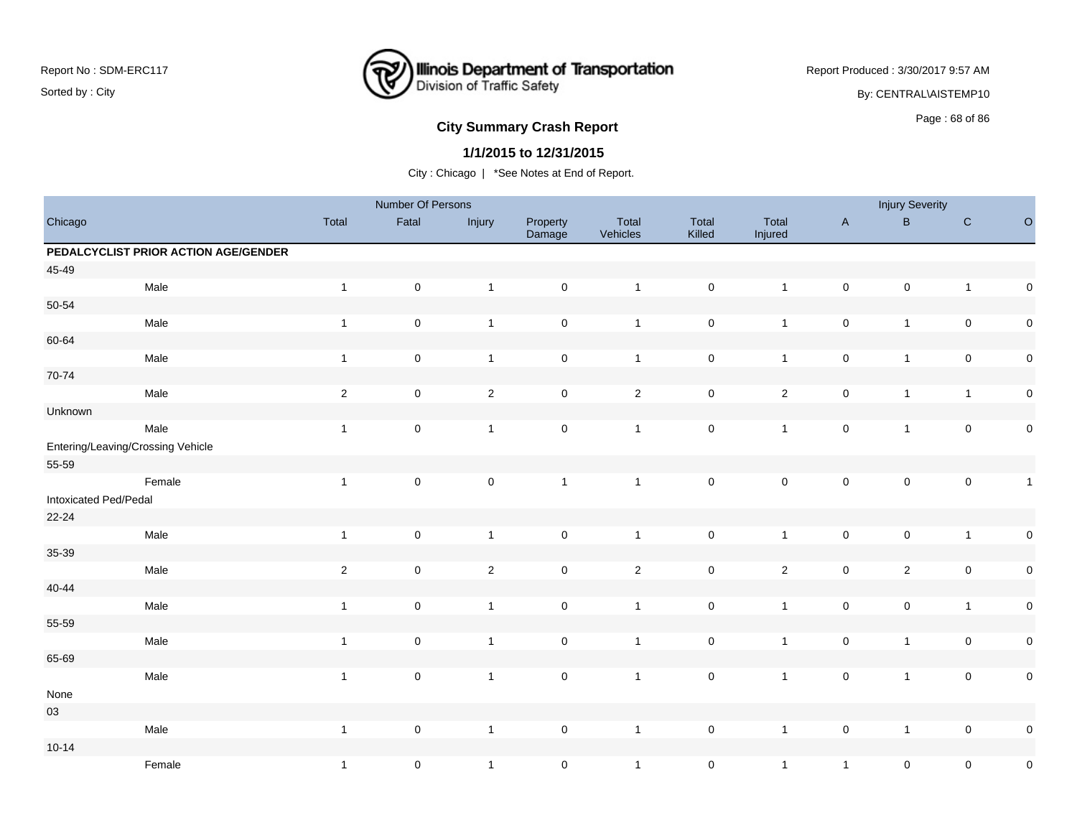

Report Produced : 3/30/2017 9:57 AM By: CENTRAL\AISTEMP10

# **City Summary Crash Report CLASH CRASH REPORT CONSTRUSS AND REPORT CONSTRUSS ASSESS** Page : 68 of 86

### **1/1/2015 to 12/31/2015**

|                       |                                      |                | Number Of Persons   |                |                     |                   |                     |                  |                     | <b>Injury Severity</b> |                     |              |
|-----------------------|--------------------------------------|----------------|---------------------|----------------|---------------------|-------------------|---------------------|------------------|---------------------|------------------------|---------------------|--------------|
| Chicago               |                                      | Total          | Fatal               | Injury         | Property<br>Damage  | Total<br>Vehicles | Total<br>Killed     | Total<br>Injured | $\mathsf A$         | $\, {\bf B} \,$        | ${\bf C}$           | $\mathsf O$  |
|                       | PEDALCYCLIST PRIOR ACTION AGE/GENDER |                |                     |                |                     |                   |                     |                  |                     |                        |                     |              |
| 45-49                 |                                      |                |                     |                |                     |                   |                     |                  |                     |                        |                     |              |
|                       | Male                                 | $\mathbf{1}$   | $\mathsf 0$         | $\mathbf{1}$   | $\mathsf{O}\xspace$ | $\mathbf{1}$      | $\mathsf 0$         | $\mathbf{1}$     | $\mathsf{O}\xspace$ | $\pmb{0}$              | $\overline{1}$      | $\pmb{0}$    |
| 50-54                 |                                      |                |                     |                |                     |                   |                     |                  |                     |                        |                     |              |
|                       | Male                                 | $\overline{1}$ | $\pmb{0}$           | $\mathbf{1}$   | $\pmb{0}$           | $\mathbf{1}$      | $\mathsf 0$         | $\mathbf{1}$     | $\pmb{0}$           | $\mathbf{1}$           | $\pmb{0}$           | $\pmb{0}$    |
| 60-64                 |                                      |                |                     |                |                     |                   |                     |                  |                     |                        |                     |              |
|                       | Male                                 | $\overline{1}$ | $\mathbf 0$         | $\mathbf{1}$   | $\mathsf{O}\xspace$ | $\mathbf{1}$      | $\mathsf 0$         | $\mathbf{1}$     | $\mathsf{O}\xspace$ | $\mathbf{1}$           | $\mathsf{O}\xspace$ | $\pmb{0}$    |
| 70-74                 |                                      |                |                     |                |                     |                   |                     |                  |                     |                        |                     |              |
|                       | Male                                 | $\sqrt{2}$     | $\pmb{0}$           | $\overline{2}$ | $\mathbf 0$         | $\sqrt{2}$        | $\pmb{0}$           | $\overline{c}$   | $\pmb{0}$           | $\mathbf{1}$           | $\mathbf{1}$        | $\pmb{0}$    |
| Unknown               |                                      |                |                     |                |                     |                   |                     |                  |                     |                        |                     |              |
|                       | Male                                 | $\mathbf{1}$   | $\mathbf 0$         | $\overline{1}$ | $\mathsf{O}\xspace$ | $\mathbf{1}$      | $\mathsf{O}\xspace$ | $\mathbf{1}$     | $\mathsf{O}\xspace$ | $\mathbf{1}$           | $\mathsf{O}\xspace$ | $\pmb{0}$    |
|                       | Entering/Leaving/Crossing Vehicle    |                |                     |                |                     |                   |                     |                  |                     |                        |                     |              |
| 55-59                 |                                      |                |                     |                |                     |                   |                     |                  |                     |                        |                     |              |
|                       | Female                               | $\mathbf{1}$   | $\mathbf 0$         | $\pmb{0}$      | $\mathbf{1}$        | $\mathbf{1}$      | $\mathsf{O}\xspace$ | $\mathbf 0$      | $\mathsf{O}\xspace$ | $\mathbf 0$            | $\pmb{0}$           | $\mathbf{1}$ |
| Intoxicated Ped/Pedal |                                      |                |                     |                |                     |                   |                     |                  |                     |                        |                     |              |
| 22-24                 |                                      |                |                     |                |                     |                   |                     |                  |                     |                        |                     |              |
|                       | Male                                 | $\overline{1}$ | $\mathsf 0$         | $\mathbf{1}$   | $\mathsf{O}\xspace$ | $\overline{1}$    | $\mathsf 0$         | $\mathbf{1}$     | $\mathsf{O}\xspace$ | $\mathsf 0$            | $\mathbf{1}$        | $\pmb{0}$    |
| 35-39                 |                                      |                |                     |                |                     |                   |                     |                  |                     |                        |                     |              |
|                       | Male                                 | $\sqrt{2}$     | $\mathsf{O}\xspace$ | $\overline{2}$ | $\mathsf{O}\xspace$ | $\overline{2}$    | $\mathbf 0$         | $\overline{a}$   | $\pmb{0}$           | $\overline{2}$         | $\pmb{0}$           | $\pmb{0}$    |
| $40 - 44$             |                                      |                |                     |                |                     |                   |                     |                  |                     |                        |                     |              |
|                       | Male                                 | $\overline{1}$ | $\pmb{0}$           | $\mathbf{1}$   | $\mathsf{O}\xspace$ | $\overline{1}$    | $\mathbf 0$         | $\mathbf{1}$     | $\mathsf{O}\xspace$ | $\mathsf 0$            | $\mathbf{1}$        | $\pmb{0}$    |
| 55-59                 |                                      |                |                     |                |                     |                   |                     |                  |                     |                        |                     |              |
|                       | Male                                 | $\mathbf{1}$   | $\mathsf{O}\xspace$ | $\mathbf{1}$   | $\pmb{0}$           | $\overline{1}$    | $\mathbf 0$         | $\mathbf{1}$     | $\pmb{0}$           | $\mathbf{1}$           | $\pmb{0}$           | $\pmb{0}$    |
| 65-69                 |                                      |                |                     |                |                     |                   |                     |                  |                     |                        |                     |              |
|                       | Male                                 | $\overline{1}$ | $\pmb{0}$           | $\mathbf{1}$   | $\mathsf{O}\xspace$ | $\mathbf{1}$      | $\mathsf{O}\xspace$ | $\mathbf{1}$     | $\mathbf 0$         | $\mathbf{1}$           | $\pmb{0}$           | $\pmb{0}$    |
| None                  |                                      |                |                     |                |                     |                   |                     |                  |                     |                        |                     |              |
| $03\,$                |                                      |                |                     |                |                     |                   |                     |                  |                     |                        |                     |              |
|                       | Male                                 | $\overline{1}$ | $\pmb{0}$           | $\mathbf{1}$   | $\mathsf{O}\xspace$ | $\overline{1}$    | $\mathbf 0$         | $\mathbf{1}$     | $\mathsf{O}\xspace$ | $\mathbf{1}$           | $\pmb{0}$           | $\pmb{0}$    |
| $10 - 14$             |                                      |                |                     |                |                     |                   |                     |                  |                     |                        |                     |              |
|                       | Female                               | $\mathbf{1}$   | $\mathbf 0$         | $\mathbf{1}$   | $\mathsf{O}\xspace$ | $\mathbf{1}$      | $\mathsf 0$         | $\mathbf{1}$     | $\mathbf{1}$        | $\pmb{0}$              | $\pmb{0}$           | $\pmb{0}$    |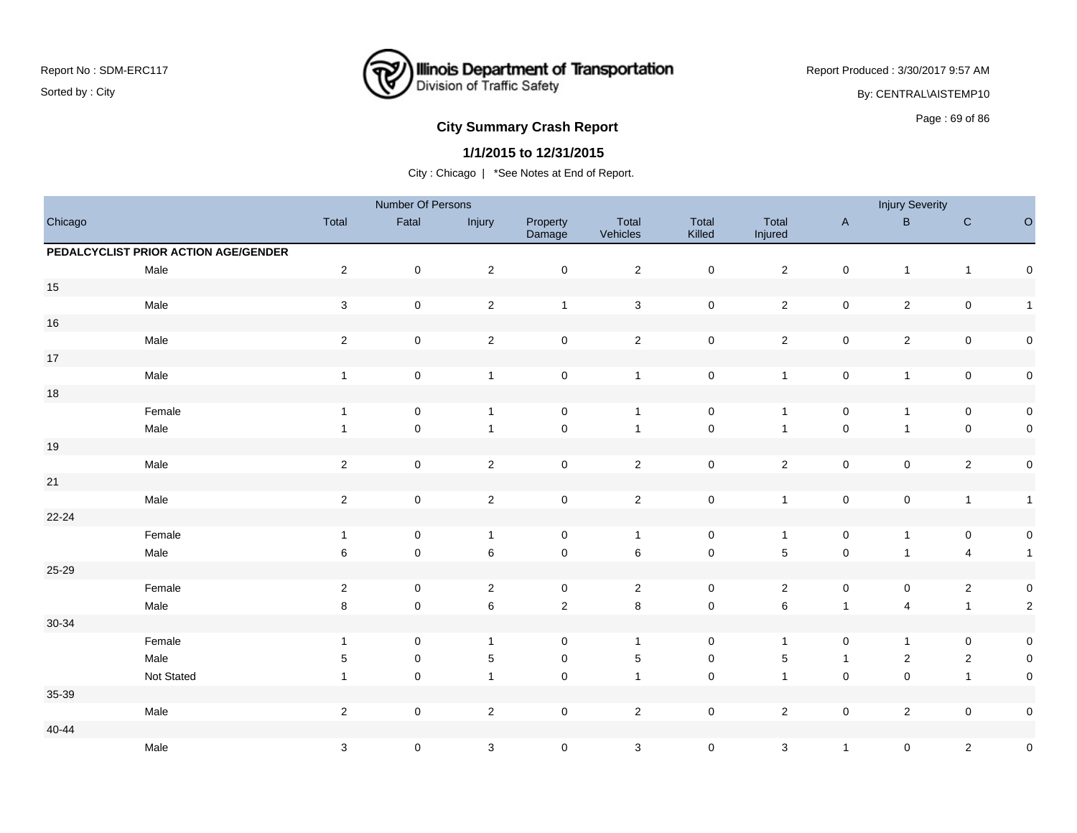

Report Produced : 3/30/2017 9:57 AM By: CENTRAL\AISTEMP10

# **City Summary Crash Report CLASH CRASH REPORT CONSUMING SUMMARY CRASH CRASH CRASH CRASH CRASH CRASH CRASH CRASH CRASH CRASH CRASH CRASH CRASH CRASH CRASH CRASH CRASH CRASH CRASH CRASH CRASH CRASH CRASH CRASH CRASH CRASH**

### **1/1/2015 to 12/31/2015**

|           |                                      |                           | Number Of Persons   |                           |                    |                   |                     |                  |                     | <b>Injury Severity</b> |                |                     |
|-----------|--------------------------------------|---------------------------|---------------------|---------------------------|--------------------|-------------------|---------------------|------------------|---------------------|------------------------|----------------|---------------------|
| Chicago   |                                      | Total                     | Fatal               | Injury                    | Property<br>Damage | Total<br>Vehicles | Total<br>Killed     | Total<br>Injured | $\mathsf{A}$        | $\sf{B}$               | ${\bf C}$      | $\mathsf O$         |
|           | PEDALCYCLIST PRIOR ACTION AGE/GENDER |                           |                     |                           |                    |                   |                     |                  |                     |                        |                |                     |
|           | Male                                 | $\overline{2}$            | $\pmb{0}$           | $\sqrt{2}$                | $\pmb{0}$          | $\overline{2}$    | $\mathbf 0$         | $\overline{2}$   | $\pmb{0}$           | $\overline{1}$         | $\mathbf{1}$   | $\mathsf{O}\xspace$ |
| $15\,$    |                                      |                           |                     |                           |                    |                   |                     |                  |                     |                        |                |                     |
|           | Male                                 | $\sqrt{3}$                | 0                   | $\sqrt{2}$                | $\mathbf{1}$       | $\sqrt{3}$        | $\mathsf 0$         | $\overline{2}$   | $\pmb{0}$           | $\overline{2}$         | $\pmb{0}$      | $\overline{1}$      |
| $16\,$    |                                      |                           |                     |                           |                    |                   |                     |                  |                     |                        |                |                     |
|           | Male                                 | $\sqrt{2}$                | 0                   | $\sqrt{2}$                | $\pmb{0}$          | $\overline{2}$    | $\mathsf 0$         | $\overline{2}$   | $\pmb{0}$           | $\sqrt{2}$             | $\pmb{0}$      | $\mathbf 0$         |
| $17\,$    |                                      |                           |                     |                           |                    |                   |                     |                  |                     |                        |                |                     |
|           | Male                                 | $\overline{1}$            | $\pmb{0}$           | $\mathbf{1}$              | $\pmb{0}$          | $\mathbf{1}$      | $\mathbf 0$         | $\mathbf{1}$     | $\pmb{0}$           | $\overline{1}$         | $\pmb{0}$      | $\mathbf 0$         |
| $18\,$    |                                      |                           |                     |                           |                    |                   |                     |                  |                     |                        |                |                     |
|           | Female                               | $\mathbf{1}$              | 0                   | $\mathbf{1}$              | 0                  | $\overline{1}$    | $\mathsf 0$         | $\overline{1}$   | $\pmb{0}$           | $\overline{1}$         | 0              | $\boldsymbol{0}$    |
|           | Male                                 | $\mathbf{1}$              | 0                   | $\mathbf{1}$              | $\pmb{0}$          | $\overline{1}$    | $\mathsf{O}\xspace$ | $\overline{1}$   | $\mathsf{O}\xspace$ | 1                      | $\pmb{0}$      | $\mathbf 0$         |
| $19$      |                                      |                           |                     |                           |                    |                   |                     |                  |                     |                        |                |                     |
|           | Male                                 | $\overline{2}$            | $\mathsf{O}\xspace$ | $\sqrt{2}$                | $\mathbf 0$        | $\overline{2}$    | $\mathsf 0$         | $\overline{2}$   | $\pmb{0}$           | $\mathbf 0$            | $\overline{2}$ | $\mathsf{O}\xspace$ |
| 21        |                                      |                           |                     |                           |                    |                   |                     |                  |                     |                        |                |                     |
|           | Male                                 | $\sqrt{2}$                | $\pmb{0}$           | $\overline{c}$            | $\mathsf 0$        | $\mathbf 2$       | $\mathbf 0$         | $\mathbf{1}$     | $\pmb{0}$           | $\pmb{0}$              | $\mathbf{1}$   | $\overline{1}$      |
| $22 - 24$ |                                      |                           |                     |                           |                    |                   |                     |                  |                     |                        |                |                     |
|           | Female                               | $\mathbf{1}$              | $\pmb{0}$           | $\mathbf{1}$              | $\pmb{0}$          | $\mathbf{1}$      | $\mathsf 0$         | $\mathbf{1}$     | $\pmb{0}$           | $\overline{1}$         | $\pmb{0}$      | $\mathbf 0$         |
|           | Male                                 | 6                         | $\mathsf{O}\xspace$ | $\,6$                     | $\pmb{0}$          | $\,6\,$           | $\mathbf 0$         | $\sqrt{5}$       | $\mathbf 0$         | $\overline{1}$         | $\overline{4}$ | $\overline{1}$      |
| 25-29     |                                      |                           |                     |                           |                    |                   |                     |                  |                     |                        |                |                     |
|           | Female                               | $\overline{2}$            | $\mathbf 0$         | $\sqrt{2}$                | 0                  | $\overline{2}$    | $\mathbf 0$         | $\overline{2}$   | $\pmb{0}$           | $\mathsf{O}\xspace$    | $\overline{2}$ | $\boldsymbol{0}$    |
|           | Male                                 | 8                         | $\mathbf 0$         | 6                         | $\mathbf 2$        | $\bf 8$           | $\mathbf 0$         | $\,6\,$          | $\mathbf{1}$        | 4                      | $\mathbf{1}$   | $\overline{2}$      |
| 30-34     |                                      |                           |                     |                           |                    |                   |                     |                  |                     |                        |                |                     |
|           | Female                               | $\mathbf{1}$              | 0                   | $\mathbf{1}$              | $\mathbf 0$        | $\mathbf{1}$      | $\mathbf 0$         | $\overline{1}$   | $\mathsf{O}\xspace$ | $\overline{1}$         | 0              | $\mathbf 0$         |
|           | Male                                 | $5\phantom{.0}$           | $\mathbf 0$         | $\mathbf 5$               | $\pmb{0}$          | $\sqrt{5}$        | $\mathsf{O}\xspace$ | $\sqrt{5}$       | $\mathbf{1}$        | $\sqrt{2}$             | $\overline{2}$ | $\mathbf 0$         |
|           | Not Stated                           | $\overline{1}$            | $\mathbf 0$         | $\mathbf{1}$              | $\pmb{0}$          | $\overline{1}$    | $\mathbf 0$         | $\overline{1}$   | $\mathbf 0$         | $\mathsf 0$            | $\mathbf{1}$   | $\mathbf 0$         |
| 35-39     |                                      |                           |                     |                           |                    |                   |                     |                  |                     |                        |                |                     |
|           | Male                                 | $\sqrt{2}$                | $\mathbf 0$         | $\sqrt{2}$                | $\pmb{0}$          | $\sqrt{2}$        | $\mathbf 0$         | $\overline{2}$   | $\pmb{0}$           | $\overline{2}$         | $\pmb{0}$      | $\boldsymbol{0}$    |
| $40 - 44$ |                                      |                           |                     |                           |                    |                   |                     |                  |                     |                        |                |                     |
|           | Male                                 | $\ensuremath{\mathsf{3}}$ | 0                   | $\ensuremath{\mathsf{3}}$ | $\pmb{0}$          | $\mathbf{3}$      | $\pmb{0}$           | $\sqrt{3}$       | $\mathbf{1}$        | 0                      | $\overline{2}$ | $\pmb{0}$           |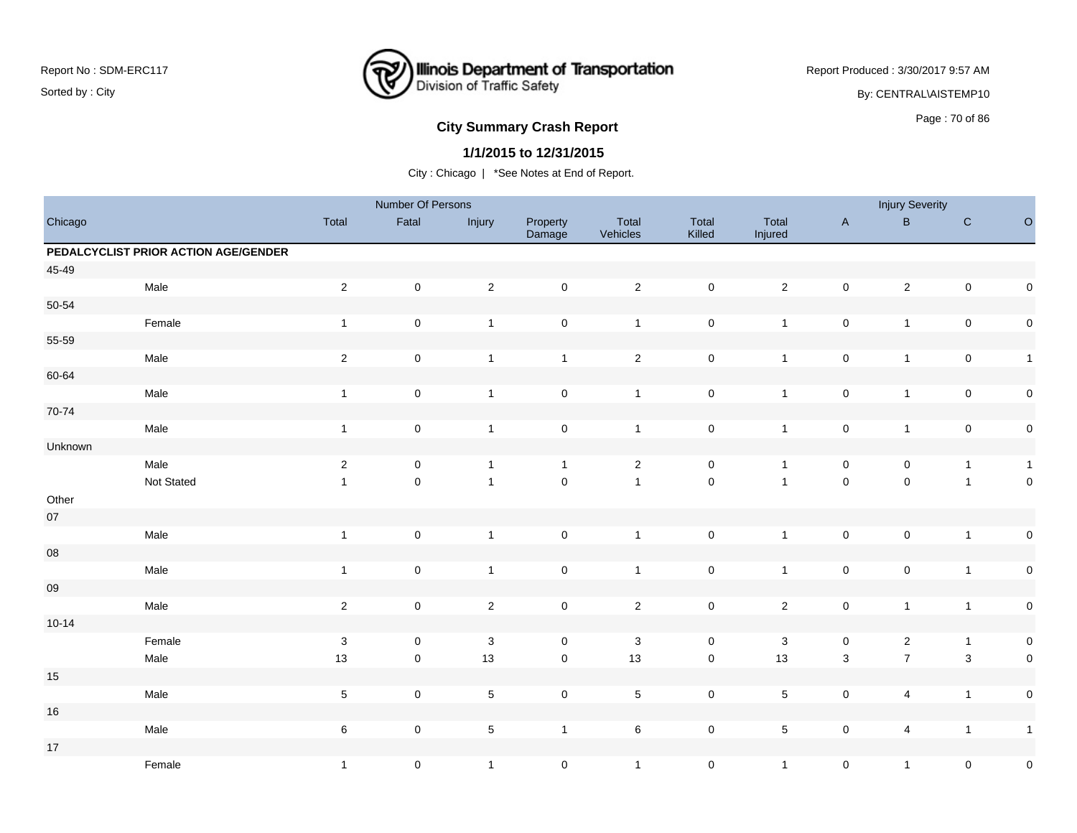

Report Produced : 3/30/2017 9:57 AM By: CENTRAL\AISTEMP10

# **City Summary Crash Report CLASH Report CLASH Report CLASH Report CLASH Report CLASH Report CLASH Report CLASH Report CLASH Report CLASH Report CLASH Report CLASH Report CLASH Report CLASH Report**

### **1/1/2015 to 12/31/2015**

|            |                                      |                           | Number Of Persons   |                |                     |                   |                     |                  |                     | <b>Injury Severity</b>  |                           |              |
|------------|--------------------------------------|---------------------------|---------------------|----------------|---------------------|-------------------|---------------------|------------------|---------------------|-------------------------|---------------------------|--------------|
| Chicago    |                                      | Total                     | Fatal               | Injury         | Property<br>Damage  | Total<br>Vehicles | Total<br>Killed     | Total<br>Injured | $\mathsf A$         | $\sf{B}$                | $\mathbf C$               | $\circ$      |
|            | PEDALCYCLIST PRIOR ACTION AGE/GENDER |                           |                     |                |                     |                   |                     |                  |                     |                         |                           |              |
| 45-49      |                                      |                           |                     |                |                     |                   |                     |                  |                     |                         |                           |              |
|            | Male                                 | $\sqrt{2}$                | $\mathbf 0$         | $\overline{2}$ | $\mathsf 0$         | $\overline{2}$    | $\mathsf{O}\xspace$ | $\overline{2}$   | $\pmb{0}$           | $\overline{2}$          | $\mathsf{O}\xspace$       | $\pmb{0}$    |
| 50-54      |                                      |                           |                     |                |                     |                   |                     |                  |                     |                         |                           |              |
|            | Female                               | $\mathbf{1}$              | $\pmb{0}$           | $\mathbf{1}$   | $\pmb{0}$           | $\mathbf{1}$      | $\mathbf 0$         | $\mathbf{1}$     | $\pmb{0}$           | $\mathbf{1}$            | $\pmb{0}$                 | $\pmb{0}$    |
| 55-59      |                                      |                           |                     |                |                     |                   |                     |                  |                     |                         |                           |              |
|            | Male                                 | $\overline{2}$            | $\mathsf 0$         | $\mathbf{1}$   | $\mathbf{1}$        | $\overline{2}$    | $\mathsf 0$         | $\mathbf{1}$     | $\mathbf 0$         | $\mathbf{1}$            | $\pmb{0}$                 | $\mathbf{1}$ |
| 60-64      |                                      |                           |                     |                |                     |                   |                     |                  |                     |                         |                           |              |
|            | Male                                 | $\mathbf{1}$              | $\mathsf 0$         | $\mathbf{1}$   | $\mathbf 0$         | $\mathbf{1}$      | $\mathsf 0$         | $\mathbf{1}$     | $\pmb{0}$           | $\mathbf{1}$            | $\pmb{0}$                 | $\pmb{0}$    |
| 70-74      |                                      |                           |                     |                |                     |                   |                     |                  |                     |                         |                           |              |
|            | Male                                 | $\mathbf{1}$              | $\mathsf 0$         | $\mathbf{1}$   | $\mathsf{O}\xspace$ | $\mathbf{1}$      | $\mathbf 0$         | $\mathbf{1}$     | $\pmb{0}$           | $\mathbf{1}$            | $\pmb{0}$                 | $\pmb{0}$    |
| Unknown    |                                      |                           |                     |                |                     |                   |                     |                  |                     |                         |                           |              |
|            | Male                                 | $\sqrt{2}$                | $\pmb{0}$           | $\overline{1}$ | $\mathbf{1}$        | $\mathbf{2}$      | $\mathsf 0$         | $\mathbf{1}$     | $\pmb{0}$           | $\pmb{0}$               | $\mathbf{1}$              | $\mathbf{1}$ |
|            | Not Stated                           | $\overline{1}$            | $\pmb{0}$           | $\overline{1}$ | $\mathsf{O}\xspace$ | $\overline{1}$    | $\mathbf 0$         | $\mathbf{1}$     | $\mathsf{O}\xspace$ | $\pmb{0}$               | $\mathbf{1}$              | $\pmb{0}$    |
| Other      |                                      |                           |                     |                |                     |                   |                     |                  |                     |                         |                           |              |
| $07\,$     |                                      |                           |                     |                |                     |                   |                     |                  |                     |                         |                           |              |
|            | Male                                 | $\mathbf{1}$              | $\pmb{0}$           | $\mathbf{1}$   | $\mathbf 0$         | $\overline{1}$    | $\mathbf 0$         | $\mathbf{1}$     | $\pmb{0}$           | $\mathbf 0$             | $\mathbf{1}$              | $\pmb{0}$    |
| ${\bf 08}$ |                                      |                           |                     |                |                     |                   |                     |                  |                     |                         |                           |              |
|            | Male                                 | $\overline{1}$            | $\mathsf 0$         | $\mathbf{1}$   | $\mathsf{O}\xspace$ | $\overline{1}$    | $\mathsf 0$         | $\mathbf{1}$     | $\pmb{0}$           | $\mathsf 0$             | $\mathbf{1}$              | $\pmb{0}$    |
| ${\bf 09}$ |                                      |                           |                     |                |                     |                   |                     |                  |                     |                         |                           |              |
|            | Male                                 | $\sqrt{2}$                | $\mathsf{O}\xspace$ | $\overline{2}$ | $\mathsf{O}\xspace$ | $\overline{2}$    | $\pmb{0}$           | $\mathbf{2}$     | $\pmb{0}$           | $\mathbf{1}$            | $\mathbf{1}$              | $\pmb{0}$    |
| $10 - 14$  |                                      |                           |                     |                |                     |                   |                     |                  |                     |                         |                           |              |
|            | Female                               | $\ensuremath{\mathsf{3}}$ | $\pmb{0}$           | $\mathbf{3}$   | $\mathsf{O}\xspace$ | $\mathbf{3}$      | $\mathsf 0$         | $\sqrt{3}$       | $\mathsf{O}\xspace$ | $\overline{c}$          | $\mathbf{1}$              | $\pmb{0}$    |
|            | Male                                 | 13                        | $\mathsf 0$         | 13             | $\mathsf 0$         | $13$              | $\mathbf 0$         | 13               | $\mathsf 3$         | $\overline{7}$          | $\ensuremath{\mathsf{3}}$ | $\pmb{0}$    |
| $15\,$     |                                      |                           |                     |                |                     |                   |                     |                  |                     |                         |                           |              |
|            | Male                                 | $\,$ 5 $\,$               | $\mathsf{O}\xspace$ | $\overline{5}$ | $\mathsf{O}\xspace$ | $\,$ 5 $\,$       | $\mathbf 0$         | 5                | $\mathsf{O}\xspace$ | $\overline{\mathbf{4}}$ | $\mathbf{1}$              | $\pmb{0}$    |
| $16\,$     |                                      |                           |                     |                |                     |                   |                     |                  |                     |                         |                           |              |
|            | Male                                 | $\,6\,$                   | $\mathsf{O}\xspace$ | $\sqrt{5}$     | $\mathbf{1}$        | $\,6\,$           | $\mathsf 0$         | 5                | $\mathsf{O}\xspace$ | $\overline{4}$          | $\mathbf{1}$              | $\mathbf{1}$ |
| $17\,$     |                                      |                           |                     |                |                     |                   |                     |                  |                     |                         |                           |              |
|            | Female                               | $\mathbf{1}$              | $\pmb{0}$           | $\mathbf{1}$   | $\mathsf{O}\xspace$ | $\mathbf{1}$      | $\mathsf 0$         | $\mathbf{1}$     | $\mathsf 0$         | $\mathbf{1}$            | $\mathsf 0$               | $\pmb{0}$    |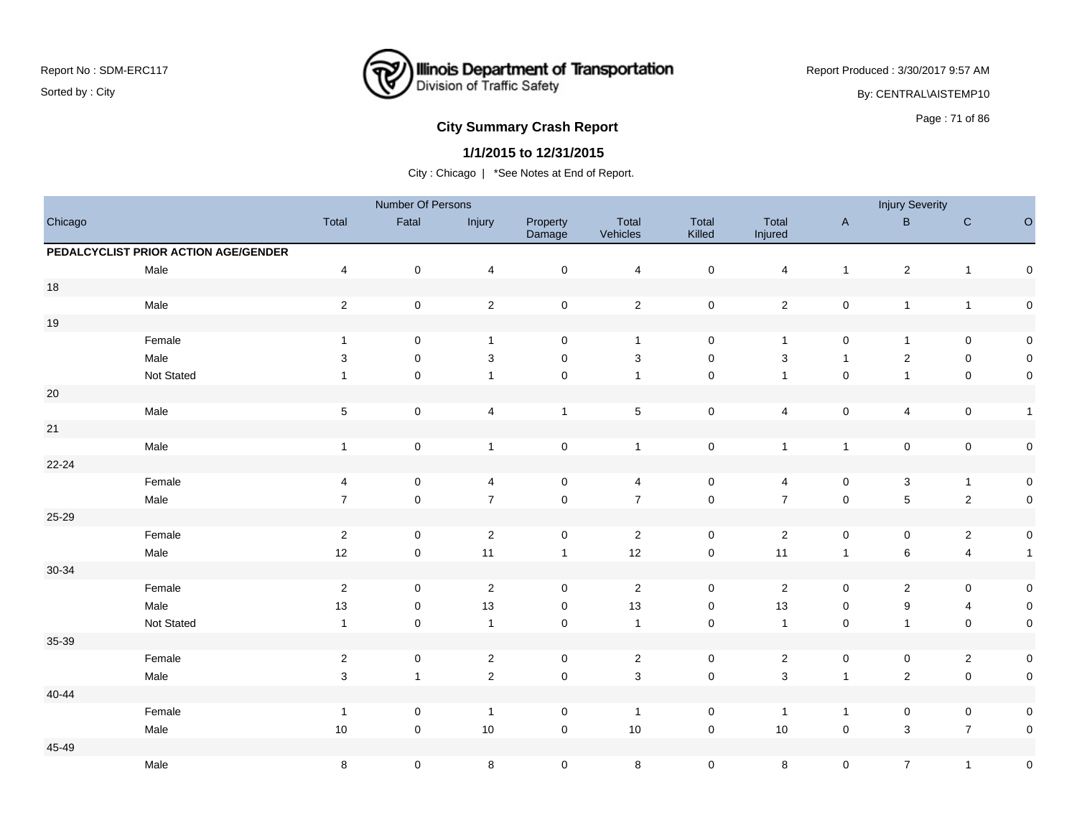

Report Produced : 3/30/2017 9:57 AM

By: CENTRAL\AISTEMP10

# **City Summary Crash Report CLASH CRASH REPORT CONSTRUSS AND REPORT CONSTRUSS ASSESS**

### **1/1/2015 to 12/31/2015**

|           |                                      |                         | Number Of Persons   |                         |                     |                           |                 |                           |                     | <b>Injury Severity</b>    |                         |                     |
|-----------|--------------------------------------|-------------------------|---------------------|-------------------------|---------------------|---------------------------|-----------------|---------------------------|---------------------|---------------------------|-------------------------|---------------------|
| Chicago   |                                      | Total                   | Fatal               | Injury                  | Property<br>Damage  | Total<br>Vehicles         | Total<br>Killed | Total<br>Injured          | $\mathsf{A}$        | $\mathsf B$               | ${\bf C}$               | $\circ$             |
|           | PEDALCYCLIST PRIOR ACTION AGE/GENDER |                         |                     |                         |                     |                           |                 |                           |                     |                           |                         |                     |
|           | Male                                 | $\overline{\mathbf{4}}$ | $\pmb{0}$           | $\overline{\mathbf{4}}$ | $\pmb{0}$           | $\overline{\mathbf{4}}$   | $\mathsf 0$     | $\overline{4}$            | $\mathbf{1}$        | $\overline{c}$            | $\mathbf{1}$            | $\mathsf{O}\xspace$ |
| $18\,$    |                                      |                         |                     |                         |                     |                           |                 |                           |                     |                           |                         |                     |
|           | Male                                 | $\overline{2}$          | $\pmb{0}$           | $\sqrt{2}$              | $\pmb{0}$           | $\overline{2}$            | $\mathbf 0$     | $\sqrt{2}$                | $\pmb{0}$           | $\mathbf{1}$              | $\mathbf{1}$            | $\mathbf 0$         |
| $19$      |                                      |                         |                     |                         |                     |                           |                 |                           |                     |                           |                         |                     |
|           | Female                               | $\mathbf{1}$            | $\mathsf 0$         | $\mathbf{1}$            | 0                   | $\overline{1}$            | $\mathsf 0$     | $\overline{1}$            | $\mathsf{O}\xspace$ | $\mathbf{1}$              | $\pmb{0}$               | $\mathbf 0$         |
|           | Male                                 | 3                       | $\mathbf 0$         | 3                       | $\pmb{0}$           | 3                         | $\pmb{0}$       | $\ensuremath{\mathsf{3}}$ | $\mathbf{1}$        | $\overline{c}$            | $\pmb{0}$               | $\pmb{0}$           |
|           | Not Stated                           |                         | $\mathsf 0$         | $\mathbf{1}$            | $\pmb{0}$           | $\mathbf{1}$              | $\pmb{0}$       | $\mathbf{1}$              | $\pmb{0}$           | $\mathbf{1}$              | $\pmb{0}$               | $\mathbf 0$         |
| $20\,$    |                                      |                         |                     |                         |                     |                           |                 |                           |                     |                           |                         |                     |
|           | Male                                 | $\,$ 5 $\,$             | $\mathsf{O}\xspace$ | 4                       | $\mathbf{1}$        | $\,$ 5 $\,$               | $\mathsf 0$     | 4                         | $\pmb{0}$           | $\overline{4}$            | $\mathbf 0$             | $\mathbf{1}$        |
| 21        |                                      |                         |                     |                         |                     |                           |                 |                           |                     |                           |                         |                     |
|           | Male                                 | $\mathbf{1}$            | $\pmb{0}$           | $\mathbf{1}$            | $\mathbf 0$         | $\mathbf{1}$              | $\mathsf 0$     | $\mathbf{1}$              | $\mathbf{1}$        | $\pmb{0}$                 | $\mathbf 0$             | $\mathbf 0$         |
| $22 - 24$ |                                      |                         |                     |                         |                     |                           |                 |                           |                     |                           |                         |                     |
|           | Female                               | 4                       | $\mathsf 0$         | 4                       | 0                   | 4                         | $\mathsf 0$     | 4                         | $\mathsf{O}\xspace$ | $\ensuremath{\mathsf{3}}$ | $\mathbf{1}$            | $\mathbf 0$         |
|           | Male                                 | $\overline{7}$          | $\mathsf 0$         | $\overline{7}$          | $\mathsf{O}\xspace$ | $\overline{7}$            | $\mathbf 0$     | $\overline{7}$            | $\pmb{0}$           | $\overline{5}$            | $\sqrt{2}$              | $\mathbf 0$         |
| 25-29     |                                      |                         |                     |                         |                     |                           |                 |                           |                     |                           |                         |                     |
|           | Female                               | $\sqrt{2}$              | $\mathsf 0$         | $\sqrt{2}$              | 0                   | $\sqrt{2}$                | $\mathsf 0$     | $\sqrt{2}$                | $\pmb{0}$           | $\mathbf 0$               | $\sqrt{2}$              | $\mathbf 0$         |
|           | Male                                 | 12                      | $\mathsf 0$         | 11                      | $\mathbf{1}$        | 12                        | $\mathsf 0$     | 11                        | $\mathbf{1}$        | $\,6\,$                   | $\overline{\mathbf{4}}$ | $\overline{1}$      |
| 30-34     |                                      |                         |                     |                         |                     |                           |                 |                           |                     |                           |                         |                     |
|           | Female                               | $\overline{2}$          | $\mathbf 0$         | $\overline{2}$          | $\mathbf 0$         | $\sqrt{2}$                | $\mathsf 0$     | $\sqrt{2}$                | $\mathsf{O}\xspace$ | $\overline{2}$            | $\mathbf 0$             | $\mathbf 0$         |
|           | Male                                 | $13$                    | $\mathsf 0$         | 13                      | $\pmb{0}$           | 13                        | $\pmb{0}$       | 13                        | 0                   | $\boldsymbol{9}$          | $\overline{\mathbf{4}}$ | $\mathbf 0$         |
|           | Not Stated                           | $\mathbf{1}$            | $\mathsf 0$         | $\mathbf{1}$            | 0                   | $\overline{1}$            | $\mathsf 0$     | $\mathbf{1}$              | $\pmb{0}$           | $\mathbf{1}$              | $\mathbf 0$             | $\mathbf 0$         |
| 35-39     |                                      |                         |                     |                         |                     |                           |                 |                           |                     |                           |                         |                     |
|           | Female                               | $\overline{2}$          | $\mathsf 0$         | $\sqrt{2}$              | 0                   | $\sqrt{2}$                | $\mathsf 0$     | $\sqrt{2}$                | $\mathsf{O}\xspace$ | $\mathsf{O}$              | $\sqrt{2}$              | $\mathbf 0$         |
|           | Male                                 | $\mathsf 3$             | $\mathbf{1}$        | $\sqrt{2}$              | $\mathsf{O}\xspace$ | $\ensuremath{\mathsf{3}}$ | $\mathsf 0$     | $\sqrt{3}$                | $\mathbf{1}$        | $\overline{c}$            | $\pmb{0}$               | $\mathbf 0$         |
| 40-44     |                                      |                         |                     |                         |                     |                           |                 |                           |                     |                           |                         |                     |
|           | Female                               | $\mathbf{1}$            | $\mathsf 0$         | $\overline{1}$          | 0                   | $\overline{1}$            | $\mathsf 0$     | $\overline{1}$            | $\mathbf{1}$        | $\mathsf 0$               | $\pmb{0}$               | $\mathbf 0$         |
|           | Male                                 | $10$                    | $\mathbf 0$         | 10                      | $\mathsf{O}\xspace$ | 10                        | $\mathsf 0$     | 10                        | $\mathsf{O}\xspace$ | $\mathbf{3}$              | $\overline{7}$          | $\mathsf{O}\xspace$ |
| 45-49     |                                      |                         |                     |                         |                     |                           |                 |                           |                     |                           |                         |                     |
|           | Male                                 | $\bf 8$                 | $\mathsf 0$         | 8                       | $\pmb{0}$           | $\bf 8$                   | $\mathbf 0$     | 8                         | $\mathsf{O}\xspace$ | $\overline{7}$            | $\mathbf{1}$            | $\pmb{0}$           |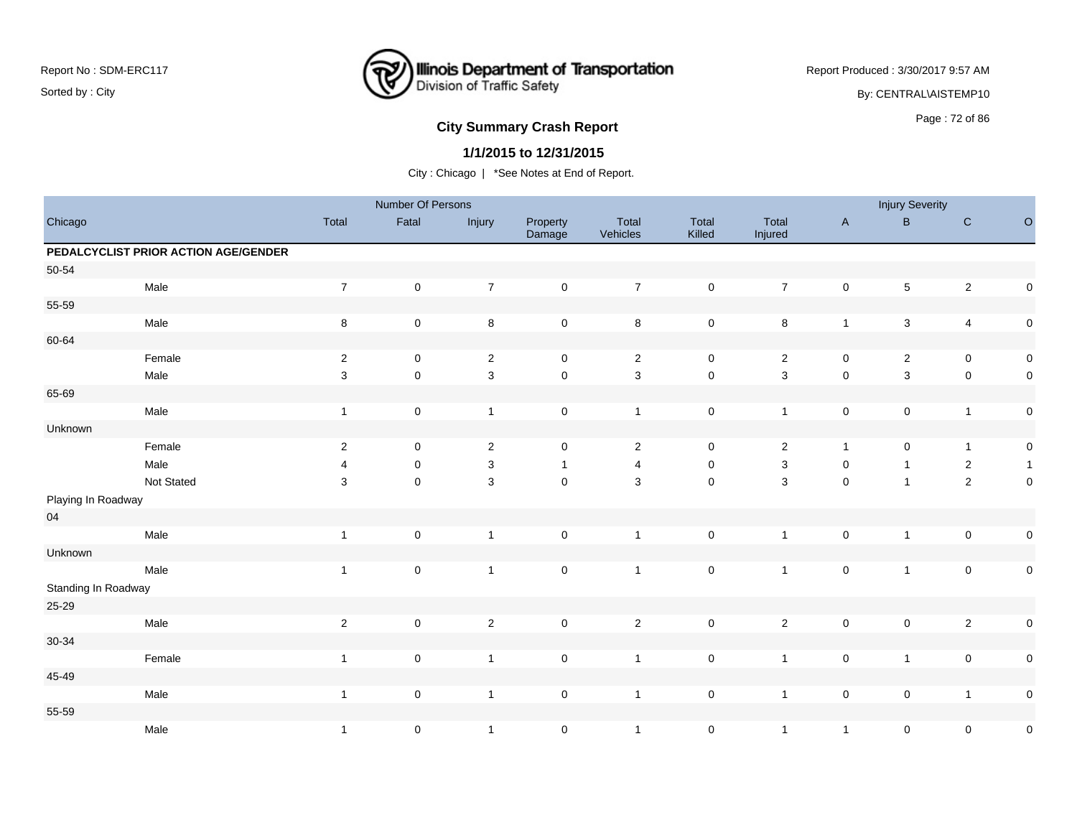

Report Produced : 3/30/2017 9:57 AM

By: CENTRAL\AISTEMP10

# **City Summary Crash Report CLASH CRASH REPORT CONSUMING THE SET OF 86 AND REPORT CONSUMING THE SET OF 86 AND REPORT OF SET OF 86 AND REPORT OF SET OF SET OF SET OF SET OF SET OF SET OF SET OF SET OF SET OF SET OF SET OF**

### **1/1/2015 to 12/31/2015**

|                     |                                      |                  | Number Of Persons |                |                     |                   |                     |                  |              | <b>Injury Severity</b> |                         |              |
|---------------------|--------------------------------------|------------------|-------------------|----------------|---------------------|-------------------|---------------------|------------------|--------------|------------------------|-------------------------|--------------|
| Chicago             |                                      | Total            | Fatal             | Injury         | Property<br>Damage  | Total<br>Vehicles | Total<br>Killed     | Total<br>Injured | $\mathsf{A}$ | $\sf B$                | $\mathbf C$             | $\circ$      |
|                     | PEDALCYCLIST PRIOR ACTION AGE/GENDER |                  |                   |                |                     |                   |                     |                  |              |                        |                         |              |
| 50-54               |                                      |                  |                   |                |                     |                   |                     |                  |              |                        |                         |              |
|                     | Male                                 | $\boldsymbol{7}$ | $\pmb{0}$         | $\overline{7}$ | $\mathsf{O}\xspace$ | $\boldsymbol{7}$  | $\mathsf 0$         | $\overline{7}$   | $\mathbf 0$  | 5                      | $\sqrt{2}$              | $\mathsf 0$  |
| 55-59               |                                      |                  |                   |                |                     |                   |                     |                  |              |                        |                         |              |
|                     | Male                                 | $\,8\,$          | $\pmb{0}$         | $\,8\,$        | $\mathbf 0$         | $\bf 8$           | $\mathsf 0$         | $\bf 8$          | $\mathbf{1}$ | $\mathbf{3}$           | $\overline{\mathbf{4}}$ | $\pmb{0}$    |
| 60-64               |                                      |                  |                   |                |                     |                   |                     |                  |              |                        |                         |              |
|                     | Female                               | $\overline{2}$   | $\pmb{0}$         | $\overline{2}$ | $\mathsf{O}\xspace$ | $\overline{2}$    | $\mathbf 0$         | $\overline{c}$   | $\pmb{0}$    | $\overline{c}$         | $\pmb{0}$               | $\pmb{0}$    |
|                     | Male                                 | 3                | $\pmb{0}$         | $\mathsf 3$    | $\mathsf 0$         | $\mathbf{3}$      | $\pmb{0}$           | 3                | $\pmb{0}$    | 3                      | $\pmb{0}$               | $\pmb{0}$    |
| 65-69               |                                      |                  |                   |                |                     |                   |                     |                  |              |                        |                         |              |
|                     | Male                                 | $\mathbf{1}$     | $\mathsf 0$       | $\mathbf{1}$   | $\mathbf 0$         | $\mathbf{1}$      | $\mathsf 0$         | $\mathbf{1}$     | $\pmb{0}$    | $\pmb{0}$              | $\mathbf{1}$            | $\pmb{0}$    |
| Unknown             |                                      |                  |                   |                |                     |                   |                     |                  |              |                        |                         |              |
|                     | Female                               | $\sqrt{2}$       | $\pmb{0}$         | $\sqrt{2}$     | $\mathbf 0$         | $\overline{2}$    | $\mathsf 0$         | $\overline{c}$   | $\mathbf{1}$ | $\pmb{0}$              | $\mathbf{1}$            | $\pmb{0}$    |
|                     | Male                                 | 4                | 0                 | 3              | $\mathbf{1}$        | $\overline{4}$    | 0                   | 3                | 0            | $\mathbf{1}$           | $\overline{2}$          | $\mathbf{1}$ |
|                     | Not Stated                           | 3                | 0                 | $\sqrt{3}$     | $\mathsf 0$         | $\mathbf{3}$      | $\mathsf{O}\xspace$ | 3                | $\pmb{0}$    | $\mathbf{1}$           | $\overline{2}$          | $\pmb{0}$    |
| Playing In Roadway  |                                      |                  |                   |                |                     |                   |                     |                  |              |                        |                         |              |
| $04\,$              |                                      |                  |                   |                |                     |                   |                     |                  |              |                        |                         |              |
|                     | Male                                 | $\mathbf{1}$     | $\mathsf 0$       | $\mathbf{1}$   | $\mathsf{O}\xspace$ | $\mathbf{1}$      | $\mathsf 0$         | $\mathbf{1}$     | $\pmb{0}$    | $\mathbf{1}$           | $\pmb{0}$               | $\pmb{0}$    |
| Unknown             |                                      |                  |                   |                |                     |                   |                     |                  |              |                        |                         |              |
|                     | Male                                 | $\mathbf{1}$     | $\pmb{0}$         | $\mathbf{1}$   | $\mathsf{O}\xspace$ | $\mathbf{1}$      | $\mathsf 0$         | $\mathbf{1}$     | $\mathbf 0$  | $\mathbf{1}$           | $\pmb{0}$               | $\pmb{0}$    |
| Standing In Roadway |                                      |                  |                   |                |                     |                   |                     |                  |              |                        |                         |              |
| $25 - 29$           |                                      |                  |                   |                |                     |                   |                     |                  |              |                        |                         |              |
|                     | Male                                 | $\sqrt{2}$       | $\mathbf 0$       | $\sqrt{2}$     | $\mathsf{O}\xspace$ | $\overline{2}$    | $\mathsf 0$         | $\overline{2}$   | $\pmb{0}$    | $\mathsf 0$            | $\sqrt{2}$              | $\pmb{0}$    |
| $30 - 34$           |                                      |                  |                   |                |                     |                   |                     |                  |              |                        |                         |              |
|                     | Female                               | $\mathbf{1}$     | $\pmb{0}$         | $\mathbf{1}$   | $\pmb{0}$           | $\overline{1}$    | $\mathsf{O}\xspace$ | $\mathbf{1}$     | $\pmb{0}$    | $\mathbf{1}$           | $\pmb{0}$               | $\pmb{0}$    |
| 45-49               |                                      |                  |                   |                |                     |                   |                     |                  |              |                        |                         |              |
|                     | Male                                 | $\mathbf{1}$     | $\mathsf 0$       | $\mathbf{1}$   | $\mathsf{O}\xspace$ | $\mathbf{1}$      | $\pmb{0}$           | $\mathbf{1}$     | $\mathbf 0$  | $\pmb{0}$              | $\mathbf{1}$            | $\pmb{0}$    |
| 55-59               |                                      |                  |                   |                |                     |                   |                     |                  |              |                        |                         |              |
|                     | Male                                 | $\mathbf{1}$     | $\pmb{0}$         | $\mathbf{1}$   | $\mathsf{O}\xspace$ | $\overline{1}$    | $\mathbf 0$         | $\mathbf{1}$     | $\mathbf{1}$ | $\pmb{0}$              | $\mathsf 0$             | $\pmb{0}$    |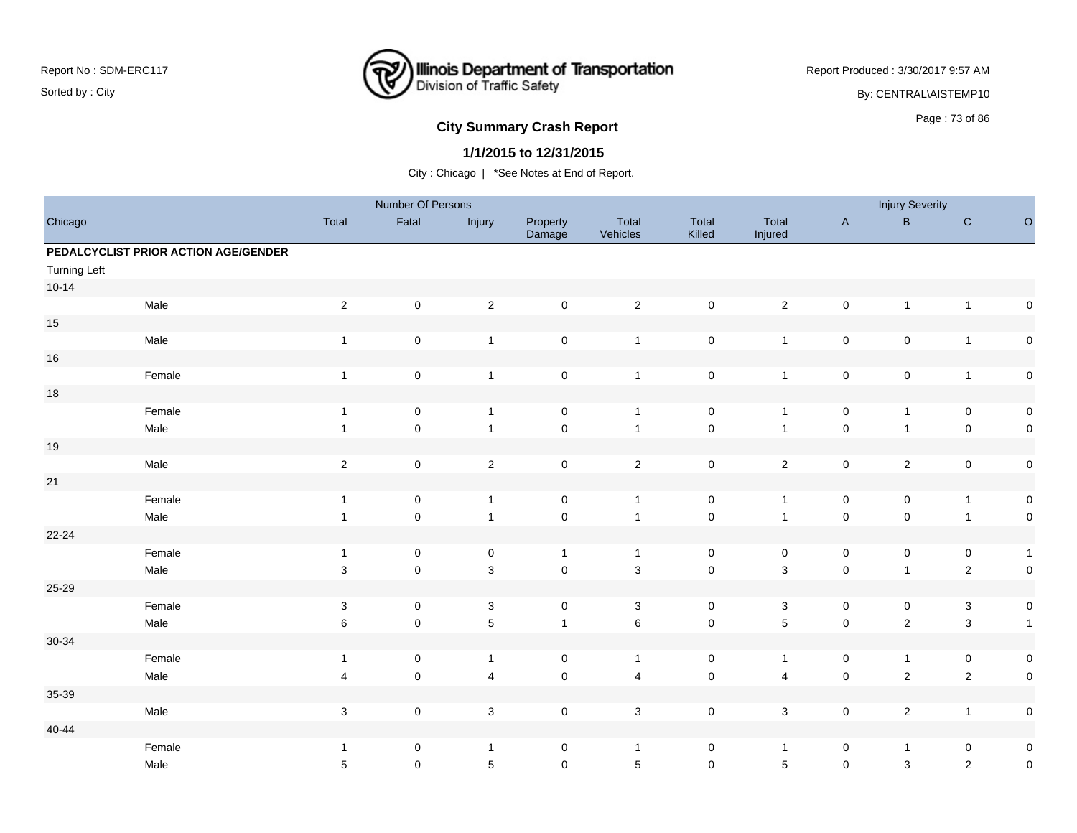

Report Produced : 3/30/2017 9:57 AM By: CENTRAL\AISTEMP10

## **City Summary Crash Report CLASH CRASH REPORT CONSTRUSS AND REPORT CONSTRUSS ASSESS**

### **1/1/2015 to 12/31/2015**

|                     |                                      |                           | Number Of Persons |                           |                     |                   |                     |                  |              | <b>Injury Severity</b>    |                |              |
|---------------------|--------------------------------------|---------------------------|-------------------|---------------------------|---------------------|-------------------|---------------------|------------------|--------------|---------------------------|----------------|--------------|
| Chicago             |                                      | Total                     | Fatal             | Injury                    | Property<br>Damage  | Total<br>Vehicles | Total<br>Killed     | Total<br>Injured | $\mathsf{A}$ | $\sf B$                   | ${\bf C}$      | $\circ$      |
|                     | PEDALCYCLIST PRIOR ACTION AGE/GENDER |                           |                   |                           |                     |                   |                     |                  |              |                           |                |              |
| <b>Turning Left</b> |                                      |                           |                   |                           |                     |                   |                     |                  |              |                           |                |              |
| $10 - 14$           |                                      |                           |                   |                           |                     |                   |                     |                  |              |                           |                |              |
|                     | Male                                 | $\sqrt{2}$                | $\mathbf 0$       | $\mathbf 2$               | $\mathsf{O}\xspace$ | $\overline{2}$    | $\mathbf 0$         | $\overline{2}$   | $\mathsf 0$  | $\mathbf{1}$              | $\overline{1}$ | $\pmb{0}$    |
| $15\,$              |                                      |                           |                   |                           |                     |                   |                     |                  |              |                           |                |              |
|                     | Male                                 | $\mathbf{1}$              | $\mathbf 0$       | $\overline{1}$            | $\mathsf{O}\xspace$ | $\overline{1}$    | $\mathsf 0$         | $\mathbf{1}$     | $\mathbf 0$  | $\pmb{0}$                 | $\overline{1}$ | $\pmb{0}$    |
| $16\,$              |                                      |                           |                   |                           |                     |                   |                     |                  |              |                           |                |              |
|                     | Female                               | $\mathbf{1}$              | $\mathbf 0$       | $\overline{1}$            | $\mathsf{O}\xspace$ | $\overline{1}$    | $\mathbf 0$         | $\mathbf{1}$     | $\mathsf 0$  | $\mathsf 0$               | $\mathbf{1}$   | $\pmb{0}$    |
| $18$                |                                      |                           |                   |                           |                     |                   |                     |                  |              |                           |                |              |
|                     | Female                               | $\mathbf{1}$              | $\pmb{0}$         | $\overline{1}$            | $\mathbf 0$         | $\overline{1}$    | $\pmb{0}$           | $\mathbf{1}$     | $\mathbf 0$  | $\mathbf{1}$              | $\mathbf 0$    | $\pmb{0}$    |
|                     | Male                                 | $\mathbf{1}$              | $\mathbf 0$       | $\mathbf{1}$              | $\mathsf{O}\xspace$ | $\overline{1}$    | $\mathbf 0$         | $\mathbf{1}$     | $\mathbf 0$  | $\mathbf{1}$              | $\mathbf 0$    | $\pmb{0}$    |
| $19$                |                                      |                           |                   |                           |                     |                   |                     |                  |              |                           |                |              |
|                     | Male                                 | $\sqrt{2}$                | $\mathbf 0$       | $\mathbf 2$               | $\mathsf{O}\xspace$ | $\overline{2}$    | $\mathbf 0$         | $\overline{a}$   | $\mathbf 0$  | $\overline{2}$            | $\mathsf 0$    | $\pmb{0}$    |
| 21                  |                                      |                           |                   |                           |                     |                   |                     |                  |              |                           |                |              |
|                     | Female                               | $\mathbf{1}$              | $\mathbf 0$       | $\mathbf{1}$              | $\mathsf{O}\xspace$ | $\overline{1}$    | $\mathbf 0$         | $\mathbf{1}$     | $\mathbf 0$  | 0                         | $\mathbf{1}$   | $\pmb{0}$    |
|                     | Male                                 | $\mathbf{1}$              | $\mathbf 0$       | $\mathbf{1}$              | $\pmb{0}$           | $\overline{1}$    | $\mathbf 0$         | $\overline{1}$   | $\pmb{0}$    | $\mathsf{O}\xspace$       | $\overline{1}$ | $\pmb{0}$    |
| $22 - 24$           |                                      |                           |                   |                           |                     |                   |                     |                  |              |                           |                |              |
|                     | Female                               | $\mathbf{1}$              | $\mathbf 0$       | $\mathsf{O}\xspace$       | $\mathbf{1}$        | $\overline{1}$    | $\mathbf 0$         | $\mathsf 0$      | $\mathbf 0$  | 0                         | $\mathbf 0$    | $\mathbf{1}$ |
|                     | Male                                 | 3                         | $\mathbf 0$       | $\mathbf{3}$              | $\pmb{0}$           | $\sqrt{3}$        | $\mathsf{O}\xspace$ | 3                | $\pmb{0}$    | $\mathbf{1}$              | $\sqrt{2}$     | $\pmb{0}$    |
| $25 - 29$           |                                      |                           |                   |                           |                     |                   |                     |                  |              |                           |                |              |
|                     | Female                               | $\sqrt{3}$                | $\pmb{0}$         | $\mathsf 3$               | $\mathbf 0$         | $\mathbf 3$       | $\mathbf 0$         | $\mathbf{3}$     | $\mathbf 0$  | 0                         | $\mathbf{3}$   | $\pmb{0}$    |
|                     | Male                                 | $\,6$                     | $\mathbf 0$       | $\sqrt{5}$                | $\mathbf{1}$        | $\,6\,$           | $\mathbf 0$         | 5                | $\mathbf 0$  | $\overline{c}$            | $\mathbf{3}$   | $\mathbf{1}$ |
| 30-34               |                                      |                           |                   |                           |                     |                   |                     |                  |              |                           |                |              |
|                     | Female                               | $\mathbf{1}$              | $\mathbf 0$       | $\mathbf{1}$              | 0                   | $\overline{1}$    | $\mathbf 0$         | $\mathbf{1}$     | 0            | $\mathbf{1}$              | $\mathbf 0$    | $\pmb{0}$    |
|                     | Male                                 | 4                         | $\pmb{0}$         | $\overline{4}$            | $\mathsf{O}\xspace$ | $\overline{4}$    | $\mathbf 0$         | 4                | $\mathbf 0$  | $\overline{c}$            | $\overline{2}$ | $\pmb{0}$    |
| 35-39               |                                      |                           |                   |                           |                     |                   |                     |                  |              |                           |                |              |
|                     | Male                                 | $\ensuremath{\mathsf{3}}$ | $\pmb{0}$         | $\ensuremath{\mathsf{3}}$ | $\mathsf{O}\xspace$ | $\sqrt{3}$        | $\mathbf 0$         | $\mathbf{3}$     | $\pmb{0}$    | $\overline{c}$            | $\overline{1}$ | $\pmb{0}$    |
| 40-44               |                                      |                           |                   |                           |                     |                   |                     |                  |              |                           |                |              |
|                     | Female                               | $\mathbf{1}$              | 0                 | $\overline{1}$            | $\mathsf{O}\xspace$ | $\overline{1}$    | $\pmb{0}$           | $\mathbf{1}$     | $\pmb{0}$    | $\mathbf{1}$              | $\mathbf 0$    | $\pmb{0}$    |
|                     | Male                                 | $\sqrt{5}$                | $\mathbf 0$       | $\overline{5}$            | $\mathbf 0$         | $\sqrt{5}$        | $\mathsf{O}\xspace$ | 5                | $\mathsf 0$  | $\ensuremath{\mathsf{3}}$ | $\sqrt{2}$     | $\pmb{0}$    |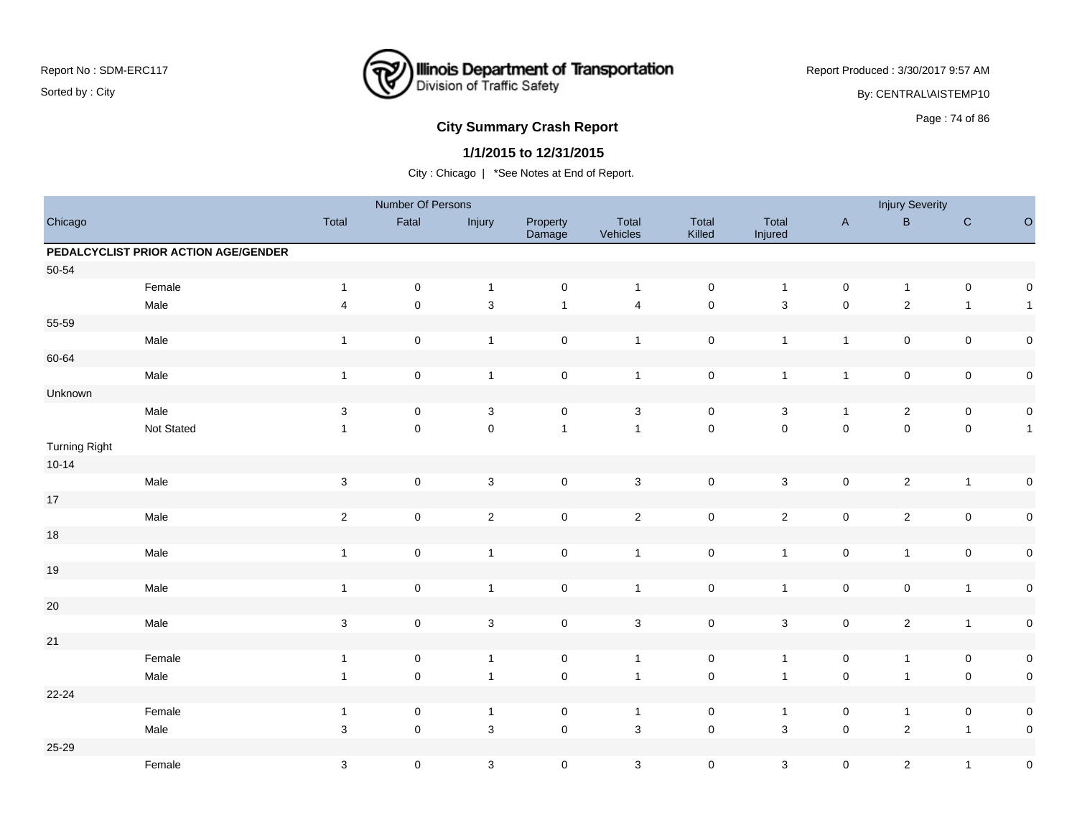

Report Produced : 3/30/2017 9:57 AM

By: CENTRAL\AISTEMP10

# **City Summary Crash Report CLASH CRASH REPORT CONSTRUSS AND REPORT CONSTRUSS ASSESS**

### **1/1/2015 to 12/31/2015**

|                      |                                      |                           | Number Of Persons   |                           |                     |                   |                     |                  |                | <b>Injury Severity</b> |                         |              |
|----------------------|--------------------------------------|---------------------------|---------------------|---------------------------|---------------------|-------------------|---------------------|------------------|----------------|------------------------|-------------------------|--------------|
| Chicago              |                                      | Total                     | Fatal               | Injury                    | Property<br>Damage  | Total<br>Vehicles | Total<br>Killed     | Total<br>Injured | $\mathsf A$    | $\sf B$                | ${\bf C}$               | $\circ$      |
|                      | PEDALCYCLIST PRIOR ACTION AGE/GENDER |                           |                     |                           |                     |                   |                     |                  |                |                        |                         |              |
| 50-54                |                                      |                           |                     |                           |                     |                   |                     |                  |                |                        |                         |              |
|                      | Female                               | $\mathbf{1}$              | $\mathbf 0$         | $\mathbf{1}$              | $\mathsf{O}\xspace$ | $\overline{1}$    | $\mathbf 0$         | $\mathbf{1}$     | $\mathbf 0$    | $\mathbf{1}$           | $\mathbf 0$             | $\pmb{0}$    |
|                      | Male                                 | $\overline{\mathbf{4}}$   | $\pmb{0}$           | $\mathbf{3}$              | $\mathbf{1}$        | $\overline{4}$    | $\mathbf 0$         | 3                | $\pmb{0}$      | $\overline{c}$         | $\mathbf{1}$            | $\mathbf{1}$ |
| 55-59                |                                      |                           |                     |                           |                     |                   |                     |                  |                |                        |                         |              |
|                      | Male                                 | $\mathbf{1}$              | $\mathbf 0$         | $\overline{1}$            | $\mathsf{O}\xspace$ | $\overline{1}$    | $\pmb{0}$           | $\mathbf{1}$     | $\overline{1}$ | $\pmb{0}$              | $\mathbf 0$             | $\pmb{0}$    |
| 60-64                |                                      |                           |                     |                           |                     |                   |                     |                  |                |                        |                         |              |
|                      | Male                                 | $\mathbf{1}$              | $\mathbf 0$         | $\overline{1}$            | $\mathsf{O}\xspace$ | $\mathbf{1}$      | $\mathbf 0$         | $\mathbf{1}$     | $\mathbf{1}$   | $\mathsf 0$            | $\mathbf 0$             | $\pmb{0}$    |
| Unknown              |                                      |                           |                     |                           |                     |                   |                     |                  |                |                        |                         |              |
|                      | Male                                 | $\sqrt{3}$                | $\pmb{0}$           | $\mathsf 3$               | $\mathsf{O}\xspace$ | $\mathbf 3$       | $\pmb{0}$           | $\mathbf{3}$     | $\overline{1}$ | $\overline{c}$         | $\mathbf 0$             | $\pmb{0}$    |
|                      | Not Stated                           | $\mathbf{1}$              | $\mathbf 0$         | $\pmb{0}$                 | $\mathbf{1}$        | $\overline{1}$    | $\mathsf{O}\xspace$ | $\mathsf 0$      | $\mathbf 0$    | $\mathsf{O}\xspace$    | $\mathbf 0$             | $\mathbf{1}$ |
| <b>Turning Right</b> |                                      |                           |                     |                           |                     |                   |                     |                  |                |                        |                         |              |
| $10 - 14$            |                                      |                           |                     |                           |                     |                   |                     |                  |                |                        |                         |              |
|                      | Male                                 | $\ensuremath{\mathsf{3}}$ | $\pmb{0}$           | $\sqrt{3}$                | $\mathsf{O}\xspace$ | $\sqrt{3}$        | $\mathbf 0$         | $\mathbf{3}$     | $\mathbf 0$    | $\overline{2}$         | $\overline{\mathbf{1}}$ | $\pmb{0}$    |
| 17                   |                                      |                           |                     |                           |                     |                   |                     |                  |                |                        |                         |              |
|                      | Male                                 | $\sqrt{2}$                | $\pmb{0}$           | $\sqrt{2}$                | $\mathbf 0$         | $\mathbf{2}$      | $\pmb{0}$           | $\overline{c}$   | $\mathbf 0$    | $\overline{c}$         | $\mathbf 0$             | $\pmb{0}$    |
| $18\,$               |                                      |                           |                     |                           |                     |                   |                     |                  |                |                        |                         |              |
|                      | Male                                 | $\mathbf{1}$              | $\mathbf 0$         | $\mathbf{1}$              | $\mathsf{O}\xspace$ | $\overline{1}$    | $\mathbf 0$         | $\mathbf{1}$     | $\mathbf 0$    | $\mathbf{1}$           | $\mathbf 0$             | $\pmb{0}$    |
| $19$                 |                                      |                           |                     |                           |                     |                   |                     |                  |                |                        |                         |              |
|                      | Male                                 | $\mathbf{1}$              | $\pmb{0}$           | $\overline{1}$            | $\mathsf{O}\xspace$ | $\overline{1}$    | $\pmb{0}$           | $\mathbf{1}$     | $\mathbf 0$    | $\pmb{0}$              | $\overline{1}$          | $\pmb{0}$    |
| $20\,$               |                                      |                           |                     |                           |                     |                   |                     |                  |                |                        |                         |              |
|                      | Male                                 | $\sqrt{3}$                | $\mathbf 0$         | $\ensuremath{\mathsf{3}}$ | $\mathsf{O}\xspace$ | $\sqrt{3}$        | $\mathbf 0$         | $\mathbf{3}$     | $\mathbf 0$    | $\overline{c}$         | $\overline{1}$          | $\pmb{0}$    |
| $21\,$               |                                      |                           |                     |                           |                     |                   |                     |                  |                |                        |                         |              |
|                      | Female                               | $\mathbf{1}$              | $\mathbf 0$         | $\mathbf{1}$              | $\mathbf 0$         | $\overline{1}$    | $\mathbf 0$         | $\mathbf{1}$     | $\mathbf 0$    | $\mathbf{1}$           | $\mathbf 0$             | $\pmb{0}$    |
|                      | Male                                 | $\mathbf{1}$              | $\mathsf{O}\xspace$ | $\overline{1}$            | $\mathsf{O}\xspace$ | $\overline{1}$    | $\mathsf{O}\xspace$ | $\mathbf{1}$     | $\mathsf{O}$   | $\mathbf{1}$           | $\mathbf 0$             | $\pmb{0}$    |
| 22-24                |                                      |                           |                     |                           |                     |                   |                     |                  |                |                        |                         |              |
|                      | Female                               | $\mathbf{1}$              | $\pmb{0}$           | $\mathbf{1}$              | $\mathsf{O}\xspace$ | $\overline{1}$    | $\mathbf 0$         | $\mathbf{1}$     | $\pmb{0}$      | $\mathbf{1}$           | $\pmb{0}$               | $\pmb{0}$    |
|                      | Male                                 | 3                         | $\mathsf{O}\xspace$ | 3                         | $\mathbf 0$         | $\mathbf{3}$      | $\mathsf{O}\xspace$ | $\mathbf{3}$     | $\mathbf 0$    | $\overline{c}$         | $\overline{1}$          | $\pmb{0}$    |
| $25 - 29$            |                                      |                           |                     |                           |                     |                   |                     |                  |                |                        |                         |              |
|                      | Female                               | $\ensuremath{\mathsf{3}}$ | $\pmb{0}$           | $\mathsf 3$               | $\pmb{0}$           | $\mathbf 3$       | $\pmb{0}$           | $\mathbf{3}$     | $\mathsf 0$    | $\overline{c}$         | $\mathbf{1}$            | $\pmb{0}$    |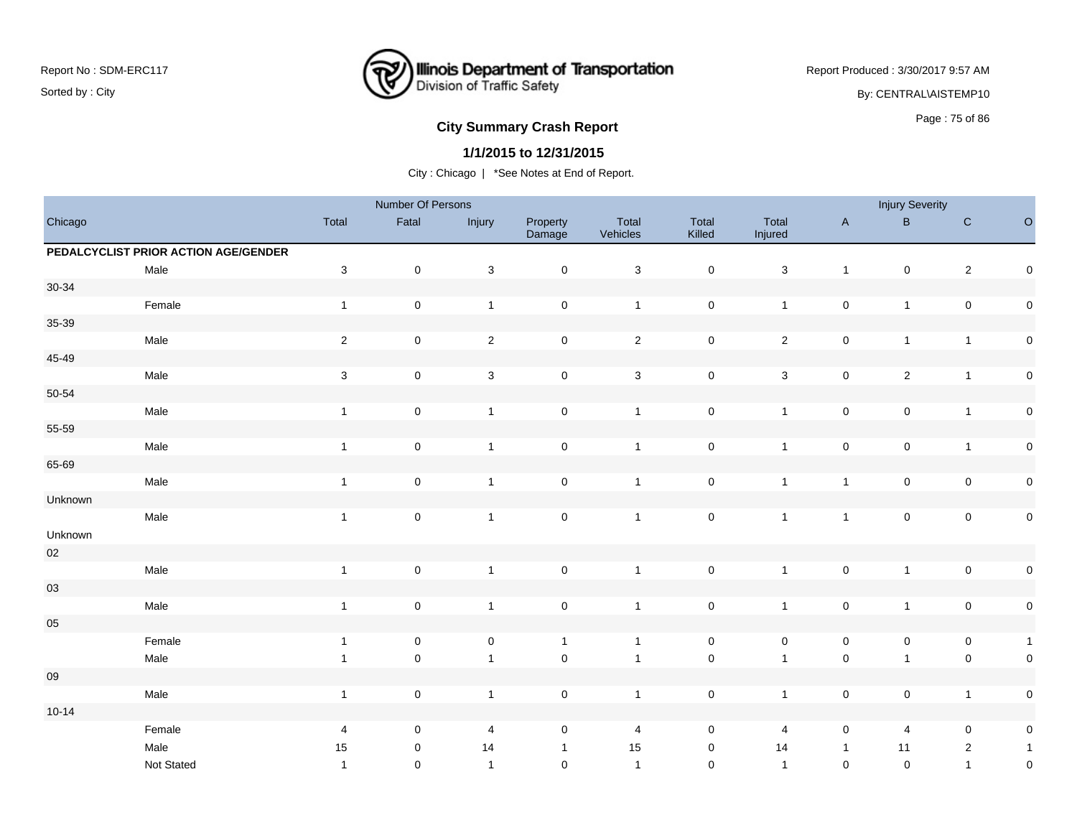

Report Produced : 3/30/2017 9:57 AM By: CENTRAL\AISTEMP10

## Page : 75 of 86 **City Summary Crash Report**

#### **1/1/2015 to 12/31/2015**

|            |                                      |                           | Number Of Persons   |                           |                     |                           |                     |                  |                     | <b>Injury Severity</b> |                |                     |
|------------|--------------------------------------|---------------------------|---------------------|---------------------------|---------------------|---------------------------|---------------------|------------------|---------------------|------------------------|----------------|---------------------|
| Chicago    |                                      | Total                     | Fatal               | Injury                    | Property<br>Damage  | Total<br>Vehicles         | Total<br>Killed     | Total<br>Injured | $\mathsf{A}$        | $\mathsf B$            | $\mathbf C$    | $\circ$             |
|            | PEDALCYCLIST PRIOR ACTION AGE/GENDER |                           |                     |                           |                     |                           |                     |                  |                     |                        |                |                     |
|            | Male                                 | $\sqrt{3}$                | $\mathbf 0$         | 3                         | $\pmb{0}$           | $\ensuremath{\mathsf{3}}$ | $\mathsf{O}\xspace$ | $\sqrt{3}$       | $\mathbf{1}$        | $\pmb{0}$              | $\mathbf 2$    | $\mathsf{O}\xspace$ |
| $30 - 34$  |                                      |                           |                     |                           |                     |                           |                     |                  |                     |                        |                |                     |
|            | Female                               | $\overline{1}$            | $\mathsf{O}\xspace$ | $\mathbf{1}$              | $\pmb{0}$           | $\mathbf{1}$              | $\mathsf{O}\xspace$ | $\mathbf{1}$     | $\mathsf 0$         | $\mathbf{1}$           | $\mathbf 0$    | $\mathsf{O}\xspace$ |
| 35-39      |                                      |                           |                     |                           |                     |                           |                     |                  |                     |                        |                |                     |
|            | Male                                 | $\sqrt{2}$                | $\mathbf 0$         | $\sqrt{2}$                | $\mathbf 0$         | $\sqrt{2}$                | $\mathsf{O}\xspace$ | $\overline{2}$   | $\mathsf 0$         | $\mathbf{1}$           | $\mathbf{1}$   | $\mathsf{O}\xspace$ |
| 45-49      |                                      |                           |                     |                           |                     |                           |                     |                  |                     |                        |                |                     |
|            | Male                                 | $\ensuremath{\mathsf{3}}$ | $\mathsf{O}\xspace$ | $\ensuremath{\mathsf{3}}$ | $\pmb{0}$           | $\ensuremath{\mathsf{3}}$ | $\pmb{0}$           | $\mathbf 3$      | $\mathbf 0$         | $\sqrt{2}$             | $\mathbf{1}$   | $\mathbf 0$         |
| 50-54      |                                      |                           |                     |                           |                     |                           |                     |                  |                     |                        |                |                     |
|            | Male                                 | $\overline{1}$            | $\mathsf{O}\xspace$ | $\mathbf{1}$              | $\pmb{0}$           | $\mathbf{1}$              | $\mathsf{O}\xspace$ | $\overline{1}$   | $\mathsf 0$         | $\mathbf 0$            | $\mathbf{1}$   | $\mathsf{O}\xspace$ |
| 55-59      |                                      |                           |                     |                           |                     |                           |                     |                  |                     |                        |                |                     |
|            | Male                                 | $\mathbf{1}$              | $\mathbf 0$         | $\mathbf{1}$              | $\mathsf 0$         | $\mathbf{1}$              | $\mathsf 0$         | $\mathbf{1}$     | $\mathbf 0$         | $\mathsf 0$            | $\mathbf{1}$   | $\mathbf 0$         |
| 65-69      |                                      |                           |                     |                           |                     |                           |                     |                  |                     |                        |                |                     |
|            | Male                                 | $\overline{1}$            | $\mathsf{O}\xspace$ | $\mathbf{1}$              | $\pmb{0}$           | $\mathbf{1}$              | $\mathbf 0$         | $\overline{1}$   | $\mathbf{1}$        | $\mathsf 0$            | $\mathbf 0$    | $\mathsf{O}\xspace$ |
| Unknown    |                                      |                           |                     |                           |                     |                           |                     |                  |                     |                        |                |                     |
|            | Male                                 | $\mathbf{1}$              | $\mathsf{O}\xspace$ | $\mathbf{1}$              | $\pmb{0}$           | $\mathbf{1}$              | $\mathsf 0$         | $\mathbf{1}$     | $\mathbf{1}$        | $\mathbf 0$            | $\pmb{0}$      | $\mathbf 0$         |
| Unknown    |                                      |                           |                     |                           |                     |                           |                     |                  |                     |                        |                |                     |
| $02\,$     |                                      |                           |                     |                           |                     |                           |                     |                  |                     |                        |                |                     |
|            | Male                                 | $\overline{1}$            | $\mathbf 0$         | $\mathbf{1}$              | $\mathsf{O}\xspace$ | $\mathbf{1}$              | $\mathsf 0$         | $\overline{1}$   | $\mathbf 0$         | $\mathbf{1}$           | $\mathbf 0$    | $\mathbf 0$         |
| $03\,$     |                                      |                           |                     |                           |                     |                           |                     |                  |                     |                        |                |                     |
|            | Male                                 | $\mathbf{1}$              | $\mathsf{O}$        | $\mathbf{1}$              | $\mathsf 0$         | $\mathbf{1}$              | $\pmb{0}$           | $\overline{1}$   | $\pmb{0}$           | $\mathbf{1}$           | $\mathbf 0$    | $\mathsf{O}\xspace$ |
| $05\,$     |                                      |                           |                     |                           |                     |                           |                     |                  |                     |                        |                |                     |
|            | Female                               | $\mathbf{1}$              | $\pmb{0}$           | $\pmb{0}$                 | $\mathbf{1}$        | $\mathbf{1}$              | $\mathbf 0$         | $\pmb{0}$        | $\pmb{0}$           | $\pmb{0}$              | $\pmb{0}$      | $\mathbf{1}$        |
|            | Male                                 | $\overline{1}$            | $\mathbf 0$         | $\mathbf{1}$              | $\mathbf 0$         | $\mathbf{1}$              | $\mathbf 0$         | $\overline{1}$   | $\mathbf 0$         | $\mathbf{1}$           | $\pmb{0}$      | $\mathbf 0$         |
| ${\bf 09}$ |                                      |                           |                     |                           |                     |                           |                     |                  |                     |                        |                |                     |
|            | Male                                 | $\overline{1}$            | $\mathsf{O}\xspace$ | $\mathbf{1}$              | $\mathbf 0$         | $\mathbf{1}$              | $\mathsf{O}\xspace$ | $\mathbf{1}$     | $\mathsf{O}\xspace$ | $\mathbf 0$            | $\mathbf{1}$   | $\mathsf{O}\xspace$ |
| $10 - 14$  |                                      |                           |                     |                           |                     |                           |                     |                  |                     |                        |                |                     |
|            | Female                               | $\overline{4}$            | 0                   | 4                         | $\mathsf 0$         | 4                         | $\mathbf 0$         | 4                | $\mathbf 0$         | $\overline{4}$         | $\pmb{0}$      | $\mathsf{O}\xspace$ |
|            | Male                                 | 15                        | 0                   | 14                        | $\mathbf{1}$        | 15                        | 0                   | 14               | $\mathbf{1}$        | 11                     | $\overline{2}$ | $\mathbf{1}$        |
|            | Not Stated                           | $\overline{1}$            | $\mathbf 0$         | $\mathbf{1}$              | $\mathbf 0$         | $\overline{1}$            | $\mathbf 0$         | $\overline{1}$   | $\pmb{0}$           | $\mathbf 0$            | $\mathbf{1}$   | $\mathsf{O}\xspace$ |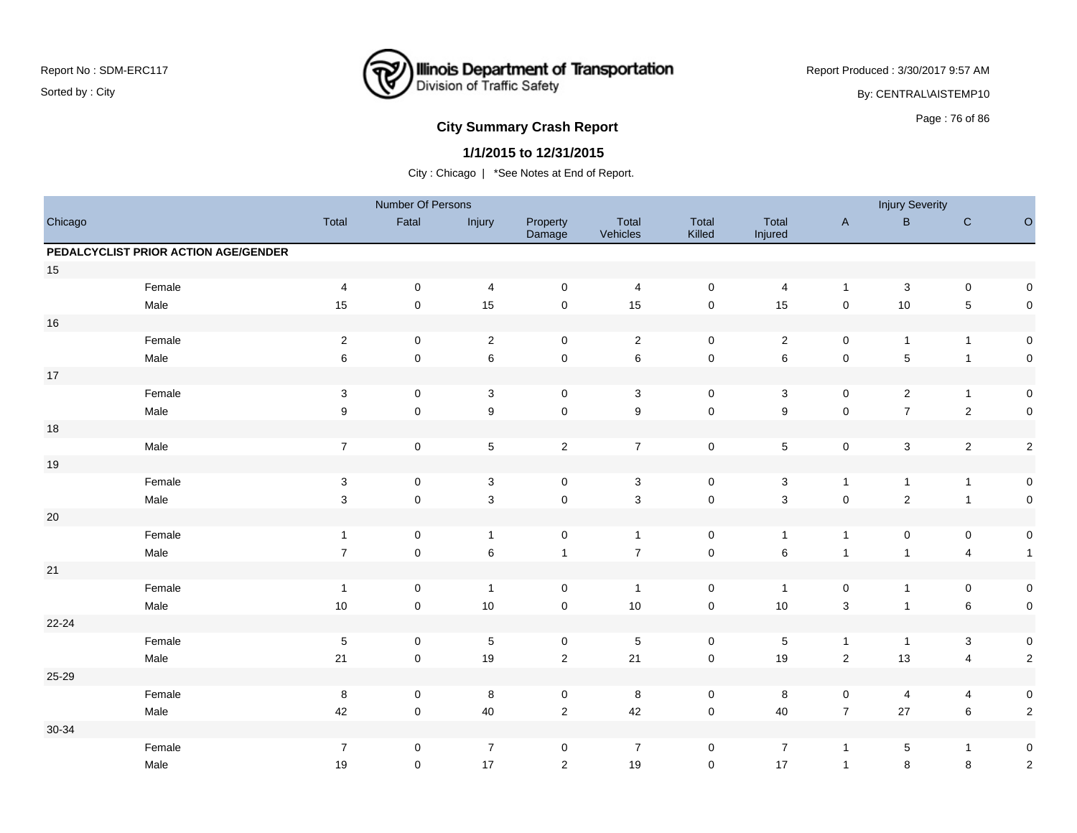

Report Produced : 3/30/2017 9:57 AM By: CENTRAL\AISTEMP10

# **City Summary Crash Report CLASH CRASH REPORT CONSTRUSS AND REPORT CONSTRUSSION CONSTRUSS AND REPORT OF SCHOOL CONSTRUSS AND REPORT OF SCHOOL CONSTRUCT AND REPORT OF SCHOOL CONSTRUCT AND REPORT OF SCHOOL CONSTRUCT AND RE**

### **1/1/2015 to 12/31/2015**

|         |                                      |                  | Number Of Persons   |                           |                     |                   |                 |                  |                     | <b>Injury Severity</b>  |                           |                |
|---------|--------------------------------------|------------------|---------------------|---------------------------|---------------------|-------------------|-----------------|------------------|---------------------|-------------------------|---------------------------|----------------|
| Chicago |                                      | Total            | Fatal               | Injury                    | Property<br>Damage  | Total<br>Vehicles | Total<br>Killed | Total<br>Injured | $\mathsf{A}$        | $\, {\bf B}$            | ${\bf C}$                 | $\mathsf O$    |
|         | PEDALCYCLIST PRIOR ACTION AGE/GENDER |                  |                     |                           |                     |                   |                 |                  |                     |                         |                           |                |
| $15\,$  |                                      |                  |                     |                           |                     |                   |                 |                  |                     |                         |                           |                |
|         | Female                               | $\overline{4}$   | $\mathsf 0$         | 4                         | $\mathbf 0$         | $\overline{4}$    | $\pmb{0}$       | 4                | $\mathbf{1}$        | $\sqrt{3}$              | $\mathbf 0$               | $\mathsf 0$    |
|         | Male                                 | 15               | $\mathsf 0$         | 15                        | $\mathsf 0$         | 15                | $\pmb{0}$       | 15               | $\mathsf 0$         | 10                      | $\sqrt{5}$                | $\mathsf 0$    |
| 16      |                                      |                  |                     |                           |                     |                   |                 |                  |                     |                         |                           |                |
|         | Female                               | $\sqrt{2}$       | $\mathbf 0$         | $\overline{2}$            | $\mathbf 0$         | $\overline{2}$    | $\mathsf 0$     | $\overline{2}$   | $\mathbf 0$         | $\mathbf{1}$            | $\overline{1}$            | $\mathsf 0$    |
|         | Male                                 | 6                | $\mathsf 0$         | $\,6$                     | $\mathsf{O}\xspace$ | $\,6\,$           | $\pmb{0}$       | $\,6\,$          | $\mathsf{O}\xspace$ | 5                       | $\overline{1}$            | $\mathsf 0$    |
| $17\,$  |                                      |                  |                     |                           |                     |                   |                 |                  |                     |                         |                           |                |
|         | Female                               | $\mathbf{3}$     | $\pmb{0}$           | $\sqrt{3}$                | $\mathsf 0$         | $\mathbf{3}$      | $\mathsf 0$     | $\sqrt{3}$       | $\mathbf 0$         | $\overline{c}$          | $\mathbf{1}$              | $\mathsf 0$    |
|         | Male                                 | $\boldsymbol{9}$ | $\mathsf{O}\xspace$ | $\overline{9}$            | $\mathsf{O}\xspace$ | $\boldsymbol{9}$  | $\pmb{0}$       | $\boldsymbol{9}$ | $\mathsf{O}\xspace$ | $\overline{7}$          | $\overline{2}$            | $\mathsf 0$    |
| 18      |                                      |                  |                     |                           |                     |                   |                 |                  |                     |                         |                           |                |
|         | Male                                 | $\boldsymbol{7}$ | $\mathbf 0$         | $\mathbf 5$               | $\overline{2}$      | $\overline{7}$    | $\pmb{0}$       | $\sqrt{5}$       | $\mathsf{O}\xspace$ | $\mathbf{3}$            | $\overline{2}$            | $\sqrt{2}$     |
| $19$    |                                      |                  |                     |                           |                     |                   |                 |                  |                     |                         |                           |                |
|         | Female                               | $\mathbf{3}$     | $\pmb{0}$           | $\sqrt{3}$                | $\mathbf 0$         | $\mathbf{3}$      | 0               | $\sqrt{3}$       | $\mathbf{1}$        | $\mathbf{1}$            | $\mathbf{1}$              | $\pmb{0}$      |
|         | Male                                 | $\sqrt{3}$       | $\mathsf 0$         | $\ensuremath{\mathsf{3}}$ | $\mathsf{O}\xspace$ | $\sqrt{3}$        | $\pmb{0}$       | $\mathbf{3}$     | $\mathsf{O}\xspace$ | $\overline{c}$          | $\mathbf{1}$              | $\mathsf 0$    |
| $20\,$  |                                      |                  |                     |                           |                     |                   |                 |                  |                     |                         |                           |                |
|         | Female                               | $\overline{1}$   | 0                   | $\overline{1}$            | 0                   | $\overline{1}$    | 0               | $\mathbf{1}$     | $\mathbf{1}$        | 0                       | $\mathbf 0$               | $\pmb{0}$      |
|         | Male                                 | $\overline{7}$   | $\mathsf 0$         | $\,6$                     | $\mathbf{1}$        | $\overline{7}$    | $\pmb{0}$       | $\,6\,$          | $\mathbf{1}$        | $\mathbf{1}$            | $\overline{4}$            | $\mathbf{1}$   |
| $21$    |                                      |                  |                     |                           |                     |                   |                 |                  |                     |                         |                           |                |
|         | Female                               | $\overline{1}$   | $\pmb{0}$           | $\overline{1}$            | $\pmb{0}$           | $\overline{1}$    | $\pmb{0}$       | $\overline{1}$   | $\pmb{0}$           | $\mathbf{1}$            | $\pmb{0}$                 | $\pmb{0}$      |
|         | Male                                 | $10\,$           | $\mathsf 0$         | 10                        | $\mathbf 0$         | 10                | $\mathsf 0$     | $10$             | $\mathbf 3$         | $\mathbf{1}$            | $\,6\,$                   | $\mathsf 0$    |
| 22-24   |                                      |                  |                     |                           |                     |                   |                 |                  |                     |                         |                           |                |
|         | Female                               | $\sqrt{5}$       | $\pmb{0}$           | $\sqrt{5}$                | $\mathsf 0$         | $\sqrt{5}$        | $\pmb{0}$       | $\,$ 5 $\,$      | $\overline{1}$      | $\mathbf{1}$            | $\ensuremath{\mathsf{3}}$ | $\pmb{0}$      |
|         | Male                                 | $21$             | $\pmb{0}$           | 19                        | $\mathbf 2$         | 21                | $\pmb{0}$       | 19               | $\sqrt{2}$          | 13                      | $\overline{4}$            | $\overline{2}$ |
| 25-29   |                                      |                  |                     |                           |                     |                   |                 |                  |                     |                         |                           |                |
|         | Female                               | 8                | 0                   | 8                         | 0                   | 8                 | 0               | 8                | $\mathbf 0$         | $\overline{\mathbf{4}}$ | 4                         | $\pmb{0}$      |
|         | Male                                 | 42               | $\mathsf 0$         | 40                        | $\mathbf 2$         | 42                | $\pmb{0}$       | 40               | $\boldsymbol{7}$    | $27\,$                  | $\,6\,$                   | $\sqrt{2}$     |
| 30-34   |                                      |                  |                     |                           |                     |                   |                 |                  |                     |                         |                           |                |
|         | Female                               | $\overline{7}$   | 0                   | $\overline{7}$            | $\mathbf 0$         | $\overline{7}$    | 0               | $\overline{7}$   | $\mathbf{1}$        | 5                       | $\mathbf{1}$              | $\pmb{0}$      |
|         | Male                                 | 19               | $\mathbf 0$         | 17                        | $\overline{2}$      | 19                | $\mathbf 0$     | 17               | $\mathbf{1}$        | 8                       | $\,8\,$                   | $\sqrt{2}$     |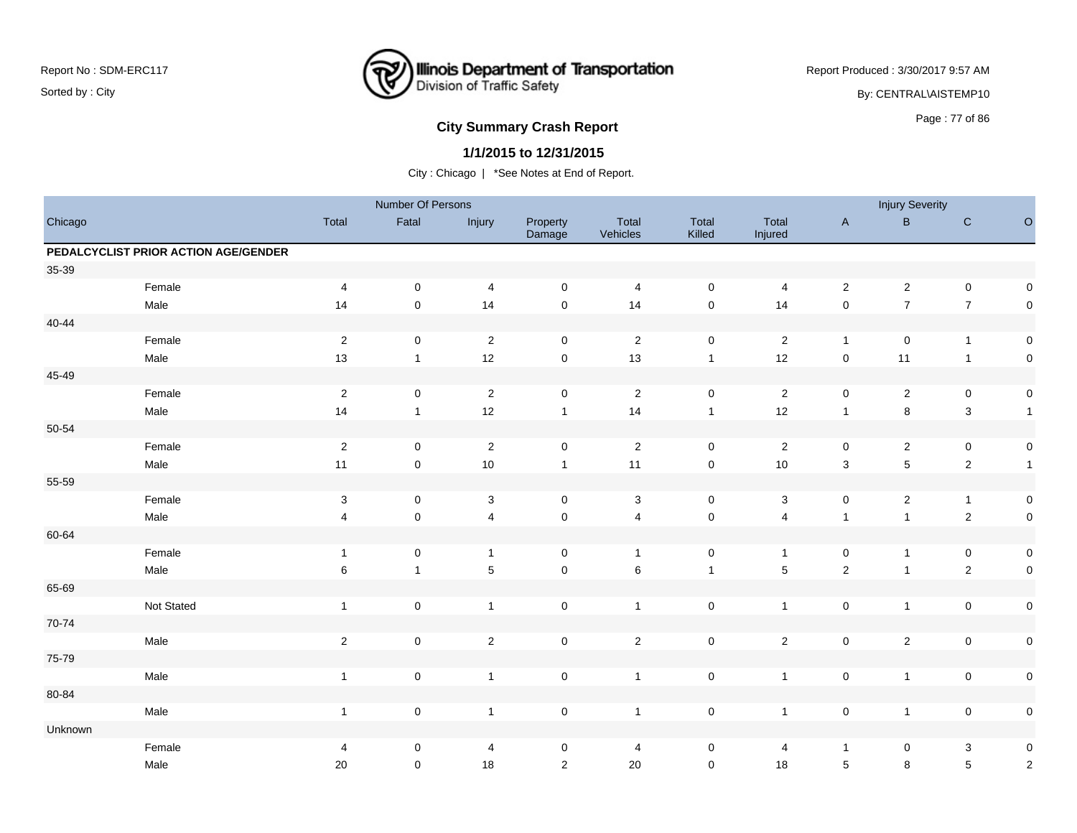

Report Produced : 3/30/2017 9:57 AM

By: CENTRAL\AISTEMP10

# Page : 77 of 86 **City Summary Crash Report**

### **1/1/2015 to 12/31/2015**

|           |                                      |                         | Number Of Persons |                |                     |                   |                     |                         |                | <b>Injury Severity</b> |                  |              |
|-----------|--------------------------------------|-------------------------|-------------------|----------------|---------------------|-------------------|---------------------|-------------------------|----------------|------------------------|------------------|--------------|
| Chicago   |                                      | Total                   | Fatal             | Injury         | Property<br>Damage  | Total<br>Vehicles | Total<br>Killed     | Total<br>Injured        | $\mathsf A$    | $\sf B$                | ${\bf C}$        | $\circ$      |
|           | PEDALCYCLIST PRIOR ACTION AGE/GENDER |                         |                   |                |                     |                   |                     |                         |                |                        |                  |              |
| 35-39     |                                      |                         |                   |                |                     |                   |                     |                         |                |                        |                  |              |
|           | Female                               | $\overline{4}$          | $\mathbf 0$       | $\overline{4}$ | $\mathbf 0$         | 4                 | $\mathbf 0$         | $\overline{4}$          | $\overline{2}$ | $\overline{c}$         | $\mathbf 0$      | $\pmb{0}$    |
|           | Male                                 | 14                      | $\mathsf 0$       | 14             | $\mathbf 0$         | 14                | $\mathsf{O}\xspace$ | 14                      | $\mathsf 0$    | $\boldsymbol{7}$       | $\boldsymbol{7}$ | $\pmb{0}$    |
| $40 - 44$ |                                      |                         |                   |                |                     |                   |                     |                         |                |                        |                  |              |
|           | Female                               | $\sqrt{2}$              | $\mathbf 0$       | $\overline{2}$ | $\mathbf 0$         | $\sqrt{2}$        | $\mathbf 0$         | $\overline{2}$          | $\mathbf{1}$   | $\mathbf 0$            | $\overline{1}$   | $\pmb{0}$    |
|           | Male                                 | 13                      | $\mathbf{1}$      | 12             | $\mathsf{O}\xspace$ | 13                | $\mathbf{1}$        | 12                      | $\mathbf 0$    | 11                     | $\overline{1}$   | $\pmb{0}$    |
| 45-49     |                                      |                         |                   |                |                     |                   |                     |                         |                |                        |                  |              |
|           | Female                               | $\sqrt{2}$              | $\mathbf 0$       | $\sqrt{2}$     | $\mathsf 0$         | $\sqrt{2}$        | $\mathbf 0$         | $\overline{\mathbf{c}}$ | $\mathsf 0$    | $\overline{c}$         | $\mathbf 0$      | $\pmb{0}$    |
|           | Male                                 | 14                      | $\mathbf{1}$      | 12             | $\mathbf{1}$        | 14                | $\mathbf{1}$        | 12                      | $\mathbf{1}$   | 8                      | $\mathbf{3}$     | $\mathbf{1}$ |
| 50-54     |                                      |                         |                   |                |                     |                   |                     |                         |                |                        |                  |              |
|           | Female                               | $\sqrt{2}$              | $\mathbf 0$       | $\sqrt{2}$     | $\mathsf{O}\xspace$ | $\sqrt{2}$        | $\mathbf 0$         | $\overline{2}$          | $\pmb{0}$      | $\overline{c}$         | $\pmb{0}$        | $\pmb{0}$    |
|           | Male                                 | 11                      | $\mathsf 0$       | 10             | $\mathbf{1}$        | 11                | $\mathbf 0$         | 10                      | $\mathbf{3}$   | $\overline{5}$         | $\mathbf 2$      | $\mathbf{1}$ |
| 55-59     |                                      |                         |                   |                |                     |                   |                     |                         |                |                        |                  |              |
|           | Female                               | $\mathsf 3$             | $\mathbf 0$       | $\mathbf{3}$   | $\mathbf 0$         | 3                 | $\pmb{0}$           | $\mathbf{3}$            | $\mathsf 0$    | $\overline{c}$         | $\mathbf{1}$     | $\pmb{0}$    |
|           | Male                                 | $\overline{\mathbf{4}}$ | $\mathsf 0$       | $\overline{4}$ | $\pmb{0}$           | $\overline{4}$    | $\mathbf 0$         | $\overline{4}$          | $\mathbf{1}$   | $\mathbf{1}$           | $\mathbf 2$      | $\pmb{0}$    |
| 60-64     |                                      |                         |                   |                |                     |                   |                     |                         |                |                        |                  |              |
|           | Female                               | $\overline{1}$          | $\mathsf 0$       | $\overline{1}$ | $\mathbf 0$         | $\overline{1}$    | $\mathbf 0$         | $\mathbf{1}$            | $\mathsf 0$    | $\mathbf{1}$           | $\pmb{0}$        | $\pmb{0}$    |
|           | Male                                 | 6                       | $\mathbf{1}$      | $\overline{5}$ | $\pmb{0}$           | $6\phantom{1}6$   | $\mathbf{1}$        | $\overline{5}$          | $\mathbf 2$    | $\mathbf{1}$           | $\mathbf 2$      | $\pmb{0}$    |
| 65-69     |                                      |                         |                   |                |                     |                   |                     |                         |                |                        |                  |              |
|           | Not Stated                           | $\mathbf{1}$            | $\pmb{0}$         | $\overline{1}$ | $\mathsf 0$         | $\overline{1}$    | $\pmb{0}$           | $\mathbf{1}$            | $\mathsf 0$    | $\mathbf{1}$           | $\mathbf 0$      | $\pmb{0}$    |
| 70-74     |                                      |                         |                   |                |                     |                   |                     |                         |                |                        |                  |              |
|           | Male                                 | $\sqrt{2}$              | $\mathsf 0$       | $\sqrt{2}$     | $\mathsf 0$         | $\sqrt{2}$        | $\mathbf 0$         | $\overline{c}$          | $\mathsf 0$    | $\mathbf{2}$           | $\pmb{0}$        | $\pmb{0}$    |
| 75-79     |                                      |                         |                   |                |                     |                   |                     |                         |                |                        |                  |              |
|           | Male                                 | $\mathbf{1}$            | $\pmb{0}$         | $\mathbf{1}$   | $\mathsf 0$         | $\mathbf{1}$      | $\pmb{0}$           | $\mathbf{1}$            | $\mathbf 0$    | $\mathbf{1}$           | $\mathbf 0$      | $\pmb{0}$    |
| 80-84     |                                      |                         |                   |                |                     |                   |                     |                         |                |                        |                  |              |
|           | Male                                 | $\mathbf{1}$            | $\pmb{0}$         | $\overline{1}$ | $\mathsf 0$         | $\overline{1}$    | $\mathbf 0$         | $\mathbf{1}$            | $\mathsf 0$    | $\mathbf{1}$           | $\mathsf 0$      | $\pmb{0}$    |
| Unknown   |                                      |                         |                   |                |                     |                   |                     |                         |                |                        |                  |              |
|           | Female                               | 4                       | 0                 | $\overline{4}$ | 0                   | 4                 | 0                   | 4                       | $\mathbf{1}$   | 0                      | $\mathbf{3}$     | $\pmb{0}$    |
|           | Male                                 | 20                      | $\mathbf 0$       | 18             | $\overline{2}$      | 20                | $\mathsf{O}\xspace$ | 18                      | $\sqrt{5}$     | 8                      | $\sqrt{5}$       | $\sqrt{2}$   |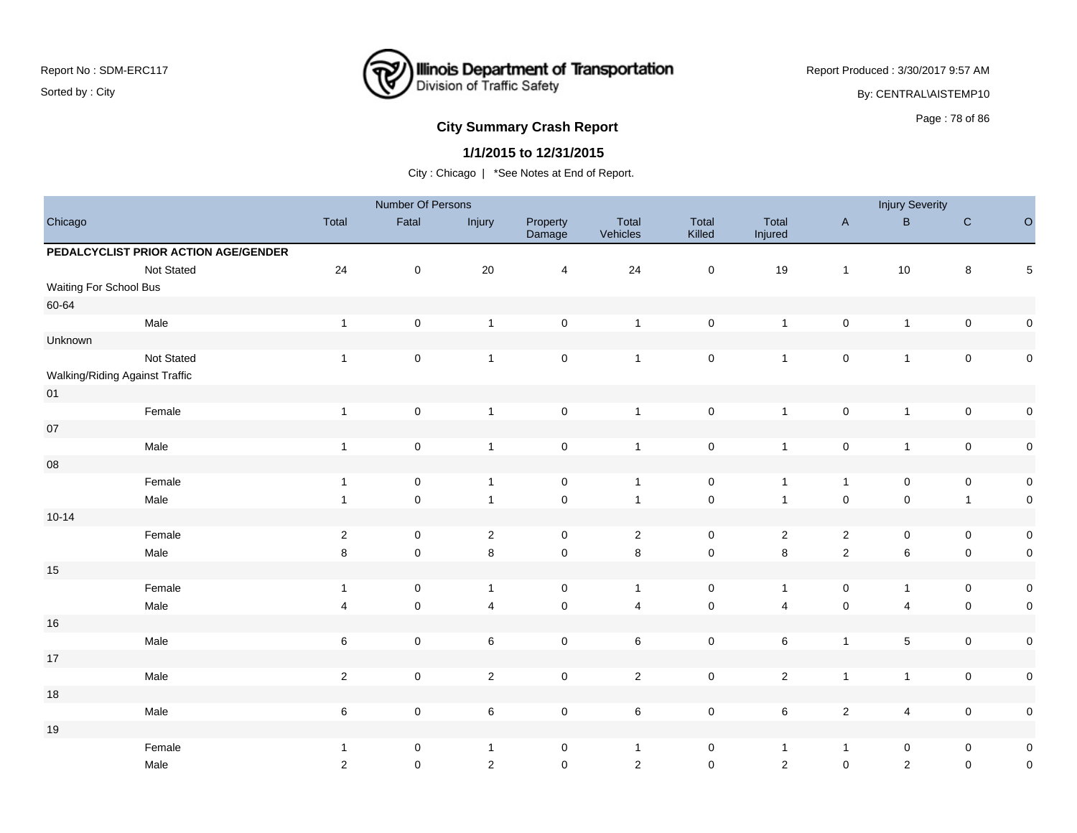

Report Produced : 3/30/2017 9:57 AM

By: CENTRAL\AISTEMP10

# **City Summary Crash Report CLASH CRASH REPORT CONSTRUSS AND REPORT CONSTRUSSION CONSTRUSS AND REPORT OF SCHOOL CONSTRUSS AND REPORT OF SCHOOL CONSTRUCTS**

### **1/1/2015 to 12/31/2015**

|                                |                                      |                         | Number Of Persons   |                |                    |                   |                     |                  |                     | <b>Injury Severity</b>  |              |             |
|--------------------------------|--------------------------------------|-------------------------|---------------------|----------------|--------------------|-------------------|---------------------|------------------|---------------------|-------------------------|--------------|-------------|
| Chicago                        |                                      | Total                   | Fatal               | Injury         | Property<br>Damage | Total<br>Vehicles | Total<br>Killed     | Total<br>Injured | $\mathsf A$         | $\sf B$                 | ${\bf C}$    | $\circ$     |
|                                | PEDALCYCLIST PRIOR ACTION AGE/GENDER |                         |                     |                |                    |                   |                     |                  |                     |                         |              |             |
|                                | Not Stated                           | 24                      | $\pmb{0}$           | 20             | $\overline{4}$     | 24                | $\mathsf{O}\xspace$ | 19               | $\overline{1}$      | 10                      | $\bf8$       | $\mathbf 5$ |
| Waiting For School Bus         |                                      |                         |                     |                |                    |                   |                     |                  |                     |                         |              |             |
| 60-64                          |                                      |                         |                     |                |                    |                   |                     |                  |                     |                         |              |             |
|                                | Male                                 | $\mathbf{1}$            | $\mathsf 0$         | $\overline{1}$ | $\mathsf 0$        | $\overline{1}$    | $\mathbf 0$         | $\mathbf{1}$     | $\mathsf 0$         | $\mathbf{1}$            | $\mathsf 0$  | $\pmb{0}$   |
| Unknown                        |                                      |                         |                     |                |                    |                   |                     |                  |                     |                         |              |             |
|                                | Not Stated                           | $\mathbf{1}$            | $\mathbf 0$         | $\overline{1}$ | $\mathsf 0$        | $\overline{1}$    | $\mathbf 0$         | $\mathbf{1}$     | $\mathsf 0$         | $\mathbf{1}$            | $\mathsf 0$  | $\pmb{0}$   |
| Walking/Riding Against Traffic |                                      |                         |                     |                |                    |                   |                     |                  |                     |                         |              |             |
| 01                             |                                      |                         |                     |                |                    |                   |                     |                  |                     |                         |              |             |
|                                | Female                               | $\mathbf{1}$            | $\mathsf 0$         | $\overline{1}$ | $\mathsf 0$        | $\overline{1}$    | $\mathbf 0$         | $\mathbf{1}$     | $\mathsf 0$         | $\mathbf{1}$            | $\mathsf 0$  | $\pmb{0}$   |
| $07\,$                         |                                      |                         |                     |                |                    |                   |                     |                  |                     |                         |              |             |
|                                | Male                                 | $\mathbf{1}$            | $\mathsf 0$         | $\mathbf{1}$   | $\mathsf 0$        | $\overline{1}$    | $\mathbf 0$         | $\mathbf{1}$     | $\mathsf 0$         | $\mathbf{1}$            | $\mathsf 0$  | $\pmb{0}$   |
| ${\bf 08}$                     |                                      |                         |                     |                |                    |                   |                     |                  |                     |                         |              |             |
|                                | Female                               | $\mathbf{1}$            | $\mathbf 0$         | $\overline{1}$ | $\mathbf 0$        | $\overline{1}$    | $\mathbf 0$         | $\mathbf{1}$     | $\mathbf{1}$        | 0                       | $\mathsf 0$  | $\pmb{0}$   |
|                                | Male                                 | $\mathbf{1}$            | $\mathsf 0$         | $\overline{1}$ | $\mathbf 0$        | $\overline{1}$    | $\mathsf 0$         | $\mathbf{1}$     | $\mathbf 0$         | $\mathbf 0$             | $\mathbf{1}$ | $\pmb{0}$   |
| $10 - 14$                      |                                      |                         |                     |                |                    |                   |                     |                  |                     |                         |              |             |
|                                | Female                               | $\sqrt{2}$              | $\mathbf 0$         | $\overline{2}$ | $\mathbf 0$        | $\sqrt{2}$        | $\mathbf 0$         | $\overline{a}$   | $\sqrt{2}$          | 0                       | $\mathbf 0$  | $\pmb{0}$   |
|                                | Male                                 | $\,8\,$                 | $\mathsf{O}$        | $\,8\,$        | $\mathsf 0$        | 8                 | $\mathsf 0$         | 8                | $\mathbf 2$         | 6                       | $\mathsf 0$  | $\pmb{0}$   |
| 15                             |                                      |                         |                     |                |                    |                   |                     |                  |                     |                         |              |             |
|                                | Female                               | $\mathbf{1}$            | $\mathbf 0$         | $\overline{1}$ | $\mathbf 0$        | $\overline{1}$    | $\pmb{0}$           | $\mathbf{1}$     | $\mathsf 0$         | $\mathbf{1}$            | $\mathbf 0$  | $\pmb{0}$   |
|                                | Male                                 | $\overline{\mathbf{4}}$ | $\mathsf{O}\xspace$ | $\overline{4}$ | $\mathbf 0$        | $\overline{4}$    | $\mathsf{O}\xspace$ | $\overline{4}$   | $\mathsf{O}\xspace$ | $\overline{\mathbf{4}}$ | $\mathbf 0$  | $\pmb{0}$   |
| 16                             |                                      |                         |                     |                |                    |                   |                     |                  |                     |                         |              |             |
|                                | Male                                 | $\,6$                   | $\mathsf 0$         | $\,6\,$        | $\mathsf 0$        | $\,6\,$           | $\mathbf 0$         | 6                | $\mathbf{1}$        | 5                       | $\mathsf 0$  | $\mathsf 0$ |
| $17\,$                         |                                      |                         |                     |                |                    |                   |                     |                  |                     |                         |              |             |
|                                | Male                                 | $\overline{2}$          | $\pmb{0}$           | $\overline{2}$ | $\mathbf 0$        | $\overline{2}$    | $\mathsf{O}\xspace$ | $\overline{2}$   | $\mathbf{1}$        | $\mathbf{1}$            | $\mathbf 0$  | $\pmb{0}$   |
| $18$                           |                                      |                         |                     |                |                    |                   |                     |                  |                     |                         |              |             |
|                                | Male                                 | $\,6$                   | $\pmb{0}$           | $\,6\,$        | $\mathsf 0$        | $\,6\,$           | $\mathbf 0$         | 6                | $\mathbf 2$         | 4                       | $\mathsf 0$  | $\pmb{0}$   |
| 19                             |                                      |                         |                     |                |                    |                   |                     |                  |                     |                         |              |             |
|                                | Female                               | $\mathbf{1}$            | 0                   | $\overline{1}$ | 0                  | $\overline{1}$    | $\mathbf 0$         | $\mathbf{1}$     | $\mathbf{1}$        | 0                       | $\mathbf 0$  | $\pmb{0}$   |
|                                | Male                                 | $\overline{c}$          | $\mathbf 0$         | $\overline{2}$ | $\mathsf 0$        | $\sqrt{2}$        | $\pmb{0}$           | $\overline{2}$   | $\mathsf{O}\xspace$ | $\mathbf 2$             | $\pmb{0}$    | $\mathbf 0$ |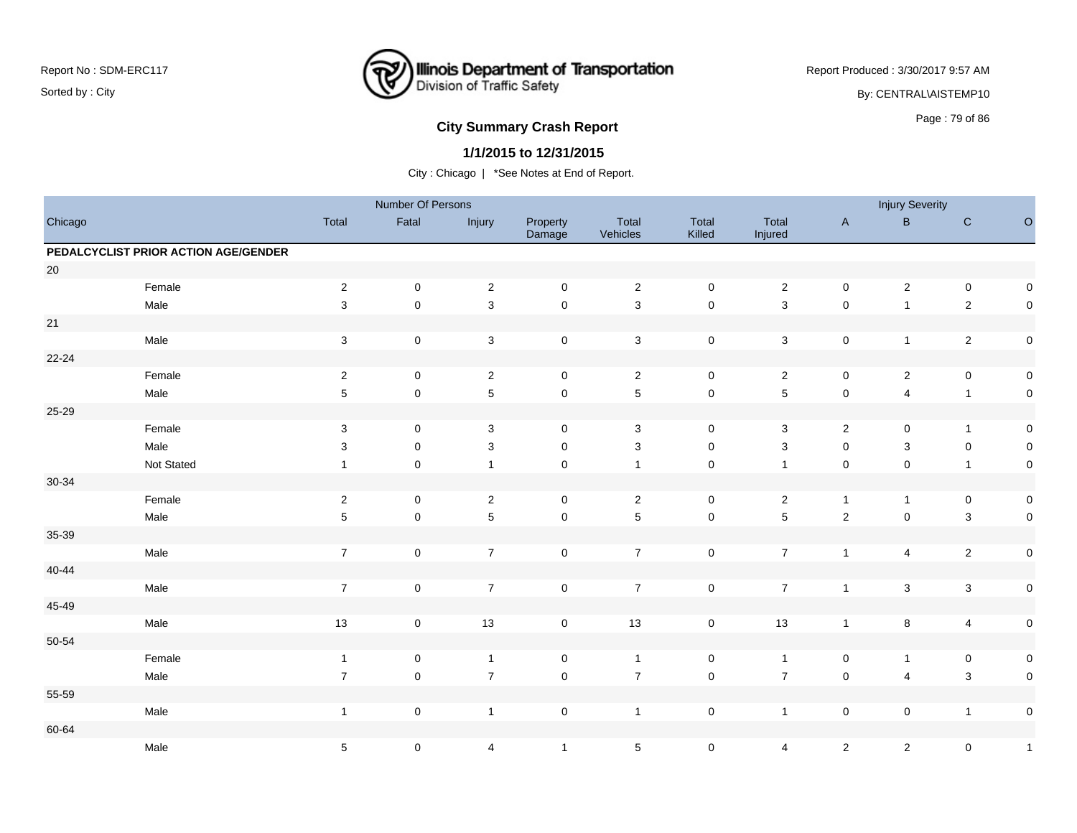

Report Produced : 3/30/2017 9:57 AM

By: CENTRAL\AISTEMP10

# Page : 79 of 86 **City Summary Crash Report**

### **1/1/2015 to 12/31/2015**

|           |                                      |                           | Number Of Persons |                           |                     |                   |                     |                           |                     | <b>Injury Severity</b>  |                         |              |
|-----------|--------------------------------------|---------------------------|-------------------|---------------------------|---------------------|-------------------|---------------------|---------------------------|---------------------|-------------------------|-------------------------|--------------|
| Chicago   |                                      | Total                     | Fatal             | Injury                    | Property<br>Damage  | Total<br>Vehicles | Total<br>Killed     | Total<br>Injured          | $\mathsf A$         | $\sf B$                 | ${\rm C}$               | $\mathsf O$  |
|           | PEDALCYCLIST PRIOR ACTION AGE/GENDER |                           |                   |                           |                     |                   |                     |                           |                     |                         |                         |              |
| 20        |                                      |                           |                   |                           |                     |                   |                     |                           |                     |                         |                         |              |
|           | Female                               | $\sqrt{2}$                | $\pmb{0}$         | $\sqrt{2}$                | $\mathsf{O}\xspace$ | $\overline{2}$    | $\mathsf 0$         | $\overline{c}$            | $\mathsf{O}\xspace$ | $\boldsymbol{2}$        | $\pmb{0}$               | $\mathsf 0$  |
|           | Male                                 | $\sqrt{3}$                | $\mathbf 0$       | $\mathbf{3}$              | $\mathsf{O}\xspace$ | $\mathbf 3$       | $\pmb{0}$           | $\sqrt{3}$                | $\pmb{0}$           | $\mathbf{1}$            | $\sqrt{2}$              | $\mathbf 0$  |
| 21        |                                      |                           |                   |                           |                     |                   |                     |                           |                     |                         |                         |              |
|           | Male                                 | $\ensuremath{\mathsf{3}}$ | $\pmb{0}$         | $\mathsf 3$               | $\pmb{0}$           | $\mathbf 3$       | $\pmb{0}$           | $\mathbf{3}$              | $\pmb{0}$           | $\mathbf{1}$            | $\overline{2}$          | $\mathbf 0$  |
| $22 - 24$ |                                      |                           |                   |                           |                     |                   |                     |                           |                     |                         |                         |              |
|           | Female                               | $\sqrt{2}$                | $\mathbf 0$       | $\overline{c}$            | $\mathbf 0$         | $\overline{2}$    | $\mathbf 0$         | $\overline{2}$            | $\mathbf 0$         | $\overline{2}$          | $\pmb{0}$               | $\mathsf 0$  |
|           | Male                                 | 5                         | $\pmb{0}$         | $\overline{5}$            | $\mathbf 0$         | $5\phantom{.0}$   | $\mathsf 0$         | 5                         | $\mathbf 0$         | $\overline{\mathbf{4}}$ | $\overline{1}$          | $\mathsf 0$  |
| 25-29     |                                      |                           |                   |                           |                     |                   |                     |                           |                     |                         |                         |              |
|           | Female                               | 3                         | $\mathbf 0$       | 3                         | $\mathbf 0$         | 3                 | $\mathbf 0$         | 3                         | $\overline{2}$      | $\mathsf 0$             | $\overline{1}$          | $\mathsf 0$  |
|           | Male                                 | 3                         | $\mathbf 0$       | $\ensuremath{\mathsf{3}}$ | $\mathsf 0$         | $\mathbf{3}$      | $\mathsf{O}\xspace$ | $\ensuremath{\mathsf{3}}$ | $\pmb{0}$           | $\mathsf 3$             | $\pmb{0}$               | $\mathsf 0$  |
|           | Not Stated                           | $\mathbf{1}$              | $\pmb{0}$         | $\overline{1}$            | $\pmb{0}$           | $\overline{1}$    | $\mathsf 0$         | $\mathbf{1}$              | $\pmb{0}$           | $\mathsf 0$             | $\overline{1}$          | $\mathbf 0$  |
| $30 - 34$ |                                      |                           |                   |                           |                     |                   |                     |                           |                     |                         |                         |              |
|           | Female                               | $\overline{2}$            | $\mathbf 0$       | $\overline{2}$            | $\mathbf 0$         | $\overline{2}$    | $\mathbf 0$         | $\mathbf{2}$              | $\mathbf{1}$        | $\mathbf{1}$            | $\mathbf 0$             | $\pmb{0}$    |
|           | Male                                 | $\mathbf 5$               | $\mathbf 0$       | $\sqrt{5}$                | $\pmb{0}$           | $\sqrt{5}$        | $\mathbf 0$         | 5                         | $\sqrt{2}$          | $\mathbf 0$             | $\mathbf{3}$            | $\mathsf 0$  |
| 35-39     |                                      |                           |                   |                           |                     |                   |                     |                           |                     |                         |                         |              |
|           | Male                                 | $\boldsymbol{7}$          | $\pmb{0}$         | $\overline{7}$            | $\mathsf{O}\xspace$ | $\overline{7}$    | $\mathsf 0$         | $\overline{7}$            | $\mathbf{1}$        | 4                       | $\overline{2}$          | $\pmb{0}$    |
| $40 - 44$ |                                      |                           |                   |                           |                     |                   |                     |                           |                     |                         |                         |              |
|           | Male                                 | $\overline{7}$            | $\pmb{0}$         | $\overline{7}$            | $\mathsf{O}\xspace$ | $\overline{7}$    | $\pmb{0}$           | $\overline{7}$            | $\overline{1}$      | $\mathfrak{S}$          | $\mathbf{3}$            | $\mathsf 0$  |
| 45-49     |                                      |                           |                   |                           |                     |                   |                     |                           |                     |                         |                         |              |
|           | Male                                 | 13                        | $\pmb{0}$         | 13                        | $\mathbf 0$         | 13                | $\mathsf 0$         | 13                        | $\mathbf{1}$        | $\bf 8$                 | $\overline{\mathbf{4}}$ | $\mathbf 0$  |
| 50-54     |                                      |                           |                   |                           |                     |                   |                     |                           |                     |                         |                         |              |
|           | Female                               | $\overline{1}$            | $\pmb{0}$         | $\mathbf{1}$              | $\pmb{0}$           | $\overline{1}$    | $\pmb{0}$           | $\overline{1}$            | $\pmb{0}$           | $\mathbf{1}$            | $\mathbf 0$             | $\pmb{0}$    |
|           | Male                                 | $\overline{7}$            | $\mathbf 0$       | $\overline{7}$            | $\pmb{0}$           | $\overline{7}$    | $\mathbf 0$         | $\overline{7}$            | $\pmb{0}$           | $\overline{4}$          | $\mathbf{3}$            | $\mathbf 0$  |
| 55-59     |                                      |                           |                   |                           |                     |                   |                     |                           |                     |                         |                         |              |
|           | Male                                 | $\mathbf{1}$              | $\pmb{0}$         | $\overline{1}$            | $\mathsf{O}\xspace$ | $\overline{1}$    | $\pmb{0}$           | $\mathbf{1}$              | $\pmb{0}$           | $\mathbf 0$             | $\overline{1}$          | $\pmb{0}$    |
| 60-64     |                                      |                           |                   |                           |                     |                   |                     |                           |                     |                         |                         |              |
|           | Male                                 | 5                         | $\pmb{0}$         | $\overline{4}$            | $\overline{1}$      | $\,$ 5 $\,$       | $\mathsf 0$         | 4                         | $\overline{a}$      | $\overline{\mathbf{c}}$ | $\mathbf 0$             | $\mathbf{1}$ |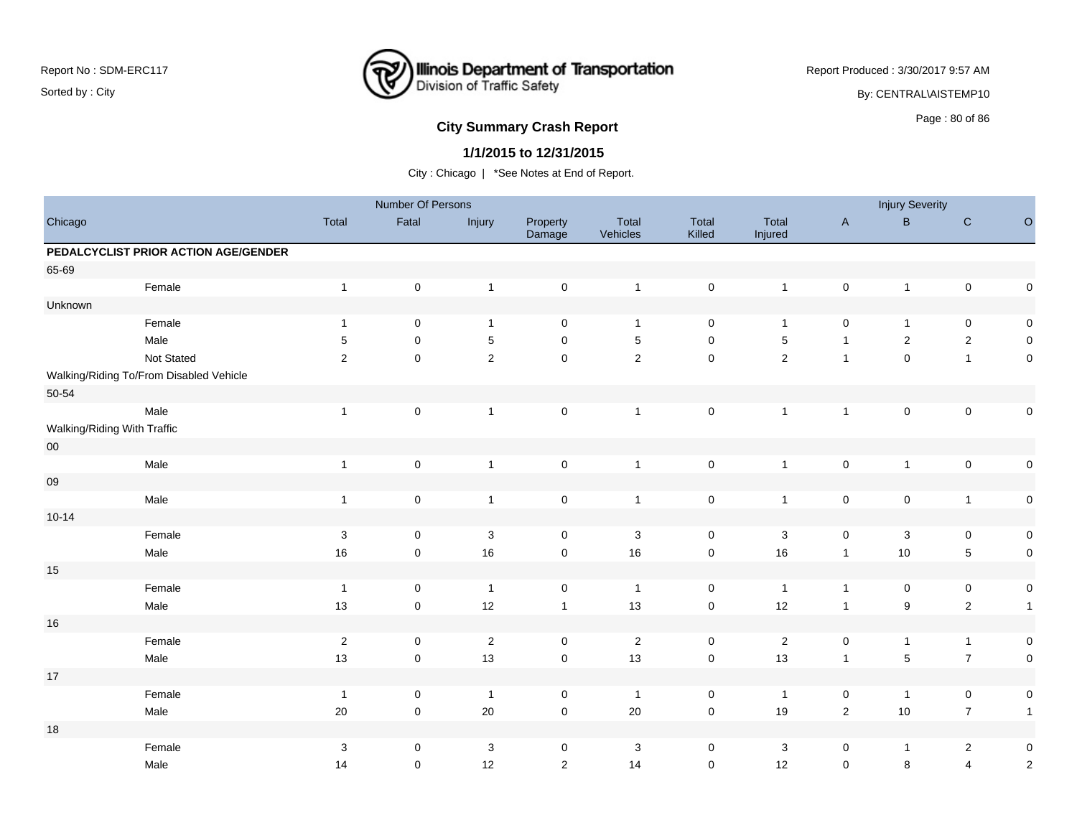

Report Produced : 3/30/2017 9:57 AM By: CENTRAL\AISTEMP10

## **City Summary Crash Report CLASH CRASH REPORT CONSTRUSS AND REPORT CONSTRUSSION CONSTRUSS AND REPORT OF SCHOOL CONSTRUSS AND REPORT OF SCHOOL CONSTRUCT AND REPORT OF SCHOOL CONSTRUCT AND REPORT OF SCHOOL CONSTRUCT AND RE**

### **1/1/2015 to 12/31/2015**

|                             |                                         |                | Number Of Persons   |                |                     |                   |                 |                  |                     | <b>Injury Severity</b> |                     |              |
|-----------------------------|-----------------------------------------|----------------|---------------------|----------------|---------------------|-------------------|-----------------|------------------|---------------------|------------------------|---------------------|--------------|
| Chicago                     |                                         | Total          | Fatal               | Injury         | Property<br>Damage  | Total<br>Vehicles | Total<br>Killed | Total<br>Injured | $\mathsf A$         | $\, {\bf B} \,$        | ${\rm C}$           | $\mathsf O$  |
|                             | PEDALCYCLIST PRIOR ACTION AGE/GENDER    |                |                     |                |                     |                   |                 |                  |                     |                        |                     |              |
| 65-69                       |                                         |                |                     |                |                     |                   |                 |                  |                     |                        |                     |              |
|                             | Female                                  | $\mathbf{1}$   | $\pmb{0}$           | $\mathbf{1}$   | $\mathbf 0$         | $\overline{1}$    | $\pmb{0}$       | $\mathbf{1}$     | $\mathsf{O}\xspace$ | $\mathbf{1}$           | $\mathsf{O}\xspace$ | $\pmb{0}$    |
| Unknown                     |                                         |                |                     |                |                     |                   |                 |                  |                     |                        |                     |              |
|                             | Female                                  | $\overline{1}$ | $\pmb{0}$           | $\mathbf{1}$   | $\mathsf 0$         | $\mathbf{1}$      | $\pmb{0}$       | $\mathbf{1}$     | $\pmb{0}$           | $\mathbf{1}$           | $\mathbf 0$         | $\pmb{0}$    |
|                             | Male                                    | 5              | $\mathbf 0$         | $\,$ 5 $\,$    | $\mathbf 0$         | $\sqrt{5}$        | 0               | $\,$ 5 $\,$      | $\mathbf{1}$        | $\overline{2}$         | $\overline{2}$      | $\mathsf 0$  |
|                             | Not Stated                              | 2              | $\mathbf 0$         | $\overline{2}$ | $\mathsf{O}\xspace$ | $\mathbf 2$       | $\mathbf 0$     | $\overline{2}$   | $\mathbf{1}$        | $\mathsf{O}\xspace$    | $\mathbf{1}$        | $\mathsf 0$  |
|                             | Walking/Riding To/From Disabled Vehicle |                |                     |                |                     |                   |                 |                  |                     |                        |                     |              |
| $50 - 54$                   |                                         |                |                     |                |                     |                   |                 |                  |                     |                        |                     |              |
|                             | Male                                    | $\overline{1}$ | $\mathsf 0$         | $\mathbf{1}$   | $\mathsf{O}\xspace$ | $\mathbf{1}$      | $\pmb{0}$       | $\mathbf{1}$     | $\mathbf{1}$        | $\pmb{0}$              | $\mathsf{O}\xspace$ | $\pmb{0}$    |
| Walking/Riding With Traffic |                                         |                |                     |                |                     |                   |                 |                  |                     |                        |                     |              |
| ${\bf 00}$                  |                                         |                |                     |                |                     |                   |                 |                  |                     |                        |                     |              |
|                             | Male                                    | $\overline{1}$ | $\mathsf 0$         | $\mathbf{1}$   | $\mathsf 0$         | $\mathbf{1}$      | $\pmb{0}$       | $\mathbf{1}$     | $\mathsf{O}\xspace$ | $\mathbf{1}$           | $\mathsf{O}\xspace$ | $\mathbf 0$  |
| ${\bf 09}$                  |                                         |                |                     |                |                     |                   |                 |                  |                     |                        |                     |              |
|                             | Male                                    | $\overline{1}$ | $\pmb{0}$           | $\mathbf{1}$   | $\mathsf 0$         | $\overline{1}$    | $\pmb{0}$       | $\mathbf{1}$     | $\pmb{0}$           | $\pmb{0}$              | $\mathbf{1}$        | $\mathbf 0$  |
| $10 - 14$                   |                                         |                |                     |                |                     |                   |                 |                  |                     |                        |                     |              |
|                             | Female                                  | $\mathbf{3}$   | 0                   | $\sqrt{3}$     | $\mathbf 0$         | $\mathbf{3}$      | $\mathsf 0$     | $\sqrt{3}$       | $\mathbf 0$         | 3                      | $\mathbf 0$         | $\pmb{0}$    |
|                             | Male                                    | 16             | $\mathsf{O}\xspace$ | 16             | $\mathsf{O}\xspace$ | $16\,$            | $\pmb{0}$       | 16               | $\mathbf{1}$        | $10$                   | $\sqrt{5}$          | $\mathbf 0$  |
| $15\,$                      |                                         |                |                     |                |                     |                   |                 |                  |                     |                        |                     |              |
|                             | Female                                  | $\overline{1}$ | $\pmb{0}$           | $\overline{1}$ | $\mathsf 0$         | $\overline{1}$    | $\pmb{0}$       | $\overline{1}$   | $\mathbf{1}$        | $\pmb{0}$              | $\pmb{0}$           | $\pmb{0}$    |
|                             | Male                                    | 13             | $\mathsf{O}\xspace$ | 12             | $\mathbf{1}$        | 13                | $\mathsf 0$     | 12               | $\mathbf{1}$        | $\boldsymbol{9}$       | $\sqrt{2}$          | $\mathbf{1}$ |
| 16                          |                                         |                |                     |                |                     |                   |                 |                  |                     |                        |                     |              |
|                             | Female                                  | $\sqrt{2}$     | $\mathsf 0$         | $\sqrt{2}$     | $\mathsf 0$         | $\overline{2}$    | $\mathsf 0$     | $\overline{2}$   | $\mathbf 0$         | $\mathbf{1}$           | $\mathbf{1}$        | $\mathbf 0$  |
|                             | Male                                    | 13             | $\pmb{0}$           | 13             | $\mathsf 0$         | 13                | $\pmb{0}$       | 13               | $\mathbf{1}$        | $\mathbf 5$            | $\boldsymbol{7}$    | $\mathsf 0$  |
| $17\,$                      |                                         |                |                     |                |                     |                   |                 |                  |                     |                        |                     |              |
|                             | Female                                  | $\overline{1}$ | $\mathbf 0$         | $\overline{1}$ | $\mathbf 0$         | $\overline{1}$    | $\mathsf 0$     | $\mathbf{1}$     | $\mathbf 0$         | $\mathbf{1}$           | $\mathbf 0$         | $\mathbf 0$  |
|                             | Male                                    | $20\,$         | $\mathsf 0$         | 20             | $\mathsf{O}\xspace$ | 20                | $\pmb{0}$       | 19               | $\overline{2}$      | 10                     | $\overline{7}$      | $\mathbf{1}$ |
| $18$                        |                                         |                |                     |                |                     |                   |                 |                  |                     |                        |                     |              |
|                             | Female                                  | $\sqrt{3}$     | $\mathsf 0$         | $\sqrt{3}$     | 0                   | $\mathbf{3}$      | $\pmb{0}$       | $\mathbf{3}$     |                     | $\mathbf{1}$           | $\overline{2}$      | $\pmb{0}$    |
|                             |                                         |                |                     |                |                     |                   |                 |                  | 0                   |                        |                     |              |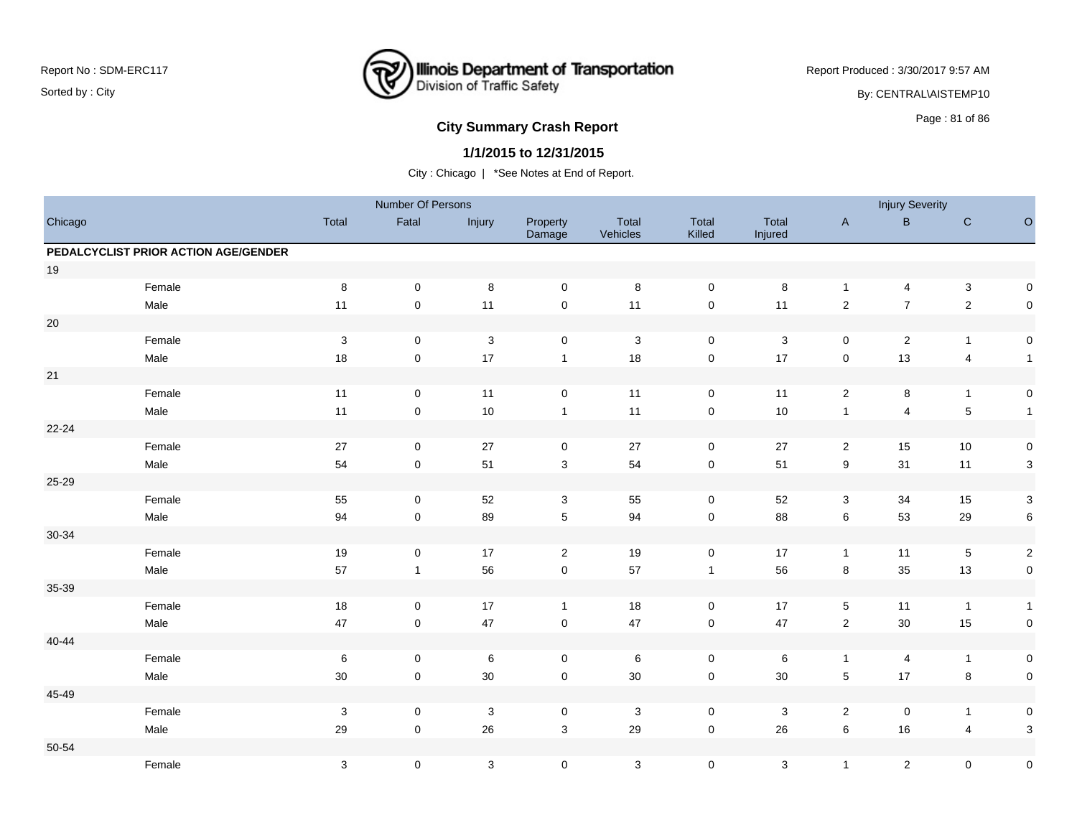

Report Produced : 3/30/2017 9:57 AM By: CENTRAL\AISTEMP10

# **City Summary Crash Report CLASH CRASH REPORT CONSTRUSS AND REPORT CONSTRUSS ASSESS**

#### **1/1/2015 to 12/31/2015**

|           |                                      |                           | Number Of Persons |            |                     |                   |                     |                  |                  | <b>Injury Severity</b>  |                |                           |
|-----------|--------------------------------------|---------------------------|-------------------|------------|---------------------|-------------------|---------------------|------------------|------------------|-------------------------|----------------|---------------------------|
| Chicago   |                                      | Total                     | Fatal             | Injury     | Property<br>Damage  | Total<br>Vehicles | Total<br>Killed     | Total<br>Injured | $\mathsf{A}$     | $\sf B$                 | ${\bf C}$      | $\circ$                   |
|           | PEDALCYCLIST PRIOR ACTION AGE/GENDER |                           |                   |            |                     |                   |                     |                  |                  |                         |                |                           |
| $19$      |                                      |                           |                   |            |                     |                   |                     |                  |                  |                         |                |                           |
|           | Female                               | 8                         | $\mathbf 0$       | 8          | $\mathbf 0$         | 8                 | $\mathbf 0$         | 8                | $\mathbf{1}$     | 4                       | $\mathsf 3$    | 0                         |
|           | Male                                 | 11                        | $\mathbf 0$       | 11         | $\mathsf{O}\xspace$ | 11                | $\mathsf{O}\xspace$ | 11               | $\overline{2}$   | $\overline{7}$          | $\sqrt{2}$     | $\pmb{0}$                 |
| $20\,$    |                                      |                           |                   |            |                     |                   |                     |                  |                  |                         |                |                           |
|           | Female                               | $\sqrt{3}$                | $\mathbf 0$       | $\sqrt{3}$ | $\mathbf 0$         | 3                 | $\mathbf 0$         | 3                | $\mathbf 0$      | $\mathbf 2$             | $\overline{1}$ | $\pmb{0}$                 |
|           | Male                                 | 18                        | $\pmb{0}$         | 17         | $\mathbf{1}$        | 18                | $\mathsf 0$         | 17               | $\mathbf 0$      | 13                      | $\overline{4}$ | $\mathbf{1}$              |
| $21\,$    |                                      |                           |                   |            |                     |                   |                     |                  |                  |                         |                |                           |
|           | Female                               | 11                        | $\mathbf 0$       | 11         | $\mathsf 0$         | 11                | $\mathbf 0$         | 11               | $\sqrt{2}$       | 8                       | $\overline{1}$ | $\pmb{0}$                 |
|           | Male                                 | 11                        | $\pmb{0}$         | 10         | $\mathbf{1}$        | 11                | $\mathsf 0$         | 10               | $\mathbf{1}$     | $\overline{\mathbf{4}}$ | $\sqrt{5}$     | $\mathbf{1}$              |
| $22 - 24$ |                                      |                           |                   |            |                     |                   |                     |                  |                  |                         |                |                           |
|           | Female                               | $27\,$                    | $\mathsf 0$       | 27         | $\mathbf 0$         | $27\,$            | $\mathsf{O}\xspace$ | 27               | $\sqrt{2}$       | 15                      | 10             | $\pmb{0}$                 |
|           | Male                                 | 54                        | $\pmb{0}$         | 51         | $\sqrt{3}$          | 54                | $\mathsf 0$         | 51               | $\boldsymbol{9}$ | 31                      | 11             | 3                         |
| 25-29     |                                      |                           |                   |            |                     |                   |                     |                  |                  |                         |                |                           |
|           | Female                               | 55                        | $\mathbf 0$       | 52         | 3                   | 55                | $\mathbf 0$         | 52               | 3                | 34                      | 15             | $\mathsf 3$               |
|           | Male                                 | 94                        | $\mathbf 0$       | 89         | $\sqrt{5}$          | 94                | $\mathsf 0$         | 88               | $\,6\,$          | 53                      | 29             | 6                         |
| 30-34     |                                      |                           |                   |            |                     |                   |                     |                  |                  |                         |                |                           |
|           | Female                               | 19                        | 0                 | 17         | $\overline{2}$      | 19                | 0                   | 17               | $\overline{1}$   | 11                      | $\,$ 5 $\,$    | $\boldsymbol{2}$          |
|           | Male                                 | 57                        | $\mathbf{1}$      | 56         | $\mathsf{O}\xspace$ | 57                | $\mathbf{1}$        | 56               | $\bf 8$          | 35                      | 13             | $\pmb{0}$                 |
| 35-39     |                                      |                           |                   |            |                     |                   |                     |                  |                  |                         |                |                           |
|           | Female                               | 18                        | $\mathbf 0$       | 17         | $\mathbf{1}$        | 18                | $\mathbf 0$         | 17               | $5\phantom{.0}$  | 11                      | $\overline{1}$ | $\mathbf{1}$              |
|           | Male                                 | $47\,$                    | $\pmb{0}$         | 47         | $\mathbf 0$         | $47\,$            | $\mathsf 0$         | 47               | $\sqrt{2}$       | 30                      | 15             | $\pmb{0}$                 |
| 40-44     |                                      |                           |                   |            |                     |                   |                     |                  |                  |                         |                |                           |
|           | Female                               | $\,6\,$                   | $\pmb{0}$         | $\,6\,$    | $\mathbf 0$         | $\,6\,$           | $\pmb{0}$           | 6                | $\mathbf{1}$     | 4                       | $\overline{1}$ | 0                         |
|           | Male                                 | $30\,$                    | $\mathbf 0$       | 30         | $\pmb{0}$           | $30\,$            | $\mathsf{O}\xspace$ | 30               | $5\phantom{.0}$  | 17                      | $\bf8$         | $\pmb{0}$                 |
| 45-49     |                                      |                           |                   |            |                     |                   |                     |                  |                  |                         |                |                           |
|           | Female                               | $\sqrt{3}$                | $\mathbf 0$       | $\sqrt{3}$ | $\mathsf{O}\xspace$ | $\mathbf 3$       | $\mathbf 0$         | 3                | $\mathbf{2}$     | $\pmb{0}$               | $\overline{1}$ | $\pmb{0}$                 |
|           | Male                                 | 29                        | $\mathbf 0$       | 26         | $\sqrt{3}$          | 29                | $\mathbf 0$         | 26               | $\,6\,$          | 16                      | $\overline{4}$ | $\ensuremath{\mathsf{3}}$ |
| $50 - 54$ |                                      |                           |                   |            |                     |                   |                     |                  |                  |                         |                |                           |
|           | Female                               | $\ensuremath{\mathsf{3}}$ | 0                 | 3          | $\mathbf 0$         | $\mathbf 3$       | $\mathbf 0$         | 3                | $\mathbf{1}$     | $\overline{c}$          | 0              | $\pmb{0}$                 |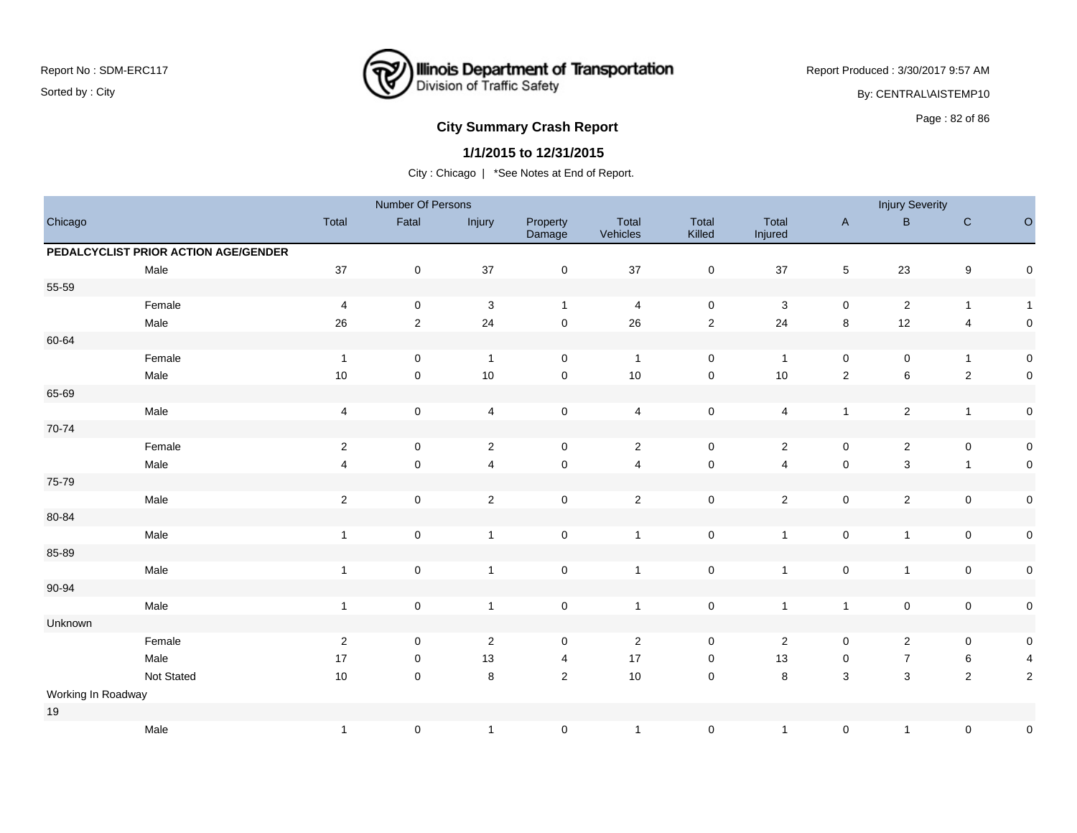

Report Produced : 3/30/2017 9:57 AM By: CENTRAL\AISTEMP10

## **City Summary Crash Report CLASH CRASH REPORT CONSTRUSS AND REPORT CONSTRUSS ASSESS** Page : 82 of 86

### **1/1/2015 to 12/31/2015**

|                    |                                      |                         | Number Of Persons |                         |                    |                         |                        |                  |                | <b>Injury Severity</b> |                         |                     |
|--------------------|--------------------------------------|-------------------------|-------------------|-------------------------|--------------------|-------------------------|------------------------|------------------|----------------|------------------------|-------------------------|---------------------|
| Chicago            |                                      | Total                   | Fatal             | Injury                  | Property<br>Damage | Total<br>Vehicles       | <b>Total</b><br>Killed | Total<br>Injured | $\mathsf{A}$   | B                      | $\mathbf C$             | $\circ$             |
|                    | PEDALCYCLIST PRIOR ACTION AGE/GENDER |                         |                   |                         |                    |                         |                        |                  |                |                        |                         |                     |
|                    | Male                                 | $37\,$                  | $\mathbf 0$       | 37                      | $\pmb{0}$          | 37                      | $\mathsf{O}\xspace$    | $37\,$           | $\sqrt{5}$     | 23                     | $\boldsymbol{9}$        | $\mathsf 0$         |
| 55-59              |                                      |                         |                   |                         |                    |                         |                        |                  |                |                        |                         |                     |
|                    | Female                               | 4                       | $\pmb{0}$         | $\sqrt{3}$              | $\mathbf{1}$       | 4                       | $\mathsf{O}\xspace$    | $\mathbf 3$      | 0              | $\overline{c}$         | $\mathbf{1}$            | $\overline{1}$      |
|                    | Male                                 | $26\,$                  | $\overline{2}$    | 24                      | $\pmb{0}$          | 26                      | $\overline{2}$         | 24               | $\bf8$         | $12$                   | $\overline{\mathbf{4}}$ | $\mathsf{O}\xspace$ |
| 60-64              |                                      |                         |                   |                         |                    |                         |                        |                  |                |                        |                         |                     |
|                    | Female                               | $\overline{1}$          | $\pmb{0}$         | $\overline{1}$          | $\pmb{0}$          | $\overline{1}$          | $\mathbf 0$            | $\overline{1}$   | $\pmb{0}$      | $\pmb{0}$              | $\mathbf{1}$            | $\mathsf{O}\xspace$ |
|                    | Male                                 | $10$                    | $\mathbf 0$       | 10                      | $\pmb{0}$          | 10                      | $\pmb{0}$              | $10$             | $\overline{2}$ | $\,6\,$                | $\sqrt{2}$              | $\mathsf{O}\xspace$ |
| 65-69              |                                      |                         |                   |                         |                    |                         |                        |                  |                |                        |                         |                     |
|                    | Male                                 | $\overline{\mathbf{4}}$ | $\mathbf 0$       | 4                       | $\pmb{0}$          | $\overline{\mathbf{4}}$ | $\pmb{0}$              | 4                | $\mathbf{1}$   | $\sqrt{2}$             | $\mathbf{1}$            | $\mathsf{O}\xspace$ |
| 70-74              |                                      |                         |                   |                         |                    |                         |                        |                  |                |                        |                         |                     |
|                    | Female                               | $\sqrt{2}$              | $\mathbf 0$       | $\sqrt{2}$              | $\pmb{0}$          | $\mathbf{2}$            | $\mathbf 0$            | $\overline{2}$   | $\pmb{0}$      | $\mathbf{2}$           | $\pmb{0}$               | $\mathsf{O}\xspace$ |
|                    | Male                                 | 4                       | $\mathbf 0$       | $\overline{\mathbf{4}}$ | $\pmb{0}$          | $\overline{4}$          | $\pmb{0}$              | $\overline{4}$   | $\pmb{0}$      | $\mathbf{3}$           | $\mathbf{1}$            | $\mathbf 0$         |
| 75-79              |                                      |                         |                   |                         |                    |                         |                        |                  |                |                        |                         |                     |
|                    | Male                                 | $\sqrt{2}$              | $\pmb{0}$         | $\sqrt{2}$              | $\pmb{0}$          | $\sqrt{2}$              | $\pmb{0}$              | $\overline{2}$   | $\pmb{0}$      | $\overline{2}$         | $\pmb{0}$               | $\mathsf{O}\xspace$ |
| 80-84              |                                      |                         |                   |                         |                    |                         |                        |                  |                |                        |                         |                     |
|                    | Male                                 | $\overline{1}$          | $\mathbf 0$       | $\mathbf{1}$            | $\mathsf 0$        | $\mathbf{1}$            | $\pmb{0}$              | $\mathbf{1}$     | $\mathbf 0$    | $\mathbf{1}$           | $\pmb{0}$               | $\mathsf{O}\xspace$ |
| 85-89              |                                      |                         |                   |                         |                    |                         |                        |                  |                |                        |                         |                     |
|                    | Male                                 | $\overline{1}$          | $\pmb{0}$         | $\mathbf{1}$            | $\pmb{0}$          | $\mathbf{1}$            | $\pmb{0}$              | $\overline{1}$   | $\pmb{0}$      | $\mathbf{1}$           | $\pmb{0}$               | $\mathsf{O}\xspace$ |
| 90-94              |                                      |                         |                   |                         |                    |                         |                        |                  |                |                        |                         |                     |
|                    | Male                                 | $\mathbf{1}$            | $\pmb{0}$         | $\mathbf{1}$            | $\mathsf 0$        | $\mathbf{1}$            | $\mathsf{O}\xspace$    | $\overline{1}$   | $\mathbf{1}$   | $\mathsf 0$            | $\pmb{0}$               | $\mathsf{O}\xspace$ |
| Unknown            |                                      |                         |                   |                         |                    |                         |                        |                  |                |                        |                         |                     |
|                    | Female                               | $\overline{2}$          | $\mathbf 0$       | $\sqrt{2}$              | 0                  | $\overline{2}$          | 0                      | $\overline{2}$   | 0              | $\overline{2}$         | 0                       | $\mathsf{O}\xspace$ |
|                    | Male                                 | $17$                    | $\mathbf 0$       | 13                      | 4                  | 17                      | $\mathsf 0$            | 13               | $\pmb{0}$      | $\overline{7}$         | 6                       | $\overline{4}$      |
|                    | Not Stated                           | $10$                    | $\pmb{0}$         | 8                       | $\sqrt{2}$         | 10                      | $\pmb{0}$              | $\bf8$           | $\mathbf{3}$   | $\mathbf{3}$           | $\overline{2}$          | $\overline{2}$      |
| Working In Roadway |                                      |                         |                   |                         |                    |                         |                        |                  |                |                        |                         |                     |
| 19                 |                                      |                         |                   |                         |                    |                         |                        |                  |                |                        |                         |                     |
|                    | Male                                 | $\overline{1}$          | 0                 | $\mathbf{1}$            | $\pmb{0}$          | $\mathbf{1}$            | $\pmb{0}$              | $\overline{1}$   | $\pmb{0}$      | $\mathbf{1}$           | $\pmb{0}$               | $\mathbf 0$         |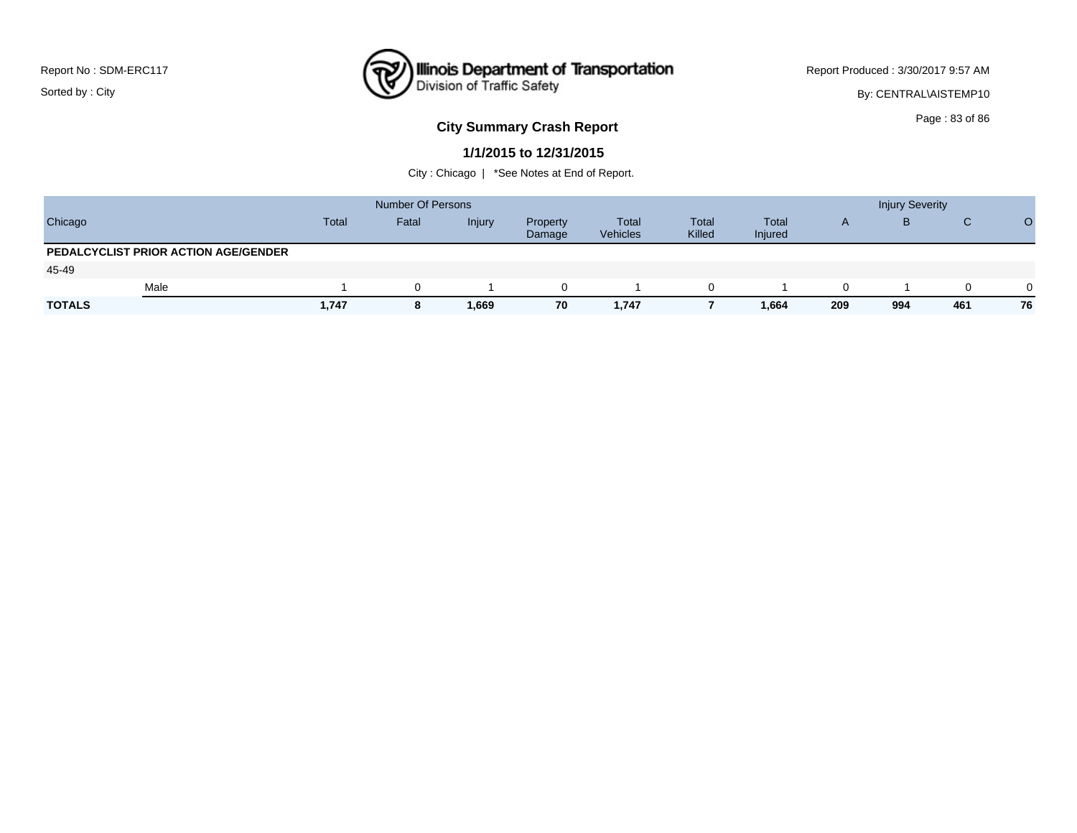

Report Produced : 3/30/2017 9:57 AM

By: CENTRAL\AISTEMP10

### **City Summary Crash Report CLAST CONSTRUSS 2009 120 AU 2010 12:30 Page : 83 of 86**

#### **1/1/2015 to 12/31/2015**

|               |                                      |       | <b>Number Of Persons</b> |        |                    |                          |                        |                                |              | <b>Injury Severity</b> |          |          |
|---------------|--------------------------------------|-------|--------------------------|--------|--------------------|--------------------------|------------------------|--------------------------------|--------------|------------------------|----------|----------|
| Chicago       |                                      | Total | Fatal                    | Injury | Property<br>Damage | Total<br><b>Vehicles</b> | <b>Total</b><br>Killed | <b>Total</b><br><b>Injured</b> | $\mathsf{A}$ | B                      | C        | O        |
|               | PEDALCYCLIST PRIOR ACTION AGE/GENDER |       |                          |        |                    |                          |                        |                                |              |                        |          |          |
| 45-49         |                                      |       |                          |        |                    |                          |                        |                                |              |                        |          |          |
|               | Male                                 |       | 0                        |        |                    |                          |                        |                                |              |                        | $\Omega$ | $\Omega$ |
| <b>TOTALS</b> |                                      | 1,747 | 8                        | 1,669  | 70                 | 1,747                    |                        | 1,664                          | 209          | 994                    | 461      | 76       |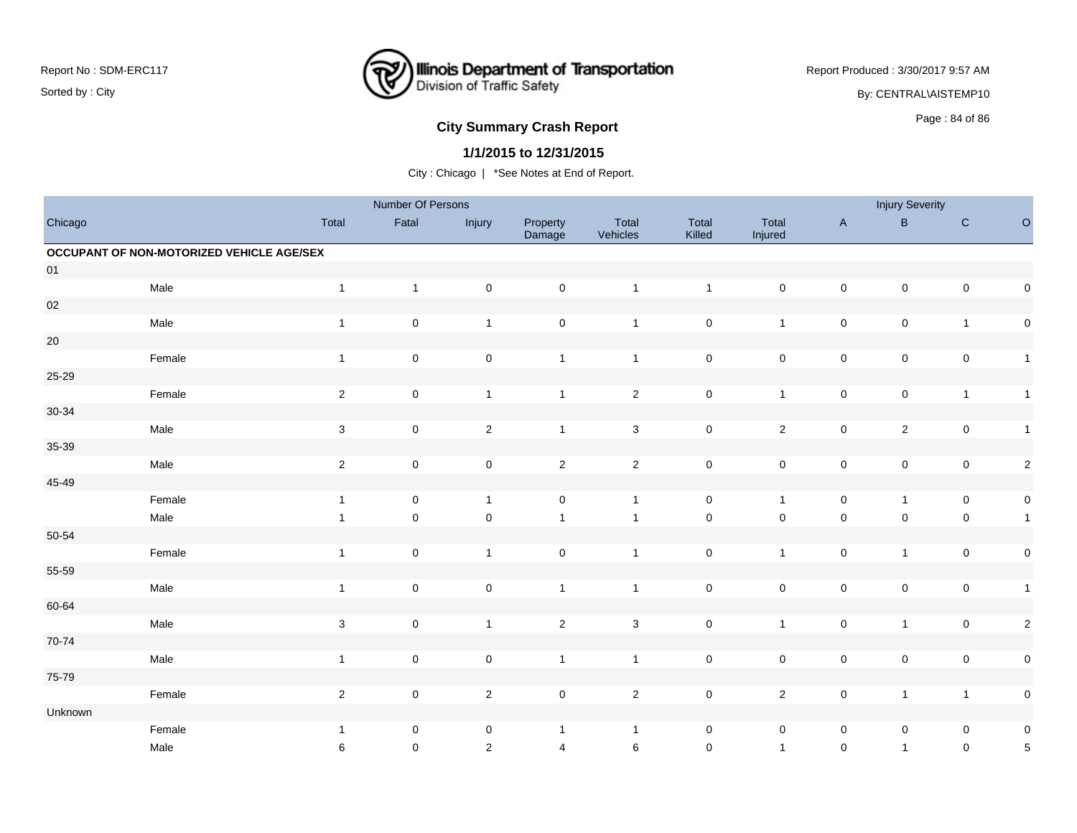### **Illinois Department of Transportation**<br>Division of Traffic Safety ष्ट्र

Report Produced : 3/30/2017 9:57 AM

By: CENTRAL\AISTEMP10

# **City Summary Crash Report CLASH CRASH REPORT CONSTRUSS AND REPORT CONSTRUSS A CONSTRUSS AND REPORT OF SAMPLE CONSTRUSS AND REPORT OF SAMPLE CONSTRUSS AND REPORT OF SAMPLE CONSTRUCTION OF SAMPLE CONSTRUSS AND REPORT OF S**

### **1/1/2015 to 12/31/2015**

|           |                                           |                | Number Of Persons   |                |                     |                         |                 |                     |                     | <b>Injury Severity</b> |                     |              |
|-----------|-------------------------------------------|----------------|---------------------|----------------|---------------------|-------------------------|-----------------|---------------------|---------------------|------------------------|---------------------|--------------|
| Chicago   |                                           | Total          | Fatal               | Injury         | Property<br>Damage  | Total<br>Vehicles       | Total<br>Killed | Total<br>Injured    | $\mathsf{A}$        | B                      | ${\bf C}$           | $\circ$      |
|           | OCCUPANT OF NON-MOTORIZED VEHICLE AGE/SEX |                |                     |                |                     |                         |                 |                     |                     |                        |                     |              |
| 01        |                                           |                |                     |                |                     |                         |                 |                     |                     |                        |                     |              |
|           | Male                                      | $\mathbf{1}$   | $\mathbf{1}$        | $\pmb{0}$      | $\pmb{0}$           | $\overline{1}$          | $\mathbf{1}$    | $\mathsf{O}\xspace$ | $\mathbf 0$         | $\pmb{0}$              | $\pmb{0}$           | $\pmb{0}$    |
| $02\,$    |                                           |                |                     |                |                     |                         |                 |                     |                     |                        |                     |              |
|           | Male                                      | $\mathbf{1}$   | $\mathsf 0$         | $\mathbf{1}$   | $\mathbf 0$         | $\overline{1}$          | $\pmb{0}$       | $\mathbf{1}$        | $\mathbf 0$         | $\mathsf 0$            | $\overline{1}$      | $\pmb{0}$    |
| $20\,$    |                                           |                |                     |                |                     |                         |                 |                     |                     |                        |                     |              |
|           | Female                                    | $\mathbf{1}$   | $\pmb{0}$           | $\pmb{0}$      | $\mathbf{1}$        | $\overline{\mathbf{1}}$ | $\pmb{0}$       | $\mathsf{O}\xspace$ | $\pmb{0}$           | $\pmb{0}$              | $\pmb{0}$           | $\mathbf{1}$ |
| 25-29     |                                           |                |                     |                |                     |                         |                 |                     |                     |                        |                     |              |
|           | Female                                    | $\overline{2}$ | $\mathsf{O}\xspace$ | $\mathbf{1}$   | $\mathbf{1}$        | $\overline{2}$          | $\pmb{0}$       | $\mathbf{1}$        | $\mathbf 0$         | $\pmb{0}$              | $\mathbf{1}$        | $\mathbf{1}$ |
| $30 - 34$ |                                           |                |                     |                |                     |                         |                 |                     |                     |                        |                     |              |
|           | Male                                      | $\mathbf{3}$   | $\mathsf{O}\xspace$ | $\sqrt{2}$     | $\mathbf{1}$        | $\mathbf{3}$            | $\mathsf 0$     | $\overline{2}$      | $\mathsf{O}\xspace$ | $\overline{2}$         | $\pmb{0}$           | $\mathbf{1}$ |
| 35-39     |                                           |                |                     |                |                     |                         |                 |                     |                     |                        |                     |              |
|           | Male                                      | $\overline{2}$ | $\pmb{0}$           | $\pmb{0}$      | $\overline{2}$      | $\overline{2}$          | $\pmb{0}$       | $\mathsf{O}\xspace$ | $\mathbf 0$         | $\pmb{0}$              | $\pmb{0}$           | $\sqrt{2}$   |
| 45-49     |                                           |                |                     |                |                     |                         |                 |                     |                     |                        |                     |              |
|           | Female                                    | $\mathbf{1}$   | $\mathsf{O}\xspace$ | $\mathbf{1}$   | $\mathsf{O}\xspace$ | $\mathbf{1}$            | $\pmb{0}$       | $\mathbf{1}$        | $\mathbf 0$         | $\mathbf{1}$           | $\mathsf{O}\xspace$ | $\pmb{0}$    |
|           | Male                                      | $\mathbf{1}$   | $\pmb{0}$           | $\pmb{0}$      | $\mathbf{1}$        | $\mathbf{1}$            | $\pmb{0}$       | $\pmb{0}$           | $\mathsf 0$         | $\mathbf 0$            | $\pmb{0}$           | $\mathbf{1}$ |
| 50-54     |                                           |                |                     |                |                     |                         |                 |                     |                     |                        |                     |              |
|           | Female                                    | $\mathbf{1}$   | $\mathbf 0$         | $\mathbf{1}$   | $\mathbf 0$         | $\mathbf{1}$            | $\pmb{0}$       | $\mathbf{1}$        | $\mathbf 0$         | $\mathbf{1}$           | $\pmb{0}$           | $\pmb{0}$    |
| 55-59     |                                           |                |                     |                |                     |                         |                 |                     |                     |                        |                     |              |
|           | Male                                      | $\mathbf{1}$   | $\pmb{0}$           | $\pmb{0}$      | $\mathbf{1}$        | $\overline{1}$          | $\pmb{0}$       | $\mathsf{O}\xspace$ | $\mathbf 0$         | $\pmb{0}$              | $\pmb{0}$           | $\mathbf{1}$ |
| 60-64     |                                           |                |                     |                |                     |                         |                 |                     |                     |                        |                     |              |
|           | Male                                      | $\mathbf{3}$   | $\mathbf 0$         | $\mathbf{1}$   | $\overline{2}$      | $\mathbf{3}$            | $\pmb{0}$       | $\mathbf{1}$        | $\mathbf 0$         | $\mathbf{1}$           | $\pmb{0}$           | $\sqrt{2}$   |
| 70-74     |                                           |                |                     |                |                     |                         |                 |                     |                     |                        |                     |              |
|           | Male                                      | $\mathbf{1}$   | $\pmb{0}$           | $\pmb{0}$      | $\mathbf{1}$        | $\overline{\mathbf{1}}$ | $\pmb{0}$       | $\mathsf{O}\xspace$ | $\pmb{0}$           | $\pmb{0}$              | $\pmb{0}$           | $\pmb{0}$    |
| 75-79     |                                           |                |                     |                |                     |                         |                 |                     |                     |                        |                     |              |
|           | Female                                    | $\overline{2}$ | $\pmb{0}$           | $\sqrt{2}$     | $\mathsf{O}\xspace$ | $\overline{2}$          | $\pmb{0}$       | $\overline{2}$      | $\mathbf 0$         | $\mathbf{1}$           | $\mathbf{1}$        | $\pmb{0}$    |
| Unknown   |                                           |                |                     |                |                     |                         |                 |                     |                     |                        |                     |              |
|           | Female                                    | $\mathbf{1}$   | $\mathbf 0$         | $\pmb{0}$      | $\mathbf{1}$        | $\overline{1}$          | $\pmb{0}$       | $\mathbf 0$         | $\mathbf 0$         | 0                      | $\mathbf 0$         | $\pmb{0}$    |
|           | Male                                      | 6              | $\mathbf 0$         | $\overline{2}$ | $\overline{4}$      | 6                       | $\mathbf 0$     | $\mathbf{1}$        | $\mathsf{O}\xspace$ | $\mathbf{1}$           | $\mathbf 0$         | $\sqrt{5}$   |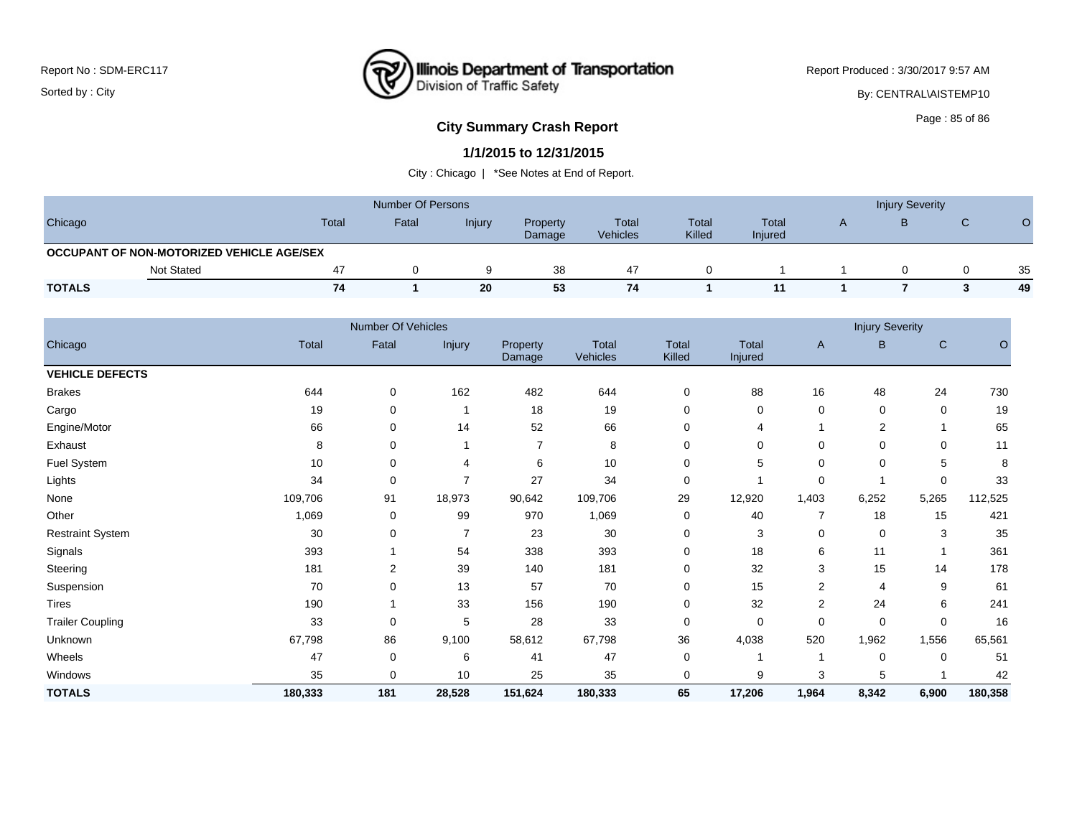### **Illinois Department of Transportation**<br>Division of Traffic Safety ष्ट्र

Report Produced : 3/30/2017 9:57 AM

By: CENTRAL\AISTEMP10

# Page : 85 of 86 **City Summary Crash Report**

#### **1/1/2015 to 12/31/2015**

|                                           |                   |       | <b>Number Of Persons</b> |               |                    | <b>Injury Severity</b>   |                 |                         |  |  |  |    |
|-------------------------------------------|-------------------|-------|--------------------------|---------------|--------------------|--------------------------|-----------------|-------------------------|--|--|--|----|
| Chicago                                   |                   | Total | Fatal                    | <b>Injury</b> | Property<br>Damage | Total<br><b>Vehicles</b> | Total<br>Killed | <b>Total</b><br>Injured |  |  |  |    |
| OCCUPANT OF NON-MOTORIZED VEHICLE AGE/SEX |                   |       |                          |               |                    |                          |                 |                         |  |  |  |    |
|                                           | <b>Not Stated</b> | 47    |                          |               | 38                 | 47                       |                 |                         |  |  |  | 35 |
| <b>TOTALS</b>                             |                   | 74    |                          | 20            | 53                 | 74                       |                 | 11                      |  |  |  | 49 |

|                         |         | Number Of Vehicles |                |                    |                   |                 |                  |                | <b>Injury Severity</b> |             |         |
|-------------------------|---------|--------------------|----------------|--------------------|-------------------|-----------------|------------------|----------------|------------------------|-------------|---------|
| Chicago                 | Total   | Fatal              | Injury         | Property<br>Damage | Total<br>Vehicles | Total<br>Killed | Total<br>Injured | $\mathsf{A}$   | В                      | C           | $\circ$ |
| <b>VEHICLE DEFECTS</b>  |         |                    |                |                    |                   |                 |                  |                |                        |             |         |
| <b>Brakes</b>           | 644     | 0                  | 162            | 482                | 644               | 0               | 88               | 16             | 48                     | 24          | 730     |
| Cargo                   | 19      | 0                  | 1              | 18                 | 19                | 0               | $\mathbf 0$      | 0              | 0                      | $\mathbf 0$ | 19      |
| Engine/Motor            | 66      | 0                  | 14             | 52                 | 66                | 0               | 4                |                | $\overline{2}$         |             | 65      |
| Exhaust                 | 8       | 0                  |                | $\overline{7}$     | 8                 | 0               | 0                | $\Omega$       | 0                      | $\Omega$    | 11      |
| Fuel System             | 10      | 0                  | 4              | 6                  | 10                | 0               | 5                | 0              | 0                      | 5           | 8       |
| Lights                  | 34      | 0                  | $\overline{7}$ | 27                 | 34                | 0               |                  | 0              | 1                      | $\mathbf 0$ | 33      |
| None                    | 109,706 | 91                 | 18,973         | 90,642             | 109,706           | 29              | 12,920           | 1,403          | 6,252                  | 5,265       | 112,525 |
| Other                   | 1,069   | 0                  | 99             | 970                | 1,069             | 0               | 40               |                | 18                     | 15          | 421     |
| <b>Restraint System</b> | 30      | 0                  | 7              | 23                 | 30                | 0               | 3                | 0              | 0                      | 3           | 35      |
| Signals                 | 393     |                    | 54             | 338                | 393               | 0               | 18               | 6              | 11                     |             | 361     |
| Steering                | 181     | 2                  | 39             | 140                | 181               | 0               | 32               | 3              | 15                     | 14          | 178     |
| Suspension              | 70      | $\mathbf 0$        | 13             | 57                 | 70                | 0               | 15               | $\overline{c}$ | $\overline{4}$         | 9           | 61      |
| Tires                   | 190     |                    | 33             | 156                | 190               | 0               | 32               | $\overline{c}$ | 24                     | 6           | 241     |
| <b>Trailer Coupling</b> | 33      | 0                  | 5              | 28                 | 33                | 0               | $\mathbf 0$      | $\mathbf 0$    | 0                      | $\mathbf 0$ | 16      |
| Unknown                 | 67,798  | 86                 | 9,100          | 58,612             | 67,798            | 36              | 4,038            | 520            | 1,962                  | 1,556       | 65,561  |
| Wheels                  | 47      | 0                  | 6              | 41                 | 47                | 0               |                  |                | 0                      | $\mathbf 0$ | 51      |
| Windows                 | 35      | 0                  | 10             | 25                 | 35                | 0               | 9                | 3              | 5                      |             | 42      |
| <b>TOTALS</b>           | 180,333 | 181                | 28,528         | 151,624            | 180,333           | 65              | 17,206           | 1,964          | 8,342                  | 6,900       | 180,358 |